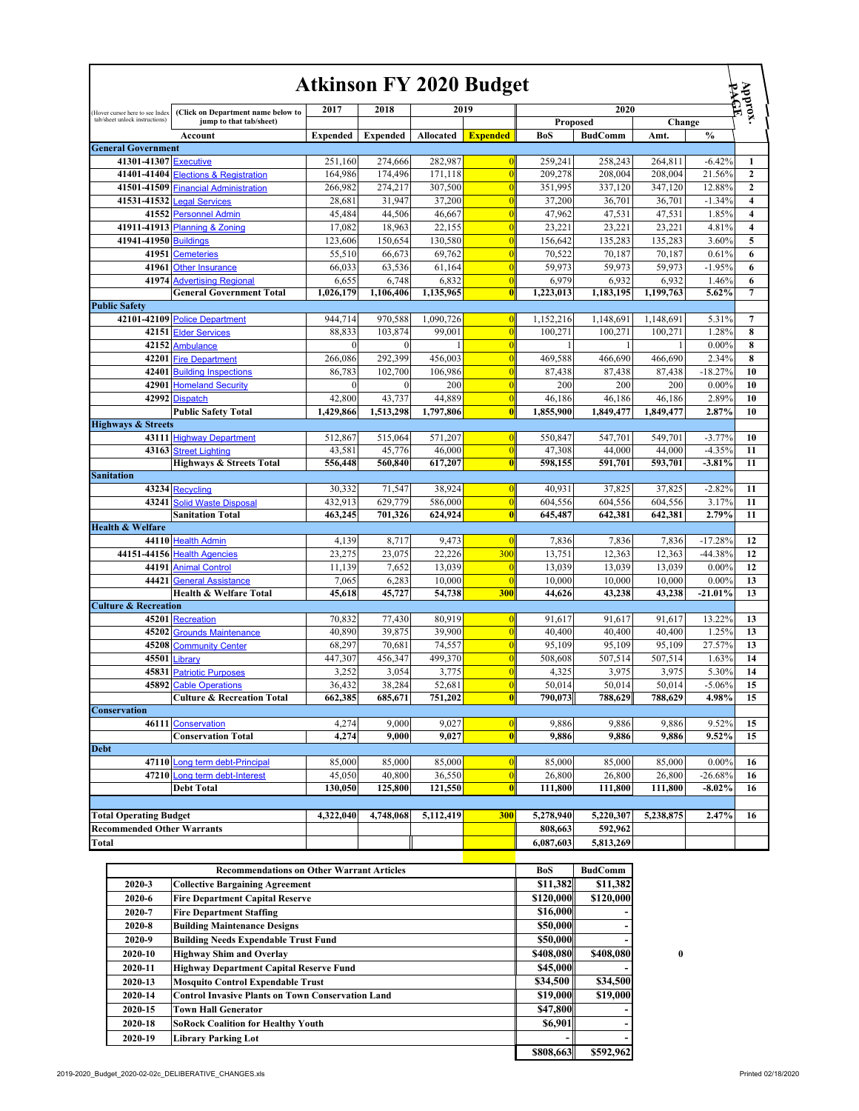|                                   |                                       |                   |                 |           | <b>Atkinson FY 2020 Budget</b> |            |                   |           |                      | Approx.                 |
|-----------------------------------|---------------------------------------|-------------------|-----------------|-----------|--------------------------------|------------|-------------------|-----------|----------------------|-------------------------|
| (Hover cursor here to see Index   | (Click on Department name below to    | 2017              | 2018            | 2019      |                                |            | 2020              |           |                      |                         |
| tab/sheet unlock instructions)    | jump to that tab/sheet)               |                   |                 |           |                                | Proposed   |                   | Change    |                      |                         |
|                                   | Account                               | <b>Expended</b>   | <b>Expended</b> | Allocated | <b>Expended</b>                | <b>BoS</b> | <b>BudComm</b>    | Amt.      | $\frac{0}{0}$        |                         |
| <b>General Government</b>         |                                       |                   |                 |           |                                |            |                   |           |                      |                         |
| 41301-41307 Executive             |                                       | 251,160           | 274,666         | 282,987   | $\vert 0 \vert$                | 259,241    | 258,243           | 264,811   | $-6.42%$             | 1                       |
|                                   | 41401-41404 Elections & Registration  | 164,986           | 174,496         | 171,118   | $\overline{0}$                 | 209,278    | 208,004           | 208,004   | 21.56%               | $\mathbf{2}$            |
|                                   | 41501-41509 Financial Administration  | 266,982           | 274,217         | 307,500   | $\overline{0}$                 | 351,995    | 337,120           | 347,120   | 12.88%               | $\mathbf{2}$            |
|                                   | 41531-41532 Legal Services            | 28,681            | 31,947          | 37,200    | $\overline{0}$                 | 37,200     | 36,701            | 36,701    | $-1.34%$             | $\overline{\mathbf{4}}$ |
|                                   | 41552 Personnel Admin                 | 45,484            | 44,506          | 46,667    | $\vert 0 \vert$                | 47,962     | 47,531            | 47,531    | 1.85%                | $\overline{\mathbf{4}}$ |
|                                   | 41911-41913 Planning & Zoning         | 17,082            | 18,963          | 22,155    | $\overline{0}$                 | 23,221     | 23,221            | 23,221    | 4.81%                | $\overline{\mathbf{4}}$ |
| 41941-41950 Buildings             |                                       | 123,606           | 150,654         | 130,580   | $\overline{0}$                 | 156,642    | 135,283           | 135,283   | 3.60%                | 5                       |
| 41951                             | <b>Cemeteries</b>                     | 55,510            | 66,673          | 69,762    | $\overline{0}$                 | 70,522     | 70.187            | 70,187    | 0.61%                | 6                       |
| 41961                             | <b>Other Insurance</b>                | 66,033            | 63,536          | 61,164    | $\overline{0}$                 | 59,973     | 59,973            | 59,973    | $-1.95%$             | 6                       |
| 41974                             | <b>Advertising Regional</b>           | 6,655             | 6,748           | 6,832     | $\overline{0}$                 | 6,979      | 6,932             | 6,932     | 1.46%                | 6                       |
|                                   | <b>General Government Total</b>       | 1,026,179         | 1,106,406       | 1,135,965 | 0                              | 1,223,013  | 1,183,195         | 1,199,763 | 5.62%                | $\overline{7}$          |
| <b>Public Safety</b>              |                                       |                   |                 |           |                                |            |                   |           |                      |                         |
|                                   | 42101-42109 Police Department         | 944,714           | 970,588         | 1,090,726 | $\overline{0}$                 | 1,152,216  | 1,148,691         | 1,148,691 | 5.31%                | $\overline{7}$          |
|                                   | 42151 Elder Services                  | 88,833            | 103,874         | 99,001    | $\vert 0 \vert$                | 100,271    | 100,271           | 100,271   | 1.28%                | 8                       |
| 42152                             | <b>Ambulance</b>                      | $\mathbf{0}$      | $\Omega$        |           | $\overline{0}$                 |            | $\mathbf{1}$      | 1         | $0.00\%$             | 8                       |
| 42201                             | <b>Fire Department</b>                | 266,086           | 292,399         | 456,003   | $\vert 0 \vert$                | 469,588    | 466,690           | 466,690   | 2.34%                | 8                       |
| 42401                             | <b>Building Inspections</b>           | 86,783            | 102,700         | 106,986   | $\overline{0}$                 | 87,438     | 87,438            | 87,438    | $-18.27%$            | 10                      |
| 42901                             | <b>Homeland Security</b>              | $\boldsymbol{0}$  | $\mathbf{0}$    | 200       | $\overline{0}$                 | 200        | 200               | 200       | $0.00\%$             | 10                      |
| 42992                             | <b>Dispatch</b>                       | 42,800            | 43,737          | 44,889    | $\overline{0}$                 | 46,186     | 46,186            | 46,186    | 2.89%                | 10                      |
|                                   | <b>Public Safety Total</b>            | 1,429,866         | 1,513,298       | 1,797,806 | 0                              | 1,855,900  | 1,849,477         | 1,849,477 | 2.87%                | 10                      |
| <b>Highways &amp; Streets</b>     | 43111 Highway Department              |                   | 515.064         | 571,207   | 0                              | 550,847    |                   | 549,701   |                      |                         |
|                                   | 43163 Street Lighting                 | 512,867<br>43,581 | 45,776          | 46,000    | $\vert 0 \vert$                | 47,308     | 547,701<br>44,000 | 44,000    | $-3.77%$<br>$-4.35%$ | 10<br>11                |
|                                   | <b>Highways &amp; Streets Total</b>   | 556,448           | 560,840         | 617,207   | $\vert 0 \vert$                | 598,155    | 591,701           | 593,701   | $-3.81%$             | 11                      |
| <b>Sanitation</b>                 |                                       |                   |                 |           |                                |            |                   |           |                      |                         |
|                                   | 43234 Recycling                       | 30,332            | 71,547          | 38,924    | 0                              | 40,931     | 37,825            | 37,825    | $-2.82%$             | 11                      |
| 43241                             | <b>Solid Waste Disposal</b>           | 432,913           | 629,779         | 586,000   | $\vert 0 \vert$                | 604,556    | 604,556           | 604,556   | 3.17%                | 11                      |
|                                   | <b>Sanitation Total</b>               | 463,245           | 701,326         | 624,924   | 0                              | 645,487    | 642,381           | 642,381   | 2.79%                | 11                      |
| <b>Health &amp; Welfare</b>       |                                       |                   |                 |           |                                |            |                   |           |                      |                         |
|                                   | 44110 Health Admin                    | 4,139             | 8,717           | 9,473     | $\overline{0}$                 | 7,836      | 7,836             | 7,836     | $-17.28%$            | 12                      |
|                                   | 44151-44156 Health Agencies           | 23,275            | 23,075          | 22,226    | 300                            | 13,751     | 12,363            | 12,363    | $-44.38%$            | 12                      |
|                                   | 44191 Animal Control                  | 11,139            | 7,652           | 13,039    | $\overline{0}$                 | 13,039     | 13,039            | 13,039    | $0.00\%$             | 12                      |
| 44421                             | <b>General Assistance</b>             | 7,065             | 6,283           | 10,000    | $\overline{0}$                 | 10,000     | 10,000            | 10,000    | $0.00\%$             | 13                      |
|                                   | <b>Health &amp; Welfare Total</b>     | 45,618            | 45,727          | 54,738    | 300                            | 44,626     | 43,238            | 43,238    | $-21.01%$            | 13                      |
| <b>Culture &amp; Recreation</b>   |                                       |                   |                 |           |                                |            |                   |           |                      |                         |
|                                   | 45201 Recreation                      | 70.832            | 77,430          | 80,919    | $\vert 0 \vert$                | 91,617     | 91.617            | 91,617    | 13.22%               | 13                      |
| 45202                             | <b>Grounds Maintenance</b>            | 40,890            | 39.875          | 39,900    | $\overline{0}$                 | 40,400     | 40,400            | 40.400    | 1.25%                | 13                      |
| 45208                             | <b>Community Center</b>               | 68,297            | 70,681          | 74,557    | $\overline{0}$                 | 95,109     | 95,109            | 95,109    | 27.57%               | 13                      |
| 45501                             | Library                               | 447,307           | 456,347         | 499,370   | $\overline{0}$                 | 508,608    | 507,514           | 507,514   | 1.63%                | 14                      |
| 45831                             | <b>Patriotic Purposes</b>             | 3,252             | 3,054           | 3,775     | $\overline{0}$                 | 4,325      | 3,975             | 3,975     | 5.30%                | 14                      |
|                                   | 45892 Cable Operations                | 36,432            | 38,284          | 52,681    | $\vert 0 \vert$                | 50,014     | 50,014            | 50.014    | $-5.06%$             | 15                      |
|                                   | <b>Culture &amp; Recreation Total</b> | 662,385           | 685,671         | 751,202   | 0                              | 790,073    | 788,629           | 788,629   | 4.98%                | 15                      |
| <b>Conservation</b>               |                                       |                   |                 |           |                                |            |                   |           |                      |                         |
|                                   | 46111 Conservation                    | 4,274             | 9,000           | 9,027     | 0                              | 9,886      | 9,886             | 9,886     | 9.52%                | 15                      |
|                                   | <b>Conservation Total</b>             | 4,274             | 9,000           | 9,027     | 0                              | 9,886      | 9,886             | 9,886     | 9.52%                | 15                      |
| <b>Debt</b>                       |                                       |                   |                 |           |                                |            |                   |           |                      |                         |
|                                   | 47110 Long term debt-Principal        | 85,000            | 85,000          | 85,000    | 0                              | 85,000     | 85,000            | 85,000    | $0.00\%$             | 16                      |
| 47210                             | Long term debt-Interest               | 45,050            | 40.800          | 36,550    | $\vert 0 \vert$                | 26,800     | 26,800            | 26,800    | $-26.68%$            | 16                      |
|                                   | <b>Debt Total</b>                     | 130,050           | 125,800         | 121,550   | 0                              | 111,800    | 111,800           | 111,800   | $-8.02\%$            | 16                      |
|                                   |                                       |                   |                 |           |                                |            |                   |           |                      |                         |
| <b>Total Operating Budget</b>     |                                       | 4,322,040         | 4,748,068       | 5,112,419 | 300                            | 5,278,940  | 5,220,307         | 5,238,875 | 2.47%                | 16                      |
| <b>Recommended Other Warrants</b> |                                       |                   |                 |           |                                | 808,663    | 592,962           |           |                      |                         |
| Total                             |                                       |                   |                 |           |                                | 6,087,603  | 5,813,269         |           |                      |                         |

|            | <b>Recommendations on Other Warrant Articles</b>         | <b>BoS</b>      | <b>BudComm</b> |              |
|------------|----------------------------------------------------------|-----------------|----------------|--------------|
| 2020-3     | <b>Collective Bargaining Agreement</b>                   | \$11,382        | \$11,382       |              |
| 2020-6     | <b>Fire Department Capital Reserve</b>                   | \$120,000       | \$120,000      |              |
| 2020-7     | <b>Fire Department Staffing</b>                          | \$16,000        |                |              |
| $2020 - 8$ | <b>Building Maintenance Designs</b>                      | \$50,000        |                |              |
| 2020-9     | <b>Building Needs Expendable Trust Fund</b>              | \$50,000        |                |              |
| 2020-10    | <b>Highway Shim and Overlay</b>                          | \$408,080       | \$408,080      | $\mathbf{0}$ |
| 2020-11    | <b>Highway Department Capital Reserve Fund</b>           | \$45,000        |                |              |
| 2020-13    | <b>Mosquito Control Expendable Trust</b>                 | \$34,500        | \$34,500       |              |
| 2020-14    | <b>Control Invasive Plants on Town Conservation Land</b> | \$19,000        | \$19,000       |              |
| 2020-15    | <b>Town Hall Generator</b>                               | <b>\$47,800</b> |                |              |
| 2020-18    | <b>SoRock Coalition for Healthy Youth</b>                | \$6,901         |                |              |
| 2020-19    | <b>Library Parking Lot</b>                               |                 |                |              |
|            |                                                          | \$808,663       | \$592,962      |              |
|            |                                                          |                 |                |              |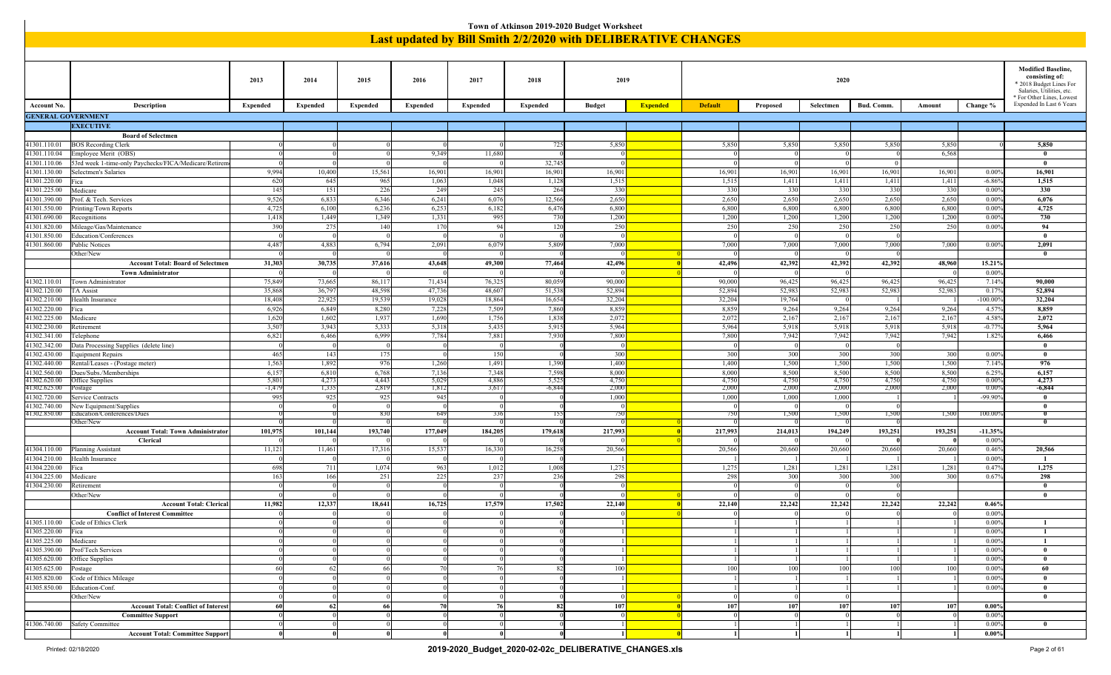|                              |                                                                       |                 |                      |                 |                 |                 |                 | Town of Atkinson 2019-2020 Budget Worksheet                   |                 |                 |                 |                 |                 |                 |                     |                                                      |
|------------------------------|-----------------------------------------------------------------------|-----------------|----------------------|-----------------|-----------------|-----------------|-----------------|---------------------------------------------------------------|-----------------|-----------------|-----------------|-----------------|-----------------|-----------------|---------------------|------------------------------------------------------|
|                              |                                                                       |                 |                      |                 |                 |                 |                 | Last updated by Bill Smith 2/2/2020 with DELIBERATIVE CHANGES |                 |                 |                 |                 |                 |                 |                     |                                                      |
|                              |                                                                       |                 |                      |                 |                 |                 |                 |                                                               |                 |                 |                 |                 |                 |                 |                     |                                                      |
|                              |                                                                       |                 |                      |                 |                 |                 |                 |                                                               |                 |                 |                 |                 |                 |                 |                     |                                                      |
|                              |                                                                       | 2013            | 2014                 | 2015            | 2016            | 2017            | 2018            | 2019                                                          |                 |                 |                 | 2020            |                 |                 |                     | <b>Modified Baseline,</b><br>consisting of:          |
|                              |                                                                       |                 |                      |                 |                 |                 |                 |                                                               |                 |                 |                 |                 |                 |                 |                     | * 2018 Budget Lines For<br>Salaries, Utilities, etc. |
|                              |                                                                       |                 |                      |                 |                 |                 |                 |                                                               |                 |                 |                 |                 |                 |                 |                     | * For Other Lines, Lowest                            |
| Account No.                  | Description                                                           | <b>Expended</b> | <b>Expended</b>      | <b>Expended</b> | Expended        | <b>Expended</b> | <b>Expended</b> | <b>Budget</b>                                                 | <b>Expended</b> | <b>Default</b>  | Proposed        | Selectmen       | Bud. Comm.      | Amount          | Change %            | Expended In Last 6 Years                             |
| <b>GENERAL GOVERNMENT</b>    | <b>EXECUTIVE</b>                                                      |                 |                      |                 |                 |                 |                 |                                                               |                 |                 |                 |                 |                 |                 |                     |                                                      |
|                              | <b>Board of Selectmen</b>                                             |                 |                      |                 |                 |                 |                 |                                                               |                 |                 |                 |                 |                 |                 |                     |                                                      |
| 41301.110.01                 | <b>BOS Recording Clerk</b>                                            |                 |                      |                 |                 |                 | 72:             | 5,850                                                         |                 | 5,850           | 5,850           | 5,850           | 5,850           | 5,850           |                     | 5,850                                                |
| 41301.110.04                 | Employee Merit (OBS)                                                  |                 |                      |                 | 9,349           | 11,680          |                 |                                                               |                 |                 |                 |                 |                 | 6,568           |                     | $\bf{0}$                                             |
| 41301.110.06                 | 53rd week 1-time-only Paychecks/FICA/Medicare/Retirem                 |                 | $\eta$               |                 |                 |                 | 32,74           |                                                               |                 |                 |                 |                 | $\overline{0}$  |                 |                     | $\bf{0}$                                             |
| 41301.130.00<br>41301.220.00 | Selectmen's Salaries<br>ica                                           | 9,994<br>620    | 10,400<br>645        | 15,561<br>965   | 16,901<br>1,063 | 16,901<br>1,048 | 16,90<br>1,12   | 16,901<br>1,515                                               |                 | 16,901<br>1,515 | 16,901<br>1,411 | 16,901<br>1,411 | 16,901<br>1,411 | 16,901<br>1,411 | 0.009<br>$-6.869$   | 16,901<br>1,515                                      |
| 41301.225.00                 | Medicare                                                              | 145             | 151                  | 226             | 249             | 245             | 26              | 330                                                           |                 | 330             | 330             | 330             | 330             | 330             | 0.009               | 330                                                  |
| 41301.390.00                 | Prof. & Tech. Services                                                | 9,526           | 6,833                | 6,346           | 6,241           | 6,076           | 12,566          | 2,650                                                         |                 | 2,650           | 2,650           | 2,650           | 2,650           | 2,650           | 0.009               | 6,076                                                |
| 1301.550.00                  | Printing/Town Reports                                                 | 4,725           | 6,100                | 6,236           | 6,253           | 6,182           | 6,47            | 6,800                                                         |                 | 6,800           | 6,800           | 6,800           | 6,800           | 6,800           | 0.009               | 4,725                                                |
| 41301.690.00<br>41301.820.00 | Recognitions<br>Mileage/Gas/Maintenance                               | 1,41<br>390     | 1,449<br>275         | 1,349<br>140    | 1,331<br>170    | 995<br>94       | 730<br>12       | 1,200<br>250                                                  |                 | 1,200<br>250    | 1,200<br>250    | 1,200<br>250    | 1,200<br>250    | 1,200<br>250    | 0.00%<br>0.009      | 730<br>94                                            |
| 41301.850.00                 | Education/Conferences                                                 |                 | $\Omega$             |                 |                 |                 |                 |                                                               |                 | $^{\circ}$      |                 |                 |                 |                 |                     | $\bf{0}$                                             |
| 1301.860.00                  | Public Notices                                                        | 4,487           | 4,883                | 6,794           | 2,091           | 6,079           | 5,80            | 7,000                                                         |                 | 7,000           | 7,000           | 7,000           | 7,000           | 7,000           | 0.009               | 2,091                                                |
|                              | Other/New                                                             |                 |                      |                 |                 |                 |                 |                                                               |                 |                 |                 |                 |                 |                 |                     | $\bf{0}$                                             |
|                              | <b>Account Total: Board of Selectmen</b><br><b>Town Administrator</b> | 31,303          | 30,735<br>$\Omega$   | 37,616          | 43,648          | 49,300          | 77,464          | 42,496                                                        |                 | 42,496          | 42,392          | 42,392          | 42,392          | 48,960          | 15.21%<br>0.00%     |                                                      |
| 1302.110.01                  | Town Administrator                                                    | 75,849          | 73,665               | 86,117          | 71,434          | 76,325          | 80,05           | 90,000                                                        |                 | 90,000          | 96,425          | 96,425          | 96,425          | 96,425          | 7.14%               | 90,000                                               |
| 41302.120.00                 | <b>TA Assist</b>                                                      | 35,868          | 36,797               | 48,598          | 47,736          | 48,607          | 51,53           | 52,894                                                        |                 | 52,894          | 52,983          | 52,983          | 52,983          | 52,983          | 0.179               | 52,894                                               |
| 11302.210.00                 | Health Insurance                                                      | 18,408          | 22,925               | 19,539          | 19,028          | 18,864          | 16,65           | 32,204                                                        |                 | 32,204          | 19,764          |                 |                 |                 | $-100.009$          | 32,204                                               |
| 41302.220.00                 | Fica                                                                  | 6,926           | 6,849                | 8,280           | 7,228           | 7,509           | 7,860           | 8,859                                                         |                 | 8,859           | 9,264           | 9,264           | 9,264           | 9,264           | 4.57%               | 8,859                                                |
| 11302.225.00<br>41302.230.00 | Medicare<br>Retirement                                                | 1,620<br>3,50'  | 1,602<br>3,943       | 1,937<br>5,333  | 1,690<br>5,318  | 1,756<br>5,435  | 1,838<br>5,91   | 2,072<br>5,964                                                |                 | 2,072<br>5,964  | 2,167<br>5,918  | 2,167<br>5,918  | 2,167<br>5,918  | 2,167<br>5,918  | 4.58%<br>$-0.77$    | 2,072<br>5,964                                       |
| 41302.341.00                 | Felephone                                                             | 6,821           | 6,466                | 6,999           | 7,784           | 7,881           | 7,930           | 7,800                                                         |                 | 7,800           | 7,942           | 7,942           | 7,942           | 7,942           | 1.82%               | 6,466                                                |
| 41302.342.00                 | Data Processing Supplies (delete line)                                |                 | $\Omega$             |                 |                 | - 0             |                 |                                                               |                 | $\Omega$        | $\Omega$        | $\Omega$        | - 0             |                 |                     | $\bf{0}$                                             |
| 1302.430.00                  | Equipment Repairs                                                     | 465             | 143                  | 175             |                 | 150             |                 | 300                                                           |                 | 300             | 300             | 300             | 300             | 300             | 0.00%               | $\bf{0}$                                             |
| 41302.440.00<br>41302.560.00 | Rental/Leases - (Postage meter)<br>Dues/Subs./Memberships             | 1,563<br>6,15'  | 1,892<br>6,810       | 976<br>6,768    | 1,260<br>7,136  | 1,491<br>7,348  | 1,390<br>7,598  | 1,400<br>8,000                                                |                 | 1,400<br>8,000  | 1,500<br>8,500  | 1,500<br>8,500  | 1,500<br>8,500  | 1,500<br>8,500  | 7.14%<br>6.25%      | 976<br>6,157                                         |
| 1302.620.00                  | Office Supplies                                                       | 5,80            | 4,273                | 4,443           | 5,029           | 4.886           | 5,52            | 4,750                                                         |                 | 4,750           | 4,750           | 4,750           | 4,750           | 4,750           | 0.009               | 4,273                                                |
| 41302.625.00                 | 'ostage                                                               | $-1,479$        | 1,335                | 2,819           | 1,812           | 3,617           | $-6,84$         | 2,000                                                         |                 | 2,000           | 2,000           | 2,000           | 2,000           | 2,000           | 0.009               | $-6,844$                                             |
| 41302.720.00<br>41302.740.00 | Service Contracts<br>New Equipment/Supplies                           | 995             | 925                  | 925             | 945             |                 |                 | 1,000                                                         |                 | 1,000           | 1,000           | 1,000           |                 |                 | $-99.909$           | $\bf{0}$<br>$\bf{0}$                                 |
| 11302.850.00                 | Education/Conferences/Dues                                            |                 |                      | 830             | 649             | 336             | 15              | 750                                                           |                 | 750             | 1,500           | 1,500           | 1,500           | 1,500           | 100.00 <sup>o</sup> | $\overline{0}$                                       |
|                              | Other/New                                                             |                 |                      |                 |                 |                 |                 |                                                               |                 |                 |                 |                 |                 |                 |                     | $\mathbf{0}$                                         |
|                              | <b>Account Total: Town Administrator</b><br><b>Clerical</b>           | 101,975         | 101,144<br>$\theta$  | 193,740         | 177,049         | 184,205         | 179,618         | 217,993                                                       |                 | 217,993         | 214,013         | 194,249         | 193,251         | 193,251         | $-11.35%$<br>0.00%  |                                                      |
| 41304.110.00                 | <b>Planning Assistant</b>                                             | 11,121          | 11,461               | 17,316          | 15,537          | 16,330          | 16,25           | 20,566                                                        |                 | 20,566          | 20,660          | 20,660          | 20,660          | 20,660          | 0.469               | 20,566                                               |
| 11304.210.00                 | Health Insurance                                                      |                 |                      |                 |                 |                 |                 |                                                               |                 |                 |                 |                 |                 |                 | 0.00%               | $\mathbf{1}$                                         |
| 41304.220.00                 | Fica                                                                  | 698             | 711                  | 1,074           | 963             | 1,012           | 1,008           | 1,275                                                         |                 | 1,275           | 1,281           | 1,281           | 1,281           | 1,281           | 0.47%               | 1,275                                                |
| 1304.225.00<br>41304.230.00  | Medicare<br>Retirement                                                | 163             | 166                  | 251             | 225             | 237             | 236             | 298                                                           |                 | 298             | 300             | 300             | 300             | 300             | 0.67%               | 298<br>$\mathbf{0}$                                  |
|                              | Other/New                                                             |                 |                      |                 |                 |                 |                 |                                                               |                 |                 |                 |                 |                 |                 |                     | $\bf{0}$                                             |
|                              | <b>Account Total: Clerical</b>                                        | 11,982          | 12,337               | 18,641          | 16,725          | 17,579          | 17,502          | 22,140                                                        |                 | 22,140          | 22,242          | 22,242          | 22,242          | 22,242          | 0.46%               |                                                      |
|                              | <b>Conflict of Interest Committee</b>                                 |                 | -01                  |                 |                 |                 |                 |                                                               |                 |                 |                 |                 |                 |                 | $0.00\%$            |                                                      |
| 41305.220.00 Fica            | 41305.110.00 Code of Ethics Clerk                                     |                 | $\Omega$<br>$\Omega$ |                 |                 |                 |                 |                                                               |                 |                 |                 |                 |                 |                 | 0.009<br>0.00%      | $\mathbf{1}$                                         |
| 41305.225.00   Medicare      |                                                                       |                 | $\Omega$             |                 |                 |                 |                 |                                                               |                 |                 |                 |                 |                 |                 | 0.00%               | $\mathbf{1}$                                         |
|                              | 41305.390.00 Prof/Tech Services                                       |                 | -01                  |                 |                 |                 |                 |                                                               |                 |                 |                 |                 |                 |                 | 0.00%               | $\bf{0}$                                             |
|                              | 41305.620.00 Office Supplies                                          |                 |                      |                 |                 |                 |                 |                                                               |                 |                 |                 |                 |                 |                 | 0.00%               | $\bf{0}$                                             |
| 41305.625.00 Postage         |                                                                       | 60              | 62                   | 66              | 70              | 76              |                 | 100                                                           |                 | 100             | 100             | 100             | 100             | 100             | 0.00%               | 60                                                   |
|                              | 41305.820.00 Code of Ethics Mileage<br>41305.850.00 Education-Conf.   |                 | $\Omega$<br>$\Omega$ |                 |                 |                 |                 |                                                               |                 |                 |                 |                 |                 |                 | 0.009<br>0.00%      | $\bf{0}$<br>$\bf{0}$                                 |
|                              | Other/New                                                             |                 | -01                  |                 |                 | $\Omega$        |                 |                                                               |                 | $\Omega$        | $\Omega$        | $\Omega$        |                 |                 |                     | $\bf{0}$                                             |
|                              | <b>Account Total: Conflict of Interest</b>                            | 60              | 62                   | -66             | 70              | 76              | -82             | 107                                                           |                 | 107             | 107             | 107             | 107             | 107             | $0.00\%$            |                                                      |
|                              | <b>Committee Support</b>                                              |                 | $\Omega$             |                 |                 | $\Omega$        |                 |                                                               |                 | $\Omega$        | - 01            |                 |                 |                 | 0.00%               |                                                      |
|                              | 41306.740.00 Safety Committee                                         |                 |                      |                 |                 |                 |                 |                                                               |                 |                 |                 |                 |                 |                 | 0.00%<br>$0.00\%$   | $\bf{0}$                                             |
|                              | <b>Account Total: Committee Support</b>                               |                 |                      |                 |                 |                 |                 |                                                               |                 |                 |                 |                 |                 |                 |                     |                                                      |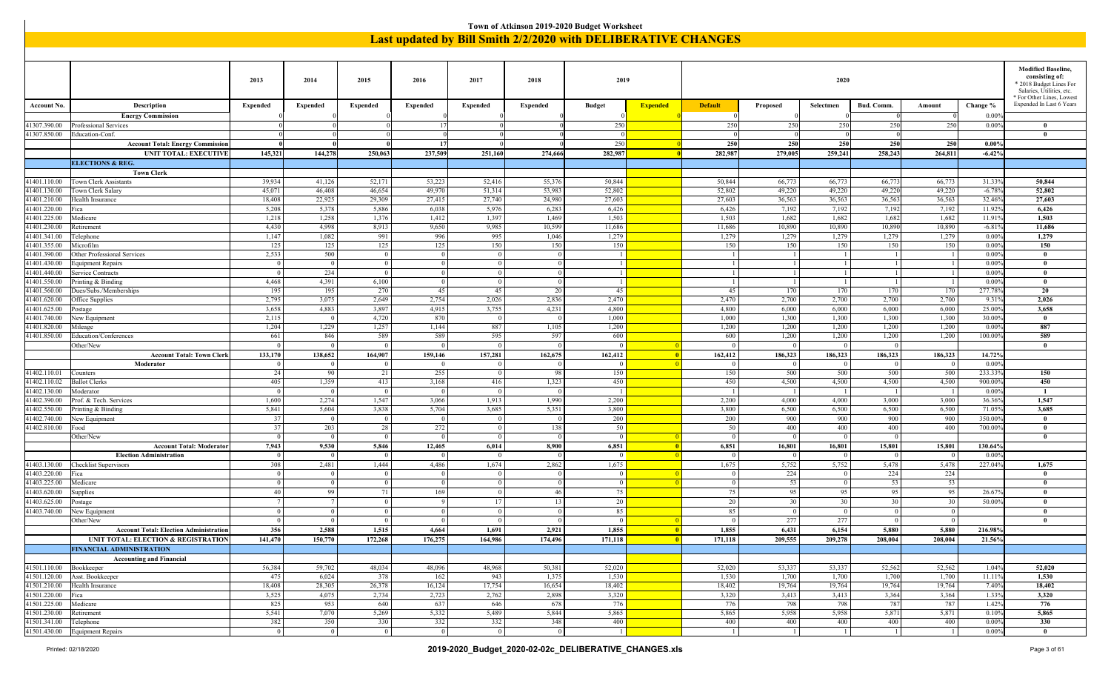|                              |                                                                                                                                                                                                                                                                                                                                                                                                                                                                             |                       |                         |                         |                       |                          |                  | Town of Atkinson 2019-2020 Budget Worksheet                          |                         |                   |                          |                          |                         |                  |                    |                                                        |
|------------------------------|-----------------------------------------------------------------------------------------------------------------------------------------------------------------------------------------------------------------------------------------------------------------------------------------------------------------------------------------------------------------------------------------------------------------------------------------------------------------------------|-----------------------|-------------------------|-------------------------|-----------------------|--------------------------|------------------|----------------------------------------------------------------------|-------------------------|-------------------|--------------------------|--------------------------|-------------------------|------------------|--------------------|--------------------------------------------------------|
|                              |                                                                                                                                                                                                                                                                                                                                                                                                                                                                             |                       |                         |                         |                       |                          |                  | <b>Last updated by Bill Smith 2/2/2020 with DELIBERATIVE CHANGES</b> |                         |                   |                          |                          |                         |                  |                    |                                                        |
|                              |                                                                                                                                                                                                                                                                                                                                                                                                                                                                             |                       |                         |                         |                       |                          |                  |                                                                      |                         |                   |                          |                          |                         |                  |                    |                                                        |
|                              |                                                                                                                                                                                                                                                                                                                                                                                                                                                                             |                       |                         |                         |                       |                          |                  |                                                                      |                         |                   |                          |                          |                         |                  |                    |                                                        |
|                              |                                                                                                                                                                                                                                                                                                                                                                                                                                                                             |                       |                         |                         |                       |                          |                  |                                                                      |                         |                   |                          |                          |                         |                  |                    | <b>Modified Baseline,</b><br>consisting of:            |
|                              |                                                                                                                                                                                                                                                                                                                                                                                                                                                                             | 2013                  | 2014                    | 2015                    | 2016                  | 2017                     | 2018             | 2019                                                                 |                         |                   |                          | 2020                     |                         |                  |                    | * 2018 Budget Lines For                                |
|                              |                                                                                                                                                                                                                                                                                                                                                                                                                                                                             |                       |                         |                         |                       |                          |                  |                                                                      |                         |                   |                          |                          |                         |                  |                    | Salaries, Utilities, etc.<br>* For Other Lines, Lowest |
| Account No.                  | Description                                                                                                                                                                                                                                                                                                                                                                                                                                                                 | <b>Expended</b>       | Expended                | <b>Expended</b>         | <b>Expended</b>       | <b>Expended</b>          | <b>Expended</b>  | <b>Budget</b>                                                        | <b>Expended</b>         | <b>Default</b>    | Proposed                 | Selectmen                | Bud. Comm.              | Amount           | Change %           | Expended In Last 6 Years                               |
|                              | <b>Energy Commission</b>                                                                                                                                                                                                                                                                                                                                                                                                                                                    |                       |                         |                         |                       |                          |                  |                                                                      |                         |                   |                          |                          |                         |                  | 0.009              |                                                        |
| 41307.390.00                 | Professional Services                                                                                                                                                                                                                                                                                                                                                                                                                                                       |                       |                         |                         | -17                   |                          |                  | 250                                                                  |                         | 250               | 250                      | 250<br>$\Omega$          | 250                     | 250              | 0.009              | $\mathbf{0}$<br>$\theta$                               |
| 41307.850.00                 | Education-Conf.<br><b>Account Total: Energy Commission</b>                                                                                                                                                                                                                                                                                                                                                                                                                  |                       |                         |                         | -17                   |                          |                  | 250                                                                  |                         | 250               | 250                      | 250                      | 250                     | 250              | $0.00\%$           |                                                        |
|                              | UNIT TOTAL: EXECUTIVE                                                                                                                                                                                                                                                                                                                                                                                                                                                       | 145,321               | 144,278                 | 250,063                 | 237,509               | 251,160                  | 274,666          | 282,987                                                              |                         | 282,987           | 279,005                  | 259,241                  | 258,243                 | 264,811          | $-6.42%$           |                                                        |
|                              | <b>ELECTIONS &amp; REG.</b>                                                                                                                                                                                                                                                                                                                                                                                                                                                 |                       |                         |                         |                       |                          |                  |                                                                      |                         |                   |                          |                          |                         |                  |                    |                                                        |
|                              | <b>Town Clerk</b>                                                                                                                                                                                                                                                                                                                                                                                                                                                           |                       |                         |                         |                       |                          |                  |                                                                      |                         |                   |                          |                          |                         |                  |                    |                                                        |
| 41401.110.00                 | <b>Town Clerk Assistants</b>                                                                                                                                                                                                                                                                                                                                                                                                                                                | 39,934                | 41,126                  | 52,171                  | 53,223                | 52,416                   | 55,376           | 50,844                                                               |                         | 50,844            | 66,773                   | 66,773                   | 66,773                  | 66,773           | 31.33%             | 50,844                                                 |
| 41401.130.00<br>41401.210.00 | Town Clerk Salary<br>Health Insurance                                                                                                                                                                                                                                                                                                                                                                                                                                       | 45,071<br>18,408      | 46,408<br>22,925        | 46,654<br>29,309        | 49,970<br>27,415      | 51,314<br>27,740         | 53,983<br>24,980 | 52,802<br>27,603                                                     |                         | 52,802<br>27,603  | 49,220<br>36,563         | 49,220<br>36,563         | 49,220<br>36,563        | 49,220<br>36,563 | $-6.789$<br>32.46% | 52,802<br>27,603                                       |
| 41401.220.00                 | Fica                                                                                                                                                                                                                                                                                                                                                                                                                                                                        | 5,208                 | 5,378                   | 5,886                   | 6,038                 | 5,976                    | 6,283            | 6,426                                                                |                         | 6,426             | 7,192                    | 7,192                    | 7,192                   | 7,192            | 11.92%             | 6,426                                                  |
| 41401.225.00                 | Medicare                                                                                                                                                                                                                                                                                                                                                                                                                                                                    | 1,218                 | 1,258                   | 1,376                   | 1,412                 | 1,397                    | 1,469            | 1,503                                                                |                         | 1,503             | 1,682                    | 1,682                    | 1,682                   | 1,682            | 11.919             | 1,503                                                  |
| 41401.230.00                 | Retirement                                                                                                                                                                                                                                                                                                                                                                                                                                                                  | 4,430                 | 4,998                   | 8,913                   | 9,650                 | 9,985                    | 10,599           | 11,686                                                               |                         | 11,686            | 10,890                   | 10,890                   | 10,890                  | 10,890           | $-6.819$           | 11,686                                                 |
| 41401.341.00                 | Telephone                                                                                                                                                                                                                                                                                                                                                                                                                                                                   | 1,147                 | 1,082                   | 991                     | 996                   | 995                      | 1,046            | 1,279                                                                |                         | 1,279             | 1,279                    | 1,279                    | 1,279                   | 1,279            | 0.00%              | 1,279                                                  |
| 41401.390.00                 | 125<br>125<br>125<br>125<br>150<br>150<br>150<br>150<br>150<br>150<br>41401.355.00<br>Microfilm<br>150<br>150<br>150<br>0.00%<br>2,533<br>500<br>0.009<br><b>Other Professional Services</b><br>$\overline{0}$<br>$\Omega$<br>$\Omega$<br>-1<br>$\mathbf{0}$<br>$\overline{1}$<br>$\Omega$<br>$\overline{0}$<br>$\overline{0}$<br>$\Omega$<br>$\overline{1}$<br>$\mathbf{1}$<br>$\lceil$<br>$\overline{1}$<br>0.009<br>$\mathbf{0}$<br><b>Equipment Repairs</b><br>$\Omega$ |                       |                         |                         |                       |                          |                  |                                                                      |                         |                   |                          |                          |                         |                  |                    |                                                        |
| 41401.430.00                 |                                                                                                                                                                                                                                                                                                                                                                                                                                                                             |                       |                         |                         |                       |                          |                  |                                                                      |                         |                   |                          |                          |                         |                  |                    |                                                        |
| 41401.440.00                 | Service Contracts                                                                                                                                                                                                                                                                                                                                                                                                                                                           | $\overline{0}$        | 234                     | $\overline{0}$          | $\overline{0}$        | $\overline{0}$           |                  | -1                                                                   |                         | $\overline{1}$    | $\lceil$ 1               | $\vert$ 1                |                         | -1               | 0.009              | $\mathbf{0}$                                           |
| 41401.550.00                 | Printing & Binding                                                                                                                                                                                                                                                                                                                                                                                                                                                          | 4,468                 | 4,391                   | 6,100                   | $\overline{0}$        | $\Omega$                 |                  |                                                                      |                         |                   | -1                       | -1                       |                         |                  | 0.009              | $\mathbf{0}$                                           |
| 41401.560.00<br>41401.620.00 | Dues/Subs./Memberships<br>Office Supplies                                                                                                                                                                                                                                                                                                                                                                                                                                   | 195<br>2,795          | 195<br>3,075            | 270<br>2,649            | 45<br>2,754           | 45<br>2,026              | 20<br>2,836      | 45<br>2,470                                                          |                         | 45<br>2,470       | 170<br>2,700             | 170<br>2,700             | 170<br>2,700            | 170<br>2,700     | 277.78<br>9.31%    | 20<br>2,026                                            |
| 41401.625.00                 | Postage                                                                                                                                                                                                                                                                                                                                                                                                                                                                     | 3,658                 | 4,883                   | 3,897                   | 4,915                 | 3,755                    | 4,231            | 4,800                                                                |                         | 4,800             | 6,000                    | 6,000                    | 6,000                   | 6,000            | 25.00%             | 3,658                                                  |
| 41401.740.00                 | New Equipment                                                                                                                                                                                                                                                                                                                                                                                                                                                               | 2,115                 | $\overline{0}$          | 4,720                   | 870                   | $\Omega$                 |                  | 1,000                                                                |                         | 1,000             | 1,300                    | 1,300                    | 1,300                   | 1,300            | 30.00%             | $\bf{0}$                                               |
| 41401.820.00                 | Mileage                                                                                                                                                                                                                                                                                                                                                                                                                                                                     | 1,204                 | 1,229                   | 1,257                   | 1,144                 | 887                      | 1,105            | 1,200                                                                |                         | 1,200             | 1,200                    | 1,200                    | 1,200                   | 1,200            | 0.009              | 887                                                    |
| 41401.850.00                 | Education/Conferences<br>Other/New                                                                                                                                                                                                                                                                                                                                                                                                                                          | 661<br>$\overline{0}$ | 846<br>$\overline{0}$   | 589<br>$\overline{0}$   | 589<br>$\overline{0}$ | 595<br>$\overline{0}$    | 597              | 600<br>$\overline{0}$                                                |                         | 600<br>$\Omega$   | 1,200<br>0 <sup>1</sup>  | 1,200<br>$\bf{0}$        | 1,200<br>$\overline{0}$ | 1,200            | 100.009            | 589<br>$\mathbf{0}$                                    |
|                              | <b>Account Total: Town Clerk</b>                                                                                                                                                                                                                                                                                                                                                                                                                                            | 133,170               | 138,652                 | 164,907                 | 159,146               | 157,281                  | 162,675          | 162,412                                                              | $\blacksquare$          | 162,412           | 186,323                  | 186,323                  | 186,323                 | 186,323          | 14.72%             |                                                        |
|                              | Moderator                                                                                                                                                                                                                                                                                                                                                                                                                                                                   |                       | $\Omega$                | $\Omega$                | $\overline{0}$        | $\Omega$                 |                  |                                                                      | - 0                     | $\Omega$          | 0 <sup>1</sup>           | $\overline{0}$           | $\Omega$                | $\Omega$         | 0.009              |                                                        |
| 41402.110.01                 | Counters                                                                                                                                                                                                                                                                                                                                                                                                                                                                    | 24                    | 90                      | 21                      | 255                   | $\overline{0}$           | -98              | 150                                                                  |                         | 150               | 500                      | 500                      | 500                     | 500              | 233.33             | 150                                                    |
| 41402.110.02                 | <b>Ballot</b> Clerks                                                                                                                                                                                                                                                                                                                                                                                                                                                        | 405                   | 1,359                   | 413                     | 3,168                 | 416                      | 1,323            | 450                                                                  |                         | 450               | 4,500                    | 4,500                    | 4,500                   | 4,500            | 900.009            | 450                                                    |
| 41402.130.00<br>41402.390.00 | Moderator<br>Prof. & Tech. Services                                                                                                                                                                                                                                                                                                                                                                                                                                         | $\Omega$<br>1,600     | $\overline{0}$<br>2,274 | $\overline{0}$<br>1,547 | - 0<br>3,066          | $\overline{0}$<br>1,913  | 1,990            | 2,200                                                                |                         | 2,200             | - 1<br>4,000             | - 1<br>4,000             | 3,000                   | - 1<br>3,000     | 0.009<br>36.369    | -1<br>1,547                                            |
| 41402.550.00                 | Printing & Binding                                                                                                                                                                                                                                                                                                                                                                                                                                                          | 5,841                 | 5,604                   | 3,838                   | 5,704                 | 3,685                    | 5,351            | 3,800                                                                |                         | 3,800             | 6,500                    | 6,500                    | 6,500                   | 6,500            | 71.059             | 3,685                                                  |
| 41402.740.00                 | New Equipment                                                                                                                                                                                                                                                                                                                                                                                                                                                               | 37                    | $\overline{0}$          | $\overline{0}$          | $\sqrt{ }$            | $\overline{0}$           |                  | 200                                                                  |                         | 200               | 900                      | 900                      | 900                     | 900              | 350.009            | $\bf{0}$                                               |
| 41402.810.00                 | Food                                                                                                                                                                                                                                                                                                                                                                                                                                                                        | 37                    | 203                     | 28                      | 272                   | $\overline{\phantom{0}}$ | 138              | 50                                                                   |                         | 50                | 400                      | 400                      | 400                     | 400              | 700.00%            | $\bf{0}$                                               |
|                              | Other/New                                                                                                                                                                                                                                                                                                                                                                                                                                                                   | $\overline{0}$        | $\overline{0}$          | $\overline{0}$<br>5,846 | $\overline{0}$        | $\overline{0}$           |                  | $\Omega$                                                             |                         | $\Omega$<br>6,851 | 0 <sup>1</sup>           | $\overline{0}$           | $\Omega$                | 15,801           |                    | $\mathbf{0}$                                           |
|                              | <b>Account Total: Moderator</b><br><b>Election Administration</b>                                                                                                                                                                                                                                                                                                                                                                                                           | 7,943<br>$\Omega$     | 9,530<br>$\Omega$       | - 0                     | 12,465<br>$^{\circ}$  | 6,014<br>$\overline{0}$  | 8,900            | 6,851<br>$\Omega$                                                    | -0<br>- 0               | $\Omega$          | 16,801<br>$\overline{0}$ | 16,801<br>$\overline{0}$ | 15,801<br>$\Omega$      | $\Omega$         | 130.64%<br>0.009   |                                                        |
| 41403.130.00                 | Checklist Supervisors                                                                                                                                                                                                                                                                                                                                                                                                                                                       | 308                   | 2,481                   | 1,444                   | 4,486                 | 1,674                    | 2,862            | 1,675                                                                |                         | 1,675             | 5,752                    | 5,752                    | 5,478                   | 5,478            | 227.04%            | 1,675                                                  |
| 41403.220.00                 | Fica                                                                                                                                                                                                                                                                                                                                                                                                                                                                        | $\overline{0}$        | $\Omega$                | $\Omega$                | $^{\circ}$            | $\Omega$                 |                  | $\bf{0}$                                                             | -0                      | $\overline{0}$    | 224                      | $\overline{0}$           | 224                     | 224              |                    | $\mathbf{0}$                                           |
| 41403.225.00                 | Medicare                                                                                                                                                                                                                                                                                                                                                                                                                                                                    | $\overline{0}$        | $\Omega$                | $\Omega$                | $\overline{0}$        | $\overline{0}$           |                  | $\Omega$                                                             |                         | $\Omega$          | 53                       | $\overline{0}$           | 53                      | 53               |                    | $\mathbf{0}$                                           |
| 41403.620.00<br>41403.625.00 | Supplies                                                                                                                                                                                                                                                                                                                                                                                                                                                                    | 40<br>7               | 99<br>$7\phantom{.0}$   | 71<br>$\overline{0}$    | 169<br>-9             | $\overline{0}$<br>17     | 46<br>13         | 75<br>20                                                             |                         | 75<br>20          | 95<br>30                 | 95<br>30                 | 95<br>30                | 95<br>30         | 26.67<br>50.009    | $\theta$<br>$\theta$                                   |
| 41403.740.00                 | Postage<br>New Equipment                                                                                                                                                                                                                                                                                                                                                                                                                                                    | $\vert 0 \vert$       | 0 <sup>1</sup>          | $\overline{0}$          | $\overline{0}$        | $\overline{0}$           | $\Omega$         | 85                                                                   |                         | 85                | $\Omega$                 | $\overline{0}$           | $\Omega$                | $\overline{0}$   |                    | $\theta$                                               |
|                              | Other/New                                                                                                                                                                                                                                                                                                                                                                                                                                                                   | $\vert 0 \vert$       | $\vert$ 0               | $\bf{0}$                | $\bf{0}$              | $\overline{\mathbf{0}}$  |                  | $\overline{0}$                                                       | $\blacksquare$          | $\bf{0}$          | 277                      | 277                      | $\overline{0}$          | $\overline{0}$   |                    | $\bf{0}$                                               |
|                              | <b>Account Total: Election Administration</b>                                                                                                                                                                                                                                                                                                                                                                                                                               | 356                   | 2,588                   | 1,515                   | 4,664                 | 1,691                    | 2,921            | 1,855                                                                | $\blacksquare$          | 1,855             | 6,431                    | 6,154                    | 5,880                   | 5,880            | 216.98%            |                                                        |
|                              | <b>UNIT TOTAL: ELECTION &amp; REGISTRATION</b>                                                                                                                                                                                                                                                                                                                                                                                                                              | 141,470               | 150,770                 | 172,268                 | 176,275               | 164,986                  | 174,496          | 171,118                                                              | $\overline{\mathbf{0}}$ | 171,118           | 209,555                  | 209,278                  | 208,004                 | 208,004          | 21.56%             |                                                        |
|                              | <b>FINANCIAL ADMINISTRATION</b>                                                                                                                                                                                                                                                                                                                                                                                                                                             |                       |                         |                         |                       |                          |                  |                                                                      |                         |                   |                          |                          |                         |                  |                    |                                                        |
| 41501.110.00 Bookkeeper      | <b>Accounting and Financial</b>                                                                                                                                                                                                                                                                                                                                                                                                                                             | 56,384                | 59,702                  | 48,034                  | 48,096                | 48,968                   | 50,381           | 52,020                                                               |                         | 52,020            | 53,337                   | 53,337                   | 52,562                  | 52,562           | 1.04%              | 52,020                                                 |
| 41501.120.00                 | Asst. Bookkeeper                                                                                                                                                                                                                                                                                                                                                                                                                                                            | 475                   | 6,024                   | 378                     | 162                   | 943                      | 1,37.            | 1,530                                                                |                         | 1,530             | 1,700                    | 1,700                    | 1,700                   | 1,700            | 11.119             | 1,530                                                  |
| 41501.210.00                 | Health Insurance                                                                                                                                                                                                                                                                                                                                                                                                                                                            | 18,408                | 28,305                  | 26,378                  | 16,124                | 17,754                   | 16,654           | 18,402                                                               |                         | 18,402            | 19,764                   | 19,764                   | 19,764                  | 19,764           | 7.40%              | 18,402                                                 |
| 41501.220.00                 | Fica                                                                                                                                                                                                                                                                                                                                                                                                                                                                        | 3,525                 | 4,075                   | 2,734                   | 2,723                 | 2,762                    | 2,898            | 3,320                                                                |                         | 3,320             | 3,413                    | 3,413                    | 3,364                   | 3,364            | 1.33%              | 3,320                                                  |
| 41501.225.00<br>41501.230.00 | Medicare<br>Retirement                                                                                                                                                                                                                                                                                                                                                                                                                                                      | 825<br>5,541          | 953<br>7,070            | 640<br>5,269            | 637<br>5,332          | 646<br>5,489             | 678<br>5,844     | 776<br>5,865                                                         |                         | 776<br>5,865      | 798<br>5,958             | 798<br>5,958             | 787<br>5,871            | 787<br>5,871     | 1.42%<br>0.10%     | 776<br>5,865                                           |
| 41501.341.00 Telephone       |                                                                                                                                                                                                                                                                                                                                                                                                                                                                             | 382                   | 350                     | 330                     | 332                   | 332                      | 348              | 400                                                                  |                         | 400               | 400                      | 400                      | 400                     | 400              | 0.00%              | 330                                                    |
|                              | 41501.430.00 Equipment Repairs                                                                                                                                                                                                                                                                                                                                                                                                                                              | $\overline{0}$        | $\overline{0}$          | $\theta$                | $\Omega$              | $\theta$                 |                  | $\overline{1}$                                                       |                         |                   | $\overline{1}$           | $\overline{1}$           |                         |                  | 0.00%              | $\bf{0}$                                               |

 $\blacksquare$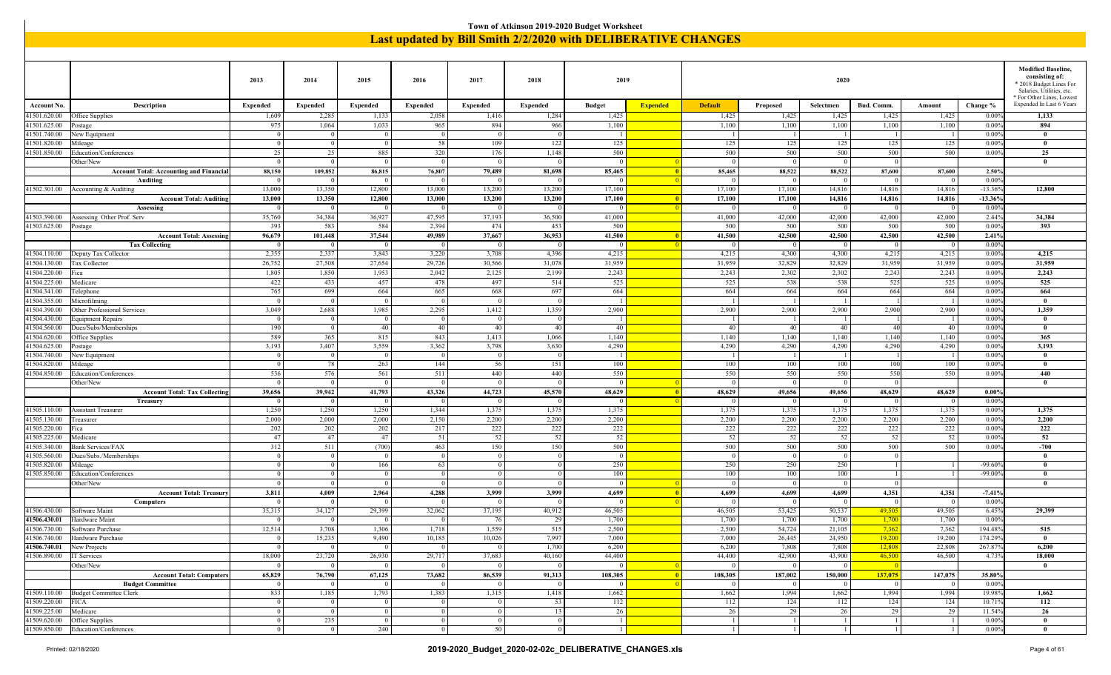|                                                                                                                                                                                                                                                                                                                                                                                                                                                                                                              |                                                  |                            |                          |                                  |                                  |                            |              | Town of Atkinson 2019-2020 Budget Worksheet |                         |                                                               |                         |                         |                         |                          |                    |                                                                                                                                  |
|--------------------------------------------------------------------------------------------------------------------------------------------------------------------------------------------------------------------------------------------------------------------------------------------------------------------------------------------------------------------------------------------------------------------------------------------------------------------------------------------------------------|--------------------------------------------------|----------------------------|--------------------------|----------------------------------|----------------------------------|----------------------------|--------------|---------------------------------------------|-------------------------|---------------------------------------------------------------|-------------------------|-------------------------|-------------------------|--------------------------|--------------------|----------------------------------------------------------------------------------------------------------------------------------|
|                                                                                                                                                                                                                                                                                                                                                                                                                                                                                                              |                                                  |                            |                          |                                  |                                  |                            |              |                                             |                         | Last updated by Bill Smith 2/2/2020 with DELIBERATIVE CHANGES |                         |                         |                         |                          |                    |                                                                                                                                  |
|                                                                                                                                                                                                                                                                                                                                                                                                                                                                                                              |                                                  |                            |                          |                                  |                                  |                            |              |                                             |                         |                                                               |                         |                         |                         |                          |                    |                                                                                                                                  |
|                                                                                                                                                                                                                                                                                                                                                                                                                                                                                                              |                                                  | 2013                       | 2014                     | 2015                             | 2016                             | 2017                       | 2018         | 2019                                        |                         |                                                               |                         | 2020                    |                         |                          |                    | <b>Modified Baseline,</b><br>consisting of:<br>* 2018 Budget Lines For<br>Salaries, Utilities, etc.<br>* For Other Lines, Lowest |
| <b>Account No.</b>                                                                                                                                                                                                                                                                                                                                                                                                                                                                                           | Description                                      | <b>Expended</b>            | <b>Expended</b>          | <b>Expended</b>                  | <b>Expended</b>                  | <b>Expended</b>            | Expended     | <b>Budget</b>                               | <b>Expended</b>         | <b>Default</b>                                                | Proposed                | Selectmen               | Bud. Comm.              | Amount                   | Change %           | Expended In Last 6 Years                                                                                                         |
| 41501.620.00                                                                                                                                                                                                                                                                                                                                                                                                                                                                                                 | Office Supplies                                  | 1,609                      | 2,285                    | 1,133                            | 2,058                            | 1,416                      | 1,284        | 1,425                                       |                         | 1,425                                                         | 1,425                   | 1,425                   | 1,425                   | 1,425                    | 0.009              | 1,133                                                                                                                            |
| 41501.625.00<br>41501.740.00                                                                                                                                                                                                                                                                                                                                                                                                                                                                                 | 'ostage<br>New Equipment                         | 975<br>$\Omega$            | 1,064<br>$\Omega$        | 1,033<br>$\sqrt{0}$              | 965<br>$\overline{0}$            | 894<br>$\Omega$            | 966          | 1,100                                       |                         | 1,100                                                         | 1,100                   | 1,100                   | 1,100                   | 1,100                    | 0.009<br>0.009     | 894<br>$\bf{0}$                                                                                                                  |
| 41501.820.00                                                                                                                                                                                                                                                                                                                                                                                                                                                                                                 | Mileage                                          | $\overline{0}$             | $\Omega$                 | $\sqrt{0}$                       | 58                               | 109                        | 122          | 125                                         |                         | 125                                                           | 125                     | 125                     | 125                     | 125                      | 0.009              | $\bf{0}$                                                                                                                         |
| 41501.850.00                                                                                                                                                                                                                                                                                                                                                                                                                                                                                                 | Education/Conferences                            | 25                         | 25                       | 885                              | 320                              | 176                        | 1,148        | 500                                         |                         | 500                                                           | 500                     | 500                     | 500                     | 500                      | 0.009              | 25                                                                                                                               |
|                                                                                                                                                                                                                                                                                                                                                                                                                                                                                                              | Other/New                                        | $\overline{0}$             | $\Omega$                 | $\theta$                         | $\overline{0}$                   | $\Omega$                   |              | $\Omega$                                    |                         | $\Omega$                                                      | $\Omega$                | $\Omega$                | $\Omega$                |                          |                    | $\bf{0}$                                                                                                                         |
|                                                                                                                                                                                                                                                                                                                                                                                                                                                                                                              | <b>Account Total: Accounting and Financial</b>   | 88,150                     | 109,852                  | 86,815                           | 76,807                           | 79,489                     | 81,698       | 85,465                                      | $\overline{\mathbf{0}}$ | 85,465                                                        | 88,522                  | 88,522                  | 87,600                  | 87,600                   | 2.50%              |                                                                                                                                  |
|                                                                                                                                                                                                                                                                                                                                                                                                                                                                                                              | Auditing<br>41502.301.00   Accounting & Auditing | $\Omega$<br>13,000         | $\Omega$<br>13,350       | $^{\circ}$<br>12,800             | $\Omega$<br>13,000               | $^{\circ}$<br>13,200       | 13,200       | $\Omega$<br>17,100                          | - 0                     | $\Omega$<br>17,100                                            | $\Omega$<br>17,100      | $\Omega$<br>14,816      | $\Omega$<br>14,816      | $\overline{0}$<br>14,816 | 0.009<br>$-13.369$ | 12,800                                                                                                                           |
|                                                                                                                                                                                                                                                                                                                                                                                                                                                                                                              | <b>Account Total: Auditing</b>                   | 13,000                     | 13,350                   | 12,800                           | 13,000                           | 13,200                     | 13,200       | 17,100                                      | $\overline{\mathbf{0}}$ | 17,100                                                        | 17,100                  | 14,816                  | 14,816                  | 14,816                   | $-13.36%$          |                                                                                                                                  |
|                                                                                                                                                                                                                                                                                                                                                                                                                                                                                                              | Assessing                                        | $\bf{0}$                   |                          |                                  |                                  |                            |              |                                             |                         |                                                               | $\Omega$                |                         |                         | $\overline{0}$           | 0.009              |                                                                                                                                  |
| 35,760<br>34,384<br>36,927<br>47,595<br>37,193<br>36,500<br>41,000<br>41,000<br>42,000<br>42,000<br>42,000<br>42,000<br>2.44%<br>41503.390.00<br>Assessing Other Prof. Serv<br>41503.625.00<br>393<br>583<br>584<br>2,394<br>474<br>453<br>500<br>500<br>500<br>500<br>0.00%<br>393<br>500<br>500<br>Postage<br>96,679<br>37,544<br>49,989<br>37,667<br>36,953<br>41,500<br>41,500<br>42,500<br>42,500<br>42,500<br>42,500<br><b>Account Total: Assessing</b><br>101,448<br>$\overline{\mathbf{0}}$<br>2.41% |                                                  |                            |                          |                                  |                                  |                            |              |                                             |                         |                                                               |                         |                         |                         |                          | 34,384             |                                                                                                                                  |
| 0.009<br><b>Tax Collecting</b><br>$\Omega$<br>$\Omega$<br>$\Omega$<br>$\Omega$<br>$\Omega$<br>$\overline{0}$<br>0<br>- 0<br>- 0<br>$^{\circ}$                                                                                                                                                                                                                                                                                                                                                                |                                                  |                            |                          |                                  |                                  |                            |              |                                             |                         |                                                               |                         |                         |                         |                          |                    |                                                                                                                                  |
| 2,355<br>2,337<br>3,843<br>3,220<br>3,708<br>4,396<br>4,215<br>4,215<br>4,300<br>4,300<br>4,215<br>4,215<br>0.009<br>4,215<br>41504.110.00<br>Deputy Tax Collector                                                                                                                                                                                                                                                                                                                                           |                                                  |                            |                          |                                  |                                  |                            |              |                                             |                         |                                                               |                         |                         |                         |                          |                    |                                                                                                                                  |
| 26,752<br>27,508<br>27,654<br>29,726<br>30,566<br>31,078<br>31,959<br>31,959<br>32,829<br>32,829<br>31,959<br>31,959<br>0.009<br>41504.130.00<br>Tax Collector                                                                                                                                                                                                                                                                                                                                               |                                                  |                            |                          |                                  |                                  |                            |              |                                             |                         |                                                               |                         |                         |                         |                          |                    |                                                                                                                                  |
| 2,243<br>2,243<br>2,302<br>2,243<br>2,243<br>41504.220.00<br>1,805<br>1,850<br>1,953<br>2,042<br>2,125<br>2,199<br>2,302<br>0.00%<br>ica                                                                                                                                                                                                                                                                                                                                                                     |                                                  |                            |                          |                                  |                                  |                            |              |                                             |                         |                                                               |                         |                         |                         |                          | 31,959             |                                                                                                                                  |
|                                                                                                                                                                                                                                                                                                                                                                                                                                                                                                              |                                                  |                            |                          |                                  |                                  |                            |              |                                             |                         |                                                               |                         |                         |                         |                          | 2,243              |                                                                                                                                  |
| 525<br>525<br>525<br>422<br>433<br>457<br>478<br>497<br>514<br>538<br>538<br>525<br>0.00%<br>41504.225.00<br>Medicare                                                                                                                                                                                                                                                                                                                                                                                        |                                                  |                            |                          |                                  |                                  |                            |              |                                             |                         |                                                               |                         |                         |                         |                          | 525                |                                                                                                                                  |
| 765<br>664<br>665<br>668<br>69<br>664<br>664<br>664<br>664<br>664<br>664<br>0.009<br>41504.341.00<br>elephone<br>699                                                                                                                                                                                                                                                                                                                                                                                         |                                                  |                            |                          |                                  |                                  |                            |              |                                             |                         |                                                               |                         |                         |                         |                          | 664                |                                                                                                                                  |
| 41504.355.00<br>41504.390.00                                                                                                                                                                                                                                                                                                                                                                                                                                                                                 | Microfilming<br>Other Professional Services      | $\overline{0}$<br>3,049    | $\Omega$<br>2,688        | $\sqrt{0}$<br>1,985              | $\overline{0}$<br>2,295          | $\overline{0}$<br>1,412    | 1,359        | 2,900                                       |                         | 2,900                                                         | $\overline{1}$<br>2,900 | 2,900                   | 2,900                   | 2,900                    | 0.009<br>0.009     | $\mathbf{0}$<br>1,359                                                                                                            |
| 41504.430.00                                                                                                                                                                                                                                                                                                                                                                                                                                                                                                 | duipment Repairs                                 | $\bf{0}$                   | 0 <sup>1</sup>           | $\overline{0}$                   | $\overline{0}$                   | $\overline{0}$             |              | $\overline{1}$                              |                         | -1                                                            | $\lceil$                | -1                      |                         | $\overline{1}$           | $0.00\%$           | $\bf{0}$                                                                                                                         |
| 41504.560.00                                                                                                                                                                                                                                                                                                                                                                                                                                                                                                 | Dues/Subs/Memberships                            | 190                        | $\mathbf{0}$             | 40                               | 40                               | 40                         | 40           | 40                                          |                         | 40                                                            | 40                      | 40                      | 40                      | 40                       | 0.009              | $\bf{0}$                                                                                                                         |
| 41504.620.00                                                                                                                                                                                                                                                                                                                                                                                                                                                                                                 | Office Supplies                                  | 589                        | 365                      | 815                              | 843                              | 1,413                      | 1,066        | 1,140                                       |                         | 1,140                                                         | 1,140                   | 1,140                   | 1,140                   | 1,140                    | 0.009              | 365                                                                                                                              |
| 41504.625.00                                                                                                                                                                                                                                                                                                                                                                                                                                                                                                 | 'ostage                                          | 3,193                      | 3,407                    | 3,559                            | 3,362                            | 3,798                      | 3,630        | 4,290                                       |                         | 4,290                                                         | 4,290                   | 4,290                   | 4,290                   | 4,290                    | 0.009              | 3,193                                                                                                                            |
| 41504.740.00                                                                                                                                                                                                                                                                                                                                                                                                                                                                                                 | New Equipment                                    | $\bf{0}$                   | $\Omega$                 | $\sqrt{0}$                       | $\overline{0}$                   | $\overline{0}$             |              | $\overline{1}$                              |                         | $\overline{1}$                                                | $\lceil$                | -1                      |                         | - 1                      | $0.00\%$           | $\bf{0}$                                                                                                                         |
| 41504.820.00<br>41504.850.00                                                                                                                                                                                                                                                                                                                                                                                                                                                                                 | Mileage<br>Education/Conferences                 | $\overline{0}$<br>536      | 78<br>576                | 263<br>561                       | 144<br>511                       | 56<br>440                  | 151<br>440   | 100<br>550                                  |                         | 100<br>550                                                    | 100<br>550              | 100<br>550              | 100<br>550              | 100<br>550               | 0.009<br>0.009     | $\bf{0}$<br>440                                                                                                                  |
|                                                                                                                                                                                                                                                                                                                                                                                                                                                                                                              | Other/New                                        | $\mathbf{0}$               | $\Omega$                 | $^{\circ}$                       | $\overline{0}$                   | $\Omega$                   |              | $\Omega$                                    |                         | $\theta$                                                      | $\overline{0}$          | $\Omega$                |                         |                          |                    | $\mathbf{0}$                                                                                                                     |
|                                                                                                                                                                                                                                                                                                                                                                                                                                                                                                              | <b>Account Total: Tax Collecting</b>             | 39,656                     | 39,942                   | 41,793                           | 43,326                           | 44,723                     | 45,570       | 48,629                                      | - 0                     | 48,629                                                        | 49,656                  | 49,656                  | 48,629                  | 48,629                   | 0.00%              |                                                                                                                                  |
|                                                                                                                                                                                                                                                                                                                                                                                                                                                                                                              | Treasury                                         | $\bf{0}$                   | 0 <sup>1</sup>           | $\overline{\phantom{0}}$         | - 0                              | - 0                        |              | $\bf{0}$                                    |                         | $\Omega$                                                      | 0 <sup>1</sup>          | $\bf{0}$                | $\bf{0}$                | $\overline{0}$           | 0.009              |                                                                                                                                  |
| 41505.110.00                                                                                                                                                                                                                                                                                                                                                                                                                                                                                                 | <b>Assistant Treasurer</b>                       | 1,250                      | 1,250                    | 1,250                            | 1,344                            | 1,375                      | 1,375        | 1,375                                       |                         | 1,375                                                         | 1,375                   | 1,375                   | 1,375                   | 1,375                    | 0.009              | 1,375                                                                                                                            |
| 41505.130.00<br>41505.220.00                                                                                                                                                                                                                                                                                                                                                                                                                                                                                 | reasurer<br>ica                                  | 2,000<br>202               | 2,000<br>202             | 2,000<br>202                     | 2,150<br>217                     | 2,200<br>222               | 2,200<br>222 | 2,200<br>222                                |                         | 2,200<br>222                                                  | 2,200<br>222            | 2,200<br>222            | 2,200<br>222            | 2,200<br>222             | 0.009<br>0.009     | 2,200<br>$\overline{222}$                                                                                                        |
| 41505.225.00                                                                                                                                                                                                                                                                                                                                                                                                                                                                                                 | Aedicare                                         | 47                         | 47                       | 47                               | 51                               | 52                         | 52           | 52                                          |                         | 52                                                            | 52                      | 52                      | 52                      | 52                       | 0.009              | 52                                                                                                                               |
| 41505.340.00                                                                                                                                                                                                                                                                                                                                                                                                                                                                                                 | Bank Services/FAX                                | 312                        | 511                      | (700)                            | 463                              | 150                        | 150          | 500                                         |                         | 500                                                           | 500                     | 500                     | 500                     | 500                      | 0.009              | $-700$                                                                                                                           |
| 41505.560.00                                                                                                                                                                                                                                                                                                                                                                                                                                                                                                 | ues/Subs./Memberships                            | $\mathbf{0}$               | $\Omega$                 | $\theta$                         | $\overline{0}$                   | $\Omega$                   |              | $\overline{0}$                              |                         | $\theta$                                                      | $\overline{0}$          | $\Omega$                |                         |                          |                    | $\mathbf{0}$                                                                                                                     |
| 41505.820.00                                                                                                                                                                                                                                                                                                                                                                                                                                                                                                 | fileage                                          | 0                          | $\Omega$                 | 166                              | 63                               | $\overline{0}$             |              | 250                                         |                         | 250                                                           | 250                     | 250                     | $\overline{1}$          | $\overline{1}$           | $-99.609$          | $\mathbf{0}$                                                                                                                     |
| 41505.850.00                                                                                                                                                                                                                                                                                                                                                                                                                                                                                                 | ducation/Conferences<br>)ther/New                | $\overline{0}$<br>$\Omega$ | $\mathbf{0}$<br>$\Omega$ | $\overline{0}$<br>$\overline{0}$ | $\overline{0}$<br>$\overline{0}$ | $\overline{0}$<br>$\Omega$ |              | 100<br>$\Omega$                             |                         | 100<br>$\Omega$                                               | 100<br>$\Omega$         | 100<br>$\Omega$         | $\Omega$                |                          | $-99.009$          | $\bf{0}$<br>$\bf{0}$                                                                                                             |
|                                                                                                                                                                                                                                                                                                                                                                                                                                                                                                              | <b>Account Total: Treasury</b>                   | 3,811                      | 4.009                    | 2,964                            | 4,288                            | 3,999                      | 3,999        | 4,699                                       |                         | 4,699                                                         | 4,699                   | 4,699                   | 4,351                   | 4,351                    | $-7.41$            |                                                                                                                                  |
|                                                                                                                                                                                                                                                                                                                                                                                                                                                                                                              | <b>Computers</b>                                 | $\Omega$                   |                          | - 0                              | - 0                              | - 0                        |              | $\Omega$                                    |                         |                                                               | $\Omega$                |                         |                         | $\overline{0}$           | 0.009              |                                                                                                                                  |
|                                                                                                                                                                                                                                                                                                                                                                                                                                                                                                              | 41506.430.00 Software Maint                      | 35,315                     | 34,127                   | 29,399                           | 32,062                           | 37,195                     | 40,912       | 46,505                                      |                         | 46,505                                                        | 53,425                  | 50,537                  | 49.505                  | 49,505                   | 6.45%              | 29,399                                                                                                                           |
| 41506.430.01                                                                                                                                                                                                                                                                                                                                                                                                                                                                                                 | Hardware Maint                                   | $\overline{0}$             | 0                        | $\overline{0}$                   | $\overline{0}$                   | 76                         | 29           | 1,700                                       |                         | 1,700                                                         | 1,700                   | 1,700                   | 1,700                   | 1,700                    | $0.00\%$           |                                                                                                                                  |
| 41506.730.00<br>41506.740.00                                                                                                                                                                                                                                                                                                                                                                                                                                                                                 | Software Purchase<br>Hardware Purchase           | 12,514<br>$\overline{0}$   | 3,708<br>15,235          | 1,306<br>9,490                   | 1,718<br>10,185                  | 1,559<br>10,026            | 515<br>7,997 | 2,500<br>7,000                              |                         | 2,500<br>7,000                                                | 54,724<br>26,445        | 21,105<br>24,950        | 7,362<br>19,200         | 7,362<br>19,200          | 194.48%<br>174.29% | 515<br>$\bf{0}$                                                                                                                  |
| 41506.740.01                                                                                                                                                                                                                                                                                                                                                                                                                                                                                                 | New Projects                                     | $\vert 0 \vert$            | $\vert$ 0                | $\overline{0}$                   | $\overline{0}$                   | $\overline{0}$             | 1,700        | 6,200                                       |                         | 6,200                                                         | 7,808                   | 7,808                   | 12,808                  | 22,808                   | 267.87%            | 6,200                                                                                                                            |
| 41506.890.00                                                                                                                                                                                                                                                                                                                                                                                                                                                                                                 | IT Services                                      | 18,000                     | 23,720                   | 26,930                           | 29,717                           | 37,683                     | 40,160       | 44,400                                      |                         | 44,400                                                        | 42,900                  | 43,900                  | 46,500                  | 46,500                   | 4.73%              | 18,000                                                                                                                           |
|                                                                                                                                                                                                                                                                                                                                                                                                                                                                                                              | Other/New                                        | $\overline{0}$             | $\Omega$                 | $\sqrt{0}$                       | $\sqrt{ }$                       | $\overline{0}$             |              | $\overline{0}$                              |                         | $\overline{0}$                                                | $\vert 0 \vert$         | $\Omega$                |                         |                          |                    | $\bf{0}$                                                                                                                         |
|                                                                                                                                                                                                                                                                                                                                                                                                                                                                                                              | <b>Account Total: Computers</b>                  | 65,829                     | 76,790                   | 67,125                           | 73,682                           | 86,539                     | 91,313       | 108,305                                     | $\blacksquare$          | 108,305                                                       | 187,002                 | 150,000                 | 137,075                 | 147,075                  | 35.80%             |                                                                                                                                  |
|                                                                                                                                                                                                                                                                                                                                                                                                                                                                                                              | <b>Budget Committee</b>                          | $\vert$ 0<br>833           | 0 <sup>1</sup>           | $\overline{0}$<br>1,793          | $\overline{0}$<br>1,383          | $\overline{0}$<br>1,315    | 1,418        | $\overline{0}$<br>1,662                     |                         | $\overline{0}$<br>1,662                                       | $\overline{0}$<br>1,994 | $\overline{0}$<br>1,662 | $\overline{0}$<br>1,994 | $\overline{0}$<br>1,994  | $0.00\%$<br>19.98% | 1,662                                                                                                                            |
| 41509.220.00                                                                                                                                                                                                                                                                                                                                                                                                                                                                                                 | 41509.110.00 Budget Committee Clerk<br>FICA      | 0                          | 1,185<br>0 <sup>1</sup>  | $\overline{0}$                   | $\overline{0}$                   | $\Omega$                   | 53           | 112                                         |                         | 112                                                           | 124                     | 112                     | 124                     | 124                      | 10.71%             | 112                                                                                                                              |
| 41509.225.00   Medicare                                                                                                                                                                                                                                                                                                                                                                                                                                                                                      |                                                  | $\overline{0}$             | $\Omega$                 | $\overline{0}$                   | $\overline{0}$                   | $\overline{0}$             | 13           | 26                                          |                         | 26                                                            | 29                      | 26                      | 29                      | 29                       | 11.54%             | 26                                                                                                                               |
| 41509.620.00                                                                                                                                                                                                                                                                                                                                                                                                                                                                                                 | Office Supplies                                  | $\vert$ 0                  | 235                      | $\overline{0}$                   | $\overline{0}$                   | $\overline{0}$             | $\Omega$     | $\vert$ 1                                   |                         | $\vert$ 1                                                     | $\vert$ 1               | $\vert$ 1               | <sup>1</sup>            | <sup>1</sup>             | $0.00\%$           | $\bf{0}$                                                                                                                         |
|                                                                                                                                                                                                                                                                                                                                                                                                                                                                                                              | 41509.850.00 Education/Conferences               | 0 <sup>1</sup>             | $\vert 0 \vert$          | 240                              | $\overline{0}$                   | 50                         |              | $\overline{1}$                              |                         | $\vert$ 1                                                     | $\vert$ 1               | $\lceil$ 1              | -1                      | -1                       | $0.00\%$           | $\bf{0}$                                                                                                                         |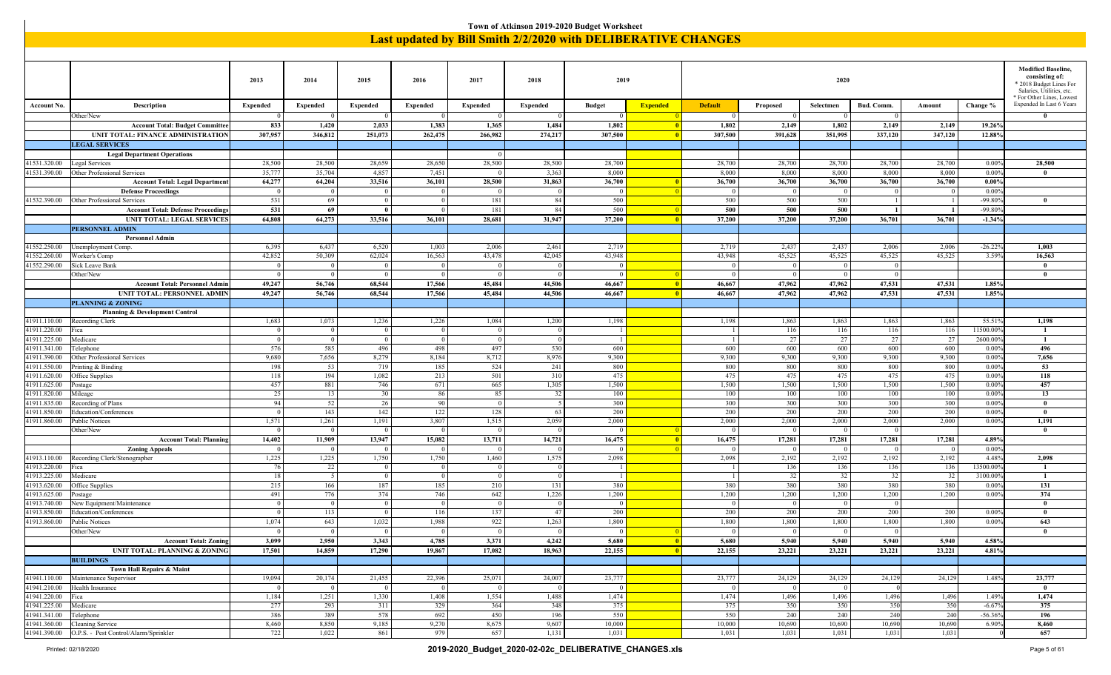|                              |                                                                              |                    |                  |                         |                          |                  |                  | Town of Atkinson 2019-2020 Budget Worksheet |                 |                                                               |                          |                         |                  |                  |                            |                                                        |
|------------------------------|------------------------------------------------------------------------------|--------------------|------------------|-------------------------|--------------------------|------------------|------------------|---------------------------------------------|-----------------|---------------------------------------------------------------|--------------------------|-------------------------|------------------|------------------|----------------------------|--------------------------------------------------------|
|                              |                                                                              |                    |                  |                         |                          |                  |                  |                                             |                 | Last updated by Bill Smith 2/2/2020 with DELIBERATIVE CHANGES |                          |                         |                  |                  |                            |                                                        |
|                              |                                                                              |                    |                  |                         |                          |                  |                  |                                             |                 |                                                               |                          |                         |                  |                  |                            |                                                        |
|                              |                                                                              |                    |                  |                         |                          |                  |                  |                                             |                 |                                                               |                          |                         |                  |                  |                            |                                                        |
|                              |                                                                              |                    |                  |                         |                          |                  |                  |                                             |                 |                                                               |                          |                         |                  |                  |                            | <b>Modified Baseline,</b><br>consisting of:            |
|                              |                                                                              | 2013               | 2014             | 2015                    | 2016                     | 2017             | 2018             | 2019                                        |                 |                                                               |                          | 2020                    |                  |                  |                            | * 2018 Budget Lines For                                |
|                              |                                                                              |                    |                  |                         |                          |                  |                  |                                             |                 |                                                               |                          |                         |                  |                  |                            | Salaries, Utilities, etc.<br>* For Other Lines, Lowest |
| <b>Account No.</b>           | Description                                                                  | <b>Expended</b>    | Expended         | <b>Expended</b>         | <b>Expended</b>          | Expended         | <b>Expended</b>  | <b>Budget</b>                               | <b>Expended</b> | <b>Default</b>                                                | Proposed                 | Selectmen               | <b>Bud. Comm</b> | Amount           | Change %                   | Expended In Last 6 Years                               |
|                              | Other/New                                                                    |                    |                  | $\overline{0}$          |                          |                  |                  | $\Omega$                                    |                 | $\Omega$                                                      | $\bf{0}$                 |                         | $\overline{0}$   |                  |                            | -0                                                     |
|                              | <b>Account Total: Budget Committee</b><br>UNIT TOTAL: FINANCE ADMINISTRATION | 833<br>307,957     | 1,420<br>346,812 | 2,033<br>251,073        | 1,383<br>262,475         | 1,365<br>266,982 | 1,484<br>274,217 | 1,802<br>307,500                            |                 | 1,802<br>307,500                                              | 2,149<br>391,628         | 1,802<br>351,995        | 2,149<br>337,120 | 2,149<br>347,120 | 19.26%<br>12.88%           |                                                        |
|                              | <b>LEGAL SERVICES</b>                                                        |                    |                  |                         |                          |                  |                  |                                             |                 |                                                               |                          |                         |                  |                  |                            |                                                        |
|                              | <b>Legal Department Operations</b>                                           |                    |                  |                         |                          | $\Omega$         |                  |                                             |                 |                                                               |                          |                         |                  |                  |                            |                                                        |
| 41531.320.00                 | Legal Services                                                               | 28,500             | 28,500           | 28,659                  | 28,650                   | 28,500           | 28,500           | 28,700                                      |                 | 28,700                                                        | 28,700                   | 28,700                  | 28,700           | 28,700           | $0.00\%$                   | 28,500                                                 |
| 41531.390.00                 | Other Professional Services                                                  | 35,777             | 35,704           | 4,857                   | 7,451                    |                  | 3,363            | 8,000                                       |                 | 8,000                                                         | 8,000                    | 8,000                   | 8,000            | 8,000            | 0.00%                      | $\mathbf{0}$                                           |
|                              | <b>Account Total: Legal Department</b><br><b>Defense Proceedings</b>         | 64,277<br>$\Omega$ | 64,204           | 33,516<br>$\theta$      | 36,101                   | 28,500           | 31,863           | 36,700<br>- 0                               |                 | 36,700<br>$\Omega$                                            | 36,700<br>$\overline{0}$ | 36,700<br>$\Omega$      | 36,700           | 36,700           | $0.00\%$<br>0.009          |                                                        |
| 41532.390.00                 | Other Professional Services                                                  | 531                | -69              | $\overline{0}$          |                          | 181              | 84               | 500                                         |                 | 500                                                           | 500                      | 500                     |                  |                  | $-99.80%$                  | $\theta$                                               |
|                              | <b>Account Total: Defense Proceedings</b>                                    | 531                | - 69             | - 0                     |                          | 181              | -84              | 500                                         | $\blacksquare$  | 500                                                           | 500                      | 500                     |                  |                  | $-99.80%$                  |                                                        |
|                              | <b>UNIT TOTAL: LEGAL SERVICES</b>                                            | 64,808             | 64,273           | 33,516                  | 36,101                   | 28,681           | 31,947           | 37,200                                      | $\overline{0}$  | 37,200                                                        | 37,200                   | 37,200                  | 36,701           | 36,701           | $-1.34%$                   |                                                        |
|                              | <b>PERSONNEL ADMIN</b>                                                       |                    |                  |                         |                          |                  |                  |                                             |                 |                                                               |                          |                         |                  |                  |                            |                                                        |
|                              | <b>Personnel Admin</b>                                                       |                    |                  |                         |                          |                  |                  |                                             |                 |                                                               |                          |                         |                  |                  |                            |                                                        |
| 41552.250.00<br>41552.260.00 | Jnemployment Comp.<br>Worker's Comp                                          | 6,395<br>42,852    | 6,437<br>50,309  | 6,520<br>62,024         | 1,003<br>16,563          | 2,006<br>43,478  | 2,461<br>42,045  | 2,719<br>43,948                             |                 | 2,719<br>43,948                                               | 2,437<br>45,525          | 2,437<br>45,525         | 2,006<br>45,525  | 2,006<br>45,525  | $-26.22%$<br>3.59%         | 1,003<br>16,563                                        |
| 41552.290.00                 | Sick Leave Bank                                                              | $\overline{0}$     |                  | $\overline{0}$          | $\Omega$                 | $\Omega$         |                  | $\Omega$                                    |                 | $\Omega$                                                      | 0                        | $\overline{0}$          | $^{\circ}$       |                  |                            | $\theta$                                               |
|                              | Other/New                                                                    | $\Omega$           |                  | $\overline{0}$          | - 0                      | $^{\circ}$       |                  | $\Omega$                                    |                 | $\Omega$                                                      | $\bf{0}$                 | $\overline{0}$          | - 0              |                  |                            | $\bf{0}$                                               |
|                              | <b>Account Total: Personnel Admir</b>                                        | 49,247             | 56,746           | 68,544                  | 17,566                   | 45,484           | 44,506           | 46,667                                      |                 | 46,667                                                        | 47,962                   | 47,962                  | 47,531           | 47,531           | 1.85%                      |                                                        |
|                              | UNIT TOTAL: PERSONNEL ADMIN                                                  | 49,247             | 56,746           | 68,544                  | 17,566                   | 45,484           | 44,506           | 46,667                                      | -0              | 46,667                                                        | 47,962                   | 47,962                  | 47,531           | 47,531           | 1.85%                      |                                                        |
|                              | <b>PLANNING &amp; ZONING</b>                                                 |                    |                  |                         |                          |                  |                  |                                             |                 |                                                               |                          |                         |                  |                  |                            |                                                        |
| 41911.110.00                 | <b>Planning &amp; Development Control</b><br>Recording Clerk                 | 1,683              | 1,073            | 1,236                   | 1,226                    | 1,084            | 1,200            | 1,198                                       |                 | 1,198                                                         | 1,863                    | 1,863                   | 1,863            | 1,863            | 55.519                     | 1,198                                                  |
| 41911.220.00                 | ica                                                                          | $\Omega$           |                  | $\overline{0}$          | $\Omega$                 |                  |                  |                                             |                 |                                                               | 116                      | 116                     | 116              | 116              | 11500.00                   | $\mathbf{1}$                                           |
| 41911.225.00                 | Medicare                                                                     | $\Omega$           |                  | $\overline{0}$          | $\overline{0}$           | $\overline{0}$   |                  | $\overline{1}$                              |                 |                                                               | 27                       | 27                      | 27               | 27               | 2600.00                    | -1                                                     |
| 41911.341.00                 | Felephone                                                                    | 576                | 585              | 496                     | 498                      | 497              | 530              | 600                                         |                 | 600                                                           | 600                      | 600                     | 600              | 600              | 0.00%                      | 496                                                    |
| 41911.390.00                 | Other Professional Services                                                  | 9,680              | 7,656            | 8,279                   | 8,184                    | 8,712            | 8,976            | 9,300                                       |                 | 9,300                                                         | 9,300                    | 9,300                   | 9,300            | 9,300            | $0.00\%$                   | 7,656                                                  |
| 41911.550.00<br>41911.620.00 | Printing & Binding<br>Office Supplies                                        | 198<br>118         | 53<br>194        | 719<br>1,082            | 185<br>213               | 524<br>501       | 241<br>31(       | 800<br>475                                  |                 | 800<br>475                                                    | 800<br>475               | 800<br>475              | 800<br>475       | 800<br>475       | 0.009<br>0.00%             | 53<br>118                                              |
| 41911.625.00                 | ostage                                                                       | 457                | 881              | 746                     | 671                      | 665              | 1,305            | 1,500                                       |                 | 1,500                                                         | 1,500                    | 1,500                   | 1,500            | 1,500            | $0.00\%$                   | 457                                                    |
| 41911.820.00                 | Mileage                                                                      | 25                 | 13               | 30                      | 86                       | 85               |                  | 100                                         |                 | 100                                                           | 100                      | 100                     | 100              | 100              | 0.00%                      | 13                                                     |
| 41911.835.00                 | Recording of Plans                                                           | 94                 | 52               | 26                      | 90                       | $\Omega$         |                  | 300                                         |                 | 300                                                           | 300                      | 300                     | 300              | 300              | 0.009                      | $\overline{0}$                                         |
| 41911.850.00                 | Education/Conferences                                                        | $\Omega$           | 143              | 142                     | 122                      | 128              | 63               | 200                                         |                 | 200                                                           | 200                      | 200                     | 200              | 200              | 0.00%                      | $\bf{0}$                                               |
| 41911.860.00                 | <b>Public Notices</b><br>Other/New                                           | 1,571<br>- 0       | 1,261            | 1,191<br>$\overline{0}$ | 3,807                    | 1,515            | 2,059            | 2,000<br>$\Omega$                           |                 | 2,000                                                         | 2,000<br>$\Omega$        | 2,000<br>$\overline{0}$ | 2,000            | 2,000            | $0.00\%$                   | 1,191<br>$\bf{0}$                                      |
|                              | <b>Account Total: Planning</b>                                               | 14,402             | 11,909           | 13,947                  | 15,082                   | 13,711           | 14,721           | 16,475                                      | - 0             | 16,475                                                        | 17,281                   | 17,281                  | 17,281           | 17,281           | 4.89%                      |                                                        |
|                              | <b>Zoning Appeals</b>                                                        |                    |                  | $\Omega$                |                          |                  |                  | $\Omega$                                    |                 |                                                               | $\Omega$                 |                         | - 0              | - 0              | 0.00%                      |                                                        |
| 41913.110.00                 | Recording Clerk/Stenographer                                                 | 1,225              | 1,225            | 1,750                   | 1,750                    | 1,460            | 1,575            | 2,098                                       |                 | 2,098                                                         | 2,192                    | 2,192                   | 2,192            | 2,192            | 4.48%                      | 2,098                                                  |
| 41913.220.00                 | Fica                                                                         | 76                 | 22               | $\bf{0}$                | $\overline{\phantom{0}}$ | $\overline{0}$   |                  | -1                                          |                 |                                                               | 136                      | 136                     | 136              | 136              | 13500.009                  | -1                                                     |
| 41913.225.00                 | Medicare                                                                     | 18                 |                  | $\overline{0}$          | $\Omega$                 | $\Omega$         |                  |                                             |                 |                                                               | 32                       | 32                      | 32               | 32               | 3100.00                    | $\mathbf{1}$                                           |
| 41913.620.00<br>41913.625.00 | Office Supplies<br>ostage                                                    | 215<br>491         | 166<br>776       | 187<br>374              | 185<br>746               | 210<br>642       | 131<br>1,226     | 380<br>1,200                                |                 | 380<br>1,200                                                  | 380<br>1,200             | 380<br>1,200            | 380<br>1,200     | 380<br>1,200     | $0.00^{\circ}$<br>$0.00\%$ | 131<br>374                                             |
| 41913.740.00                 | New Equipment/Maintenance                                                    | $\bf{0}$           |                  | $\overline{0}$          | $\overline{0}$           | $\overline{0}$   |                  | $\Omega$                                    |                 | $\Omega$                                                      | 0                        | $\overline{0}$          | - 0              |                  |                            | $\theta$                                               |
| 41913.850.00                 | Education/Conferences                                                        | $\Omega$           | 113              | $\theta$                | 116                      | 137              | 47               | 200                                         |                 | 200                                                           | 200                      | 200                     | 200              | 200              | 0.00%                      | $\mathbf{0}$                                           |
| 41913.860.00                 | Public Notices                                                               | 1,074              | 643              | 1,032                   | 1,988                    | 922              | 1,263            | 1,800                                       |                 | 1,800                                                         | 1,800                    | 1,800                   | 1,800            | 1,800            | $0.00\%$                   | 643                                                    |
|                              | Other/New                                                                    | $\Omega$           | $\overline{0}$   | $\overline{0}$          | $\overline{0}$           | $\overline{0}$   |                  | $\Omega$                                    |                 | $\Omega$                                                      | 0                        | $\overline{0}$          | $\overline{0}$   |                  |                            | $\bf{0}$                                               |
|                              | <b>Account Total: Zoning</b>                                                 | 3,099              | 2,950            | 3,343                   | 4,785                    | 3,371            | 4,242            | 5,680                                       | - 0             | 5,680                                                         | 5,940                    | 5,940                   | 5,940            | 5,940            | 4.58%                      |                                                        |
|                              | <b>UNIT TOTAL: PLANNING &amp; ZONING</b><br><b>BUILDINGS</b>                 | 17,501             | 14,859           | 17,290                  | 19,867                   | 17,082           | 18,963           | 22,155                                      | $\overline{0}$  | 22,155                                                        | 23,221                   | 23,221                  | 23,221           | 23,221           | 4.81%                      |                                                        |
|                              | Town Hall Repairs & Maint                                                    |                    |                  |                         |                          |                  |                  |                                             |                 |                                                               |                          |                         |                  |                  |                            |                                                        |
| 41941.110.00                 | Maintenance Supervisor                                                       | 19,094             | 20,174           | 21,455                  | 22,396                   | 25,071           | 24,007           | 23,777                                      |                 | 23,777                                                        | 24,129                   | 24,129                  | 24,129           | 24,129           | 1.48%                      | 23,777                                                 |
| 41941.210.00                 | Health Insurance                                                             | $\Omega$           | $\Omega$         | $\overline{0}$          | $\overline{0}$           | $\Omega$         |                  | $\Omega$                                    |                 | $\Omega$                                                      | $\Omega$                 | $\Omega$                |                  |                  |                            | $\bf{0}$                                               |
| 41941.220.00                 | Fica                                                                         | 1,184              | 1,251            | 1,330                   | 1,408                    | 1,554            | 1,488            | 1,474                                       |                 | 1,474                                                         | 1,496                    | 1,496                   | 1,496            | 1,496            | 1.49%                      | 1,474                                                  |
| 41941.225.00   Medicare      |                                                                              | 277                | 293              | 311                     | 329                      | 364              | 348              | 375                                         |                 | 375                                                           | 350                      | 350                     | 350              | 350              | $-6.67%$                   | 375                                                    |
| 41941.341.00                 | Telephone<br>41941.360.00 Cleaning Service                                   | 386<br>8,460       | 389<br>8,850     | 578<br>9,185            | 692<br>9,270             | 450<br>8,675     | 196<br>9,607     | 550<br>10,000                               |                 | 550<br>10,000                                                 | 240<br>10,690            | 240<br>10,690           | 240<br>10,690    | 240<br>10,690    | $-56.369$<br>6.90%         | 196<br>8,460                                           |
|                              | 41941.390.00 O.P.S. - Pest Control/Alarm/Sprinkler                           | 722                | 1,022            | 861                     | 979                      | 657              | 1,131            | 1,031                                       |                 | 1,031                                                         | 1,031                    | 1,031                   | 1,031            | 1,031            |                            | 657                                                    |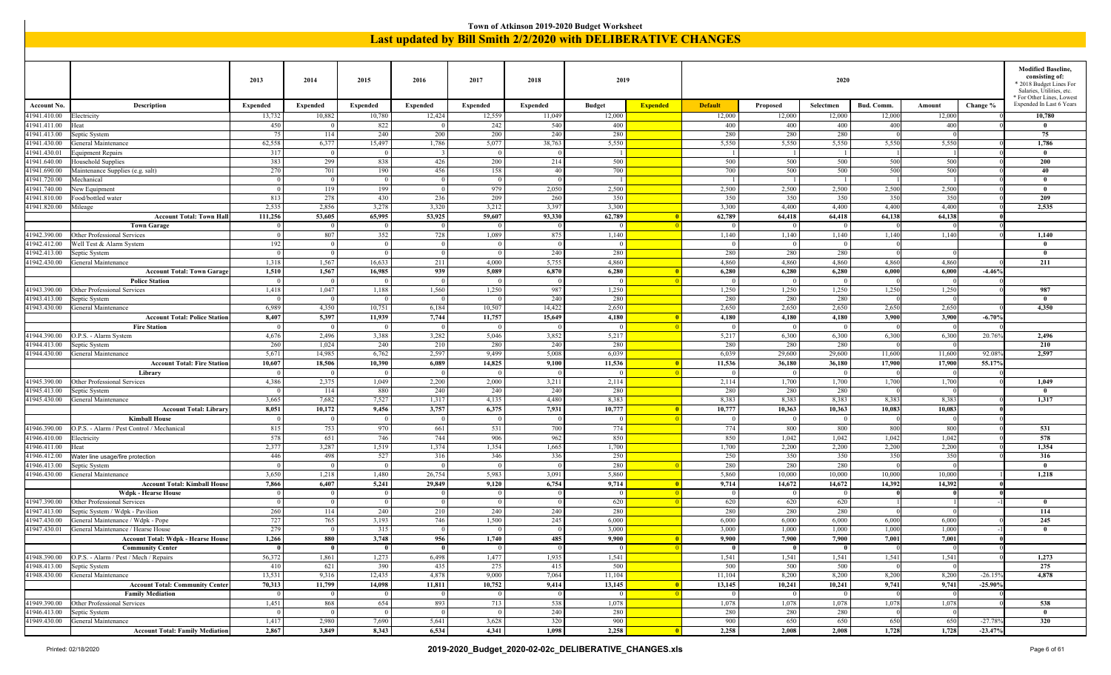|                                  |                                                                                                                                                                                                                                                                                                                                                                                                                                                                                                                                                                                                                                      |                           |                           |                           |                         |                    |                           | Town of Atkinson 2019-2020 Budget Worksheet |                          |                                                                      |                    |                     |                      |                  |           |                                                                   |
|----------------------------------|--------------------------------------------------------------------------------------------------------------------------------------------------------------------------------------------------------------------------------------------------------------------------------------------------------------------------------------------------------------------------------------------------------------------------------------------------------------------------------------------------------------------------------------------------------------------------------------------------------------------------------------|---------------------------|---------------------------|---------------------------|-------------------------|--------------------|---------------------------|---------------------------------------------|--------------------------|----------------------------------------------------------------------|--------------------|---------------------|----------------------|------------------|-----------|-------------------------------------------------------------------|
|                                  |                                                                                                                                                                                                                                                                                                                                                                                                                                                                                                                                                                                                                                      |                           |                           |                           |                         |                    |                           |                                             |                          | <b>Last updated by Bill Smith 2/2/2020 with DELIBERATIVE CHANGES</b> |                    |                     |                      |                  |           |                                                                   |
|                                  |                                                                                                                                                                                                                                                                                                                                                                                                                                                                                                                                                                                                                                      |                           |                           |                           |                         |                    |                           |                                             |                          |                                                                      |                    |                     |                      |                  |           |                                                                   |
|                                  |                                                                                                                                                                                                                                                                                                                                                                                                                                                                                                                                                                                                                                      |                           |                           |                           |                         |                    |                           |                                             |                          |                                                                      |                    |                     |                      |                  |           | <b>Modified Baseline,</b>                                         |
|                                  |                                                                                                                                                                                                                                                                                                                                                                                                                                                                                                                                                                                                                                      | 2013                      | 2014                      | 2015                      | 2016                    | 2017               | 2018                      | 2019                                        |                          |                                                                      |                    | 2020                |                      |                  |           | consisting of:<br>* 2018 Budget Lines For                         |
|                                  |                                                                                                                                                                                                                                                                                                                                                                                                                                                                                                                                                                                                                                      |                           |                           |                           |                         |                    |                           |                                             |                          |                                                                      |                    |                     |                      |                  |           | Salaries, Utilities, etc.<br><sup>*</sup> For Other Lines, Lowest |
| <b>Account No</b><br>1941.410.00 | Description<br>Electricity                                                                                                                                                                                                                                                                                                                                                                                                                                                                                                                                                                                                           | <b>Expended</b><br>13,732 | <b>Expended</b><br>10,882 | <b>Expended</b><br>10,780 | Expended<br>12,424      | Expended<br>12,559 | <b>Expended</b><br>11,049 | <b>Budget</b><br>12,000                     | <b>Expended</b>          | <b>Default</b><br>12,000                                             | Proposed<br>12,000 | Selectmen<br>12,000 | Bud. Comm.<br>12,000 | Amount<br>12,000 | Change %  | Expended In Last 6 Years<br>10,780                                |
| 41941.411.00                     | Heat                                                                                                                                                                                                                                                                                                                                                                                                                                                                                                                                                                                                                                 | 450                       |                           | 822                       |                         | 242                | 540                       | 400                                         |                          | 400                                                                  | 400                | 400                 | 400                  | 400              |           | $\mathbf{0}$                                                      |
| 41941.413.00                     | Septic System                                                                                                                                                                                                                                                                                                                                                                                                                                                                                                                                                                                                                        | 75                        | 114                       | 240                       | 200                     | 200                | 240                       | 280                                         |                          | 280                                                                  | 280                | 280                 |                      |                  |           | 75                                                                |
| 41941.430.00                     | General Maintenance                                                                                                                                                                                                                                                                                                                                                                                                                                                                                                                                                                                                                  | 62,558                    | 6,377                     | 15,497                    | 1,786                   | 5,077              | 38,763                    | 5,550                                       |                          | 5,550                                                                | 5,550              | 5,550               | 5,550                | 5,550            |           | 1,786                                                             |
| 1941.430.01                      | Equipment Repairs                                                                                                                                                                                                                                                                                                                                                                                                                                                                                                                                                                                                                    | 317                       | $\overline{0}$            | $\overline{0}$            | $\overline{\mathbf{3}}$ | $\overline{0}$     |                           |                                             |                          |                                                                      | -1                 |                     |                      |                  |           | $\mathbf{0}$                                                      |
| 41941.640.00<br>41941.690.00     | Household Supplies<br>Maintenance Supplies (e.g. salt)                                                                                                                                                                                                                                                                                                                                                                                                                                                                                                                                                                               | 383<br>270                | 299<br>701                | 838<br>190                | 426<br>456              | 200<br>158         | 214<br>40                 | 500<br>700                                  |                          | 500<br>700                                                           | 500<br>500         | 500<br>500          | 500<br>500           | 500<br>500       |           | 200<br>40                                                         |
| 41941.720.00                     | Mechanical                                                                                                                                                                                                                                                                                                                                                                                                                                                                                                                                                                                                                           | $\overline{0}$            | $\overline{0}$            | $\overline{0}$            | $\overline{0}$          | $\overline{0}$     |                           | - 1                                         |                          | - 1                                                                  | $\lceil$           |                     |                      |                  |           | $\mathbf{0}$                                                      |
| 1941.740.00                      | New Equipment                                                                                                                                                                                                                                                                                                                                                                                                                                                                                                                                                                                                                        | $\Omega$                  | 119                       | 199                       | $\overline{0}$          | 979                | 2,050                     | 2,500                                       |                          | 2,500                                                                | 2,500              | 2,500               | 2,500                | 2,500            |           | $\theta$                                                          |
| 41941.810.00                     | Food/bottled water                                                                                                                                                                                                                                                                                                                                                                                                                                                                                                                                                                                                                   | 813                       | 278                       | 430                       | 236                     | 209                | 260                       | 350                                         |                          | 350                                                                  | 350                | 350                 | 350                  | 350              |           | 209                                                               |
| 41941.820.00                     | Mileage                                                                                                                                                                                                                                                                                                                                                                                                                                                                                                                                                                                                                              | 2,535                     | 2,856                     | 3,278                     | 3,320                   | 3,212              | 3,397                     | 3,300                                       |                          | 3,300                                                                | 4,400              | 4,400               | 4,400                | 4,400            |           | 2,535                                                             |
|                                  | <b>Account Total: Town Hall</b>                                                                                                                                                                                                                                                                                                                                                                                                                                                                                                                                                                                                      | 111,256                   | 53,605                    | 65,995                    | 53,925                  | 59,607             | 93,330                    | 62,789                                      |                          | 62,789                                                               | 64,418             | 64,418              | 64,138               | 64,138           |           |                                                                   |
|                                  | <b>Town Garage</b><br> 0 <br>$\bf{0}$<br>$\overline{0}$<br>$\vert$ 0<br>$\overline{0}$<br>$\overline{0}$<br>$\Omega$<br>$\bf{0}$<br>$\bf{0}$<br>807<br>352<br>728<br>875<br>1,140<br>1,140<br>1,140<br>1,140<br>1,140<br>41942.390.00<br>Other Professional Services<br>1,089<br>1,140<br>1,140<br>$\Omega$<br>192<br>41942.412.00<br>Well Test & Alarm System<br>$\overline{0}$<br>$\Omega$<br>$\Omega$<br>$\Omega$<br>$\mathbf{0}$<br>$\Omega$<br>$\Omega$<br>240<br>280<br>280<br>280<br>41942.413.00<br>Septic System<br>$\overline{0}$<br>$\overline{0}$<br>$\overline{0}$<br>$\overline{0}$<br>280<br>$\mathbf{0}$<br>$\Omega$ |                           |                           |                           |                         |                    |                           |                                             |                          |                                                                      |                    |                     |                      |                  |           |                                                                   |
|                                  |                                                                                                                                                                                                                                                                                                                                                                                                                                                                                                                                                                                                                                      |                           |                           |                           |                         |                    |                           |                                             |                          |                                                                      |                    |                     |                      |                  |           |                                                                   |
|                                  |                                                                                                                                                                                                                                                                                                                                                                                                                                                                                                                                                                                                                                      |                           |                           |                           |                         |                    |                           |                                             |                          |                                                                      |                    |                     |                      |                  |           |                                                                   |
| 1942.430.00                      | General Maintenance                                                                                                                                                                                                                                                                                                                                                                                                                                                                                                                                                                                                                  | 1,318                     | 1,567                     | 16,633                    | 211                     | 4,000              | 5,755                     | 4,860                                       |                          | 4,860                                                                | 4,860              | 4,860               | 4,860                | 4,860            |           | 211                                                               |
|                                  | <b>Account Total: Town Garage</b>                                                                                                                                                                                                                                                                                                                                                                                                                                                                                                                                                                                                    | 1,510                     | 1,567                     | 16,985                    | 939                     | 5,089              | 6,870                     | 6,280                                       |                          | 6,280                                                                | 6,280              | 6,280               | 6,000                | 6,000            | $-4.46%$  |                                                                   |
|                                  | <b>Police Station</b>                                                                                                                                                                                                                                                                                                                                                                                                                                                                                                                                                                                                                |                           | $\overline{0}$            | $\Omega$                  | $\overline{0}$          | $\Omega$           |                           | $\Omega$                                    |                          | $\theta$                                                             | 0                  |                     |                      |                  |           |                                                                   |
| 41943.390.00                     | Other Professional Services                                                                                                                                                                                                                                                                                                                                                                                                                                                                                                                                                                                                          | 1,418                     | 1,047                     | 1,188                     | 1,560                   | 1,250              | 987                       | 1,250                                       |                          | 1,250                                                                | 1,250              | 1,250               | 1,250                | 1,250            |           | 987                                                               |
| 41943.413.00                     | Septic System                                                                                                                                                                                                                                                                                                                                                                                                                                                                                                                                                                                                                        | $\Omega$                  | $\overline{0}$            | $\overline{0}$            | $\overline{0}$          | $\overline{0}$     | 240                       | 280                                         |                          | 280                                                                  | 280                | 280                 |                      |                  |           | $\mathbf{0}$                                                      |
| 1943.430.00                      | General Maintenance                                                                                                                                                                                                                                                                                                                                                                                                                                                                                                                                                                                                                  | 6,989                     | 4,350                     | 10,751                    | 6,184                   | 10,507             | 14,422                    | 2,650                                       |                          | 2,650                                                                | 2,650              | 2,650               | 2,650                | 2,650            |           | 4,350                                                             |
|                                  | <b>Account Total: Police Station</b><br><b>Fire Station</b>                                                                                                                                                                                                                                                                                                                                                                                                                                                                                                                                                                          | 8,407                     | 5,397<br>$\overline{0}$   | 11,939                    | 7,744<br>$\overline{0}$ | 11,757             | 15,649                    | 4,180<br>$\Omega$                           |                          | 4,180                                                                | 4,180<br> 0        | 4,180               | 3,900                | 3,900            | $-6.70%$  |                                                                   |
| 41944.390.00                     | O.P.S. - Alarm System                                                                                                                                                                                                                                                                                                                                                                                                                                                                                                                                                                                                                | 4,676                     | 2,496                     | 3,388                     | 3,282                   | 5,046              | 3,852                     | 5,217                                       |                          | 5,217                                                                | 6,300              | 6,300               | 6,300                | 6,300            | 20.769    | 2,496                                                             |
| 1944.413.00                      | Septic System                                                                                                                                                                                                                                                                                                                                                                                                                                                                                                                                                                                                                        | 260                       | 1,024                     | 240                       | 210                     | 280                | 240                       | 280                                         |                          | 280                                                                  | 280                | 280                 |                      |                  |           | 210                                                               |
| 1944.430.00                      | General Maintenance                                                                                                                                                                                                                                                                                                                                                                                                                                                                                                                                                                                                                  | 5,671                     | 14,985                    | 6,762                     | 2,597                   | 9,499              | 5,008                     | 6,039                                       |                          | 6,039                                                                | 29,600             | 29,600              | 11,600               | 11,600           | 92.08     | 2,597                                                             |
|                                  | <b>Account Total: Fire Station</b>                                                                                                                                                                                                                                                                                                                                                                                                                                                                                                                                                                                                   | 10,607                    | 18,506                    | 10,390                    | 6,089                   | 14,825             | 9,100                     | 11,536                                      |                          | 11,536                                                               | 36,180             | 36,180              | 17,900               | 17,900           | 55.17%    |                                                                   |
|                                  | Library                                                                                                                                                                                                                                                                                                                                                                                                                                                                                                                                                                                                                              |                           | $\overline{0}$            | $\overline{0}$            | $\overline{0}$          | $\overline{0}$     |                           | $\Omega$                                    |                          |                                                                      | $\Omega$           | $\Omega$            |                      |                  |           |                                                                   |
| 41945.390.00                     | Other Professional Services                                                                                                                                                                                                                                                                                                                                                                                                                                                                                                                                                                                                          | 4,386                     | 2,375                     | 1,049                     | 2,200                   | 2,000              | 3,211                     | 2,114                                       |                          | 2,114                                                                | 1,700              | 1,700               | 1,700                | 1,700            |           | 1,049                                                             |
| 1945.413.00<br>41945.430.00      | Septic System<br>General Maintenance                                                                                                                                                                                                                                                                                                                                                                                                                                                                                                                                                                                                 | $\Omega$<br>3,665         | 114<br>7,682              | 880<br>7,527              | 240<br>1,317            | 240<br>4,135       | 240<br>4,480              | 280<br>8,383                                |                          | 280<br>8,383                                                         | 280<br>8,383       | 280<br>8,383        | 8,383                | 8,383            |           | $\mathbf{0}$<br>1,317                                             |
|                                  | <b>Account Total: Library</b>                                                                                                                                                                                                                                                                                                                                                                                                                                                                                                                                                                                                        | 8,051                     | 10,172                    | 9,456                     | 3,757                   | 6,375              | 7,931                     | 10,777                                      |                          | 10,777                                                               | 10,363             | 10,363              | 10,083               | 10,083           |           |                                                                   |
|                                  | <b>Kimball House</b>                                                                                                                                                                                                                                                                                                                                                                                                                                                                                                                                                                                                                 | $\Omega$                  | $\overline{0}$            | $\overline{0}$            | $\overline{0}$          | $\overline{0}$     |                           | $\Omega$                                    |                          | $\Omega$                                                             | $\overline{0}$     | $\theta$            |                      |                  |           |                                                                   |
| 41946.390.00                     | O.P.S. - Alarm / Pest Control / Mechanical                                                                                                                                                                                                                                                                                                                                                                                                                                                                                                                                                                                           | 815                       | 753                       | 970                       | 661                     | 531                | 700                       | 774                                         |                          | 774                                                                  | 800                | 800                 | 800                  | 800              |           | 531                                                               |
| 41946.410.00                     | Electricity                                                                                                                                                                                                                                                                                                                                                                                                                                                                                                                                                                                                                          | 578                       | 651                       | 746                       | 744                     | 906                | 962                       | 850                                         |                          | 850                                                                  | 1,042              | 1,042               | 1,042                | 1,042            |           | 578                                                               |
| 1946.411.00                      | Heat                                                                                                                                                                                                                                                                                                                                                                                                                                                                                                                                                                                                                                 | 2,377                     | 3,287                     | 1,519                     | 1,374                   | 1,354              | 1,665                     | 1,700                                       |                          | 1,700                                                                | 2,200              | 2,200               | 2,200                | 2,200            |           | 1,354                                                             |
| 41946.412.00                     | Water line usage/fire protection                                                                                                                                                                                                                                                                                                                                                                                                                                                                                                                                                                                                     | 446                       | 498                       | 527                       | 316                     | 346                | 336                       | 250                                         |                          | 250                                                                  | 350                | 350                 | 350                  | 350              |           | 316                                                               |
| 1946.413.00                      | Septic System                                                                                                                                                                                                                                                                                                                                                                                                                                                                                                                                                                                                                        |                           | $\Omega$                  | $\overline{0}$            | $\Omega$                | $\Omega$           |                           | 280                                         |                          | 280                                                                  | 280                | 280                 |                      |                  |           | $\mathbf{0}$                                                      |
| 41946.430.00                     | General Maintenance                                                                                                                                                                                                                                                                                                                                                                                                                                                                                                                                                                                                                  | 3,650                     | 1,218                     | 1,480                     | 26,754                  | 5,983              | 3,091                     | 5,860                                       | $\overline{\mathbf{0}}$  | 5,860                                                                | 10,000             | 10,000              | 10,000               | 10,000           |           | 1,218                                                             |
|                                  | <b>Account Total: Kimball House</b><br><b>Wdpk - Hearse House</b>                                                                                                                                                                                                                                                                                                                                                                                                                                                                                                                                                                    | 7,866                     | 6,407<br>$\Omega$         | 5,241<br>$\Omega$         | 29,849<br>$\Omega$      | 9,120<br>$\Omega$  | 6,754                     | 9,714<br>$\Omega$                           |                          | 9,714<br>$\Omega$                                                    | 14,672<br>$\bf{0}$ | 14,672<br>$\Omega$  | 14,392               | 14,392           |           |                                                                   |
|                                  | 41947.390.00 Other Professional Services                                                                                                                                                                                                                                                                                                                                                                                                                                                                                                                                                                                             | $\overline{0}$            | $\mathbf{0}$              | $\mathbf{0}$              | $\mathbf{0}$            | $\Omega$           |                           | 620                                         |                          | 620                                                                  | 620                | 620                 |                      |                  |           | $\mathbf{0}$                                                      |
|                                  | 41947.413.00 Septic System / Wdpk - Pavilion                                                                                                                                                                                                                                                                                                                                                                                                                                                                                                                                                                                         | 260                       | 114                       | 240                       | 210                     | 240                | 240                       | 280                                         |                          | 280                                                                  | 280                | 280                 |                      |                  |           | 114                                                               |
|                                  | 41947.430.00 General Maintenance / Wdpk - Pope                                                                                                                                                                                                                                                                                                                                                                                                                                                                                                                                                                                       | 727                       | 765                       | 3,193                     | 746                     | 1,500              | 245                       | 6,000                                       |                          | 6,000                                                                | 6,000              | 6,000               | 6,000                | 6,000            |           | 245                                                               |
|                                  | 41947.430.01 General Maintenance / Hearse House                                                                                                                                                                                                                                                                                                                                                                                                                                                                                                                                                                                      | 279                       | 0                         | 315                       | $\overline{0}$          | $\overline{0}$     |                           | 3,000                                       |                          | 3,000                                                                | 1,000              | 1,000               | 1,000                | 1,000            |           | $\mathbf{0}$                                                      |
|                                  | <b>Account Total: Wdpk - Hearse House</b>                                                                                                                                                                                                                                                                                                                                                                                                                                                                                                                                                                                            | 1,266                     | 880                       | 3,748                     | 956                     | 1,740              | 485                       | 9,900                                       |                          | 9,900                                                                | 7,900              | 7,900               | 7,001                | 7,001            |           |                                                                   |
|                                  | <b>Community Center</b>                                                                                                                                                                                                                                                                                                                                                                                                                                                                                                                                                                                                              | $\mathbf{0}$              | $\overline{0}$            | $\bf{0}$                  | $\bf{0}$                | $\mathbf{0}$       |                           | $\vert 0 \vert$                             |                          | $\bf{0}$                                                             | $\vert$ 0          | - 0                 |                      |                  |           |                                                                   |
|                                  | 41948.390.00   O.P.S. - Alarm / Pest / Mech / Repairs                                                                                                                                                                                                                                                                                                                                                                                                                                                                                                                                                                                | 56,372<br>410             | 1,861                     | 1,273                     | 6,498                   | 1,477              | 1,935                     | 1,541                                       |                          | 1,541                                                                | 1,541              | 1,541               | 1,541                | 1,541            |           | 1,273<br>275                                                      |
|                                  | 41948.413.00 Septic System<br>41948.430.00 General Maintenance                                                                                                                                                                                                                                                                                                                                                                                                                                                                                                                                                                       | 13,531                    | 621<br>9,316              | 390<br>12,435             | 435<br>4,878            | 275<br>9,000       | 415<br>7,064              | 500<br>11,104                               |                          | 500<br>11,104                                                        | 500<br>8,200       | 500<br>8,200        | 8,200                | 8,200            | $-26.159$ | 4,878                                                             |
|                                  | <b>Account Total: Community Center</b>                                                                                                                                                                                                                                                                                                                                                                                                                                                                                                                                                                                               | 70,313                    | 11,799                    | 14,098                    | 11,811                  | 10,752             | 9,414                     | 13,145                                      |                          | 13,145                                                               | 10,241             | 10,241              | 9,741                | 9,741            | $-25.90%$ |                                                                   |
|                                  | <b>Family Mediation</b>                                                                                                                                                                                                                                                                                                                                                                                                                                                                                                                                                                                                              | $\overline{0}$            | $\overline{0}$            | $\vert 0 \vert$           | $\vert 0 \vert$         | $\overline{0}$     |                           | $\overline{0}$                              | $\blacksquare$           | $\Omega$                                                             | $\vert 0 \vert$    | $\overline{0}$      |                      |                  |           |                                                                   |
|                                  | 41949.390.00 Other Professional Services                                                                                                                                                                                                                                                                                                                                                                                                                                                                                                                                                                                             | 1,451                     | 868                       | 654                       | 893                     | 713                | 538                       | 1,078                                       |                          | 1,078                                                                | 1,078              | 1,078               | 1,078                | 1,078            |           | 538                                                               |
|                                  | 41946.413.00 Septic System                                                                                                                                                                                                                                                                                                                                                                                                                                                                                                                                                                                                           | $\Omega$                  | 0 <sup>1</sup>            | $\overline{0}$            | $\overline{0}$          | $\vert$ 0          | 240                       | 280                                         |                          | 280                                                                  | 280                | 280                 |                      |                  |           | $\bf{0}$                                                          |
|                                  | 41949.430.00 General Maintenance                                                                                                                                                                                                                                                                                                                                                                                                                                                                                                                                                                                                     | 1,417                     | 2,980                     | 7,690                     | 5,641                   | 3,628              | 320                       | 900                                         |                          | 900                                                                  | 650                | 650                 | 650                  | 650              | $-27.789$ | 320                                                               |
|                                  | <b>Account Total: Family Mediation</b>                                                                                                                                                                                                                                                                                                                                                                                                                                                                                                                                                                                               | 2,867                     | 3,849                     | 8,343                     | 6,534                   | 4,341              | 1,098                     | 2,258                                       | $\overline{\phantom{0}}$ | 2,258                                                                | 2,008              | 2,008               | 1,728                | 1,728            | $-23.47%$ |                                                                   |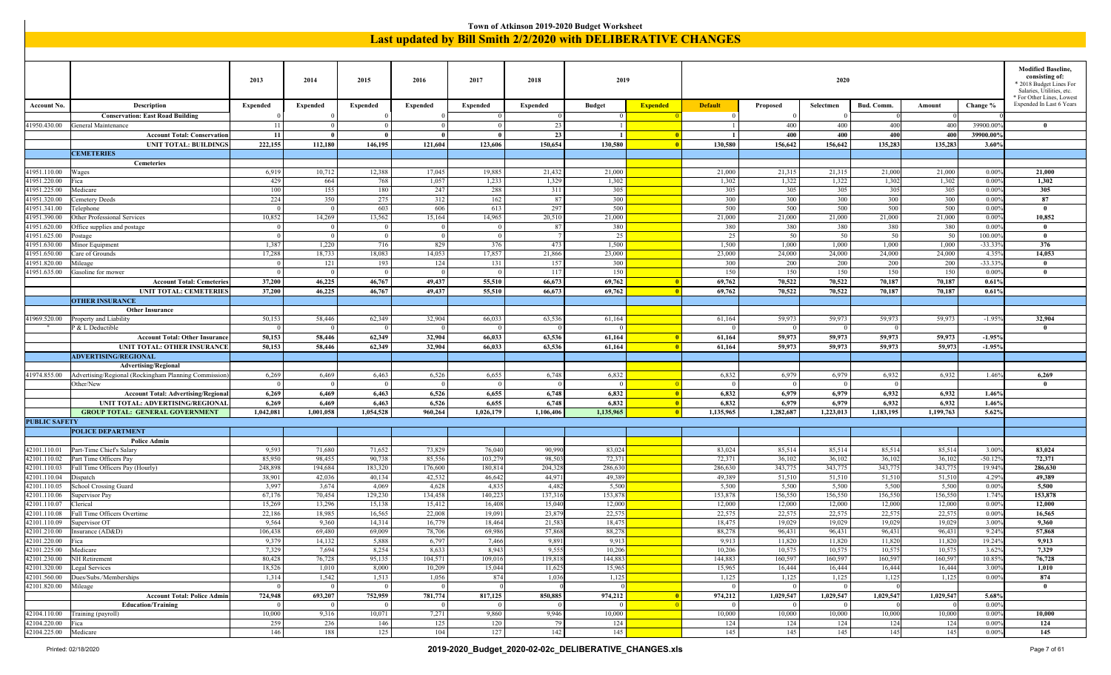|                             |                                                       |                 |                 |                 |                 |                 |                 | Town of Atkinson 2019-2020 Budget Worksheet                          |                         |                |                 |                |            |           |                    |                                             |
|-----------------------------|-------------------------------------------------------|-----------------|-----------------|-----------------|-----------------|-----------------|-----------------|----------------------------------------------------------------------|-------------------------|----------------|-----------------|----------------|------------|-----------|--------------------|---------------------------------------------|
|                             |                                                       |                 |                 |                 |                 |                 |                 | <b>Last updated by Bill Smith 2/2/2020 with DELIBERATIVE CHANGES</b> |                         |                |                 |                |            |           |                    |                                             |
|                             |                                                       |                 |                 |                 |                 |                 |                 |                                                                      |                         |                |                 |                |            |           |                    |                                             |
|                             |                                                       |                 |                 |                 |                 |                 |                 |                                                                      |                         |                |                 |                |            |           |                    |                                             |
|                             |                                                       |                 |                 |                 |                 |                 |                 |                                                                      |                         |                |                 |                |            |           |                    |                                             |
|                             |                                                       |                 |                 |                 |                 |                 |                 |                                                                      |                         |                |                 |                |            |           |                    | <b>Modified Baseline,</b><br>consisting of: |
|                             |                                                       | 2013            | 2014            | 2015            | 2016            | 2017            | 2018            | 2019                                                                 |                         |                |                 | 2020           |            |           |                    | * 2018 Budget Lines For                     |
|                             |                                                       |                 |                 |                 |                 |                 |                 |                                                                      |                         |                |                 |                |            |           |                    | Salaries, Utilities, etc.                   |
|                             |                                                       |                 |                 |                 |                 |                 |                 |                                                                      |                         |                |                 |                |            |           |                    | * For Other Lines, Lowest                   |
| <b>Account No.</b>          | Description                                           | <b>Expended</b> | <b>Expended</b> | <b>Expended</b> | <b>Expended</b> | <b>Expended</b> | <b>Expended</b> | <b>Budget</b>                                                        | <b>Expended</b>         | <b>Default</b> | Proposed        | Selectmen      | Bud. Comm. | Amount    | Change %           | Expended In Last 6 Years                    |
|                             | <b>Conservation: East Road Building</b>               |                 |                 |                 |                 | $\Omega$        |                 | $\overline{0}$                                                       |                         | $^{\circ}$     | $\Omega$        |                |            |           |                    |                                             |
| 1950.430.00                 | General Maintenance                                   | 11              |                 | $\overline{0}$  | $\overline{0}$  | $\overline{0}$  | 23              | $\overline{1}$                                                       |                         |                | 400             | 400            | 400        | 400       | 39900.00           | $\bf{0}$                                    |
|                             | <b>Account Total: Conservation</b>                    | 11              |                 | $\mathbf{0}$    | - 0             |                 | 23              |                                                                      |                         |                | 400             | 400            | 400        | 400       | 39900.00           |                                             |
|                             | <b>UNIT TOTAL: BUILDINGS</b>                          | 222,155         | 112,180         | 146,195         | 121,604         | 123,606         | 150,654         | 130,580                                                              | - 0                     | 130,580        | 156,642         | 156,642        | 135,283    | 135,283   | 3.60%              |                                             |
|                             | <b>CEMETERIES</b>                                     |                 |                 |                 |                 |                 |                 |                                                                      |                         |                |                 |                |            |           |                    |                                             |
|                             | Cemeteries                                            |                 |                 |                 |                 |                 |                 |                                                                      |                         |                |                 |                |            |           |                    |                                             |
| 41951.110.00                | <b>Wages</b>                                          | 6,919           | 10,712          | 12,388          | 17,045          | 19,885          | 21,432          | 21,000                                                               |                         | 21,000         | 21,315          | 21,315         | 21,000     | 21,000    | 0.00%              | 21,000                                      |
| 41951.220.00                | Fica                                                  | 429             | 664             | 768             | 1,057           | 1,233           | 1,329           | 1,302                                                                |                         | 1,302          | 1,322           | 1,322          | 1,302      | 1,302     | 0.009              | 1,302                                       |
| 41951.225.00                | Medicare                                              | 100             | 155             | 180             | 247             | 288             | 311             | 305                                                                  |                         | 305            | 305             | 305            | 305        | 305       | $0.00^{\circ}$     | 305                                         |
| 41951.320.00                | Cemetery Deeds                                        | 224             | 350             | 275             | 312             | 162             | 87              | 300                                                                  |                         | 300            | 300             | 300            | 300        | 300       | 0.009              | 87                                          |
| 41951.341.00                | Telephone                                             | $\overline{0}$  | - 0             | 603             | 606             | 613             | 297             | 500                                                                  |                         | 500            | 500             | 500            | 500        | 500       | 0.009              | $\bf{0}$                                    |
| 41951.390.00                | Other Professional Services                           | 10,852          | 14,269          | 13,562          | 15,164          | 14,965          | 20,510          | 21,000                                                               |                         | 21,000         | 21,000          | 21,000         | 21,000     | 21,000    | 0.00%              | 10,852                                      |
| 11951.620.00                | Office supplies and postage                           | $\Omega$        |                 |                 |                 |                 | 8               | 380                                                                  |                         | 380            | 380             | 380            | 380        | 380       | $0.00^{\circ}$     | $\mathbf{0}$                                |
| 41951.625.00                |                                                       | $\overline{0}$  | $\sqrt{ }$      | $\overline{0}$  | $\overline{0}$  | $\overline{0}$  |                 | 25                                                                   |                         | 25             | 50              | 50             | 50         | 50        | 100.00             | $\mathbf{0}$                                |
|                             | ostage                                                | 1,387           | 1,220           | 716             | 829             | 376             | 473             | 1,500                                                                |                         | 1,500          | 1,000           | 1,000          | 1,000      | 1,000     | $-33.339$          | 376                                         |
| 1951.630.00                 | Minor Equipment                                       | 17,288          |                 | 18,083          | 14,053          | 17,857          |                 | 23,000                                                               |                         | 23,000         | 24,000          |                | 24,000     | 24,000    |                    | 14,053                                      |
| 1951.650.00<br>41951.820.00 | Care of Grounds<br>Mileage                            | $\Omega$        | 18,733<br>121   | 193             | 124             | 131             | 21,866<br>15'   | 300                                                                  |                         | 300            | 200             | 24,000<br>200  | 200        | 200       | 4.359<br>$-33.33'$ | $\mathbf{0}$                                |
|                             |                                                       | $\overline{0}$  | $\sqrt{ }$      | $\overline{0}$  | $\overline{0}$  | $\Omega$        |                 |                                                                      |                         | 150            | 150             | 150            |            |           |                    | $\mathbf{0}$                                |
| 41951.635.00                | Gasoline for mower                                    |                 |                 |                 |                 |                 | -117            | 150                                                                  |                         |                |                 |                | 150        | 150       | 0.009              |                                             |
|                             | <b>Account Total: Cemeteries</b>                      | 37,200          | 46,225          | 46,767          | 49,437          | 55,510          | 66,673          | 69,762                                                               | -0                      | 69,762         | 70,522          | 70,522         | 70,187     | 70,187    | 0.61%              |                                             |
|                             | <b>UNIT TOTAL: CEMETERIES</b>                         | 37,200          | 46,225          | 46,767          | 49,437          | 55,510          | 66,673          | 69,762                                                               | $\overline{0}$          | 69,762         | 70,522          | 70,522         | 70,187     | 70,187    | 0.61%              |                                             |
|                             | <b>OTHER INSURANCE</b>                                |                 |                 |                 |                 |                 |                 |                                                                      |                         |                |                 |                |            |           |                    |                                             |
|                             | <b>Other Insurance</b>                                |                 |                 |                 |                 |                 |                 |                                                                      |                         |                |                 |                |            |           |                    |                                             |
| 1969.520.00                 | Property and Liability                                | 50,153          | 58,446          | 62,349          | 32,904          | 66,033          | 63,53           | 61,164                                                               |                         | 61,164         | 59,973          | 59,973         | 59,973     | 59,973    | $-1.95%$           | 32,904                                      |
|                             | P & L Deductible                                      | $\overline{0}$  | - 0             | $\overline{0}$  | $\overline{0}$  | - 0             |                 | - 0                                                                  |                         | $\Omega$       | $\overline{0}$  | $\overline{0}$ | - 0        |           |                    | $\bf{0}$                                    |
|                             | <b>Account Total: Other Insurance</b>                 | 50,153          | 58,446          | 62,349          | 32,904          | 66,033          | 63,536          | 61,164                                                               | - 0                     | 61,164         | 59,973          | 59,973         | 59,973     | 59,973    | $-1.95%$           |                                             |
|                             | <b>UNIT TOTAL: OTHER INSURANCE</b>                    | 50,153          | 58,446          | 62,349          | 32,904          | 66,033          | 63,536          | 61,164                                                               | -0                      | 61,164         | 59,973          | 59,973         | 59,973     | 59,973    | $-1.95%$           |                                             |
|                             | <b>ADVERTISING/REGIONAL</b>                           |                 |                 |                 |                 |                 |                 |                                                                      |                         |                |                 |                |            |           |                    |                                             |
|                             | <b>Advertising/Regional</b>                           |                 |                 |                 |                 |                 |                 |                                                                      |                         |                |                 |                |            |           |                    |                                             |
| 41974.855.00                | Advertising/Regional (Rockingham Planning Commission) | 6,269           | 6,469           | 6,463           | 6,526           | 6,655           | 6,748           | 6,832                                                                |                         | 6,832          | 6,979           | 6,979          | 6,932      | 6,932     | 1.46%              | 6,269                                       |
|                             | Other/New                                             | $\overline{0}$  | $\bigcirc$      | $\bf{0}$        | $\overline{0}$  | $\theta$        |                 | $\Omega$                                                             |                         | - 0            | $\overline{0}$  | $\overline{0}$ | - 0        |           |                    | $\bf{0}$                                    |
|                             | <b>Account Total: Advertising/Regional</b>            | 6,269           | 6,469           | 6,463           | 6,526           | 6,655           | 6,748           | 6,832                                                                | $\blacksquare$          | 6,832          | 6,979           | 6,979          | 6,932      | 6,932     | 1.46%              |                                             |
|                             | UNIT TOTAL: ADVERTISING/REGIONAL                      | 6,269           | 6,469           | 6,463           | 6,526           | 6,655           | 6,748           | 6,832                                                                | $\overline{\mathbf{0}}$ | 6,832          | 6,979           | 6,979          | 6,932      | 6,932     | 1.46%              |                                             |
|                             | <b>GROUP TOTAL: GENERAL GOVERNMENT</b>                | 1,042,081       | 1,001,058       | 1,054,528       | 960,264         | 1,026,179       | 1,106,406       | 1,135,965                                                            | -0                      | 1,135,965      | 1,282,687       | 1,223,013      | 1,183,195  | 1,199,763 | 5.62%              |                                             |
| <b>PUBLIC SAFETY</b>        |                                                       |                 |                 |                 |                 |                 |                 |                                                                      |                         |                |                 |                |            |           |                    |                                             |
|                             | <b>POLICE DEPARTMENT</b>                              |                 |                 |                 |                 |                 |                 |                                                                      |                         |                |                 |                |            |           |                    |                                             |
|                             | <b>Police Admin</b>                                   |                 |                 |                 |                 |                 |                 |                                                                      |                         |                |                 |                |            |           |                    |                                             |
| 42101.110.01                | Part-Time Chief's Salary                              | 9,593           | 71,680          | 71,652          | 73,829          | 76,040          | 90,990          | 83,024                                                               |                         | 83,024         | 85,514          | 85,514         | 85,514     | 85,514    | 3.00%              | 83,024                                      |
| 42101.110.02                | Part Time Officers Pay                                | 85,950          | 98,455          | 90,738          | 85,556          | 103,279         | 98,50           | 72,371                                                               |                         | 72,371         | 36,102          | 36,102         | 36,102     | 36,102    | $-50.12$           | 72,371                                      |
| 42101.110.03                | Full Time Officers Pay (Hourly)                       | 248,898         | 194,684         | 183,320         | 176,600         | 180,814         | 204,32          | 286,630                                                              |                         | 286,630        | 343,775         | 343,775        | 343,77:    | 343,775   | 19.94%             | 286,630                                     |
| 42101.110.04                | Dispatch                                              | 38,901          | 42,036          | 40,134          | 42,532          | 46,642          | 44,97           | 49,389                                                               |                         | 49,389         | 51,510          | 51,510         | 51,510     | 51,510    | 4.29%              | 49,389                                      |
| 42101.110.05                | School Crossing Guard                                 | 3,997           | 3,674           | 4,069           | 4,628           | 4,835           | 4,48            | 5,500                                                                |                         | 5,500          | 5,500           | 5,500          | 5,500      | 5,500     | 0.00%              | 5,500                                       |
| 42101.110.06                | Supervisor Pay                                        | 67,176          | 70,454          | 129,230         | 134,458         | 140,223         | 137,31          | 153,878                                                              |                         | 153,878        | 156,550         | 156,550        | 156,550    | 156,550   | 1.74%              | 153,878                                     |
| 42101.110.07                | Clerical                                              | 15,269          | 13,296          | 15,138          | 15,412          | 16,408          | 15,04           | 12,000                                                               |                         | 12,000         | 12,000          | 12,000         | 12,000     | 12,000    | 0.009              | 12,000                                      |
| 42101.110.08                | Full Time Officers Overtime                           | 22,186          | 18,985          | 16,565          | 22,008          | 19,091          | 23,87           | 22,575                                                               |                         | 22,575         | 22,575          | 22,575         | 22,575     | 22,575    | 0.00%              | 16,565                                      |
| 42101.110.09 Supervisor OT  |                                                       | 9,564           | 9,360           | 14,314          | 16,779          | 18,464          | 21,583          | 18,475                                                               |                         | 18,475         | 19,029          | 19,029         | 19,029     | 19,029    | 3.00%              | 9,360                                       |
|                             | 42101.210.00   Insurance (AD&D)                       | 106,438         | 69,480          | 69,009          | 78,706          | 69,986          | 57,868          | 88,278                                                               |                         | 88,278         | 96,431          | 96,431         | 96,431     | 96,431    | 9.24%              | 57,868                                      |
| 42101.220.00 Fica           |                                                       | 9,379           | 14,132          | 5,888           | 6,797           | 7,466           | 9,89            | 9,913                                                                |                         | 9,913          | 11,820          | 11,820         | 11,820     | 11,820    | 19.24%             | 9,913                                       |
| 42101.225.00 Medicare       |                                                       | 7,329           | 7,694           | 8,254           | 8,633           | 8,943           | 9,555           | 10,206                                                               |                         | 10,206         | 10,575          | 10,575         | 10,575     | 10,575    | 3.62%              | 7,329                                       |
|                             | 42101.230.00 NH Retirement                            | 80,428          | 76,728          | 95,135          | 104,571         | 109,016         | 119,818         | 144,883                                                              |                         | 144,883        | 160,597         | 160,597        | 160,597    | 160,597   | 10.85%             | 76,728                                      |
|                             | 42101.320.00   Legal Services                         | 18,526          | 1,010           | 8,000           | 10,209          | 15,044          | 11,62:          | 15,965                                                               |                         | 15,965         | 16,444          | 16,444         | 16,444     | 16,444    | 3.00%              | 1,010                                       |
|                             | 42101.560.00 Dues/Subs./Memberships                   | 1,314           | 1,542           | 1,513           | 1,056           | 874             | 1,036           | 1,125                                                                |                         | 1,125          | 1,125           | 1,125          | 1,125      | 1,125     | 0.009              | 874                                         |
| 42101.820.00   Mileage      |                                                       | 0               | $\sqrt{0}$      | $\bf{0}$        | $\bf{0}$        |                 |                 |                                                                      |                         | $\bf{0}$       | $\vert 0 \vert$ | $\overline{0}$ |            |           |                    | $\overline{\mathbf{0}}$                     |
|                             | <b>Account Total: Police Admin</b>                    | 724,948         | 693,207         | 752,959         | 781,774         | 817,125         | 850,885         | 974,212                                                              | $\blacksquare$          | 974,212        | 1,029,547       | 1,029,547      | 1,029,547  | 1,029,547 | 5.68%              |                                             |
|                             | <b>Education/Training</b>                             | 0               | $\Omega$        | $\overline{0}$  | $\overline{0}$  | $\bf{0}$        |                 | $\overline{0}$                                                       | $\blacksquare$          | $\Omega$       | 0               | $\vert$ 0      |            |           | 0.00%              |                                             |
|                             | 42104.110.00 Training (payroll)                       | 10,000          | 9,316           | 10,071          | 7,271           | 9,860           | 9,946           | 10,000                                                               |                         | 10,000         | 10,000          | 10,000         | 10,000     | 10,000    | 0.00%              | 10,000                                      |
| 42104.220.00   Fica         |                                                       | 259             | 236             | 146             | 125             | 120             | 79              | 124                                                                  |                         | 124            | 124             | 124            | 124        | 124       | 0.00%              | 124                                         |
| 42104.225.00 Medicare       |                                                       | 146             | 188             | 125             | 104             | 127             | 142             | 145                                                                  |                         | 145            | 145             | 145            | 145        | 145       | $0.00\%$           | 145                                         |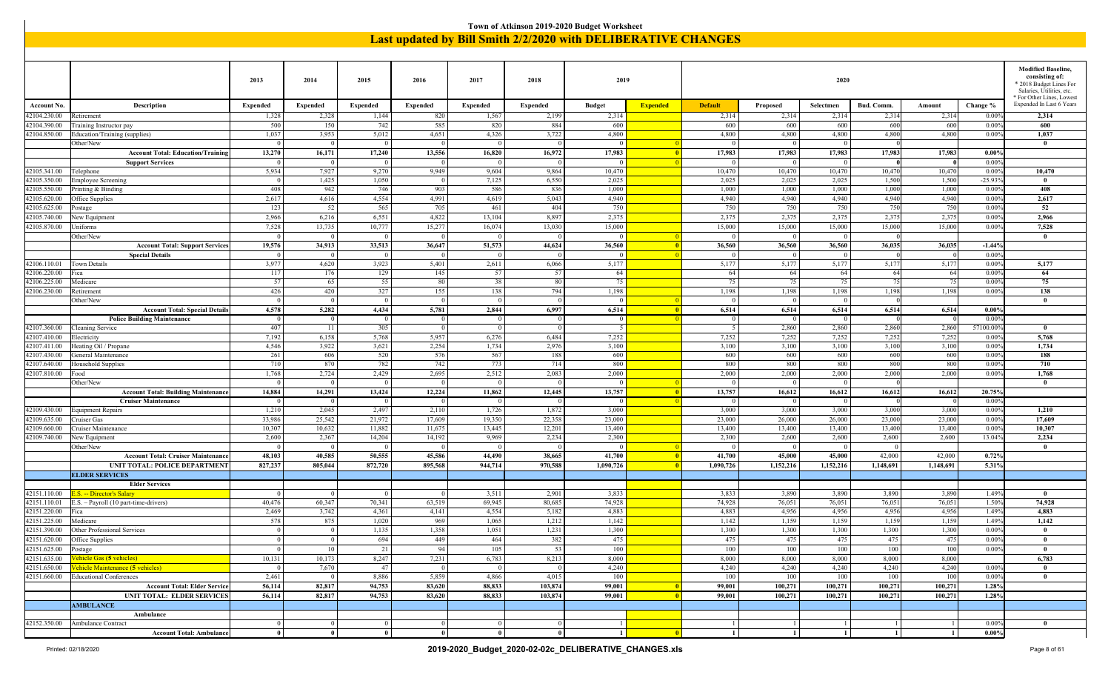|                                                                                                                                                                                                                                                                                                                                                                                                                                                                                                                                                                                                                    |                                                                       |                    |                 |                         |                         |                         | Town of Atkinson 2019-2020 Budget Worksheet                          |                 |                 |                          |                   |                 |                  |                  |                 |                                                                                                                                 |
|--------------------------------------------------------------------------------------------------------------------------------------------------------------------------------------------------------------------------------------------------------------------------------------------------------------------------------------------------------------------------------------------------------------------------------------------------------------------------------------------------------------------------------------------------------------------------------------------------------------------|-----------------------------------------------------------------------|--------------------|-----------------|-------------------------|-------------------------|-------------------------|----------------------------------------------------------------------|-----------------|-----------------|--------------------------|-------------------|-----------------|------------------|------------------|-----------------|---------------------------------------------------------------------------------------------------------------------------------|
|                                                                                                                                                                                                                                                                                                                                                                                                                                                                                                                                                                                                                    |                                                                       |                    |                 |                         |                         |                         | <b>Last updated by Bill Smith 2/2/2020 with DELIBERATIVE CHANGES</b> |                 |                 |                          |                   |                 |                  |                  |                 |                                                                                                                                 |
|                                                                                                                                                                                                                                                                                                                                                                                                                                                                                                                                                                                                                    |                                                                       |                    |                 |                         |                         |                         |                                                                      |                 |                 |                          |                   |                 |                  |                  |                 |                                                                                                                                 |
|                                                                                                                                                                                                                                                                                                                                                                                                                                                                                                                                                                                                                    |                                                                       |                    |                 |                         |                         |                         |                                                                      |                 |                 |                          |                   |                 |                  |                  |                 |                                                                                                                                 |
|                                                                                                                                                                                                                                                                                                                                                                                                                                                                                                                                                                                                                    |                                                                       | 2013               | 2014            | 2015                    | 2016                    | 2017                    | 2018                                                                 | 2019            |                 |                          |                   | 2020            |                  |                  |                 | <b>Modified Baseline</b><br>consisting of:<br>* 2018 Budget Lines For<br>Salaries, Utilities, etc.<br>* For Other Lines, Lowest |
| <b>Account No.</b>                                                                                                                                                                                                                                                                                                                                                                                                                                                                                                                                                                                                 | Description                                                           | Expended           | <b>Expended</b> | <b>Expended</b>         | <b>Expended</b>         | <b>Expended</b>         | <b>Expended</b>                                                      | <b>Budget</b>   | <b>Expended</b> | <b>Default</b>           | Proposed          | Selectmen       | Bud. Comm.       | Amount           | Change %        | Expended In Last 6 Years                                                                                                        |
| 42104.230.00                                                                                                                                                                                                                                                                                                                                                                                                                                                                                                                                                                                                       | Retirement                                                            | 1,328              | 2,328           | 1,144                   | 820                     | 1,567                   | 2,199                                                                | 2,314           |                 | 2,314                    | 2,314             | 2,314           | 2,314            | 2,314            | 0.009           | 2,314                                                                                                                           |
| 42104.390.00                                                                                                                                                                                                                                                                                                                                                                                                                                                                                                                                                                                                       | <b>Fraining Instructor pay</b>                                        | 500                | 150             | 742                     | 585                     | 820                     | 884                                                                  | 600             |                 | 600                      | 600               | 600             | 600              | 600              | 0.009           | 600                                                                                                                             |
| 42104.850.00                                                                                                                                                                                                                                                                                                                                                                                                                                                                                                                                                                                                       | Education/Training (supplies)<br>Other/New                            | 1,037<br>$\Omega$  | 3,953           | 5,012<br>$\overline{0}$ | 4,651<br>$\overline{0}$ | 4,326<br>$\overline{0}$ | 3,722                                                                | 4,800           |                 | 4,800                    | 4,800<br>$\Omega$ | 4,800           | 4,800            | 4,800            | 0.009           | 1,037<br>$\mathbf{0}$                                                                                                           |
|                                                                                                                                                                                                                                                                                                                                                                                                                                                                                                                                                                                                                    | <b>Account Total: Education/Training</b>                              | 13,270             | 16,171          | 17,240                  | 13,556                  | 16,820                  | 16,972                                                               | 17,983          |                 | 17,983                   | 17,983            | 17,983          | 17,983           | 17,983           | 0.009           |                                                                                                                                 |
|                                                                                                                                                                                                                                                                                                                                                                                                                                                                                                                                                                                                                    | <b>Support Services</b>                                               | $\overline{0}$     | - 0             | $\overline{0}$          | $\overline{0}$          | $\overline{0}$          |                                                                      | $\Omega$        |                 | $\Omega$                 | $\overline{0}$    | $\Omega$        |                  |                  | 0.009           |                                                                                                                                 |
| 42105.341.00                                                                                                                                                                                                                                                                                                                                                                                                                                                                                                                                                                                                       | Telephone                                                             | 5,934              | 7,927           | 9,270                   | 9,949                   | 9,604                   | 9,864                                                                | 10,470          |                 | 10,470                   | 10,470            | 10,470          | 10,470           | 10,470           | 0.009           | 10,470                                                                                                                          |
| 42105.350.00                                                                                                                                                                                                                                                                                                                                                                                                                                                                                                                                                                                                       | <b>Employee Screening</b>                                             | $\Omega$           | 1,425           | 1,050                   | $\overline{0}$          | 7,125                   | 6,550                                                                | 2,025           |                 | 2,025                    | 2,025             | 2,025           | 1,500            | 1,500            | $-25.93$        | $\mathbf{0}$                                                                                                                    |
| 42105.550.00                                                                                                                                                                                                                                                                                                                                                                                                                                                                                                                                                                                                       | Printing & Binding                                                    | 408                | 942             | 746                     | 903                     | 586                     | 836                                                                  | 1,000           |                 | 1,000                    | 1,000             | 1,000           | 1,000            | 1,000            | 0.009           | 408                                                                                                                             |
| 42105.620.00                                                                                                                                                                                                                                                                                                                                                                                                                                                                                                                                                                                                       | Office Supplies                                                       | 2,617<br>123       | 4,616           | 4,554                   | 4,991<br>705            | 4,619<br>461            | 5,043<br>404                                                         | 4,940           |                 | 4,940<br>750             | 4,940<br>750      | 4,940           | 4,940            | 4,940            | 0.009           | 2,617                                                                                                                           |
| 42105.625.00<br>42105.740.00                                                                                                                                                                                                                                                                                                                                                                                                                                                                                                                                                                                       | ostage<br>New Equipment                                               | 2,966              | 52<br>6,216     | 565<br>6,551            | 4,822                   | 13,104                  | 8,897                                                                | 750<br>2,375    |                 | 2,375                    | 2,375             | 750<br>2,375    | 750<br>2,375     | 750<br>2,375     | 0.009<br>0.009  | 52<br>2,966                                                                                                                     |
| 42105.870.00                                                                                                                                                                                                                                                                                                                                                                                                                                                                                                                                                                                                       |                                                                       |                    |                 |                         |                         |                         |                                                                      |                 |                 |                          |                   |                 |                  |                  |                 |                                                                                                                                 |
| 7,528<br>13,735<br>10,777<br>15,277<br>16,074<br>13,030<br>15,000<br>15,000<br>15,000<br>15,000<br>0.009<br>7,528<br>Jniforms<br>15,000<br>15,000<br>$\mathbf{0}$<br>Other/New<br>$\Omega$<br>$\overline{0}$<br>$\overline{0}$<br>$\overline{0}$<br>$\Omega$<br>33,513<br>51,573<br>19,576<br>34,913<br>36,647<br>44,624<br>36,560<br>36,560<br>36,560<br>36,560<br>36,035<br>36,035<br>$-1.449$<br><b>Account Total: Support Services</b><br><b>Special Details</b><br>0.009<br>$\overline{0}$<br>$\overline{0}$<br>$\overline{0}$<br>$\overline{0}$<br>$\Omega$<br>$\Omega$<br>$\overline{0}$<br>$\Omega$<br>- 0 |                                                                       |                    |                 |                         |                         |                         |                                                                      |                 |                 |                          |                   |                 |                  |                  |                 |                                                                                                                                 |
|                                                                                                                                                                                                                                                                                                                                                                                                                                                                                                                                                                                                                    |                                                                       |                    |                 |                         |                         |                         |                                                                      |                 |                 |                          |                   |                 |                  |                  |                 |                                                                                                                                 |
| 3,977<br>4,620<br>3,923<br>5,401<br>2,611<br>6,066<br>5,177<br>5,177<br>5,177<br>5,177<br>5,177<br>5,177<br>0.009<br>Town Details                                                                                                                                                                                                                                                                                                                                                                                                                                                                                  |                                                                       |                    |                 |                         |                         |                         |                                                                      |                 |                 |                          |                   |                 |                  |                  |                 |                                                                                                                                 |
| 42106.110.01<br>129<br>145<br>57<br>64<br>42106.220.00<br>117<br>176<br>-57<br>64<br>64<br>64<br>64<br>64<br>0.009<br>Fica                                                                                                                                                                                                                                                                                                                                                                                                                                                                                         |                                                                       |                    |                 |                         |                         |                         |                                                                      |                 |                 |                          |                   |                 |                  |                  | 5,177           |                                                                                                                                 |
|                                                                                                                                                                                                                                                                                                                                                                                                                                                                                                                                                                                                                    |                                                                       |                    |                 |                         |                         |                         |                                                                      |                 |                 |                          |                   | 64              |                  |                  |                 |                                                                                                                                 |
|                                                                                                                                                                                                                                                                                                                                                                                                                                                                                                                                                                                                                    |                                                                       |                    |                 |                         |                         |                         |                                                                      |                 |                 |                          |                   | 75<br>138       |                  |                  |                 |                                                                                                                                 |
| 55<br>75<br>75<br>75<br>75<br>42106.225.00<br>57<br>65<br>80<br>38<br>80<br>75<br>75<br>0.009<br>Medicare<br>327<br>794<br>42106.230.00<br>426<br>420<br>155<br>138<br>1,198<br>1,198<br>1,198<br>1,198<br>1,198<br>1,198<br>0.009<br>Retirement<br>$\overline{0}$<br>$\overline{0}$<br>Other/New<br> 0 <br>$\bf{0}$<br>$\overline{0}$<br>$\Omega$<br>- 0<br>$\Omega$<br>$\Omega$                                                                                                                                                                                                                                  |                                                                       |                    |                 |                         |                         |                         |                                                                      |                 |                 |                          |                   |                 |                  |                  | $\bf{0}$        |                                                                                                                                 |
|                                                                                                                                                                                                                                                                                                                                                                                                                                                                                                                                                                                                                    | <b>Account Total: Special Details</b>                                 | 4,578              | 5,282           | 4,434                   | 5,781                   | 2,844                   | 6,997                                                                | 6,514           |                 | 6,514                    | 6,514             | 6,514           | 6,514            | 6,514            | 0.00%           |                                                                                                                                 |
|                                                                                                                                                                                                                                                                                                                                                                                                                                                                                                                                                                                                                    | <b>Police Building Maintenance</b>                                    | $\overline{0}$     |                 | $\overline{0}$          | $\overline{0}$          | $\overline{0}$          |                                                                      |                 |                 | $\Omega$                 | $\Omega$          |                 |                  |                  | $0.00^{\circ}$  |                                                                                                                                 |
| 42107.360.00                                                                                                                                                                                                                                                                                                                                                                                                                                                                                                                                                                                                       | Cleaning Service                                                      | 407                | - 11            | 305                     | $\overline{0}$          | $\overline{0}$          |                                                                      |                 |                 | $\overline{\phantom{0}}$ | 2,860             | 2,860           | 2,860            | 2,860            | 57100.00        | $\mathbf{0}$                                                                                                                    |
| 42107.410.00                                                                                                                                                                                                                                                                                                                                                                                                                                                                                                                                                                                                       | Electricity                                                           | 7,192              | 6,158           | 5,768                   | 5,957                   | 6,276                   | 6,484                                                                | 7,252           |                 | 7,252                    | 7,252             | 7,252           | 7,252            | 7,252            | 0.009           | 5,768                                                                                                                           |
| 42107.411.00                                                                                                                                                                                                                                                                                                                                                                                                                                                                                                                                                                                                       | Heating Oil / Propane                                                 | 4,546              | 3,922           | 3,621                   | 2,254                   | 1,734                   | 2,976                                                                | 3,100           |                 | 3,100                    | 3,100             | 3,100           | 3,100            | 3,100            | 0.009           | 1,734                                                                                                                           |
| 42107.430.00<br>42107.640.00                                                                                                                                                                                                                                                                                                                                                                                                                                                                                                                                                                                       | General Maintenance<br><b>Iousehold Supplies</b>                      | 261<br>710         | 606<br>870      | 520<br>782              | 576<br>742              | 567<br>773              | 188<br>714                                                           | 600<br>800      |                 | 600<br>800               | 600<br>800        | 600<br>800      | 600<br>800       | 600<br>800       | 0.009<br>0.009  | 188<br>710                                                                                                                      |
| 42107.810.00                                                                                                                                                                                                                                                                                                                                                                                                                                                                                                                                                                                                       | Food                                                                  | 1,768              | 2,724           | 2,429                   | 2,695                   | 2,512                   | 2,083                                                                | 2,000           |                 | 2,000                    | 2,000             | 2,000           | 2,000            | 2,000            | 0.009           | 1,768                                                                                                                           |
|                                                                                                                                                                                                                                                                                                                                                                                                                                                                                                                                                                                                                    | Other/New                                                             | $\overline{0}$     |                 | $\overline{0}$          | $\overline{0}$          | $\overline{0}$          |                                                                      |                 |                 |                          | $\Omega$          | $\Omega$        |                  |                  |                 | $\theta$                                                                                                                        |
|                                                                                                                                                                                                                                                                                                                                                                                                                                                                                                                                                                                                                    | <b>Account Total: Building Maintenance</b>                            | 14,884             | 14,291          | 13,424                  | 12,224                  | 11,862                  | 12,445                                                               | 13,757          |                 | 13,757                   | 16,612            | 16,612          | 16,612           | 16,612           | 20.75%          |                                                                                                                                 |
|                                                                                                                                                                                                                                                                                                                                                                                                                                                                                                                                                                                                                    | <b>Cruiser Maintenance</b>                                            | -0                 |                 | $\overline{0}$          | $\bf{0}$                | $\overline{0}$          |                                                                      |                 |                 |                          | $\overline{0}$    |                 |                  |                  | 0.009           |                                                                                                                                 |
| 42109.430.00                                                                                                                                                                                                                                                                                                                                                                                                                                                                                                                                                                                                       | Equipment Repairs                                                     | 1,210              | 2,045           | 2,497                   | 2,110                   | 1,726                   | 1,872                                                                | 3,000           |                 | 3,000                    | 3,000             | 3,000           | 3,000            | 3,000            | 0.009           | 1,210                                                                                                                           |
| 42109.635.00                                                                                                                                                                                                                                                                                                                                                                                                                                                                                                                                                                                                       | Cruiser Gas                                                           | 33,986             | 25,542          | 21,972                  | 17,609                  | 19,350<br>13,445        | 22,358                                                               | 23,000          |                 | 23,000                   | 26,000            | 26,000          | 23,000<br>13,400 | 23,000<br>13,400 | 0.009           | 17,609<br>10,307                                                                                                                |
| 42109.660.00<br>42109.740.00                                                                                                                                                                                                                                                                                                                                                                                                                                                                                                                                                                                       | Cruiser Maintenance<br>New Equipment                                  | 10,307<br>2,600    | 10,632<br>2,367 | 11,882<br>14,204        | 11,675<br>14,192        | 9,969                   | 12,201<br>2,234                                                      | 13,400<br>2,300 |                 | 13,400<br>2,300          | 13,400<br>2,600   | 13,400<br>2,600 | 2,600            | 2,600            | 0.009<br>13.04% | 2,234                                                                                                                           |
|                                                                                                                                                                                                                                                                                                                                                                                                                                                                                                                                                                                                                    | Other/New                                                             | $\overline{0}$     | - 0             | $\overline{0}$          | $\overline{0}$          | $\overline{0}$          |                                                                      | $\Omega$        |                 | $\Omega$                 | $\Omega$          | $\Omega$        |                  |                  |                 | $\mathbf{0}$                                                                                                                    |
|                                                                                                                                                                                                                                                                                                                                                                                                                                                                                                                                                                                                                    | <b>Account Total: Cruiser Maintenance</b>                             | 48,103             | 40,585          | 50,555                  | 45,586                  | 44,490                  | 38,665                                                               | 41,700          |                 | 41,700                   | 45,000            | 45,000          | 42,000           | 42,000           | 0.729           |                                                                                                                                 |
|                                                                                                                                                                                                                                                                                                                                                                                                                                                                                                                                                                                                                    | UNIT TOTAL: POLICE DEPARTMENT                                         | 827,237            | 805,044         | 872,720                 | 895,568                 | 944,714                 | 970,588                                                              | 1,090,726       |                 | 1,090,726                | 1,152,216         | 1,152,216       | 1,148,691        | 1,148,691        | 5.31%           |                                                                                                                                 |
|                                                                                                                                                                                                                                                                                                                                                                                                                                                                                                                                                                                                                    | <b>ELDER SERVICES</b>                                                 |                    |                 |                         |                         |                         |                                                                      |                 |                 |                          |                   |                 |                  |                  |                 |                                                                                                                                 |
|                                                                                                                                                                                                                                                                                                                                                                                                                                                                                                                                                                                                                    | <b>Elder Services</b>                                                 |                    |                 |                         |                         |                         |                                                                      |                 |                 |                          |                   |                 |                  |                  |                 |                                                                                                                                 |
| 42151.110.00<br>42151.110.01                                                                                                                                                                                                                                                                                                                                                                                                                                                                                                                                                                                       | E.S. -- Director's Salary<br>E.S. - Payroll (10 part-time-drivers)    | $\Omega$<br>40,476 | 60,347          | $\Omega$<br>70,341      | $\Omega$<br>63,519      | 3,511<br>69,945         | 2,901<br>80,685                                                      | 3,833<br>74,928 |                 | 3,833<br>74,928          | 3,890<br>76,051   | 3,890<br>76,051 | 3,890<br>76,05   | 3,890<br>76,051  | 1.499<br>1.50%  | $\theta$<br>74,928                                                                                                              |
| 42151.220.00                                                                                                                                                                                                                                                                                                                                                                                                                                                                                                                                                                                                       | Fica                                                                  | 2,469              | 3,742           | 4,361                   | 4,141                   | 4,554                   | 5,182                                                                | 4,883           |                 | 4,883                    | 4,956             | 4,956           | 4,956            | 4,956            | 1.49%           | 4.883                                                                                                                           |
| 42151.225.00                                                                                                                                                                                                                                                                                                                                                                                                                                                                                                                                                                                                       | Medicare                                                              | 578                | 875             | 1,020                   | 969                     | 1,065                   | 1,212                                                                | 1,142           |                 | 1,142                    | 1,159             | 1,159           | 1,159            | 1,159            | 1.49%           | 1,142                                                                                                                           |
| 42151.390.00                                                                                                                                                                                                                                                                                                                                                                                                                                                                                                                                                                                                       | Other Professional Services                                           | $\mathbf{0}$       | - 0             | 1,135                   | 1,358                   | 1,051                   | 1,231                                                                | 1,300           |                 | 1,300                    | 1,300             | 1,300           | 1,300            | 1,300            | 0.009           | $\mathbf{0}$                                                                                                                    |
| 42151.620.00                                                                                                                                                                                                                                                                                                                                                                                                                                                                                                                                                                                                       | Office Supplies                                                       | 0                  | $\Omega$        | 694                     | 449                     | 464                     | 382                                                                  | 475             |                 | 475                      | 475               | 475             | 475              | 475              | 0.00%           | $\bf{0}$                                                                                                                        |
| 42151.625.00                                                                                                                                                                                                                                                                                                                                                                                                                                                                                                                                                                                                       | Postage                                                               | $\vert 0 \vert$    | 10              | 21                      | 94                      | 105                     | 53                                                                   | 100             |                 | 100                      | 100               | 100             | 100              | 100              | 0.009           | $\bf{0}$                                                                                                                        |
| 42151.635.00                                                                                                                                                                                                                                                                                                                                                                                                                                                                                                                                                                                                       | Vehicle Gas (5 vehicles)                                              | 10,131             | 10,173          | 8,247                   | 7,231                   | 6,783                   | 8,213                                                                | 8,000           |                 | 8,000                    | 8,000             | 8,000           | 8,000            | 8,000            |                 | 6,783                                                                                                                           |
| 42151.650.00                                                                                                                                                                                                                                                                                                                                                                                                                                                                                                                                                                                                       | Vehicle Maintenance (5 vehicles)                                      | $\overline{0}$     | 7,670           | 47                      | $\overline{0}$          | $\overline{0}$          |                                                                      | 4,240           |                 | 4,240                    | 4,240             | 4,240           | 4,240            | 4,240            | 0.009           | $\mathbf{0}$                                                                                                                    |
| 42151.660.00                                                                                                                                                                                                                                                                                                                                                                                                                                                                                                                                                                                                       | <b>Educational Conferences</b><br><b>Account Total: Elder Service</b> | 2,461<br>56,114    | 82,817          | 8,886<br>94,753         | 5,859<br>83,620         | 4,866<br>88,833         | 4,015<br>103,874                                                     | 100<br>99,001   |                 | 100<br>99,001            | 100<br>100,271    | 100<br>100,271  | 100<br>100,271   | 100<br>100,271   | 0.009<br>1.28%  | $\mathbf{0}$                                                                                                                    |
|                                                                                                                                                                                                                                                                                                                                                                                                                                                                                                                                                                                                                    | <b>UNIT TOTAL: ELDER SERVICES</b>                                     | 56,114             | 82,817          | 94,753                  | 83,620                  | 88,833                  | 103,874                                                              | 99,001          |                 | 99,001                   | 100,271           | 100,271         | 100,271          | 100,271          | 1.28%           |                                                                                                                                 |
|                                                                                                                                                                                                                                                                                                                                                                                                                                                                                                                                                                                                                    | <b>AMBULANCE</b>                                                      |                    |                 |                         |                         |                         |                                                                      |                 |                 |                          |                   |                 |                  |                  |                 |                                                                                                                                 |
|                                                                                                                                                                                                                                                                                                                                                                                                                                                                                                                                                                                                                    | Ambulance                                                             |                    |                 |                         |                         |                         |                                                                      |                 |                 |                          |                   |                 |                  |                  |                 |                                                                                                                                 |
| 42152.350.00                                                                                                                                                                                                                                                                                                                                                                                                                                                                                                                                                                                                       | Ambulance Contract                                                    | 0                  | $\Omega$        | $\vert$ 0               | $\overline{0}$          | $\overline{0}$          |                                                                      |                 |                 | $\overline{1}$           | -1                | $\vert$ 1       |                  |                  | 0.009           | $\bf{0}$                                                                                                                        |
|                                                                                                                                                                                                                                                                                                                                                                                                                                                                                                                                                                                                                    | <b>Account Total: Ambulance</b>                                       | $\overline{0}$     |                 | $\mathbf{0}$            | $\theta$                | $\theta$                |                                                                      |                 |                 | 1 <sup>1</sup>           |                   | 1 <sup>1</sup>  | $\mathbf{1}$     | $\mathbf{1}$     | $0.00\%$        |                                                                                                                                 |

 $\blacksquare$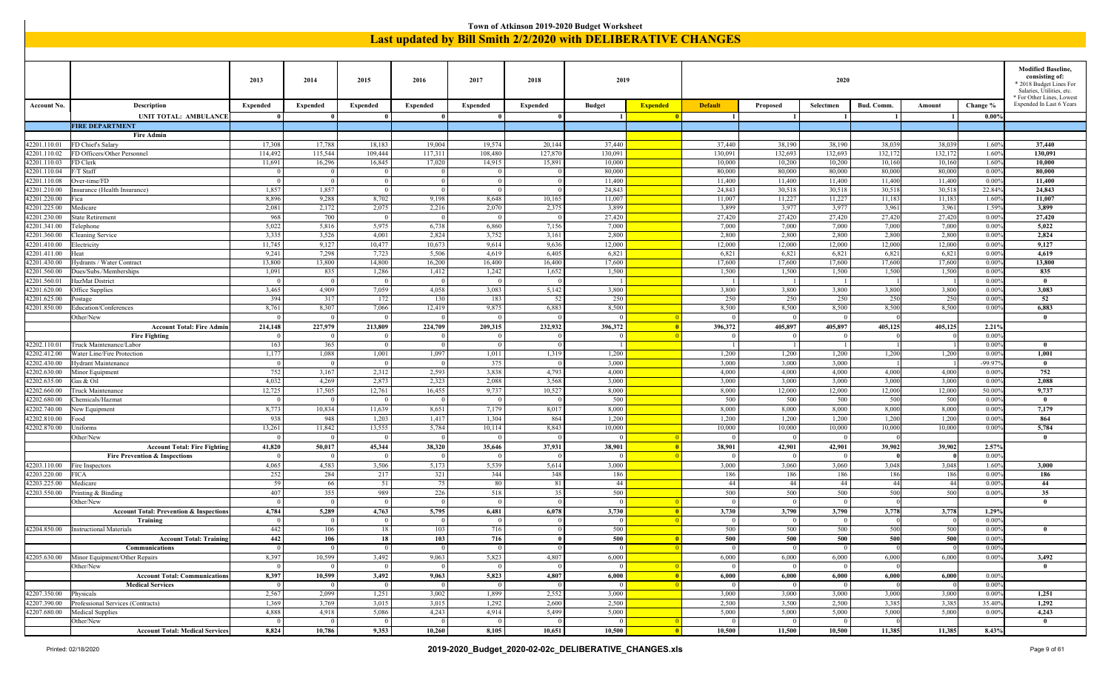|                              |                                                   |                                 |                                 |                         |                          |                                   | Town of Atkinson 2019-2020 Budget Worksheet                   |                            |                          |                                |                         |                   |                 |                 |                      |                                                                                                                                           |
|------------------------------|---------------------------------------------------|---------------------------------|---------------------------------|-------------------------|--------------------------|-----------------------------------|---------------------------------------------------------------|----------------------------|--------------------------|--------------------------------|-------------------------|-------------------|-----------------|-----------------|----------------------|-------------------------------------------------------------------------------------------------------------------------------------------|
|                              |                                                   |                                 |                                 |                         |                          |                                   | Last updated by Bill Smith 2/2/2020 with DELIBERATIVE CHANGES |                            |                          |                                |                         |                   |                 |                 |                      |                                                                                                                                           |
|                              |                                                   | 2013                            | 2014                            | 2015                    | 2016                     | 2017                              | 2018                                                          | 2019                       |                          |                                |                         | 2020              |                 |                 |                      | <b>Modified Baseline,</b><br>consisting of:<br>2018 Budget Lines For<br>Salaries, Utilities, etc.<br><sup>*</sup> For Other Lines, Lowest |
| <b>Account No.</b>           | Description<br><b>UNIT TOTAL: AMBULANCE</b>       | <b>Expended</b><br>$\mathbf{0}$ | <b>Expended</b><br>$\mathbf{0}$ | <b>Expended</b><br>-0   | <b>Expended</b>          | <b>Expended</b>                   | <b>Expended</b>                                               | <b>Budget</b><br>$\vert$ 1 | <b>Expended</b><br>-0    | <b>Default</b><br>$\mathbf{1}$ | Proposed<br>-1 I        | Selectmen         | Bud. Comm.      | Amount          | Change %<br>$0.00\%$ | Expended In Last 6 Years                                                                                                                  |
|                              | <b>FIRE DEPARTMENT</b>                            |                                 |                                 |                         |                          |                                   |                                                               |                            |                          |                                |                         |                   |                 |                 |                      |                                                                                                                                           |
|                              | <b>Fire Admir</b>                                 |                                 |                                 |                         |                          |                                   |                                                               |                            |                          |                                |                         |                   |                 |                 |                      |                                                                                                                                           |
| 42201.110.01                 | FD Chief's Salary                                 | 17,308                          | 17,788                          | 18,183                  | 19,004                   | 19,574                            | 20,144                                                        | 37,440                     |                          | 37,440                         | 38,190                  | 38,190            | 38,039          | 38,039          | 1.60%                | 37,440                                                                                                                                    |
| 42201.110.02                 | FD Officers/Other Personnel                       | 114,492                         | 115,544                         | 109,444                 | 117,311                  | 108,480                           | 127,870                                                       | 130,091                    |                          | 130,091                        | 132,693                 | 132,693           | 132,172         | 132,172         | 1.60%                | 130,091                                                                                                                                   |
| 42201.110.03                 | FD Clerk                                          | 11,691                          | 16,296                          | 16,845                  | 17,020                   | 14,915                            | 15,891                                                        | 10,000                     |                          | 10,000                         | 10,200                  | 10,200            | 10,160          | 10,160          | 1.60%                | 10,000                                                                                                                                    |
| 42201.110.04                 | F/T Staff                                         | $\overline{0}$                  | $\Omega$                        |                         |                          |                                   |                                                               | 80,000                     |                          | 80,000                         | 80,000                  | 80,000            | 80,000          | 80,000          | 0.009                | 80,000                                                                                                                                    |
| 42201.110.08                 | Over-time/FD                                      | $\Omega$                        | $\Omega$                        | $\overline{0}$          | $\sqrt{ }$<br>$\sqrt{ }$ | $\sqrt{ }$                        |                                                               | 11,400                     |                          | 11,400                         | 11,400                  | 11,400            | 11,400          | 11,400          | 0.00%                | 11,400                                                                                                                                    |
| 42201.210.00<br>42201.220.00 | Insurance (Health Insurance)                      | 1,857<br>8,896                  | 1,857<br>9,288                  | $\overline{0}$<br>8,702 |                          | $\sqrt{ }$<br>8,648               |                                                               | 24,843<br>11,007           |                          | 24,843<br>11,007               | 30,518<br>11,227        | 30,518<br>11,227  | 30,518          | 30,518          | 22.84%<br>1.60%      | 24,843<br>11,007                                                                                                                          |
| 42201.225.00                 | ica<br>Medicare                                   | 2,081                           | 2,172                           | 2,075                   | 9,198<br>2,216           | 2,070                             | 10,165<br>2,37:                                               | 3,899                      |                          | 3,899                          | 3,977                   | 3,977             | 11,183<br>3,961 | 11,183<br>3,961 | 1.59%                | 3,899                                                                                                                                     |
| 42201.230.00                 | <b>State Retirement</b>                           | 968                             | 700                             | $^{\circ}$              | $\Omega$                 |                                   |                                                               | 27,420                     |                          | 27,420                         | 27,420                  | 27,420            | 27,420          | 27,420          | 0.00%                | 27,420                                                                                                                                    |
| 42201.341.00                 | Telephone                                         | 5,022                           | 5,816                           | 5,975                   | 6,738                    | 6,860                             | 7,156                                                         | 7,000                      |                          | 7,000                          | 7,000                   | 7,000             | 7,000           | 7,000           | 0.00%                | 5,022                                                                                                                                     |
| 42201.360.00                 | Cleaning Service                                  | 3,335                           | 3,526                           | 4,001                   | 2,824                    | 3,752                             | 3,16                                                          | 2,800                      |                          | 2,800                          | 2,800                   | 2,800             | 2,800           | 2,800           | 0.009                | 2,824                                                                                                                                     |
| 42201.410.00                 | Electricity                                       | 11,745                          | 9,127                           | 10,477                  | 10,673                   | 9,614                             | 9,636                                                         | 12,000                     |                          | 12,000                         | 12,000                  | 12,000            | 12,000          | 12,000          | 0.009                | 9,127                                                                                                                                     |
| 42201.411.00                 | Ieat                                              | 9,241                           | 7,298                           | 7,723                   | 5,506                    | 4,619                             | 6,40                                                          | 6,821                      |                          | 6,821                          | 6,821                   | 6,821             | 6,821           | 6,821           | 0.00%                | 4,619                                                                                                                                     |
| 42201.430.00                 | <b>Iydrants / Water Contract</b>                  | 13,800                          | 13,800                          | 14,800                  | 16,200                   | 16,400                            | 16,400                                                        | 17,600                     |                          | 17,600                         | 17,600                  | 17,600            | 17,600          | 17,600          | 0.00%                | 13,800                                                                                                                                    |
| 42201.560.00                 | Dues/Subs./Memberships                            | 1,091                           | 835                             | 1,286                   | 1,412                    | 1,242                             | 1,652                                                         | 1,500                      |                          | 1,500                          | 1,500                   | 1,500             | 1,500           | 1,500           | 0.00%                | 835                                                                                                                                       |
| 42201.560.01                 | HazMat District                                   | $\Omega$                        | $\Omega$                        | $\overline{0}$          |                          |                                   |                                                               |                            |                          |                                | -1                      |                   |                 |                 | 0.009                | $\mathbf{0}$                                                                                                                              |
| 42201.620.00                 | Office Supplies                                   | 3,465                           | 4,909                           | 7,059                   | 4,058                    | 3,083                             | 5,142                                                         | 3,800                      |                          | 3,800                          | 3,800                   | 3,800             | 3,800           | 3,800           | 0.009                | 3,083                                                                                                                                     |
| 42201.625.00                 | ostage                                            | 394                             | 317                             | 172                     | 130                      | 183                               | 52                                                            | 250                        |                          | 250                            | 250                     | 250               | 250             | 250             | 0.009                | 52                                                                                                                                        |
| 42201.850.00                 | <b>Education/Conferences</b>                      | 8,761                           | 8,307                           | 7,066                   | 12,419                   | 9,875                             | 6,883                                                         | 8,500                      |                          | 8,500                          | 8,500                   | 8,500             | 8,500           | 8,500           | 0.00%                | 6,883                                                                                                                                     |
|                              | Other/New<br><b>Account Total: Fire Admin</b>     | $\overline{0}$<br>214,148       | $\Omega$<br>227,979             | 213,809                 | 224,709                  | 209,315                           | 232,932                                                       | 396,372                    | - 0                      | 396,372                        | $\mathbf{0}$<br>405,897 | 405,897           | 405,125         | 405,125         | 2.21%                | $\mathbf{0}$                                                                                                                              |
|                              | <b>Fire Fighting</b>                              | $\overline{0}$                  | $\Omega$                        | $\Omega$                | - 0                      | - 0                               |                                                               | $\Omega$                   | $\Box$ 0                 | $\Omega$                       | 0                       | $\overline{0}$    |                 |                 | 0.009                |                                                                                                                                           |
| 42202.110.01                 | Fruck Maintenance/Labor                           | 163                             | 365                             | $\overline{0}$          | $\sqrt{ }$               | $\overline{0}$                    |                                                               | - 1                        |                          |                                | -1-1                    |                   |                 |                 | 0.009                | $\bf{0}$                                                                                                                                  |
| 42202.412.00                 | Water Line/Fire Protection                        | 1,177                           | 1,088                           | 1,001                   | 1,097                    | 1,011                             | 1,319                                                         | 1,200                      |                          | 1,200                          | 1,200                   | 1,200             | 1,200           | 1,200           | 0.009                | 1,001                                                                                                                                     |
| 42202.430.00                 | Hydrant Maintenance                               | $\overline{0}$                  |                                 |                         |                          | 375                               |                                                               | 3,000                      |                          | 3,000                          | 3,000                   | 3,000             |                 |                 | $-99.97$             | $\mathbf{0}$                                                                                                                              |
| 42202.630.00                 | Minor Equipment                                   | 752                             | 3,167                           | 2,312                   | 2,593                    | 3,838                             | 4,793                                                         | 4,000                      |                          | 4,000                          | 4,000                   | 4,000             | 4,000           | 4,000           | 0.00%                | 752                                                                                                                                       |
| 42202.635.00                 | Gas & Oil                                         | 4,032                           | 4,269                           | 2,873                   | 2,323                    | 2,088                             | 3,568                                                         | 3,000                      |                          | 3,000                          | 3,000                   | 3,000             | 3,000           | 3,000           | 0.009                | 2,088                                                                                                                                     |
| 42202.660.00                 | Truck Maintenance                                 | 12,725                          | 17,505                          | 12,761                  | 16,455                   | 9,737                             | 10,527                                                        | 8,000                      |                          | 8,000                          | 12,000                  | 12,000            | 12,000          | 12,000          | 50.00 <sup>o</sup>   | 9,737                                                                                                                                     |
| 42202.680.00                 | Chemicals/Hazmat                                  |                                 |                                 |                         |                          | $\sqrt{ }$                        |                                                               | 500                        |                          | 500                            | 500                     | 500               | 500             | 500             | 0.009                | $\mathbf{0}$                                                                                                                              |
| 42202.740.00                 | New Equipment                                     | 8,773                           | 10,834                          | 11,639                  | 8,651                    | 7,179                             | 8,01                                                          | 8,000                      |                          | 8,000                          | 8,000                   | 8,000             | 8,000           | 8,000           | 0.009                | 7,179                                                                                                                                     |
| 42202.810.00                 | ood                                               | 938                             | 948                             | 1,203                   | 1,417                    | 1,304                             | 864                                                           | 1,200                      |                          | 1,200                          | 1,200                   | 1,200             | 1,200           | 1,200           | 0.009                | 864                                                                                                                                       |
| 42202.870.00                 | Jniforms                                          | 13,261                          | 11,842                          | 13,555                  | 5,784                    | 10,114                            | 8,843                                                         | 10,000                     |                          | 10,000                         | 10,000                  | 10,000            | 10,000          | 10,000          | 0.00%                | 5,784                                                                                                                                     |
|                              | Other/New                                         | $\overline{0}$                  | $\mathbf{0}$                    | $\Omega$                |                          |                                   |                                                               |                            |                          | $\Omega$                       | $\bf{0}$                |                   |                 |                 |                      | $\mathbf{0}$                                                                                                                              |
|                              | <b>Account Total: Fire Fighting</b>               | 41,820                          | 50,017                          | 45,344                  | 38,320                   | 35,646                            | 37,931                                                        | 38,901                     | -0                       | 38,901                         | 42,901                  | 42,901            | 39,902          | 39,902          | 2.57%                |                                                                                                                                           |
|                              | <b>Fire Prevention &amp; Inspections</b>          | $\overline{0}$                  | $\theta$                        |                         |                          |                                   |                                                               |                            |                          |                                | $\bf{0}$                |                   |                 |                 | 0.009                |                                                                                                                                           |
| 42203.110.00<br>42203.220.00 | Fire Inspectors<br>FICA                           | 4,065<br>252                    | 4,583<br>284                    | 3,506<br>217            | 5,173<br>321             | 5,539<br>344                      | 5,614<br>348                                                  | 3,000<br>186               |                          | 3,000<br>186                   | 3,060<br>186            | 3,060<br>186      | 3,048<br>186    | 3,048<br>186    | 1.60%<br>0.009       | 3,000<br>186                                                                                                                              |
| 42203.225.00                 | Medicare                                          | 59                              | 66                              | 51                      | 75                       | 80                                | 81                                                            | 44                         |                          | 44                             | 44                      | 44                | 44              | 44              | 0.009                | 44                                                                                                                                        |
| 42203.550.00                 | Printing & Binding                                | 407                             | 355                             | 989                     | 226                      | 518                               |                                                               | 500                        |                          | 500                            | 500                     | 500               | 500             | 500             | 0.009                | 35                                                                                                                                        |
|                              | Other/New                                         | $\theta$                        | $\Omega$                        | $\Omega$                | $\Omega$                 | $\sqrt{ }$                        |                                                               | $\Omega$                   |                          | $\Omega$                       | $\Omega$                | $\Omega$          |                 |                 |                      | $\theta$                                                                                                                                  |
|                              | <b>Account Total: Prevention &amp; Inspection</b> | 4,784                           | 5,289                           | 4,763                   | 5,795                    | 6,481                             | 6,078                                                         | 3,730                      | - 0                      | 3,730                          | 3,790                   | 3,790             | 3,778           | 3,778           | 1.29%                |                                                                                                                                           |
|                              | Training                                          | $\vert$ 0                       | $\overline{0}$                  | $\overline{0}$          | $\overline{0}$           | $\mathbf{0}$                      |                                                               | $\overline{0}$             | - 0                      | $\overline{0}$                 | $\overline{0}$          | 0 <sup>1</sup>    | 0               | 0               | $0.00\%$             |                                                                                                                                           |
|                              | 42204.850.00   Instructional Materials            | 442                             | 106                             | 18                      | 103                      | 716                               |                                                               | 500                        |                          | 500                            | 500                     | 500               | 500             | 500             | $0.00\%$             | $\bf{0}$                                                                                                                                  |
|                              | <b>Account Total: Training</b>                    | 442                             | 106                             | 18                      | 103                      | 716                               |                                                               | 500                        | - 0                      | 500                            | 500                     | 500               | 500             | 500             | 0.009                |                                                                                                                                           |
|                              | Communications                                    | 0                               | $\vert$ 0                       | $\mathbf{0}$            | $\overline{\phantom{0}}$ | $\overline{0}$                    |                                                               | $\vert 0 \vert$            | $^{\circ}$ 0             | $\overline{0}$                 | $\vert 0 \vert$         | $\overline{0}$    |                 |                 | $0.00\%$             |                                                                                                                                           |
|                              | 42205.630.00   Minor Equipment/Other Repairs      | 8,397                           | 10,599                          | 3,492                   | 9,063                    | 5,823                             | 4,807                                                         | 6,000                      |                          | 6,000                          | 6,000                   | 6,000             | 6,000           | 6,000           | $0.00\%$             | 3,492                                                                                                                                     |
|                              | Other/New                                         | $\overline{0}$                  | 0                               | $\overline{0}$          | $\overline{0}$           | $\overline{0}$                    |                                                               | $\overline{0}$             | - 0                      | $\Omega$                       | $\vert 0 \vert$         | $\Omega$          |                 |                 |                      | $\bf{0}$                                                                                                                                  |
|                              | <b>Account Total: Communications</b>              | 8,397                           | 10,599                          | 3,492                   | 9,063                    | 5,823                             | 4,807                                                         | 6.000                      | $^{\circ}$               | 6.000                          | 6,000                   | 6,000             | 6,000           | 6,000           | 0.009                |                                                                                                                                           |
|                              | <b>Medical Services</b>                           | $\overline{0}$                  | $\overline{0}$                  | $\overline{0}$          | $\overline{0}$           | $\overline{0}$                    |                                                               | $\overline{0}$             |                          | - 0                            | $\vert 0 \vert$         | $\Omega$          |                 |                 | 0.009                |                                                                                                                                           |
| 42207.350.00 Physicals       |                                                   | 2,567                           | 2,099                           | 1,251                   | 3,002                    | 1,899                             | 2,552                                                         | 3,000                      |                          | 3,000                          | 3,000                   | 3,000             | 3,000           | 3,000           | $0.00\%$             | 1,251                                                                                                                                     |
| 42207.390.00<br>42207.680.00 | Professional Services (Contracts)                 | 1,369<br>4,888                  | 3,769                           | 3,015                   | 3,015<br>4,243           | 1,292                             | 2,600<br>5,499                                                | 2,500<br>5,000             |                          | 2,500<br>5,000                 | 3,500<br>5,000          | 2,500             | 3,385           | 3,385<br>5,000  | 35.40%<br>$0.00\%$   | 1,292<br>4,243                                                                                                                            |
|                              | Medical Supplies<br>Other/New                     | $\overline{0}$                  | 4,918<br>$\overline{0}$         | 5,086<br>$\overline{0}$ | $\overline{\phantom{0}}$ | 4,914<br>$\overline{\phantom{0}}$ |                                                               | $\bf{0}$                   | $^{\circ}$ 0             | $\overline{0}$                 | $\vert 0 \vert$         | 5,000<br>$\bf{0}$ | 5,000           |                 |                      | $\bf{0}$                                                                                                                                  |
|                              | <b>Account Total: Medical Services</b>            | 8,824                           | 10,786                          | 9,353                   | 10,260                   | 8,105                             | 10,651                                                        | 10,500                     | $\overline{\phantom{0}}$ | 10,500                         | 11,500                  | 10,500            | 11,385          | 11,385          | 8.43%                |                                                                                                                                           |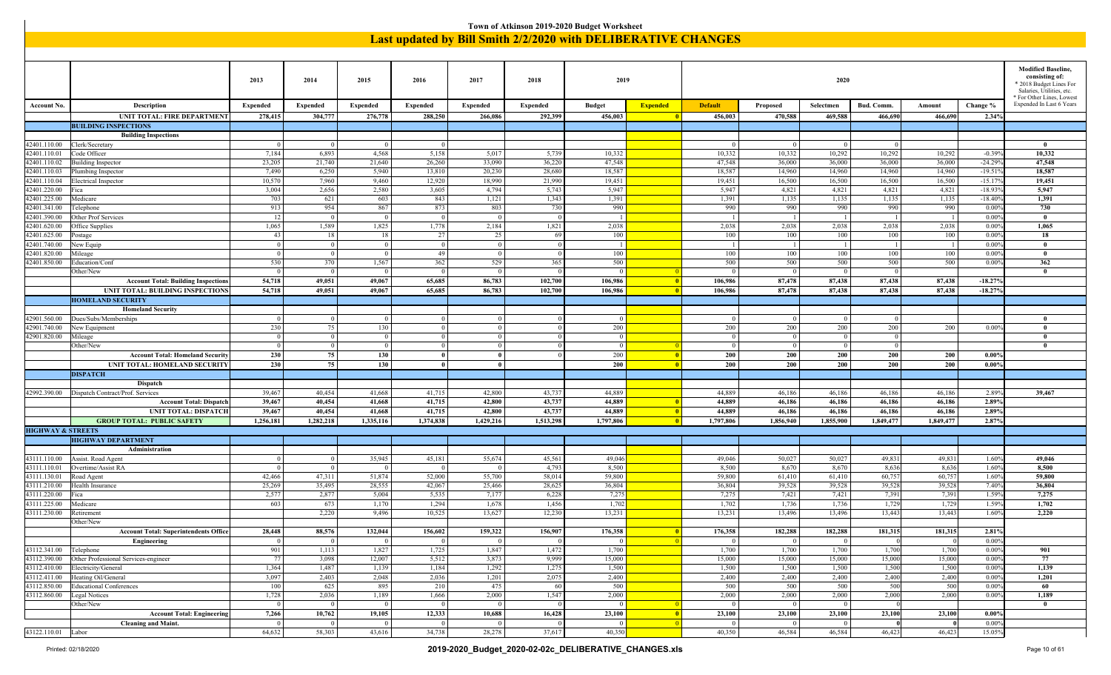|                              | Town of Atkinson 2019-2020 Budget Worksheet<br><b>Last updated by Bill Smith 2/2/2020 with DELIBERATIVE CHANGES</b> |                            |                            |                         |                            |                       |                 |                            |                 |                            |                      |                                  |                            |                 |                       |                                                       |
|------------------------------|---------------------------------------------------------------------------------------------------------------------|----------------------------|----------------------------|-------------------------|----------------------------|-----------------------|-----------------|----------------------------|-----------------|----------------------------|----------------------|----------------------------------|----------------------------|-----------------|-----------------------|-------------------------------------------------------|
|                              |                                                                                                                     |                            |                            |                         |                            |                       |                 |                            |                 |                            |                      |                                  |                            |                 |                       |                                                       |
|                              |                                                                                                                     |                            |                            |                         |                            |                       |                 |                            |                 |                            |                      |                                  |                            |                 |                       |                                                       |
|                              |                                                                                                                     |                            |                            |                         |                            |                       |                 |                            |                 |                            |                      |                                  |                            |                 |                       |                                                       |
|                              |                                                                                                                     |                            |                            |                         |                            |                       |                 |                            |                 |                            |                      |                                  |                            |                 |                       | <b>Modified Baseline.</b>                             |
|                              |                                                                                                                     | 2013                       | 2014                       | 2015                    | 2016                       | 2017                  | 2018            | 2019                       |                 |                            |                      | 2020                             |                            |                 |                       | consisting of:<br>* 2018 Budget Lines For             |
|                              |                                                                                                                     |                            |                            |                         |                            |                       |                 |                            |                 |                            |                      |                                  |                            |                 |                       | Salaries, Utilities, etc.                             |
| Account No.                  | Description                                                                                                         | <b>Expended</b>            | <b>Expended</b>            | <b>Expended</b>         | <b>Expended</b>            | <b>Expended</b>       | <b>Expended</b> | <b>Budget</b>              | <b>Expended</b> | <b>Default</b>             | Proposed             | Selectmen                        | Bud. Comm.                 | Amount          | Change %              | * For Other Lines, Lowest<br>Expended In Last 6 Years |
|                              | UNIT TOTAL: FIRE DEPARTMENT                                                                                         | 278,415                    | 304,777                    | 276,778                 | 288,250                    | 266,086               | 292,399         | 456,003                    |                 | 456,003                    | 470,588              | 469,588                          | 466,690                    | 466,690         | 2.34%                 |                                                       |
|                              | <b>BUILDING INSPECTIONS</b>                                                                                         |                            |                            |                         |                            |                       |                 |                            |                 |                            |                      |                                  |                            |                 |                       |                                                       |
|                              | <b>Building Inspections</b>                                                                                         |                            |                            |                         |                            |                       |                 |                            |                 |                            |                      |                                  |                            |                 |                       |                                                       |
| 42401.110.00                 | Clerk/Secretary                                                                                                     | $\Omega$                   | 0 <sup>1</sup>             | $\overline{0}$          | $\overline{0}$             |                       |                 |                            |                 | - 0                        | $\overline{0}$       | $\overline{0}$                   | $\Omega$                   |                 |                       | $\bf{0}$                                              |
| 42401.110.01                 | Code Officer                                                                                                        | 7,184                      | 6,893                      | 4,568                   | 5,158                      | 5,017                 | 5,739           | 10,332                     |                 | 10,332                     | 10,332               | 10,292                           | 10,292                     | 10,292          | $-0.399$              | 10,332                                                |
| 42401.110.02                 | <b>Building Inspector</b>                                                                                           | 23,205                     | 21,740                     | 21,640                  | 26,260                     | 33,090                | 36,220          | 47,548                     |                 | 47,548                     | 36,000               | 36,000                           | 36,000                     | 36,000          | $-24.299$             | 47,548                                                |
| 42401.110.03                 | Plumbing Inspector                                                                                                  | 7,490                      | 6,250                      | 5,940                   | 13,810                     | 20,230                | 28,680          | 18,587                     |                 | 18,587                     | 14,960               | 14,960                           | 14,960                     | 14,960          | $-19.51$              | 18,587                                                |
| 42401.110.04                 | Electrical Inspector                                                                                                | 10,570                     | 7,960                      | 9,460                   | 12,920                     | 18,990<br>4,794       | 21,990<br>5,743 | 19,451<br>5,947            |                 | 19,451                     | 16,500               | 16,500<br>4,821                  | 16,500                     | 16,500<br>4,821 | $-15.17$<br>$-18.939$ | 19,451<br>5,947                                       |
| 42401.220.00<br>42401.225.00 | Fica<br>Medicare                                                                                                    | 3,004<br>703               | 2,656<br>621               | 2,580<br>603            | 3,605<br>843               | 1,121                 | 1,343           | 1,391                      |                 | 5,947<br>1,391             | 4,821<br>1,135       | 1,135                            | 4,821<br>1,135             | 1,135           | $-18.409$             | 1,391                                                 |
| 42401.341.00                 | Telephone                                                                                                           | 913                        | 954                        | 867                     | 873                        | 803                   | 730             | 990                        |                 | 990                        | 990                  | 990                              | 990                        | 990             | 0.009                 | 730                                                   |
| 12401.390.00                 | Other Prof Services                                                                                                 | 12                         | $\vert 0 \vert$            | $\bf{0}$                | $\bf{0}$                   | $\overline{0}$        |                 | - 1                        |                 |                            | - 1                  | $\overline{1}$                   |                            | $\overline{1}$  | 0.009                 | $\bf{0}$                                              |
| 12401.620.00                 | Office Supplies                                                                                                     | 1,065                      | 1,589                      | 1,825                   | 1,778                      | 2,184                 | 1,821           | 2,038                      |                 | 2,038                      | 2,038                | 2,038                            | 2,038                      | 2,038           | 0.009                 | 1,065                                                 |
| 42401.625.00                 | Postage                                                                                                             | 43                         | 18                         | 18                      | 27                         | 25                    | 69              | 100                        |                 | 100                        | 100                  | 100                              | 100                        | 100             | 0.009                 | 18                                                    |
| 42401.740.00                 | New Equip                                                                                                           | $\theta$                   | 0 <sup>1</sup>             | $\overline{0}$          | $\overline{0}$             | $\overline{0}$        |                 | -1                         |                 |                            | -1                   | $\overline{1}$                   | $\overline{1}$             | -1              | 0.009                 | $\mathbf{0}$                                          |
| 42401.820.00                 | Mileage                                                                                                             | $\Omega$<br>530            | $\vert 0 \vert$<br>370     | $\overline{0}$<br>1,567 | 49                         | $\overline{0}$<br>529 |                 | 100<br>500                 |                 | 100<br>500                 | 100<br>500           | 100<br>500                       | 100<br>500                 | 100             | 0.009                 | $\bf{0}$                                              |
| 42401.850.00                 | Education/Conf<br>Other/New                                                                                         | $\Omega$                   | $\Omega$                   |                         | 362<br>$\Omega$            | $\overline{0}$        | 365             |                            |                 | $\Omega$                   | $\Omega$             | $\overline{0}$                   | $\Omega$                   | 500             | 0.00%                 | 362<br>$\theta$                                       |
|                              | <b>Account Total: Building Inspections</b>                                                                          | 54,718                     | 49,051                     | 49,067                  | 65,685                     | 86,783                | 102,700         | 106,986                    | $\blacksquare$  | 106,986                    | 87,478               | 87,438                           | 87,438                     | 87,438          | $-18.27%$             |                                                       |
|                              | UNIT TOTAL: BUILDING INSPECTIONS                                                                                    | 54,718                     | 49,051                     | 49,067                  | 65,685                     | 86,783                | 102,700         | 106,986                    | $\blacksquare$  | 106,986                    | 87,478               | 87,438                           | 87,438                     | 87,438          | $-18.27%$             |                                                       |
|                              | <b>HOMELAND SECURITY</b>                                                                                            |                            |                            |                         |                            |                       |                 |                            |                 |                            |                      |                                  |                            |                 |                       |                                                       |
|                              | <b>Homeland Security</b>                                                                                            |                            |                            |                         |                            |                       |                 |                            |                 |                            |                      |                                  |                            |                 |                       |                                                       |
| 42901.560.00                 | Dues/Subs/Memberships                                                                                               | $\Omega$                   | 0 <sup>1</sup>             | $\theta$                | $\Omega$                   | $\Omega$              |                 | $\Omega$                   |                 | $\Omega$                   | $\overline{0}$       | $\overline{0}$                   | $\Omega$                   |                 |                       | $\mathbf{0}$                                          |
| 42901.740.00                 | New Equipment                                                                                                       | 230                        | 75                         | 130                     | $\Omega$                   | $\Omega$              |                 | 200                        |                 | 200                        | 200                  | 200                              | 200                        | 200             | 0.009                 | $\theta$                                              |
| 42901.820.00                 | Mileage<br>Other/New                                                                                                | $\overline{0}$<br>$\Omega$ | 0 <sup>1</sup><br>$\theta$ | $\bf{0}$<br>$\Omega$    | $\overline{0}$<br>$\theta$ | $\Omega$<br>$\theta$  |                 | $\overline{0}$<br>$\Omega$ | - 0             | $\overline{0}$<br>$\Omega$ | 0 <br>$\overline{0}$ | $\overline{0}$<br>$\overline{0}$ | $\overline{0}$<br>$\Omega$ |                 |                       | $\bf{0}$<br>$\theta$                                  |
|                              | <b>Account Total: Homeland Security</b>                                                                             | 230                        | 75                         | 130                     |                            |                       |                 | 200                        | - 0             | 200                        | 200                  | 200                              | 200                        | 200             | $0.00\%$              |                                                       |
|                              | UNIT TOTAL: HOMELAND SECURITY                                                                                       | 230                        | 75                         | 130                     | $\mathbf{0}$               | $\mathbf{0}$          |                 | 200                        | - 0             | 200                        | 200                  | 200                              | 200                        | 200             | 0.00%                 |                                                       |
|                              | <b>DISPATCH</b>                                                                                                     |                            |                            |                         |                            |                       |                 |                            |                 |                            |                      |                                  |                            |                 |                       |                                                       |
|                              | <b>Dispatch</b>                                                                                                     |                            |                            |                         |                            |                       |                 |                            |                 |                            |                      |                                  |                            |                 |                       |                                                       |
|                              | 42992.390.00   Dispatch Contract/Prof. Services                                                                     | 39,467                     | 40,454                     | 41,668                  | 41,715                     | 42,800                | 43,737          | 44,889                     |                 | 44,889                     | 46,186               | 46,186                           | 46,186                     | 46,186          | 2.89%                 | 39,467                                                |
|                              | <b>Account Total: Dispatch</b>                                                                                      | 39,467                     | 40,454                     | 41,668                  | 41,715                     | 42,800                | 43,73           | 44,889                     | $\blacksquare$  | 44,889                     | 46,186               | 46,186                           | 46,186                     | 46,186          | 2.89%                 |                                                       |
|                              | <b>UNIT TOTAL: DISPATCH</b>                                                                                         | 39,467                     | 40,454                     | 41,668                  | 41,715                     | 42,800                | 43,737          | 44,889                     | $\blacksquare$  | 44,889                     | 46.186               | 46,186                           | 46,186                     | 46,186          | 2.89%                 |                                                       |
|                              | <b>GROUP TOTAL: PUBLIC SAFETY</b>                                                                                   | 1,256,181                  | 1,282,218                  | 1,335,116               | 1,374,838                  | 1,429,216             | 1,513,298       | 1,797,806                  | $\blacksquare$  | 1,797,806                  | 1,856,940            | 1,855,900                        | 1,849,477                  | 1,849,477       | 2.87%                 |                                                       |
| <b>HIGHWAY &amp; STREETS</b> | <b>HIGHWAY DEPARTMENT</b>                                                                                           |                            |                            |                         |                            |                       |                 |                            |                 |                            |                      |                                  |                            |                 |                       |                                                       |
|                              | Administration                                                                                                      |                            |                            |                         |                            |                       |                 |                            |                 |                            |                      |                                  |                            |                 |                       |                                                       |
|                              | 43111.110.00   Assist. Road Agent                                                                                   | $\Omega$                   | 0 <sup>1</sup>             | 35,945                  | 45,181                     | 55,674                | 45,561          | 49,046                     |                 | 49,046                     | 50,027               | 50,027                           | 49,831                     | 49,831          | 1.60%                 | 49,046                                                |
| 43111.110.01                 | Overtime/Assist RA                                                                                                  | $\Omega$                   | $\theta$                   |                         |                            |                       | 4,793           | 8,500                      |                 | 8,500                      | 8,670                | 8,670                            | 8,636                      | 8,636           | 1.60%                 | 8,500                                                 |
| 43111.130.01                 | Road Agent                                                                                                          | 42,466                     | 47,311                     | 51,874                  | 52,000                     | 55,700                | 58,014          | 59,800                     |                 | 59,800                     | 61,410               | 61,410                           | 60,757                     | 60,757          | 1.60%                 | 59,800                                                |
| 43111.210.00                 | Health Insurance                                                                                                    | 25,269                     | 35,495                     | 28,555                  | 42,067                     | 25,466                | 28,625          | 36,804                     |                 | 36,804                     | 39,528               | 39,528                           | 39,528                     | 39,528          | 7.40%                 | 36,804                                                |
| 43111.220.00                 | Fica                                                                                                                | 2,577                      | 2,877                      | 5,004                   | 5,535                      | 7,177                 | 6,228           | 7,275                      |                 | 7,275                      | 7,421                | 7,421                            | 7,391                      | 7,391           | 1.59%                 | 7,275                                                 |
| 43111.225.00<br>43111.230.00 | Medicare<br>Retirement                                                                                              | 603                        | 673<br>2,220               | 1,170<br>9,496          | 1,294<br>10,525            | 1.678<br>13,627       | 1,450<br>12,230 | 1,702<br>13,231            |                 | 1,702<br>13,231            | 1.736<br>13,496      | 1,736<br>13,496                  | 1,729<br>13,443            | 1,729<br>13,443 | 1.59%<br>1.60%        | 1,702<br>2,220                                        |
|                              | Other/New                                                                                                           |                            |                            |                         |                            |                       |                 |                            |                 |                            |                      |                                  |                            |                 |                       |                                                       |
|                              | <b>Account Total: Superintendents Office</b>                                                                        | 28,448                     | 88,576                     | 132,044                 | 156,602                    | 159,322               | 156,907         | 176,358                    | - 0             | 176,358                    | 182,288              | 182,288                          | 181,315                    | 181,315         | 2.81%                 |                                                       |
|                              | Engineering                                                                                                         | $\theta$                   | $\vert$ 0                  | $\overline{0}$          | $\overline{0}$             | $\Omega$              |                 | $\Omega$                   | - 0             | $\Omega$                   | $\overline{0}$       | $\vert 0 \vert$                  |                            |                 | 0.009                 |                                                       |
| 43112.341.00                 | Telephone                                                                                                           | 901                        | 1,113                      | 1,827                   | 1,725                      | 1,847                 | 1,472           | 1,700                      |                 | 1,700                      | 1,700                | 1,700                            | 1,700                      | 1,700           | 0.009                 | 901                                                   |
| 43112.390.00                 | Other Professional Services-engineer                                                                                | 77                         | 3,098                      | 12,007                  | 5,512                      | 3,873                 | 9,999           | 15,000                     |                 | 15,000                     | 15,000               | 15,000                           | 15,000                     | 15,000          | 0.009                 | 77                                                    |
|                              | 43112.410.00 Electricity/General                                                                                    | 1,364                      | 1,487                      | 1,139                   | 1,184                      | 1,292                 | 1,27:           | 1,500                      |                 | 1,500                      | 1,500                | 1,500                            | 1,500                      | 1,500           | 0.00%                 | 1,139                                                 |
| 43112.850.00                 | 43112.411.00 Heating Oil/General<br><b>Educational Conferences</b>                                                  | 3,097<br>100               | 2,403<br>625               | 2,048<br>895            | 2,036<br>210               | 1,201<br>475          | 2,075<br>- 60   | 2,400<br>500               |                 | 2,400<br>500               | 2,400<br>500         | 2,400<br>500                     | 2,400<br>500               | 2,400<br>500    | 0.00%<br>0.009        | 1,201<br>60                                           |
|                              | 43112.860.00   Legal Notices                                                                                        | 1,728                      | 2,036                      | 1,189                   | 1,666                      | 2,000                 | 1,547           | 2,000                      |                 | 2,000                      | 2,000                | 2,000                            | 2,000                      | 2,000           | 0.00%                 | 1,189                                                 |
|                              | Other/New                                                                                                           | $\bf{0}$                   | 0 <sup>1</sup>             | $\bf{0}$                | $\bf{0}$                   | $\bf{0}$              |                 | $\bf{0}$                   |                 | - 0                        | 0 <sup>1</sup>       | $\overline{0}$                   |                            |                 |                       | $\bf{0}$                                              |
|                              | <b>Account Total: Engineering</b>                                                                                   | 7,266                      | 10,762                     | 19,105                  | 12,333                     | 10,688                | 16,428          | 23,100                     | $\blacksquare$  | 23,100                     | 23,100               | 23,100                           | 23,100                     | 23,100          | $0.00\%$              |                                                       |
|                              | <b>Cleaning and Maint.</b>                                                                                          | $\Omega$                   | $\vert$ 0                  | $\overline{0}$          | $\vert$ 0                  | $\overline{0}$        |                 | $\Omega$                   | $\blacksquare$  | $\Omega$                   | 0                    | 0                                |                            |                 | 0.009                 |                                                       |
| 43122.110.01 Labor           |                                                                                                                     | 64,632                     | 58,303                     | 43,616                  | 34,738                     | 28,278                | 37,617          | 40,350                     |                 | 40,350                     | 46,584               | 46,584                           | 46,423                     | 46,423          | 15.05%                |                                                       |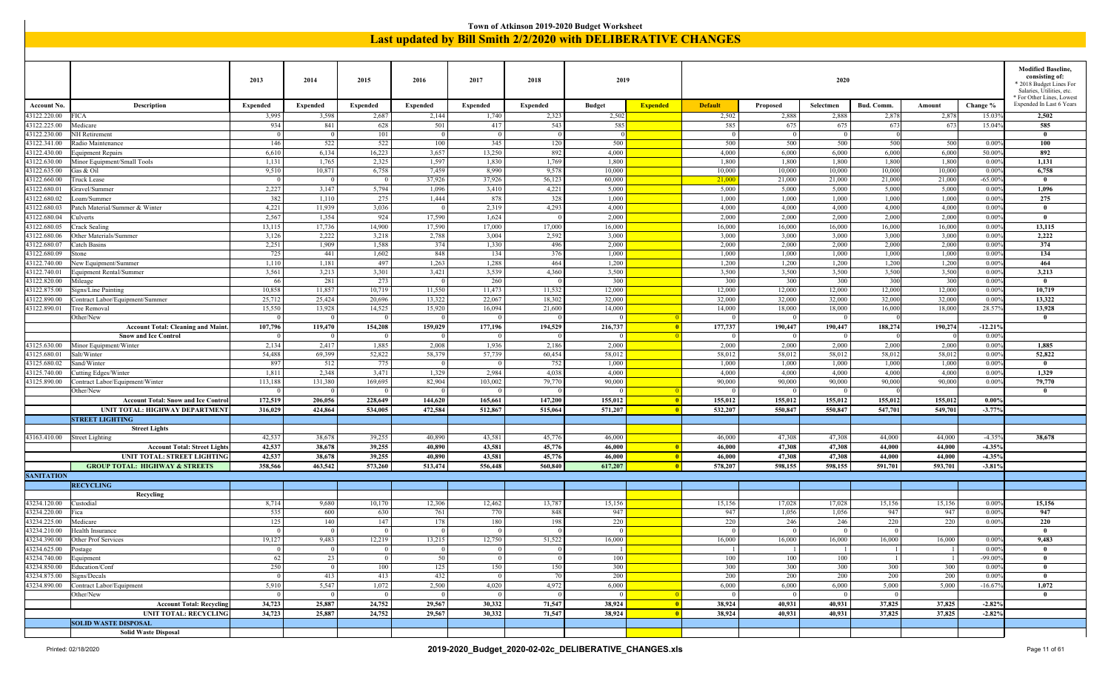|                                                                                                                                                                                                                                                                                                              |                                                                                                                  |                 |                     |                     |                     |                 |                 | Town of Atkinson 2019-2020 Budget Worksheet |                 |                                                               |                 |                 |                 |                 |                             |                                                      |
|--------------------------------------------------------------------------------------------------------------------------------------------------------------------------------------------------------------------------------------------------------------------------------------------------------------|------------------------------------------------------------------------------------------------------------------|-----------------|---------------------|---------------------|---------------------|-----------------|-----------------|---------------------------------------------|-----------------|---------------------------------------------------------------|-----------------|-----------------|-----------------|-----------------|-----------------------------|------------------------------------------------------|
|                                                                                                                                                                                                                                                                                                              |                                                                                                                  |                 |                     |                     |                     |                 |                 |                                             |                 | Last updated by Bill Smith 2/2/2020 with DELIBERATIVE CHANGES |                 |                 |                 |                 |                             |                                                      |
|                                                                                                                                                                                                                                                                                                              |                                                                                                                  |                 |                     |                     |                     |                 |                 |                                             |                 |                                                               |                 |                 |                 |                 |                             |                                                      |
|                                                                                                                                                                                                                                                                                                              |                                                                                                                  |                 |                     |                     |                     |                 |                 |                                             |                 |                                                               |                 |                 |                 |                 |                             |                                                      |
|                                                                                                                                                                                                                                                                                                              |                                                                                                                  |                 |                     |                     |                     |                 |                 |                                             |                 |                                                               |                 |                 |                 |                 |                             | <b>Modified Baseline,</b>                            |
|                                                                                                                                                                                                                                                                                                              |                                                                                                                  | 2013            | 2014                | 2015                | 2016                | 2017            | 2018            | 2019                                        |                 |                                                               |                 | 2020            |                 |                 |                             | consisting of:                                       |
|                                                                                                                                                                                                                                                                                                              |                                                                                                                  |                 |                     |                     |                     |                 |                 |                                             |                 |                                                               |                 |                 |                 |                 |                             | * 2018 Budget Lines For<br>Salaries, Utilities, etc. |
|                                                                                                                                                                                                                                                                                                              |                                                                                                                  |                 |                     |                     |                     |                 |                 |                                             |                 |                                                               |                 |                 |                 |                 |                             | * For Other Lines, Lowest                            |
| Account No.                                                                                                                                                                                                                                                                                                  | Description                                                                                                      | <b>Expended</b> | <b>Expended</b>     | <b>Expended</b>     | <b>Expended</b>     | <b>Expended</b> | <b>Expended</b> | <b>Budget</b>                               | <b>Expended</b> | <b>Default</b>                                                | Proposed        | Selectmen       | Bud. Comm.      | Amount          | Change %                    | Expended In Last 6 Years                             |
| 43122.220.00                                                                                                                                                                                                                                                                                                 | <b>FICA</b>                                                                                                      | 3,995           | 3,598               | 2,687               | 2,144               | 1,740           | 2,323           | 2,502                                       |                 | 2,502                                                         | 2,888           | 2,888           | 2,878           | 2,878           | 15.039                      | 2,502                                                |
| 43122.225.00                                                                                                                                                                                                                                                                                                 | Medicare                                                                                                         | 934             | 841                 | 628                 | 501                 | 417             | 543             | 585                                         |                 | 585                                                           | 675             | 675             | 673             | 673             | 15.04%                      | 585                                                  |
| 43122.230.00                                                                                                                                                                                                                                                                                                 | NH Retirement                                                                                                    |                 | $\Omega$            | 101                 | $\Omega$            | $\Omega$        |                 |                                             |                 | $^{\circ}$                                                    | $\overline{0}$  |                 |                 |                 |                             | $\mathbf{0}$                                         |
| 43122.341.00                                                                                                                                                                                                                                                                                                 | Radio Maintenance                                                                                                | 146             | 522                 | 522                 | 100                 | 345             | 120             | 500                                         |                 | 500                                                           | 500             | 500             | 500             | 500             | 0.009                       | 100                                                  |
| 43122.430.00                                                                                                                                                                                                                                                                                                 | Equipment Repairs                                                                                                | 6,610           | 6,134               | 16,223              | 3,657               | 13,250          | 892             | 4,000                                       |                 | 4,000                                                         | 6,000           | 6,000           | 6,000           | 6,000           | 50.00 <sup>o</sup>          | 892                                                  |
| 43122.630.00                                                                                                                                                                                                                                                                                                 | Minor Equipment/Small Tools                                                                                      | 1,131           | 1,765<br>10,871     | 2,325               | 1,597<br>7,459      | 1,830<br>8,990  | 1,769<br>9,57   | 1,800<br>10,000                             |                 | 1,800<br>10,000                                               | 1,800<br>10,000 | 1,800<br>10,000 | 1,800<br>10,000 | 1,800<br>10,000 | 0.009<br>0.009              | 1,131<br>6,758                                       |
| 43122.635.00<br>43122.660.00                                                                                                                                                                                                                                                                                 | Gas & Oil<br>Fruck Lease                                                                                         | 9,510           | $\Omega$            | 6,758<br>$\Omega$   | 37,926              | 37,926          | 56,123          | 60,000                                      |                 | 21,000                                                        | 21,000          | 21,000          | 21,000          | 21,000          | $-65.009$                   | $\theta$                                             |
| 43122.680.01                                                                                                                                                                                                                                                                                                 | Gravel/Summer                                                                                                    | 2,227           | 3,147               | 5,794               | 1,096               | 3,410           | 4,221           | 5,000                                       |                 | 5,000                                                         | 5,000           | 5,000           | 5,000           | 5,000           | 0.009                       | 1,096                                                |
| 43122.680.02                                                                                                                                                                                                                                                                                                 | Loam/Summer                                                                                                      | 382             | 1,110               | 275                 | 1,444               | 878             | 328             | 1,000                                       |                 | 1,000                                                         | 1,000           | 1,000           | 1,000           | 1,000           | 0.009                       | 275                                                  |
| 43122.680.03                                                                                                                                                                                                                                                                                                 | Patch Material/Summer & Winter                                                                                   | 4,221           | 11,939              | 3,036               |                     | 2,319           | 4,293           | 4,000                                       |                 | 4,000                                                         | 4,000           | 4,000           | 4,000           | 4,000           | 0.009                       | $\bf{0}$                                             |
| 43122.680.04                                                                                                                                                                                                                                                                                                 | Culverts                                                                                                         | 2,567           | 1,354               | 924                 | 17,590              | 1,624           |                 | 2,000                                       |                 | 2,000                                                         | 2,000           | 2,000           | 2,000           | 2,000           | 0.009                       | $\mathbf{0}$                                         |
| 43122.680.05                                                                                                                                                                                                                                                                                                 | Crack Sealing                                                                                                    | 13,115          | 17,736              | 14,900              | 17,590              | 17,000          | 17,000          | 16,000                                      |                 | 16,000                                                        | 16,000          | 16,000          | 16,000          | 16,000          | 0.009                       | 13,115                                               |
| 2,222<br>2,592<br>3,000<br>43122.680.06<br>Other Materials/Summer<br>3,126<br>3,218<br>2,788<br>3,004<br>3,000<br>3,000<br>3,000<br>3,000<br>3,000<br>0.009<br>43122.680.07<br>2,251<br>1,909<br>1,588<br>374<br>1,330<br>496<br>2,000<br>2,000<br>2,000<br>Catch Basins<br>2,000<br>2,000<br>2,000<br>0.009 |                                                                                                                  |                 |                     |                     |                     |                 |                 |                                             |                 |                                                               |                 |                 |                 |                 | 2,222                       |                                                      |
|                                                                                                                                                                                                                                                                                                              | 725<br>376<br>441<br>1,602<br>848<br>134<br>1,000<br>1,000<br>1,000<br>1,000<br>1,000<br>1,000<br>0.009<br>stone |                 |                     |                     |                     |                 |                 |                                             |                 |                                                               |                 |                 |                 |                 |                             | 374                                                  |
| 43122.680.09                                                                                                                                                                                                                                                                                                 |                                                                                                                  |                 |                     |                     |                     |                 |                 |                                             |                 |                                                               |                 |                 |                 |                 |                             | 134                                                  |
| 43122.740.00                                                                                                                                                                                                                                                                                                 | New Equipment/Summer                                                                                             | 1,110           | 1,181               | 497                 | 1,263               | 1,288           | 464             | 1,200                                       |                 | 1,200                                                         | 1,200           | 1,200           | 1,200           | 1,200           | 0.009                       | 464                                                  |
| 43122.740.01                                                                                                                                                                                                                                                                                                 | Equipment Rental/Summer                                                                                          | 3,561           | 3,213               | 3,301               | 3,421               | 3,539           | 4,360           | 3,500                                       |                 | 3,500                                                         | 3,500           | 3,500           | 3,500           | 3,500           | 0.009                       | 3,213                                                |
| 43122.820.00                                                                                                                                                                                                                                                                                                 | Mileage                                                                                                          | 66              | 281                 | 273                 | $\theta$            | 260             |                 | 300                                         |                 | 300                                                           | 300             | 300             | 300             | 300             | 0.009                       | $\bf{0}$                                             |
| 43122.875.00                                                                                                                                                                                                                                                                                                 | Signs/Line Painting                                                                                              | 10,858          | 11,857              | 10,719              | 11,550              | 11,473          | 11,532          | 12,000                                      |                 | 12,000                                                        | 12,000          | 12,000          | 12,000          | 12,000          | 0.009                       | 10,719                                               |
| 43122.890.00                                                                                                                                                                                                                                                                                                 | Contract Labor/Equipment/Summer                                                                                  | 25,712          | 25,424              | 20,696              | 13,322              | 22,067          | 18,302          | 32,000                                      |                 | 32,000                                                        | 32,000          | 32,000          | 32,000          | 32,000          | 0.009                       | 13,322                                               |
| 43122.890.01                                                                                                                                                                                                                                                                                                 | Tree Removal                                                                                                     | 15,550          | 13,928              | 14,525              | 15,920              | 16,094          | 21,60           | 14,000                                      |                 | 14,000                                                        | 18,000          | 18,000          | 16,000          | 18,000          | 28.579                      | 13,928                                               |
|                                                                                                                                                                                                                                                                                                              | Other/New                                                                                                        | $\Omega$        | $\Omega$<br>119,470 | $\Omega$<br>154,208 | $\Omega$<br>159,029 | $\Omega$        | 194,529         | $\Omega$                                    |                 | $\Omega$                                                      | $\overline{0}$  | $\Omega$        | 188,274         | 190,274         |                             | $\bf{0}$                                             |
|                                                                                                                                                                                                                                                                                                              | <b>Account Total: Cleaning and Maint.</b><br><b>Snow and Ice Control</b>                                         | 107,796         |                     |                     |                     | 177,196         |                 | 216,737<br>$\Omega$                         |                 | 177,737                                                       | 190,447<br>- 0  | 190,447<br>- 0  |                 |                 | $-12.219$<br>$0.00^{\circ}$ |                                                      |
| 43125.630.00                                                                                                                                                                                                                                                                                                 | Minor Equipment/Winter                                                                                           | 2,134           | 2,417               | 1,885               | 2,008               | 1,936           | 2,186           | 2,000                                       |                 | 2,000                                                         | 2,000           | 2,000           | 2,000           | 2,000           | 0.009                       | 1,885                                                |
| 43125.680.01                                                                                                                                                                                                                                                                                                 | Salt/Winter                                                                                                      | 54,488          | 69,399              | 52,822              | 58,379              | 57,739          | 60,454          | 58,012                                      |                 | 58,012                                                        | 58,012          | 58,012          | 58,012          | 58,012          | 0.009                       | 52,822                                               |
| 43125.680.02                                                                                                                                                                                                                                                                                                 | Sand/Winter                                                                                                      | 897             | 512                 | 775                 |                     |                 | 752             | 1,000                                       |                 | 1,000                                                         | 1,000           | 1,000           | 1,000           | 1,000           | 0.009                       | $\mathbf{0}$                                         |
| 43125.740.00                                                                                                                                                                                                                                                                                                 | Cutting Edges/Winter                                                                                             | 1,811           | 2,348               | 3,471               | 1,329               | 2,984           | 4,038           | 4,000                                       |                 | 4,000                                                         | 4,000           | 4,000           | 4,000           | 4,000           | 0.009                       | 1,329                                                |
| 43125.890.00                                                                                                                                                                                                                                                                                                 | Contract Labor/Equipment/Winter                                                                                  | 113,188         | 131,380             | 169,695             | 82,904              | 103,002         | 79,77           | 90,000                                      |                 | 90,000                                                        | 90,000          | 90,000          | 90,000          | 90,000          | 0.009                       | 79,770                                               |
|                                                                                                                                                                                                                                                                                                              | Other/New                                                                                                        | $\Omega$        | 0 <sup>1</sup>      | $\Omega$            | $\Omega$            | $\Omega$        |                 | $\Omega$                                    |                 | $\Omega$                                                      | $\Omega$        | $\Omega$        |                 |                 |                             | $\mathbf{0}$                                         |
|                                                                                                                                                                                                                                                                                                              | <b>Account Total: Snow and Ice Control</b>                                                                       | 172,519         | 206,056             | 228,649             | 144,620             | 165,661         | 147,200         | 155,012                                     |                 | 155,012                                                       | 155,012         | 155,012         | 155,012         | 155,012         | $0.00\%$                    |                                                      |
|                                                                                                                                                                                                                                                                                                              | UNIT TOTAL: HIGHWAY DEPARTMENT                                                                                   | 316,029         | 424,864             | 534,005             | 472,584             | 512,867         | 515,064         | 571,207                                     |                 | 532,207                                                       | 550,847         | 550,847         | 547,701         | 549,701         | $-3.77%$                    |                                                      |
|                                                                                                                                                                                                                                                                                                              | <b>STREET LIGHTING</b>                                                                                           |                 |                     |                     |                     |                 |                 |                                             |                 |                                                               |                 |                 |                 |                 |                             |                                                      |
|                                                                                                                                                                                                                                                                                                              | <b>Street Lights</b>                                                                                             |                 |                     |                     |                     |                 |                 |                                             |                 |                                                               |                 |                 |                 |                 |                             |                                                      |
| 43163.410.00                                                                                                                                                                                                                                                                                                 | Street Lighting                                                                                                  | 42,537          | 38,678              | 39,255              | 40,890              | 43,581          | 45,77           | 46,000                                      |                 | 46,000                                                        | 47,308          | 47,308          | 44,000          | 44,000          | $-4.359$                    | 38,678                                               |
|                                                                                                                                                                                                                                                                                                              | <b>Account Total: Street Lights</b>                                                                              | 42,537          | 38,678              | 39,255              | 40,890              | 43,581          | 45,77           | 46,000                                      |                 | 46,000                                                        | 47,308          | 47,308          | 44,000          | 44,000          | $-4.35%$                    |                                                      |
|                                                                                                                                                                                                                                                                                                              | UNIT TOTAL: STREET LIGHTING                                                                                      | 42,537          | 38,678              | 39,255              | 40,890              | 43,581          | 45,77           | 46,000                                      | - 0             | 46,000                                                        | 47,308          | 47,308          | 44,000          | 44,000          | $-4.35%$                    |                                                      |
|                                                                                                                                                                                                                                                                                                              | <b>GROUP TOTAL: HIGHWAY &amp; STREETS</b>                                                                        | 358,566         | 463,542             | 573,260             | 513,474             | 556,448         | 560,840         | 617,207                                     |                 | 578,207                                                       | 598,155         | 598,155         | 591,701         | 593,701         | $-3.81%$                    |                                                      |
| <b>SANITATION</b>                                                                                                                                                                                                                                                                                            |                                                                                                                  |                 |                     |                     |                     |                 |                 |                                             |                 |                                                               |                 |                 |                 |                 |                             |                                                      |
|                                                                                                                                                                                                                                                                                                              | <b>RECYCLING</b>                                                                                                 |                 |                     |                     |                     |                 |                 |                                             |                 |                                                               |                 |                 |                 |                 |                             |                                                      |
| 43234.120.00                                                                                                                                                                                                                                                                                                 | Recycling<br>Custodial                                                                                           | 8,714           | 9,680               | 10,170              | 12,306              | 12,462          | 13,787          | 15,156                                      |                 | 15,156                                                        | 17,028          | 17,028          | 15,156          | 15,156          | 0.009                       | 15,156                                               |
| 43234.220.00 Fica                                                                                                                                                                                                                                                                                            |                                                                                                                  | 535             | 600                 | 630                 | 761                 | 770             | 848             | 947                                         |                 | 947                                                           | 1,056           | 1,056           | 947             | 947             | 0.009                       | 947                                                  |
| 43234.225.00   Medicare                                                                                                                                                                                                                                                                                      |                                                                                                                  | 125             | 140                 | 147                 | 178                 | 180             | 198             | 220                                         |                 | 220                                                           | 246             | 246             | 220             | 220             | $0.00\%$                    | 220                                                  |
|                                                                                                                                                                                                                                                                                                              | 43234.210.00 Health Insurance                                                                                    | $\theta$        | $\vert$ 0           | $\overline{0}$      | $\overline{0}$      | $\overline{0}$  |                 | $\overline{0}$                              |                 | $\theta$                                                      | $\overline{0}$  | $\Omega$        | $\overline{0}$  |                 |                             | $\mathbf{0}$                                         |
|                                                                                                                                                                                                                                                                                                              | 43234.390.00 Other Prof Services                                                                                 | 19,127          | 9,483               | 12,219              | 13,215              | 12,750          | 51,522          | 16,000                                      |                 | 16,000                                                        | 16,000          | 16,000          | 16,000          | 16,000          | 0.00%                       | 9,483                                                |
| 43234.625.00 Postage                                                                                                                                                                                                                                                                                         |                                                                                                                  | $\theta$        | 0 <sup>1</sup>      | $\overline{0}$      | $\bf{0}$            | $\bf{0}$        |                 | -1                                          |                 |                                                               | -1              |                 |                 |                 | 0.009                       | $\mathbf{0}$                                         |
| 43234.740.00 Equipment                                                                                                                                                                                                                                                                                       |                                                                                                                  | 62              | 23                  | $\bf{0}$            | 50                  | $\overline{0}$  |                 | 100                                         |                 | 100                                                           | 100             | 100             |                 |                 | $-99.009$                   | $\mathbf{0}$                                         |
|                                                                                                                                                                                                                                                                                                              | 43234.850.00 Education/Conf                                                                                      | 250             | 0 <sup>1</sup>      | 100                 | 125                 | 150             | 150             | 300                                         |                 | 300                                                           | 300             | 300             | 300             | 300             | 0.009                       | $\mathbf{0}$                                         |
| 43234.875.00 Signs/Decals                                                                                                                                                                                                                                                                                    |                                                                                                                  | $\overline{0}$  | 413                 | 413                 | 432                 | $\overline{0}$  | 7(              | 200                                         |                 | 200                                                           | 200             | 200             | 200             | 200             | 0.009                       | $\bf{0}$                                             |
|                                                                                                                                                                                                                                                                                                              | 43234.890.00 Contract Labor/Equipment                                                                            | 5,910           | 5,547               | 1,072               | 2,500               | 4,020           | 4,972           | 6,000                                       |                 | 6,000                                                         | 6,000           | 6,000           | 5,000           | 5,000           | $-16.679$                   | 1,072                                                |
|                                                                                                                                                                                                                                                                                                              | Other/New                                                                                                        | $\Omega$        | 0 <sup>1</sup>      | $\overline{0}$      | $\Omega$            | $\Omega$        |                 | $\Omega$                                    |                 | $\Omega$                                                      | $\overline{0}$  | $\Omega$        | $\Omega$        |                 |                             | $\bf{0}$                                             |
|                                                                                                                                                                                                                                                                                                              | <b>Account Total: Recycling</b>                                                                                  | 34,723          | 25,887              | 24,752              | 29,567              | 30,332          | 71,547          | 38,924                                      |                 | 38,924                                                        | 40,931          | 40,931          | 37,825          | 37,825          | $-2.82%$                    |                                                      |
|                                                                                                                                                                                                                                                                                                              | <b>UNIT TOTAL: RECYCLING</b>                                                                                     | 34,723          | 25,887              | 24,752              | 29,567              | 30,332          | 71,547          | 38,924                                      |                 | 38,924                                                        | 40,931          | 40,931          | 37,825          | 37,825          | $-2.82%$                    |                                                      |
|                                                                                                                                                                                                                                                                                                              | <b>SOLID WASTE DISPOSAL</b>                                                                                      |                 |                     |                     |                     |                 |                 |                                             |                 |                                                               |                 |                 |                 |                 |                             |                                                      |
|                                                                                                                                                                                                                                                                                                              | <b>Solid Waste Disposal</b>                                                                                      |                 |                     |                     |                     |                 |                 |                                             |                 |                                                               |                 |                 |                 |                 |                             |                                                      |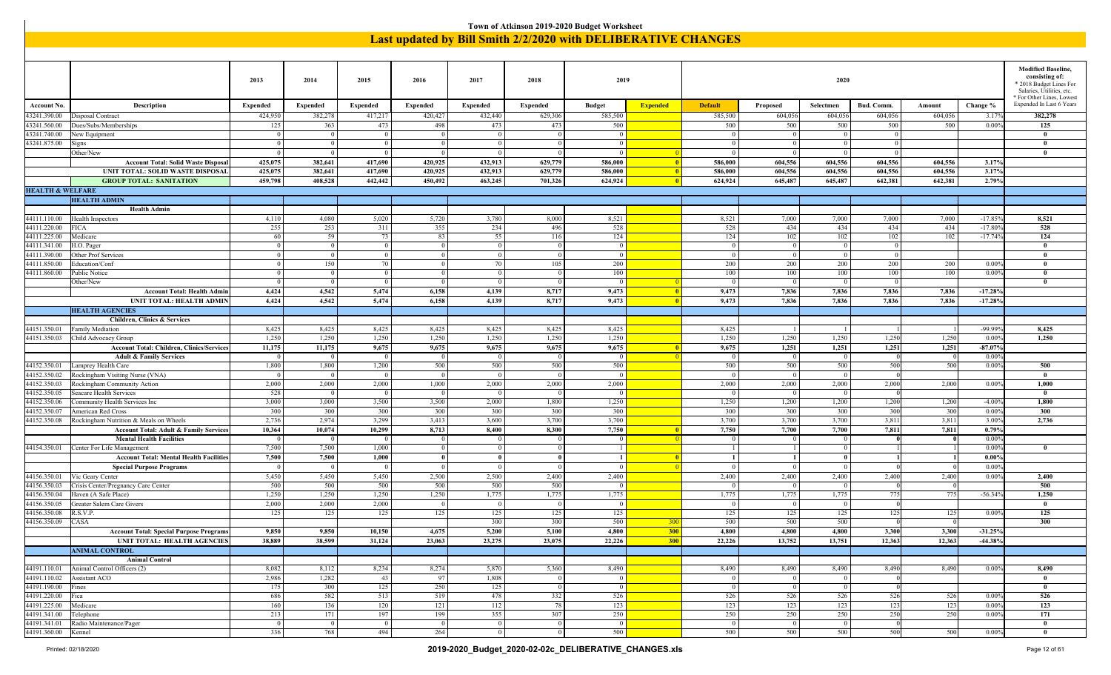|                                         |                                                                |                      |                            |                      |                 |                      | Town of Atkinson 2019-2020 Budget Worksheet |                        |                 |                                                               |                        |                       |                 |                 |                        |                                                                                                                                  |
|-----------------------------------------|----------------------------------------------------------------|----------------------|----------------------------|----------------------|-----------------|----------------------|---------------------------------------------|------------------------|-----------------|---------------------------------------------------------------|------------------------|-----------------------|-----------------|-----------------|------------------------|----------------------------------------------------------------------------------------------------------------------------------|
|                                         |                                                                |                      |                            |                      |                 |                      |                                             |                        |                 | Last updated by Bill Smith 2/2/2020 with DELIBERATIVE CHANGES |                        |                       |                 |                 |                        |                                                                                                                                  |
|                                         |                                                                |                      |                            |                      |                 |                      |                                             |                        |                 |                                                               |                        |                       |                 |                 |                        |                                                                                                                                  |
|                                         |                                                                | 2013                 | 2014                       | 2015                 | 2016            | 2017                 | 2018                                        | 2019                   |                 |                                                               |                        | 2020                  |                 |                 |                        | <b>Modified Baseline,</b><br>consisting of:<br>* 2018 Budget Lines For<br>Salaries, Utilities, etc.<br>* For Other Lines, Lowest |
| Account No.                             | Description                                                    | <b>Expended</b>      | <b>Expended</b>            | <b>Expended</b>      | <b>Expended</b> | <b>Expended</b>      | <b>Expended</b>                             | <b>Budget</b>          | <b>Expended</b> | <b>Default</b>                                                | Proposed               | Selectmen             | Bud. Comm.      | Amount          | Change %               | Expended In Last 6 Years                                                                                                         |
| 43241.390.00                            | Disposal Contract                                              | 424,950              | 382,278                    | 417,217              | 420,427         | 432,440              | 629,306                                     | 585,500                |                 | 585,500                                                       | 604,056                | 604,056               | 604,056         | 604,056         | 3.179                  | 382,278                                                                                                                          |
| 43241.560.00                            | Dues/Subs/Memberships                                          | 125                  | 363                        | 473                  | 498             | 473                  | 473                                         | 500                    |                 | 500                                                           | 500                    | 500                   | 500             | 500             | 0.009                  | 125                                                                                                                              |
| 43241.740.00<br>43241.875.00            | New Equipment                                                  | $\Omega$<br>$\Omega$ | $\Omega$<br>$\overline{0}$ | $\Omega$<br>$\Omega$ | $\Omega$        | $\Omega$<br>$\Omega$ |                                             | $\Omega$<br>$\Omega$   |                 | $\Omega$<br>$\Omega$                                          | $\Omega$<br> 0         | $\Omega$              | $\Omega$        |                 |                        | $\mathbf{0}$<br>$\theta$                                                                                                         |
|                                         | Signs<br>Other/New                                             | $\Omega$             | 0 <sup>1</sup>             | $\overline{0}$       | $\overline{0}$  | $\overline{0}$       |                                             | $\Omega$               |                 | $\Omega$                                                      | $\Omega$               | $\overline{0}$        | $\overline{0}$  |                 |                        | $\mathbf{0}$                                                                                                                     |
|                                         | <b>Account Total: Solid Waste Disposal</b>                     | 425,075              | 382,641                    | 417,690              | 420,925         | 432,913              | 629,779                                     | 586,000                | - 0             | 586,000                                                       | 604,556                | 604,556               | 604,556         | 604,556         | 3.17%                  |                                                                                                                                  |
|                                         | UNIT TOTAL: SOLID WASTE DISPOSAL                               | 425,075              | 382,641                    | 417,690              | 420,925         | 432,913              | 629,779                                     | 586,000                |                 | 586,000                                                       | 604,556                | 604,556               | 604,556         | 604,556         | 3.17%                  |                                                                                                                                  |
|                                         | <b>GROUP TOTAL: SANITATION</b>                                 | 459,798              | 408,528                    | 442,442              | 450,492         | 463,245              | 701,326                                     | 624,924                |                 | 624,924                                                       | 645,487                | 645,487               | 642,381         | 642,381         | 2.79%                  |                                                                                                                                  |
| <b>HEALTH &amp; WELFARE</b>             |                                                                |                      |                            |                      |                 |                      |                                             |                        |                 |                                                               |                        |                       |                 |                 |                        |                                                                                                                                  |
|                                         | <b>HEALTH ADMIN</b>                                            |                      |                            |                      |                 |                      |                                             |                        |                 |                                                               |                        |                       |                 |                 |                        |                                                                                                                                  |
|                                         | <b>Health Admin</b>                                            |                      |                            |                      |                 |                      |                                             |                        |                 |                                                               |                        |                       |                 |                 |                        |                                                                                                                                  |
| 44111.110.00<br>44111.220.00            | Health Inspectors<br>FICA                                      | 4,110<br>255         | 4,080<br>253               | 5,020<br>311         | 5,720<br>355    | 3,780<br>234         | 8,000<br>496                                | 8,521<br>528           |                 | 8,521<br>528                                                  | 7,000<br>434           | 7,000<br>434          | 7,000<br>434    | 7,000<br>434    | $-17.859$<br>$-17.809$ | 8,521<br>528                                                                                                                     |
| 44111.225.00                            | Medicare                                                       | 60                   | 59                         | 73                   | 83              | 55                   | 11(                                         | 124                    |                 | 124                                                           | 102                    | 102                   | 102             | 102             | $-17.749$              | 124                                                                                                                              |
| 44111.341.00                            | H.O. Pager                                                     | $\theta$             | $\overline{0}$             | $\overline{0}$       | $\overline{0}$  | $\overline{0}$       |                                             | $\overline{0}$         |                 | $\overline{0}$                                                | $\vert 0 \vert$        | $\Omega$              | $\overline{0}$  |                 |                        | $\mathbf{0}$                                                                                                                     |
| 44111.390.00                            | Other Prof Services                                            | $\overline{0}$       | $\overline{0}$             | $\overline{0}$       | $\Omega$        | $\overline{0}$       |                                             | $\overline{0}$         |                 | $\overline{0}$                                                | $\vert 0 \vert$        | $\bf{0}$              | $\overline{0}$  |                 |                        | $\mathbf{0}$                                                                                                                     |
| 44111.850.00                            | Education/Conf                                                 | $\theta$             | 150                        | 70                   |                 | 70                   | $10^3$                                      | 200                    |                 | 200                                                           | 200                    | 200                   | 200             | 200             | 0.009                  | $\mathbf{0}$                                                                                                                     |
| 44111.860.00                            | Public Notice                                                  | $\Omega$             | $\Omega$                   | $\Omega$             |                 | $\Omega$             |                                             | 100                    |                 | 100                                                           | 100                    | 100                   | 100             | 100             | 0.009                  | $\mathbf{0}$                                                                                                                     |
|                                         | Other/New                                                      | $\theta$             | 0 <sup>1</sup>             | $\overline{0}$       | $\Omega$        | $\overline{0}$       |                                             | $\overline{0}$         |                 | $\overline{0}$                                                | $\overline{0}$         | $\Omega$              | $\Omega$        |                 |                        | $\mathbf{0}$                                                                                                                     |
|                                         | <b>Account Total: Health Admin</b><br>UNIT TOTAL: HEALTH ADMIN | 4,424<br>4,424       | 4,542<br>4,542             | 5,474<br>5,474       | 6,158<br>6,158  | 4,139<br>4,139       | 8,717<br>8,717                              | 9,473<br>9,473         | -0              | 9,473<br>9,473                                                | 7,836<br>7,836         | 7,836<br>7,836        | 7,836<br>7,836  | 7,836<br>7,836  | $-17.289$<br>$-17.28%$ |                                                                                                                                  |
|                                         | <b>HEALTH AGENCIES</b>                                         |                      |                            |                      |                 |                      |                                             |                        |                 |                                                               |                        |                       |                 |                 |                        |                                                                                                                                  |
|                                         | <b>Children, Clinics &amp; Services</b>                        |                      |                            |                      |                 |                      |                                             |                        |                 |                                                               |                        |                       |                 |                 |                        |                                                                                                                                  |
| 44151.350.01                            | Family Mediation                                               | 8,425                | 8,425                      | 8,425                | 8,425           | 8,425                | 8,425                                       | 8,425                  |                 | 8,425                                                         |                        |                       |                 |                 | $-99.999$              | 8,425                                                                                                                            |
| 44151.350.03                            | Child Advocacy Group                                           | 1,250                | 1,250                      | 1,250                | 1,250           | 1,250                | 1,250                                       | 1,250                  |                 | 1,250                                                         | 1,250                  | 1,250                 | 1,250           | 1,250           | 0.009                  | 1,250                                                                                                                            |
|                                         | <b>Account Total: Children, Clinics/Services</b>               | 11,175               | 11,175                     | 9,675                | 9,675           | 9,675                | 9,675                                       | 9,675                  |                 | 9,675                                                         | 1,251                  | 1,251                 | 1,251           | 1,251           | $-87.079$              |                                                                                                                                  |
|                                         | <b>Adult &amp; Family Services</b>                             | $\Omega$             | 0 <sup>1</sup>             | $\Omega$             | $\Omega$        | $\Omega$             |                                             | $\Omega$               |                 | $\Omega$                                                      | $\overline{0}$         | $\Omega$              |                 |                 | 0.009                  |                                                                                                                                  |
| 44152.350.01                            | Lamprey Health Care<br>Rockingham Visiting Nurse (VNA)         | 1,800<br>$\Omega$    | 1,800<br>$\overline{0}$    | 1,200<br>$\Omega$    | 500<br>$\Omega$ | 500<br>$\Omega$      | 500                                         | 500<br>$\overline{0}$  |                 | 500<br>$\overline{0}$                                         | 500<br>$\vert 0 \vert$ | 500<br>$\Omega$       | 500             | 500             | 0.009                  | 500<br>$\mathbf{0}$                                                                                                              |
| 44152.350.02<br>44152.350.03            | Rockingham Community Action                                    | 2,000                | 2,000                      | 2,000                | 1,000           | 2,000                | 2,000                                       | 2,000                  |                 | 2,000                                                         | 2,000                  | 2,000                 | 2,000           | 2,000           | 0.009                  | 1,000                                                                                                                            |
| 44152.350.05                            | Seacare Health Services                                        | 528                  | $\Omega$                   | $\Omega$             | $\Omega$        | $\Omega$             |                                             | $\Omega$               |                 |                                                               | $\overline{0}$         | $\Omega$              |                 |                 |                        | $\mathbf{0}$                                                                                                                     |
| 44152.350.06                            | Community Health Services Inc                                  | 3,000                | 3,000                      | 3,500                | 3,500           | 2,000                | 1,800                                       | 1,250                  |                 | 1,250                                                         | 1,200                  | 1,200                 | 1,200           | 1,200           | $-4.009$               | 1,800                                                                                                                            |
| 44152.350.07                            | American Red Cross                                             | 300                  | 300                        | 300                  | 300             | 300                  | 300                                         | 300                    |                 | 300                                                           | 300                    | 300                   | 300             | 300             | 0.009                  | 300                                                                                                                              |
| 44152.350.08                            | Rockingham Nutrition & Meals on Wheels                         | 2,736                | 2,974                      | 3,299                | 3,413           | 3,600                | 3,700                                       | 3,700                  |                 | 3,700                                                         | 3,700                  | 3,700                 | 3,811           | 3,811           | 3.00%                  | 2,736                                                                                                                            |
|                                         | Account Total: Adult & Family Services                         | 10,364               | 10,074                     | 10,299               | 8,713           | 8,400                | 8,300                                       | 7,750                  |                 | 7,750                                                         | 7,700                  | 7,700                 | 7,811           | 7,811           | 0.79%                  |                                                                                                                                  |
| 44154.350.01                            | <b>Mental Health Facilities</b><br>Center For Life Management  | 7,500                | $\Omega$<br>7,500          | $\Omega$<br>1,000    | $\Omega$        | $\overline{0}$       |                                             | $\Omega$<br>$1\vert$   |                 | $\mathbf{0}$<br>1                                             | $\overline{0}$<br>-1   | $\Omega$<br> 0        |                 |                 | 0.009<br>0.009         | $\mathbf{0}$                                                                                                                     |
|                                         | <b>Account Total: Mental Health Facilities</b>                 | 7,500                | 7,500                      | 1,000                | $\bf{0}$        | $\bf{0}$             |                                             | $\vert$ 1              |                 | $\vert$ 1                                                     | $\vert$ 1              | $\vert 0 \vert$       |                 |                 | $0.00\%$               |                                                                                                                                  |
|                                         | <b>Special Purpose Programs</b>                                | $\Omega$             | 0 <sup>1</sup>             | $\overline{0}$       | $\overline{0}$  | $\overline{0}$       |                                             | $\vert 0 \vert$        |                 | $\overline{0}$                                                | $\vert$ 0              | 0 <sup>1</sup>        | $\Omega$        |                 | $0.00\%$               |                                                                                                                                  |
| 44156.350.01                            | Vic Geary Center                                               | 5,450                | 5,450                      | 5,450                | 2,500           | 2,500                | 2,400                                       | 2,400                  |                 | 2,400                                                         | 2,400                  | 2,400                 | 2,400           | 2,400           | 0.009                  | 2,400                                                                                                                            |
| 44156.350.03                            | Crisis Center/Pregnancy Care Center                            | 500                  | 500                        | 500                  | 500             | 500                  | 500                                         | $\Omega$               |                 |                                                               | $\overline{0}$         | $\Omega$              |                 |                 |                        | 500                                                                                                                              |
| 44156.350.04                            | Haven (A Safe Place)                                           | 1,250                | 1,250                      | 1,250                | 1,250           | 1,775                | 1,77                                        | 1,775                  |                 | 1,775                                                         | 1,775                  | 1,775                 | 775             | 775             | $-56.349$              | 1,250                                                                                                                            |
| 44156.350.05                            | Greater Salem Care Givers<br>R.S.V.P.                          | 2,000                | 2,000                      | 2,000                | $\Omega$        | $\Omega$             |                                             | $\Omega$               |                 | $\Omega$<br>125                                               | $\Omega$<br>125        | $\Omega$<br>125       |                 |                 |                        | $\theta$<br>125                                                                                                                  |
| 44156.350.08<br>44156.350.09 CASA       |                                                                | 125                  | 125                        | 125                  | 125             | 125<br>300           | 125<br>300                                  | 125<br>500             | 300             | 500                                                           | 500                    | 500                   | 125<br>$\Omega$ | 125<br>$\Omega$ | 0.009                  | 300                                                                                                                              |
|                                         | <b>Account Total: Special Purpose Programs</b>                 | 9,850                | 9,850                      | 10,150               | 4,675           | 5,200                | 5,100                                       | 4,800                  | 300             | 4,800                                                         | 4,800                  | 4,800                 | 3,300           | 3,300           | $-31.25%$              |                                                                                                                                  |
|                                         | <b>UNIT TOTAL: HEALTH AGENCIES</b>                             | 38,889               | 38,599                     | 31,124               | 23,063          | 23,275               | 23,075                                      | 22,226                 | 300             | 22,226                                                        | 13,752                 | 13,751                | 12,363          | 12,363          | $-44.38%$              |                                                                                                                                  |
|                                         | <b>ANIMAL CONTROL</b>                                          |                      |                            |                      |                 |                      |                                             |                        |                 |                                                               |                        |                       |                 |                 |                        |                                                                                                                                  |
|                                         | <b>Animal Control</b>                                          |                      |                            |                      |                 |                      |                                             |                        |                 |                                                               |                        |                       |                 |                 |                        |                                                                                                                                  |
|                                         | $44191.110.01$ Animal Control Officers (2)                     | 8,082                | 8,112                      | 8,234                | 8,274           | 5,870                | 5,360                                       | 8,490                  |                 | 8,490                                                         | 8,490                  | 8,490                 | 8,490           | 8,490           | 0.00%                  | 8,490                                                                                                                            |
|                                         | 44191.110.02   Assistant ACO                                   | 2,986                | 1,282                      | 43                   | 97              | 1,808                |                                             | $\vert 0 \vert$        |                 | $\Omega$                                                      | $\vert 0 \vert$        | $\overline{0}$        |                 |                 |                        | $\bf{0}$                                                                                                                         |
| 44191.190.00 Fines<br>44191.220.00 Fica |                                                                | 175<br>686           | 300<br>582                 | 125<br>513           | 250<br>519      | 125<br>478           | 332                                         | $\vert 0 \vert$<br>526 |                 | $\overline{0}$<br>526                                         | $\vert 0 \vert$<br>526 | $\overline{0}$<br>526 | 526             | 526             | 0.009                  | $\mathbf{0}$<br>526                                                                                                              |
| 44191.225.00 Medicare                   |                                                                | 160                  | 136                        | 120                  | 121             | 112                  | 78                                          | 123                    |                 | 123                                                           | 123                    | 123                   | 123             | 123             | $0.00\%$               | 123                                                                                                                              |
| 44191.341.00 Telephone                  |                                                                | 213                  | 171                        | 197                  | 199             | 355                  | 307                                         | 250                    |                 | 250                                                           | 250                    | 250                   | 250             | 250             | 0.009                  | 171                                                                                                                              |
|                                         | 44191.341.01   Radio Maintenance/Pager                         | $\overline{0}$       | $\vert$ 0                  | $\overline{0}$       | $\overline{0}$  | $\overline{0}$       |                                             | $\overline{0}$         |                 | $\overline{0}$                                                | $\vert 0 \vert$        | $\overline{0}$        | -0              |                 |                        | $\bf{0}$                                                                                                                         |
| 44191.360.00   Kennel                   |                                                                | 336                  | 768                        | 494                  | 264             | $\overline{0}$       |                                             | 500                    |                 | 500                                                           | 500                    | 500                   | 500             | 500             | $0.00\%$               | $\bf{0}$                                                                                                                         |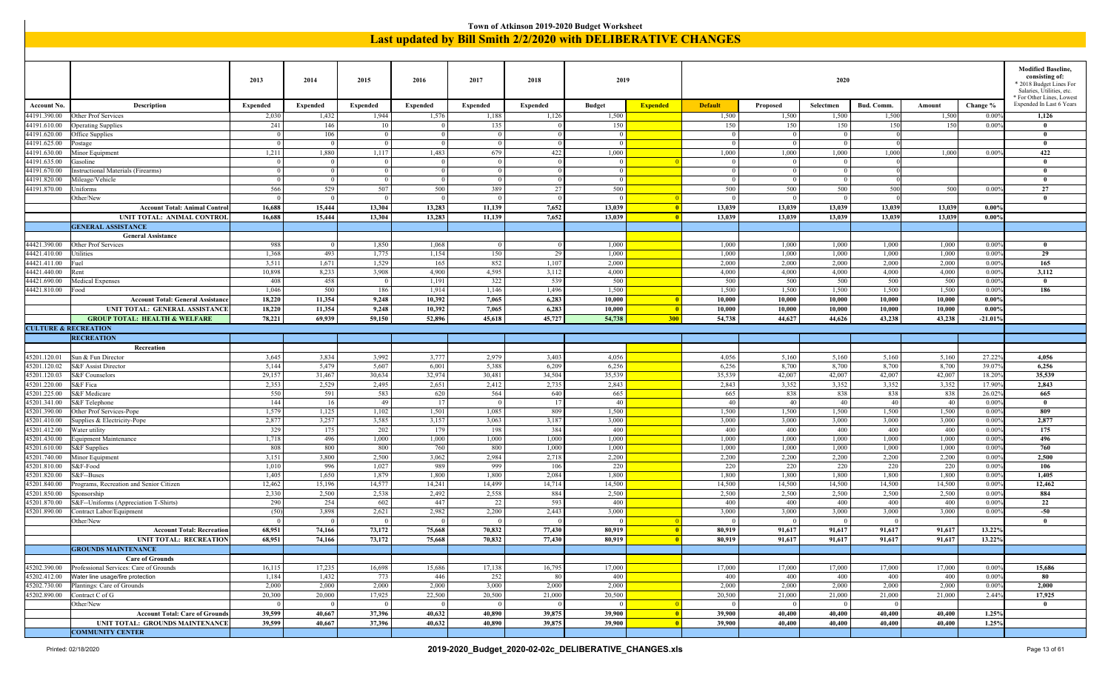|                                 |                                                      |                 |                 |                       |                 |                          |                 | Town of Atkinson 2019-2020 Budget Worksheet                   |                 |                 |                 |                 |                 |                 |                |                                                      |
|---------------------------------|------------------------------------------------------|-----------------|-----------------|-----------------------|-----------------|--------------------------|-----------------|---------------------------------------------------------------|-----------------|-----------------|-----------------|-----------------|-----------------|-----------------|----------------|------------------------------------------------------|
|                                 |                                                      |                 |                 |                       |                 |                          |                 | Last updated by Bill Smith 2/2/2020 with DELIBERATIVE CHANGES |                 |                 |                 |                 |                 |                 |                |                                                      |
|                                 |                                                      |                 |                 |                       |                 |                          |                 |                                                               |                 |                 |                 |                 |                 |                 |                |                                                      |
|                                 |                                                      |                 |                 |                       |                 |                          |                 |                                                               |                 |                 |                 |                 |                 |                 |                |                                                      |
|                                 |                                                      |                 |                 |                       |                 |                          |                 |                                                               |                 |                 |                 |                 |                 |                 |                | <b>Modified Baseline.</b>                            |
|                                 |                                                      | 2013            | 2014            | 2015                  | 2016            | 2017                     | 2018            | 2019                                                          |                 |                 |                 | 2020            |                 |                 |                | consisting of:                                       |
|                                 |                                                      |                 |                 |                       |                 |                          |                 |                                                               |                 |                 |                 |                 |                 |                 |                | * 2018 Budget Lines For<br>Salaries, Utilities, etc. |
|                                 |                                                      |                 |                 |                       |                 |                          |                 |                                                               |                 |                 |                 |                 |                 |                 |                | * For Other Lines, Lowest                            |
| <b>Account No</b>               | Description                                          | <b>Expended</b> | <b>Expended</b> | <b>Expended</b>       | <b>Expended</b> | <b>Expended</b>          | <b>Expended</b> | <b>Budget</b>                                                 | <b>Expended</b> | <b>Default</b>  | Proposed        | Selectmen       | Bud. Comm.      | Amount          | Change %       | Expended In Last 6 Years                             |
| 44191.390.00                    | Other Prof Services                                  | 2,030           | 1,432           | 1,944                 | 1,576           | 1,188                    | 1,126           | 1,500                                                         |                 | 1,500           | 1,500           | 1,500           | 1,500           | 1,500           | 0.00%          | 1,126                                                |
| 44191.610.00                    | <b>Operating Supplies</b>                            | 241             | 146             | 10                    |                 | 135                      |                 | 150                                                           |                 | 150             | 150             | 150             | 150             | 150             | 0.00%          | $\bf{0}$                                             |
| 44191.620.00                    | Office Supplies                                      | $\Omega$        | 106             | $\overline{0}$        | $\Omega$        | $\overline{0}$           |                 | $\Omega$                                                      |                 | $\Omega$        | $\mathbf{0}$    | $\Omega$        |                 |                 |                | $\bf{0}$                                             |
| 44191.625.00                    | Postage                                              | $\Omega$        | $\overline{0}$  | $\overline{0}$        | $\Omega$        | $\overline{0}$           |                 | $\Omega$                                                      |                 | $\Omega$        | $\Omega$        | $\theta$        |                 |                 |                | $\mathbf{0}$                                         |
| 44191.630.00                    | Minor Equipment                                      | 1,211           | 1,880           | 1,117                 | 1,483           | 679                      | 422             | 1,000                                                         |                 | 1,000           | 1,000           | 1,000           | 1,000           | 1,000           | 0.009          | 422                                                  |
| 44191.635.00                    | Gasoline                                             | $\overline{0}$  | $\Omega$        | $\Omega$              |                 | $\overline{0}$           |                 | $\Omega$                                                      |                 | $\overline{0}$  | $\theta$        | $\Omega$        |                 |                 |                | $\bf{0}$                                             |
| 44191.670.00                    | Instructional Materials (Firearms)                   | $\overline{0}$  | $\theta$        | $\Omega$              |                 | $\Omega$                 |                 | $\Omega$                                                      |                 | $\Omega$        | $\theta$        | $\Omega$        |                 |                 |                | $\mathbf{0}$                                         |
| 44191.820.00                    | Mileage/Vehicle                                      | $\Omega$        | $\Omega$        | $\overline{0}$        | $\Omega$        | $\overline{0}$           |                 | $\Omega$                                                      |                 | $\Omega$        | $\Omega$        | $\Omega$        |                 |                 |                | $\mathbf{0}$                                         |
| 44191.870.00                    | Uniforms                                             | 566             | 529             | 507                   | 500             | 389                      | 27              | 500                                                           |                 | 500             | 500             | 500             | 500             | 500             | 0.009          | 27                                                   |
|                                 | Other/New                                            | $\Omega$        | $\Omega$        |                       |                 | $\overline{0}$           |                 | $\Omega$                                                      |                 | $\theta$        | $\Omega$        | $\Omega$        |                 |                 |                | $\bf{0}$                                             |
|                                 | <b>Account Total: Animal Control</b>                 | 16.688          | 15,444          | 13.304                | 13,283          | 11,139                   | 7,652           | 13,039                                                        |                 | 13.039          | 13,039          | 13,039          | 13,039          | 13,039          | 0.009          |                                                      |
|                                 | UNIT TOTAL: ANIMAL CONTROL                           | 16,688          | 15,444          | 13,304                | 13,283          | 11,139                   | 7,652           | 13,039                                                        |                 | 13,039          | 13,039          | 13,039          | 13,039          | 13,039          | $0.00\%$       |                                                      |
|                                 | <b>GENERAL ASSISTANCE</b>                            |                 |                 |                       |                 |                          |                 |                                                               |                 |                 |                 |                 |                 |                 |                |                                                      |
|                                 | <b>General Assistance</b>                            |                 |                 |                       |                 |                          |                 |                                                               |                 |                 |                 |                 |                 |                 |                |                                                      |
| 44421.390.00                    | Other Prof Services                                  | 988             | 0 <sup>1</sup>  | 1,850                 | 1,068           | $\overline{\phantom{0}}$ |                 | 1,000                                                         |                 | 1,000           | 1,000           | 1,000           | 1,000           | 1,000           | 0.009          | $\bf{0}$                                             |
| 44421.410.00                    | Utilities                                            | 1,368           | 493             | 1,775                 | 1,154           | 150                      | 29              | 1,000                                                         |                 | 1,000           | 1,000           | 1,000           | 1,000           | 1,000           | 0.009          | 29                                                   |
| 44421.411.00                    | Fuel                                                 | 3,511           | 1,671           | 1,529                 | 165             | 852                      | 1,107           | 2,000                                                         |                 | 2,000           | 2,000           | 2,000           | 2,000           | 2,000           | 0.009          | 165                                                  |
| 44421.440.00                    | Rent                                                 | 10,898          | 8,233           | 3,908                 | 4,900           | 4,595                    | 3,112           | 4,000                                                         |                 | 4,000           | 4,000           | 4,000           | 4,000           | 4,000           | 0.009          | 3,112<br>$\bf{0}$                                    |
| 44421.690.00<br>44421.810.00    | <b>Medical Expenses</b><br>Food                      | 408<br>1,046    | 458<br>500      | $\overline{0}$<br>186 | 1,191<br>1,914  | 322<br>1,146             | 539<br>1,496    | 500<br>1,500                                                  |                 | 500<br>1,500    | 500<br>1,500    | 500<br>1,500    | 500<br>1,500    | 500<br>1,500    | 0.009<br>0.009 | 186                                                  |
|                                 | <b>Account Total: General Assistanc</b>              | 18,220          | 11,354          | 9,248                 | 10,392          | 7,065                    | 6,283           | 10,000                                                        |                 | 10,000          | 10,000          | 10,000          | 10.000          | 10.000          | 0.00%          |                                                      |
|                                 | UNIT TOTAL: GENERAL ASSISTANCE                       | 18,220          | 11,354          | 9,248                 | 10,392          | 7,065                    | 6,283           | 10,000                                                        |                 | 10,000          | 10,000          | 10,000          | 10,000          | 10,000          | 0.00%          |                                                      |
|                                 | <b>GROUP TOTAL: HEALTH &amp; WELFARE</b>             | 78,221          | 69,939          | 59,150                | 52,896          | 45,618                   | 45,727          | 54,738                                                        | <b>300</b>      | 54,738          | 44,627          | 44,626          | 43,238          | 43,238          | $-21.01%$      |                                                      |
| <b>CULTURE &amp; RECREATION</b> |                                                      |                 |                 |                       |                 |                          |                 |                                                               |                 |                 |                 |                 |                 |                 |                |                                                      |
|                                 | <b>RECREATION</b>                                    |                 |                 |                       |                 |                          |                 |                                                               |                 |                 |                 |                 |                 |                 |                |                                                      |
|                                 | Recreation                                           |                 |                 |                       |                 |                          |                 |                                                               |                 |                 |                 |                 |                 |                 |                |                                                      |
| 15201.120.01                    | Sun & Fun Director                                   | 3,645           | 3,834           | 3,992                 | 3,777           | 2,979                    | 3,403           | 4,056                                                         |                 | 4,056           | 5,160           | 5,160           | 5,160           | 5,160           | 27.22%         | 4,056                                                |
| 45201.120.02                    | <b>S&amp;F</b> Assist Director                       | 5,144           | 5,479           | 5,607                 | 6,001           | 5,388                    | 6,209           | 6,256                                                         |                 | 6,256           | 8,700           | 8,700           | 8,700           | 8,700           | 39.079         | 6,256                                                |
| 45201.120.03                    | S&F Counselors                                       | 29,157          | 31,467          | 30,634                | 32,974          | 30,481                   | 34,504          | 35,539                                                        |                 | 35,539          | 42,007          | 42,007          | 42,007          | 42,007          | 18.20%         | 35,539                                               |
| 45201.220.00                    | S&F Fica                                             | 2,353           | 2,529           | 2,495                 | 2,651           | 2,412                    | 2,735           | 2,843                                                         |                 | 2,843           | 3,352           | 3,352           | 3,352           | 3,352           | 17.90%         | 2,843                                                |
| 15201.225.00                    | S&F Medicare                                         | 550             | 591             | 583                   | 620             | 564                      | 640             | 665                                                           |                 | 665             | 838             | 838             | 838             | 838             | 26.029         | 665                                                  |
| 45201.341.00                    | S&F Telephone                                        | 144             | 16              | 49                    | 17              | $\Omega$                 | $\overline{1}$  | 40                                                            |                 | 40              | 40              | 40              | 40              | 40              | 0.009          | $\bf{0}$                                             |
| 45201.390.00                    | Other Prof Services-Pope                             | 1,579           | 1,125           | 1,102                 | 1,501           | 1,085                    | 809             | 1,500                                                         |                 | 1,500           | 1,500           | 1,500           | 1,500           | 1,500           | 0.00%          | 809                                                  |
| 45201.410.00                    | Supplies & Electricity-Pope                          | 2,877           | 3,257           | 3,585                 | 3,157           | 3,063                    | 3,187           | 3,000                                                         |                 | 3,000           | 3,000           | 3,000           | 3,000           | 3,000           | 0.009          | 2,877                                                |
| 45201.412.00                    | Water utility                                        | 329             | 175             | 202                   | 179             | 198                      | 384             | 400                                                           |                 | 400             | 400             | 400             | 400             | 400             | 0.00%          | 175                                                  |
| 45201.430.00                    | <b>Equipment Maintenance</b>                         | 1,718           | 496             | 1,000                 | 1,000           | 1,000                    | 1,000           | 1,000                                                         |                 | 1,000           | 1,000           | 1,000           | 1,000           | 1,000           | 0.009          | 496                                                  |
| 45201.610.00                    | S&F Supplies                                         | 808             | 800             | 800                   | 760             | 800                      | 1,000           | 1,000                                                         |                 | 1,000           | 1,000           | 1,000           | 1,000           | 1,000           | 0.00%          | 760                                                  |
| 45201.740.00                    | Minor Equipment                                      | 3,151           | 3,800           | 2,500                 | 3,062           | 2,984                    | 2,718           | 2,200                                                         |                 | 2,200           | 2,200           | 2,200           | 2,200           | 2,200           | 0.009          | 2,500                                                |
| 15201.810.00                    | S&F-Food                                             | 1,010           | 996             | 1,027                 | 989             | 999                      | 106             | 220                                                           |                 | 220             | 220             | 220             | 220             | 220             | 0.00%          | 106                                                  |
| 45201.820.00                    | S&F--Buses                                           | 1,405           | 1,650           | 1,879                 | 1,800           | 1,800                    | 2,084           | 1,800                                                         |                 | 1,800           | 1,800           | 1,800           | 1,800           | 1,800           | 0.009          | 1,405                                                |
| 45201.840.00<br>45201.850.00    | Programs, Recreation and Senior Citizen              | 12,462<br>2,330 | 15,196<br>2,500 | 14,577<br>2,538       | 14,241<br>2,492 | 14,499<br>2,558          | 14,714<br>884   | 14,500<br>2,500                                               |                 | 14,500<br>2,500 | 14,500<br>2,500 | 14,500<br>2,500 | 14,500<br>2,500 | 14,500<br>2,500 | 0.00%<br>0.009 | 12,462<br>884                                        |
| 45201.870.00                    | Sponsorship<br>S&F--Uniforms (Appreciation T-Shirts) | 290             | 254             | 602                   | 447             | 22                       | 593             | 400                                                           |                 | 400             | 400             | 400             | 400             | 400             | 0.00%          | 22                                                   |
| 45201.890.00                    | Contract Labor/Equipment                             | (50)            | 3,898           | 2,621                 | 2,982           | 2,200                    | 2,443           | 3,000                                                         |                 | 3,000           | 3,000           | 3,000           | 3,000           | 3,000           | 0.00%          | $-50$                                                |
|                                 | Other/New                                            | $\overline{0}$  | 0 <sup>1</sup>  | $\overline{0}$        | $\overline{0}$  | $\overline{0}$           |                 | - 0                                                           |                 | $\overline{0}$  | $\Omega$        | $\vert$ 0       | $\vert$ 0       |                 |                |                                                      |
|                                 | <b>Account Total: Recreation</b>                     | 68,951          | 74,166          | 73,172                | 75,668          | 70,832                   | 77,430          | 80,919                                                        |                 | 80,919          | 91,617          | 91,617          | 91,617          | 91,617          | 13.22%         |                                                      |
|                                 | <b>UNIT TOTAL: RECREATION</b>                        | 68,951          | 74,166          | 73,172                | 75,668          | 70,832                   | 77,430          | 80,919                                                        |                 | 80,919          | 91,617          | 91,617          | 91,617          | 91,617          | 13.22%         |                                                      |
|                                 | <b>GROUNDS MAINTENANCE</b>                           |                 |                 |                       |                 |                          |                 |                                                               |                 |                 |                 |                 |                 |                 |                |                                                      |
|                                 | <b>Care of Grounds</b>                               |                 |                 |                       |                 |                          |                 |                                                               |                 |                 |                 |                 |                 |                 |                |                                                      |
| 45202.390.00                    | Professional Services: Care of Grounds               | 16,115          | 17,235          | 16,698                | 15,686          | 17,138                   | 16,795          | 17,000                                                        |                 | 17,000          | 17,000          | 17,000          | 17,000          | 17,000          | 0.00%          | 15,686                                               |
| 45202.412.00                    | Water line usage/fire protection                     | 1,184           | 1,432           | 773                   | 446             | 252                      | -80             | 400                                                           |                 | 400             | 400             | 400             | 400             | 400             | 0.00%          | 80                                                   |
|                                 | 45202.730.00 Plantings: Care of Grounds              | 2,000           | 2,000           | 2,000                 | 2,000           | 3,000                    | 2,000           | 2,000                                                         |                 | 2,000           | 2,000           | 2,000           | 2,000           | 2,000           | 0.00%          | 2,000                                                |
| 15202.890.00                    | Contract C of G                                      | 20,300          | 20,000          | 17,925                | 22,500          | 20,500                   | 21,000          | 20,500                                                        |                 | 20,500          | 21,000          | 21,000          | 21,000          | 21,000          | 2.44%          | 17,925                                               |
|                                 | Other/New                                            | $\Omega$        | $\overline{0}$  | $\overline{0}$        | $\overline{0}$  | $\Omega$                 |                 | $\Omega$                                                      |                 | $\Omega$        | $\mathbf{0}$    | $\overline{0}$  | $\bf{0}$        |                 |                | $\bf{0}$                                             |
|                                 | <b>Account Total: Care of Grounds</b>                | 39,599          | 40,667          | 37,396                | 40,632          | 40,890                   | 39,875          | 39,900                                                        |                 | 39,900          | 40,400          | 40,400          | 40,400          | 40,400          | 1.25%          |                                                      |
|                                 | UNIT TOTAL: GROUNDS MAINTENANCE                      | 39,599          | 40,667          | 37,396                | 40,632          | 40,890                   | 39,875          | 39,900                                                        |                 | 39,900          | 40,400          | 40,400          | 40,400          | 40,400          | 1.25%          |                                                      |
|                                 | <b>COMMUNITY CENTER</b>                              |                 |                 |                       |                 |                          |                 |                                                               |                 |                 |                 |                 |                 |                 |                |                                                      |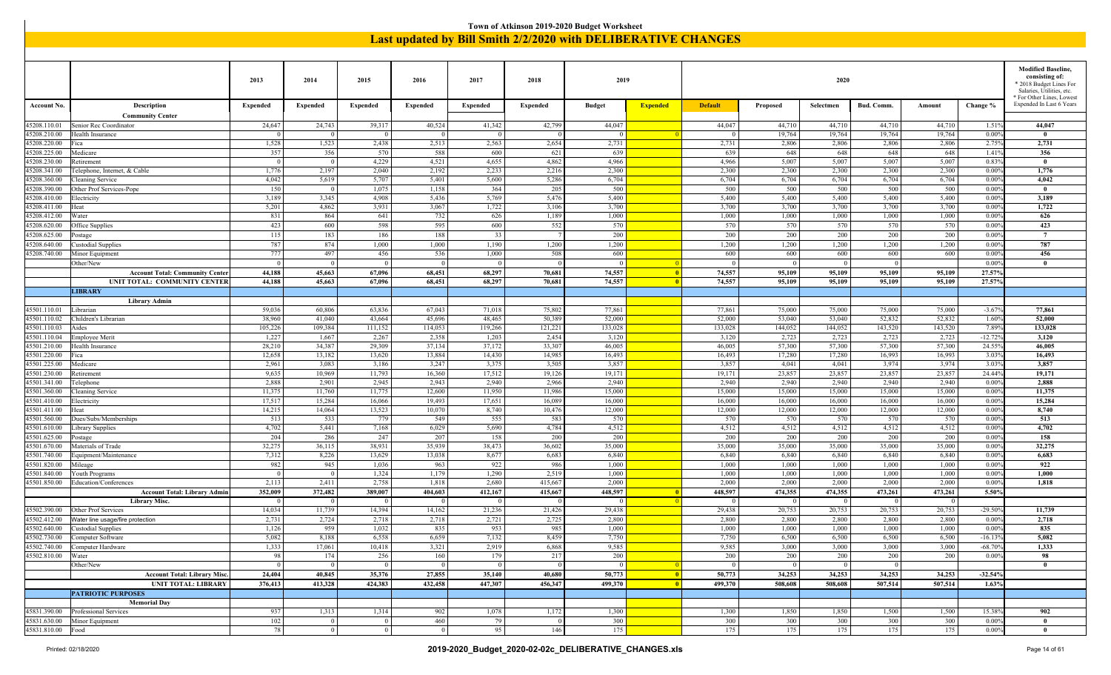|                              | Town of Atkinson 2019-2020 Budget Worksheet<br>Last updated by Bill Smith 2/2/2020 with DELIBERATIVE CHANGES |                       |                    |                       |                   |                   |                 |                       |                          |                    |                       |                  |                       |                    |                     |                                                                                                                              |
|------------------------------|--------------------------------------------------------------------------------------------------------------|-----------------------|--------------------|-----------------------|-------------------|-------------------|-----------------|-----------------------|--------------------------|--------------------|-----------------------|------------------|-----------------------|--------------------|---------------------|------------------------------------------------------------------------------------------------------------------------------|
|                              |                                                                                                              |                       |                    |                       |                   |                   |                 |                       |                          |                    |                       |                  |                       |                    |                     |                                                                                                                              |
|                              |                                                                                                              |                       |                    |                       |                   |                   |                 |                       |                          |                    |                       |                  |                       |                    |                     |                                                                                                                              |
|                              |                                                                                                              | 2013                  | 2014               | 2015                  | 2016              | 2017              | 2018            | 2019                  |                          |                    |                       | 2020             |                       |                    |                     | <b>Modified Baseline,</b><br>consisting of:<br>2018 Budget Lines For<br>Salaries, Utilities, etc.<br>For Other Lines, Lowest |
| <b>Account No</b>            | Description<br><b>Community Center</b>                                                                       | <b>Expended</b>       | <b>Expended</b>    | <b>Expended</b>       | <b>Expended</b>   | <b>Expended</b>   | <b>Expended</b> | <b>Budget</b>         | <b>Expended</b>          | <b>Default</b>     | Proposed              | Selectmen        | <b>Bud. Comm</b>      | Amount             | Change %            | Expended In Last 6 Years                                                                                                     |
| 45208.110.01                 | Senior Rec Coordinator                                                                                       | 24,647                | 24,743             | 39,317                | 40,524            | 41,342            | 42,799          | 44,047                |                          | 44,047             | 44,710                | 44,710           | 44,710                | 44,710             | $1.51$ <sup>c</sup> | 44,047                                                                                                                       |
| 45208.210.00                 | <b>Jealth Insurance</b>                                                                                      | $\Omega$              | $\Omega$           | $^{\circ}$            | $\Omega$          | $\sqrt{ }$        |                 |                       |                          |                    | 19,764                | 19,764           | 19,764                | 19,764             | 0.00%               | $\mathbf{0}$                                                                                                                 |
| 45208.220.00<br>45208.225.00 | ica<br>Medicare                                                                                              | 1,528<br>357          | 1,523<br>356       | 2,438<br>570          | 2,513<br>588      | 2,563<br>600      | 2,654<br>621    | 2,731<br>639          |                          | 2,731<br>639       | 2,806<br>648          | 2,806<br>648     | 2,806<br>648          | 2,806<br>648       | 2.75%<br>1.41%      | 2,731<br>356                                                                                                                 |
| 45208.230.00                 | Retirement                                                                                                   | $\Omega$              | $\Omega$           | 4,229                 | 4,521             | 4,655             | 4,862           | 4,966                 |                          | 4,966              | 5,007                 | 5,007            | 5,007                 | 5,007              | 0.839               | $\mathbf{0}$                                                                                                                 |
| 45208.341.00                 | Felephone, Internet, & Cable                                                                                 | 1,776                 | 2,197              | 2,040                 | 2,192             | 2,233             | 2,210           | 2,300                 |                          | 2,300              | 2,300                 | 2,300            | 2,300                 | 2,300              | 0.00%               | 1,776                                                                                                                        |
| 45208.360.00                 | Cleaning Service                                                                                             | 4,042                 | 5,619              | 5,707                 | 5,401             | 5,600             | 5,28            | 6,704                 |                          | 6,704              | 6,704                 | 6,704            | 6,704                 | 6,704              | 0.00%               | 4,042                                                                                                                        |
| 45208.390.00<br>45208.410.00 | Other Prof Services-Pope                                                                                     | 150<br>3,189          | $\theta$<br>3,345  | 1,075<br>4,908        | 1,158<br>5,436    | 364<br>5,769      | 205<br>5,476    | 500<br>5,400          |                          | 500<br>5,400       | 500<br>5,400          | 500<br>5,400     | 500<br>5,400          | 500<br>5,400       | 0.009<br>0.009      | $\mathbf{0}$<br>3,189                                                                                                        |
| 45208.411.00                 | Electricity<br>Ieat                                                                                          | 5,201                 | 4,862              | 3,931                 | 3,067             | 1,722             | 3,106           | 3,700                 |                          | 3,700              | 3,700                 | 3,700            | 3,700                 | 3,700              | 0.00%               | 1,722                                                                                                                        |
| 45208.412.00                 | Vater                                                                                                        | 831                   | 864                | 641                   | 732               | 626               | 1,189           | 1,000                 |                          | 1,000              | 1,000                 | 1,000            | 1,000                 | 1,000              | 0.00%               | 626                                                                                                                          |
| 45208.620.00                 | Office Supplies                                                                                              | 423                   | 600                | 598                   | 595               | 600               | 552             | 570                   |                          | 570                | 570                   | 570              | 570                   | 570                | 0.00%               | 423                                                                                                                          |
| 45208.625.00                 | ostage                                                                                                       | 115                   | 183                | 186                   | 188               | 33                |                 | 200                   |                          | 200                | 200                   | 200              | 200                   | 200                | 0.009               | $7\phantom{.0}$                                                                                                              |
| 45208.640.00                 | <b>Custodial Supplies</b>                                                                                    | 787                   | 874                | 1,000                 | 1,000             | 1,190             | 1,200           | 1,200                 |                          | 1,200              | 1,200                 | 1,200            | 1,200                 | 1,200              | 0.009               | 787                                                                                                                          |
| 45208.740.00                 | Minor Equipment<br>Other/New                                                                                 | 777<br>$\overline{0}$ | 497<br>$\Omega$    | 456<br>$^{\circ}$     | 536<br>- 0        | 1,000<br>- 0      | 508             | 600<br>$\Omega$       |                          | 600<br>$\Omega$    | 600<br>$\Omega$       | 600<br>$\Omega$  | 600<br>$\Omega$       | 600                | 0.009<br>0.009      | 456<br>$\mathbf{0}$                                                                                                          |
|                              | <b>Account Total: Community Center</b>                                                                       | 44,188                | 45,663             | 67,096                | 68,451            | 68,297            | 70,681          | 74,557                | $\blacksquare$           | 74,557             | 95,109                | 95,109           | 95,109                | 95,109             | 27.57%              |                                                                                                                              |
|                              | UNIT TOTAL: COMMUNITY CENTER                                                                                 | 44,188                | 45,663             | 67,096                | 68,451            | 68,297            | 70,681          | 74,557                | $\overline{0}$           | 74,557             | 95,109                | 95,109           | 95,109                | 95,109             | 27.57%              |                                                                                                                              |
|                              | <b>LIBRARY</b>                                                                                               |                       |                    |                       |                   |                   |                 |                       |                          |                    |                       |                  |                       |                    |                     |                                                                                                                              |
|                              | <b>Library Admin</b>                                                                                         |                       |                    |                       |                   |                   |                 |                       |                          |                    |                       |                  |                       |                    |                     |                                                                                                                              |
| 45501.110.01                 | Librarian                                                                                                    | 59,036                | 60,806             | 63,836                | 67,043            | 71,018            | 75,802          | 77,861                |                          | 77,861             | 75,000                | 75,000           | 75,000                | 75,000             | $-3.679$            | 77,861                                                                                                                       |
| 45501.110.02                 | Children's Librarian                                                                                         | 38,960                | 41,040             | 43,664                | 45,696            | 48,465            | 50,389          | 52,000                |                          | 52,000             | 53,040                | 53,040           | 52,832                | 52,832             | 1.60%               | 52,000                                                                                                                       |
| 45501.110.03<br>45501.110.04 | Aides<br>Employee Merit                                                                                      | 105,226<br>1,227      | 109,384<br>1,667   | 111,152<br>2,267      | 114,053<br>2,358  | 119,266<br>1,203  | 121,22<br>2,454 | 133,028<br>3,120      |                          | 133,028<br>3,120   | 144,052<br>2,723      | 144,052<br>2,723 | 143,520<br>2,723      | 143,520<br>2,723   | 7.89%<br>$-12.729$  | 133,028<br>3,120                                                                                                             |
| 45501.210.00                 | Health Insurance                                                                                             | 28,210                | 34,387             | 29,309                | 37,134            | 37,172            | 33,307          | 46,005                |                          | 46,005             | 57,300                | 57,300           | 57,300                | 57,300             | 24.559              | 46,005                                                                                                                       |
| 45501.220.00                 | ica                                                                                                          | 12,658                | 13,182             | 13,620                | 13,884            | 14,430            | 14,98:          | 16,493                |                          | 16,493             | 17,280                | 17,280           | 16,993                | 16,993             | 3.03%               | 16,493                                                                                                                       |
| 45501.225.00                 | Medicare                                                                                                     | 2,961                 | 3,083              | 3,186                 | 3,247             | 3,375             | 3,50            | 3,857                 |                          | 3,857              | 4,041                 | 4,041            | 3,974                 | 3,974              | 3.03%               | 3,857                                                                                                                        |
| 45501.230.00                 | Retirement                                                                                                   | 9,635                 | 10,969             | 11,793                | 16,360            | 17,512            | 19,126          | 19,171                |                          | 19,171             | 23,857                | 23,857           | 23,857                | 23,857             | 24.44%              | 19,171                                                                                                                       |
| 45501.341.00<br>45501.360.00 | Felephone<br>Cleaning Service                                                                                | 2,888<br>11,375       | 2,901<br>11,760    | 2,945<br>11,775       | 2,943<br>12,600   | 2,940<br>11,950   | 2,966<br>11,986 | 2,940<br>15,000       |                          | 2,940<br>15,000    | 2,940<br>15,000       | 2,940<br>15,000  | 2,940<br>15,000       | 2,940<br>15,000    | 0.00%<br>0.009      | 2,888<br>11,375                                                                                                              |
| 45501.410.00                 | Electricity                                                                                                  | 17,517                | 15,284             | 16,066                | 19,493            | 17,651            | 16,089          | 16,000                |                          | 16,000             | 16,000                | 16,000           | 16,000                | 16,000             | 0.00%               | 15,284                                                                                                                       |
| 45501.411.00                 | Ieat                                                                                                         | 14,215                | 14,064             | 13,523                | 10,070            | 8,740             | 10,47           | 12,000                |                          | 12,000             | 12,000                | 12,000           | 12,000                | 12,000             | 0.009               | 8,740                                                                                                                        |
| 45501.560.00                 | Dues/Subs/Memberships                                                                                        | 513                   | 533                | 779                   | 549               | 555               | 583             | 570                   |                          | 570                | 570                   | 570              | 570                   | 570                | 0.00%               | 513                                                                                                                          |
| 45501.610.00                 | ibrary Supplies                                                                                              | 4,702                 | 5,441              | 7,168                 | 6,029             | 5,690             | 4,784           | 4,512                 |                          | 4,512              | 4,512                 | 4,512            | 4,512                 | 4,512              | 0.009               | 4,702                                                                                                                        |
| 45501.625.00<br>45501.670.00 | ostage<br>Materials of Trade                                                                                 | 204<br>32,275         | 286<br>36,115      | 247<br>38,931         | 207<br>35,939     | 158<br>38,473     | 200<br>36,602   | 200<br>35,000         |                          | 200<br>35,000      | 200<br>35,000         | 200<br>35,000    | 200<br>35,000         | 200<br>35,000      | 0.00%<br>0.009      | 158<br>32,275                                                                                                                |
| 45501.740.00                 | <b>Equipment/Maintenance</b>                                                                                 | 7,312                 | 8,226              | 13,629                | 13,038            | 8,677             | 6,683           | 6,840                 |                          | 6,840              | 6,840                 | 6,840            | 6,840                 | 6,840              | 0.00%               | 6,683                                                                                                                        |
| 45501.820.00                 | Mileage                                                                                                      | 982                   | 945                | 1,036                 | 963               | 922               | 986             | 1,000                 |                          | 1,000              | 1,000                 | 1,000            | 1,000                 | 1,000              | 0.009               | 922                                                                                                                          |
| 45501.840.00                 | <b>Jouth Programs</b>                                                                                        | $\overline{0}$        | $\vert 0 \vert$    | 1,324                 | 1,179             | 1,290             | 2,519           | 1,000                 |                          | 1,000              | 1,000                 | 1,000            | 1,000                 | 1,000              | 0.009               | 1,000                                                                                                                        |
| 45501.850.00                 | Education/Conferences                                                                                        | 2,113                 | 2,411              | 2,758                 | 1,818             | 2,680             | 415,66          | 2,000                 |                          | 2,000              | 2,000                 | 2,000            | 2,000                 | 2,000              | 0.009               | 1,818                                                                                                                        |
|                              | <b>Account Total: Library Admin</b>                                                                          | 352,009               | 372,482            | 389,007               | 404,603           | 412,167           | 415,66          | 448,597               |                          | 448,597            | 474,355               | 474,355          | 473,261               | 473,261            | 5.50%               |                                                                                                                              |
|                              | <b>Library Misc.</b><br>45502.390.00 Other Prof Services                                                     | $\Omega$<br>14,034    | $\Omega$<br>11,739 | $\Omega$<br>14,394    | - 0<br>14,162     | - 0<br>21,236     | 21,426          | 29,438                | $^{\circ}$ 0             | $\Omega$<br>29,438 | $\Omega$<br>20,753    | 20,753           | $\Omega$<br>20,753    | $\Omega$<br>20,753 | $-29.50%$           | 11,739                                                                                                                       |
| 45502.412.00                 | Water line usage/fire protection                                                                             | 2,731                 | 2,724              | 2,718                 | 2,718             | 2,721             | 2,725           | 2,800                 |                          | 2,800              | 2,800                 | 2,800            | 2,800                 | 2,800              | $0.00\%$            | 2,718                                                                                                                        |
| 45502.640.00                 | <b>Custodial Supplies</b>                                                                                    | 1,126                 | 959                | 1,032                 | 835               | 953               | 985             | 1,000                 |                          | 1,000              | 1,000                 | 1,000            | 1,000                 | 1,000              | 0.009               | 835                                                                                                                          |
| 45502.730.00                 | Computer Software                                                                                            | 5,082                 | 8,188              | 6,558                 | 6,659             | 7,132             | 8,459           | 7,750                 |                          | 7,750              | 6,500                 | 6,500            | 6,500                 | 6,500              | $-16.139$           | 5,082                                                                                                                        |
| 45502.740.00                 | Computer Hardware                                                                                            | 1,333                 | 17,061             | 10,418                | 3,321             | 2,919             | 6,868           | 9,585                 |                          | 9,585              | 3,000                 | 3,000            | 3,000                 | 3,000              | $-68.709$           | 1,333                                                                                                                        |
| 45502.810.00                 | Water<br>Other/New                                                                                           | 98<br>$\overline{0}$  | 174<br>$\Omega$    | 256<br>$\overline{0}$ | 160<br>$\sqrt{ }$ | 179<br>$\sqrt{ }$ | 21'             | 200<br>$\overline{0}$ |                          | 200<br>$\Omega$    | 200<br>$\overline{0}$ | 200<br>$\Omega$  | 200<br>$\overline{0}$ | 200                | 0.009               | 98<br>$\mathbf{0}$                                                                                                           |
|                              | <b>Account Total: Library Misc.</b>                                                                          | 24,404                | 40,845             | 35,376                | 27,855            | 35,140            | 40,680          | 50,773                | $\overline{\phantom{a}}$ | 50,773             | 34,253                | 34,253           | 34,253                | 34,253             | $-32.54%$           |                                                                                                                              |
|                              | <b>UNIT TOTAL: LIBRARY</b>                                                                                   | 376,413               | 413,328            | 424,383               | 432,458           | 447,307           | 456,347         | 499,370               | $\blacksquare$           | 499,370            | 508,608               | 508,608          | 507,514               | 507,514            | 1.63%               |                                                                                                                              |
|                              | <b>PATRIOTIC PURPOSES</b>                                                                                    |                       |                    |                       |                   |                   |                 |                       |                          |                    |                       |                  |                       |                    |                     |                                                                                                                              |
|                              | <b>Memorial Day</b>                                                                                          |                       |                    |                       |                   |                   |                 |                       |                          |                    |                       |                  |                       |                    |                     |                                                                                                                              |
| 45831.390.00                 | Professional Services                                                                                        | 937                   | 1,313              | 1,314                 | 902               | 1,078             | 1,172           | 1,300                 |                          | 1,300              | 1,850                 | 1,850            | 1,500                 | 1,500              | 15.389              | 902                                                                                                                          |
| 45831.630.00                 | Minor Equipment                                                                                              | 102                   | $\vert 0 \vert$    | $\overline{0}$        | 460               | 79                |                 | 300                   |                          | 300                | 300                   | 300              | 300                   | 300                | $0.00\%$            | $\bf{0}$                                                                                                                     |
| 45831.810.00                 | Food                                                                                                         | 78                    | 0 <sup>1</sup>     | $\overline{0}$        | $\overline{0}$    | 95                | 146             | 175                   |                          | 175                | 175                   | 175              | 175                   | 175                | $0.00\%$            | $\bf{0}$                                                                                                                     |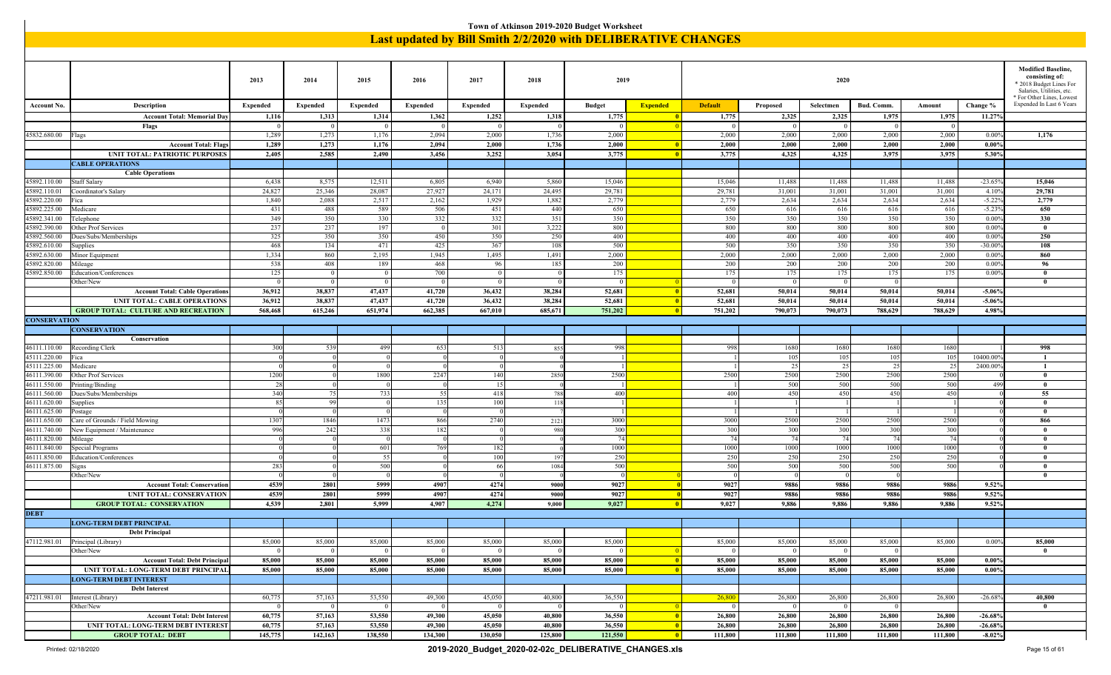|                              |                                                                      |                      |                 |                       |                 |                      | Town of Atkinson 2019-2020 Budget Worksheet                   |                 |                          |                |                |                |                |                |                      |                                                                                                                                             |
|------------------------------|----------------------------------------------------------------------|----------------------|-----------------|-----------------------|-----------------|----------------------|---------------------------------------------------------------|-----------------|--------------------------|----------------|----------------|----------------|----------------|----------------|----------------------|---------------------------------------------------------------------------------------------------------------------------------------------|
|                              |                                                                      |                      |                 |                       |                 |                      | Last updated by Bill Smith 2/2/2020 with DELIBERATIVE CHANGES |                 |                          |                |                |                |                |                |                      |                                                                                                                                             |
|                              |                                                                      |                      |                 |                       |                 |                      |                                                               |                 |                          |                |                |                |                |                |                      |                                                                                                                                             |
|                              |                                                                      |                      |                 |                       |                 |                      |                                                               |                 |                          |                |                |                |                |                |                      |                                                                                                                                             |
|                              |                                                                      | 2013                 | 2014            | 2015                  | 2016            | 2017                 | 2018                                                          | 2019            |                          |                |                | 2020           |                |                |                      | <b>Modified Baseline,</b><br>consisting of:<br>* 2018 Budget Lines For<br>Salaries, Utilities, etc.<br><sup>*</sup> For Other Lines, Lowest |
| <b>Account No</b>            | <b>Description</b>                                                   | <b>Expended</b>      | <b>Expended</b> | Expended              | <b>Expended</b> | <b>Expended</b>      | Expended                                                      | <b>Budget</b>   | <b>Expended</b>          | <b>Default</b> | Proposed       | Selectmen      | Bud. Comm.     | Amount         | Change %             | Expended In Last 6 Years                                                                                                                    |
|                              | <b>Account Total: Memorial Day</b>                                   | 1,116                | 1,313           | 1,314                 | 1,362           | 1,252                | 1,318                                                         | 1,775           | - 0                      | 1,775          | 2,325          | 2,325          | 1,975          | 1,975          | 11.27%               |                                                                                                                                             |
|                              | Flags                                                                | $\Omega$             | $\Omega$        | - 0                   |                 |                      |                                                               |                 |                          | $\Omega$       | $\Omega$       | $\Omega$       | $\eta$         | $\theta$       |                      |                                                                                                                                             |
| 45832.680.00   Flags         |                                                                      | 1,289                | 1,273           | 1,176                 | 2,094           | 2,000                | 1,736                                                         | 2,000           |                          | 2,000          | 2,000          | 2,000          | 2,000          | 2,000          | 0.009                | 1,176                                                                                                                                       |
|                              | <b>Account Total: Flags</b><br><b>UNIT TOTAL: PATRIOTIC PURPOSES</b> | 1,289<br>2,405       | 1,273<br>2,585  | 1,176<br>2,490        | 2,094<br>3,456  | 2,000<br>3,252       | 1,736<br>3,054                                                | 2,000<br>3,775  | $\blacksquare$<br>- 0    | 2,000<br>3,775 | 2,000<br>4,325 | 2,000<br>4,325 | 2,000<br>3,975 | 2,000<br>3,975 | $0.00\%$<br>5.30%    |                                                                                                                                             |
|                              | <b>CABLE OPERATIONS</b>                                              |                      |                 |                       |                 |                      |                                                               |                 |                          |                |                |                |                |                |                      |                                                                                                                                             |
|                              | <b>Cable Operations</b>                                              |                      |                 |                       |                 |                      |                                                               |                 |                          |                |                |                |                |                |                      |                                                                                                                                             |
| 15892.110.00                 | Staff Salary                                                         | 6,438                | 8,575           | 12,511                | 6,805           | 6,940                | 5,860                                                         | 15,046          |                          | 15,046         | 11,488         | 11,488         | 11,488         | 11,488         | $-23.659$            | 15,046                                                                                                                                      |
| 45892.110.01                 | Coordinator's Salary                                                 | 24,827               | 25,346          | 28,087                | 27,927          | 24,171               | 24,49:                                                        | 29,781          |                          | 29,781         | 31,001         | 31,001         | 31,001         | 31,001         | $4.10^{6}$           | 29,781                                                                                                                                      |
| 45892.220.00<br>15892.225.00 | Fica                                                                 | 1,840<br>431         | 2,088           | 2,517<br>589          | 2,162<br>506    | 1,929                | 1,882<br>440                                                  | 2,779<br>650    |                          | 2,779<br>650   | 2,634<br>616   | 2,634          | 2,634          | 2,634          | $-5.229$<br>$-5.239$ | 2,779<br>650                                                                                                                                |
| 15892.341.00                 | Medicare<br>Telephone                                                | 349                  | 488<br>350      | 330                   | 332             | 451<br>332           | 351                                                           | 350             |                          | 350            | 350            | 616<br>350     | 616<br>350     | 616<br>350     | 0.009                | 330                                                                                                                                         |
| 15892.390.00                 | Other Prof Services                                                  | 237                  | 237             | 197                   | $\sqrt{ }$      | 301                  | 3,222                                                         | 800             |                          | 800            | 800            | 800            | 800            | 800            | 0.009                | $\mathbf{0}$                                                                                                                                |
| 15892.560.00                 | Dues/Subs/Memberships                                                | 325                  | 350             | 350                   | 450             | 350                  | 250                                                           | 400             |                          | 400            | 400            | 400            | 400            | 400            | 0.009                | 250                                                                                                                                         |
| 5892.610.00                  | Supplies                                                             | 468                  | 134             | 471                   | 425             | 367                  | 108                                                           | 500             |                          | 500            | 350            | 350            | 350            | 350            | $-30.009$            | 108                                                                                                                                         |
| 15892.630.00                 | Minor Equipment                                                      | 1,334                | 860             | 2,195                 | 1,945           | 1,495                | 1,491                                                         | 2,000           |                          | 2,000          | 2,000          | 2,000          | 2,000          | 2,000          | 0.009                | 860                                                                                                                                         |
| 45892.820.00<br>15892.850.00 | Mileage<br>Education/Conferences                                     | 538<br>125           | 408<br>$\Omega$ | 189<br>$\overline{0}$ | 468<br>700      | 96<br>$\overline{0}$ | 185                                                           | 200<br>175      |                          | 200<br>175     | 200<br>175     | 200<br>175     | 200<br>175     | 200<br>175     | 0.009<br>0.009       | 96<br>$\mathbf{0}$                                                                                                                          |
|                              | Other/New                                                            | $\overline{0}$       | $\bf{0}$        | $\overline{0}$        | - 0             | $\sqrt{ }$           |                                                               | $\Omega$        |                          | $\overline{0}$ | 0 <sup>1</sup> | $\overline{0}$ | $\overline{0}$ |                |                      | $\mathbf{0}$                                                                                                                                |
|                              | <b>Account Total: Cable Operations</b>                               | 36,912               | 38,837          | 47,437                | 41,720          | 36,432               | 38,284                                                        | 52,681          | - 0                      | 52,681         | 50,014         | 50,014         | 50,014         | 50,014         | $-5.06%$             |                                                                                                                                             |
|                              | <b>UNIT TOTAL: CABLE OPERATIONS</b>                                  | 36,912               | 38.837          | 47,437                | 41,720          | 36,432               | 38,284                                                        | 52,681          | $\overline{\mathbf{0}}$  | 52,681         | 50.014         | 50,014         | 50.014         | 50.014         | $-5.06%$             |                                                                                                                                             |
|                              | <b>GROUP TOTAL: CULTURE AND RECREATION</b>                           | 568,468              | 615,246         | 651,974               | 662,385         | 667,010              | 685,671                                                       | 751,202         | -0                       | 751,202        | 790,073        | 790,073        | 788,629        | 788,629        | 4.98%                |                                                                                                                                             |
| <b>CONSERVATION</b>          |                                                                      |                      |                 |                       |                 |                      |                                                               |                 |                          |                |                |                |                |                |                      |                                                                                                                                             |
|                              | <b>CONSERVATION</b><br>Conservation                                  |                      |                 |                       |                 |                      |                                                               |                 |                          |                |                |                |                |                |                      |                                                                                                                                             |
| 46111.110.00                 | Recording Clerk                                                      | 300                  | 539             | 499                   | 653             | 513                  | 855                                                           | 998             |                          | 998            | 1680           | 1680           | 1680           | 1680           |                      | 998                                                                                                                                         |
| 45111.220.00                 | Fica                                                                 |                      |                 |                       |                 |                      |                                                               |                 |                          |                | 105            | 105            | 105            | 105            | 10400.00             |                                                                                                                                             |
| 45111.225.00                 | Medicare                                                             |                      |                 |                       |                 |                      |                                                               | $\mathbf{1}$    |                          |                | 25             | 25             | 25             | 25             | 2400.00              | $\mathbf{1}$                                                                                                                                |
| 46111.390.00                 | Other Prof Services                                                  | 1200                 |                 | 1800                  | 2247            | 140                  | 2850                                                          | 2500            |                          | 2500           | 2500           | 2500           | 2500           | 2500           |                      | $\mathbf{0}$                                                                                                                                |
| 46111.550.00                 | Printing/Binding                                                     | 28<br>340            | 75              | 733                   | 55              | -15<br>418           |                                                               | 400             |                          | 400            | 500<br>450     | 500<br>450     | 500<br>450     | 500<br>450     | 499                  | $\mathbf{0}$<br>55                                                                                                                          |
| 46111.560.00<br>46111.620.00 | Dues/Subs/Memberships<br>Supplies                                    | 85                   | 99              |                       | 135             | 100                  | 788<br><sup>11</sup>                                          | $\overline{1}$  |                          |                |                |                |                |                |                      | $\theta$                                                                                                                                    |
| 46111.625.00                 | Postage                                                              | $\Omega$             |                 |                       |                 |                      |                                                               |                 |                          |                |                |                |                |                |                      | $\mathbf{0}$                                                                                                                                |
| 46111.650.00                 | Care of Grounds / Field Mowing                                       | 1307                 | 1846            | 1473                  | 866             | 2740                 | 212                                                           | 3000            |                          | 3000           | 2500           | 2500           | 2500           | 2500           |                      | 866                                                                                                                                         |
| 46111.740.00                 | New Equipment / Maintenance                                          | 996                  | 242             | 338                   | 182             |                      | 980                                                           | 300             |                          | 300            | 300            | 300            | 300            | 300            |                      | $\mathbf{0}$                                                                                                                                |
| 46111.820.00                 | Mileage                                                              | $\Omega$             |                 |                       |                 |                      |                                                               | 74              |                          | 74             | 74             | 74             | 74             | 74             |                      | $\theta$                                                                                                                                    |
| 46111.840.00<br>46111.850.00 | Special Programs<br>Education/Conferences                            | $\Omega$<br>$\Omega$ |                 | 601<br>- 55           | 769             | 182<br>100           | 19                                                            | 1000<br>250     |                          | 1000<br>250    | 1000<br>250    | 1000<br>250    | 1000<br>250    | 1000<br>250    |                      | $\mathbf{0}$<br>$\theta$                                                                                                                    |
| 46111.875.00                 | Signs                                                                | 283                  |                 | 500                   |                 | -66                  | 1084                                                          | 500             |                          | 500            | 500            | 500            | 500            | 500            |                      | $\mathbf{0}$                                                                                                                                |
|                              | Other/New                                                            | $\Omega$             |                 |                       |                 |                      |                                                               |                 |                          | $\Omega$       |                | $\Omega$       |                |                |                      | $\mathbf{0}$                                                                                                                                |
|                              | <b>Account Total: Conservation</b>                                   | 4539                 | 2801            | 5999                  | 4907            | 4274                 | 9000                                                          | 9027            |                          | 9027           | 9886           | 9886           | 9886           | 9886           | 9.52%                |                                                                                                                                             |
|                              | UNIT TOTAL: CONSERVATION                                             | 4539                 | 2801            | 5999                  | 4907            | 4274                 | 9000                                                          | 9027            |                          | 9027           | 9886           | 9886           | 9886           | 9886           | 9.52%                |                                                                                                                                             |
|                              | <b>GROUP TOTAL: CONSERVATION</b>                                     | 4,539                | 2,801           | 5,999                 | 4,907           | 4,274                | 9,000                                                         | 9,027           | -0                       | 9,027          | 9,886          | 9,886          | 9,886          | 9,886          | 9.52%                |                                                                                                                                             |
| DERL                         |                                                                      |                      |                 |                       |                 |                      |                                                               |                 |                          |                |                |                |                |                |                      |                                                                                                                                             |
|                              | <b>LONG-TERM DEBT PRINCIPAL</b><br><b>Debt Principal</b>             |                      |                 |                       |                 |                      |                                                               |                 |                          |                |                |                |                |                |                      |                                                                                                                                             |
|                              | 47112.981.01 Principal (Library)                                     | 85,000               | 85,000          | 85,000                | 85,000          | 85,000               | 85,000                                                        | 85,000          |                          | 85,000         | 85,000         | 85,000         | 85,000         | 85,000         | 0.00%                | 85,000                                                                                                                                      |
|                              | Other/New                                                            | $\overline{0}$       | $\Omega$        | $\sqrt{0}$            | - 0             | - 0                  |                                                               | $\Omega$        |                          | $\overline{0}$ | 0 <sup>1</sup> | $\overline{0}$ | $\overline{0}$ |                |                      | $\bf{0}$                                                                                                                                    |
|                              | <b>Account Total: Debt Principal</b>                                 | 85,000               | 85,000          | 85,000                | 85,000          | 85,000               | 85,000                                                        | 85,000          | $\overline{\mathbf{0}}$  | 85,000         | 85,000         | 85,000         | 85,000         | 85,000         | $0.00\%$             |                                                                                                                                             |
|                              | UNIT TOTAL: LONG-TERM DEBT PRINCIPAL                                 | 85,000               | 85,000          | 85,000                | 85,000          | 85,000               | 85,000                                                        | 85,000          | $\vert 0 \vert$          | 85,000         | 85,000         | 85,000         | 85,000         | 85,000         | $0.00\%$             |                                                                                                                                             |
|                              | <b>LONG-TERM DEBT INTEREST</b>                                       |                      |                 |                       |                 |                      |                                                               |                 |                          |                |                |                |                |                |                      |                                                                                                                                             |
| 47211.981.01                 | <b>Debt Interest</b>                                                 | 60,775               | 57,163          | 53,550                | 49,300          | 45,050               | 40,800                                                        | 36,550          |                          | 26,800         | 26,800         | 26,800         | 26,800         | 26,800         | $-26.68%$            | 40,800                                                                                                                                      |
|                              | Interest (Library)<br>Other/New                                      | $\overline{0}$       | $\overline{0}$  | $\sqrt{0}$            | $\sqrt{ }$      | $\sqrt{ }$           |                                                               | $\vert 0 \vert$ | - 0                      | $\overline{0}$ | 0 <sup>1</sup> | $\overline{0}$ | $\overline{0}$ |                |                      | $\bf{0}$                                                                                                                                    |
|                              | <b>Account Total: Debt Interest</b>                                  | 60,775               | 57,163          | 53,550                | 49,300          | 45,050               | 40,800                                                        | 36,550          | $\overline{\phantom{0}}$ | 26,800         | 26,800         | 26,800         | 26,800         | 26,800         | $-26.68%$            |                                                                                                                                             |
|                              | UNIT TOTAL: LONG-TERM DEBT INTEREST                                  | 60,775               | 57,163          | 53,550                | 49,300          | 45,050               | 40,800                                                        | 36,550          | $\vert 0 \vert$          | 26,800         | 26,800         | 26,800         | 26,800         | 26,800         | $-26.68%$            |                                                                                                                                             |
|                              | <b>GROUP TOTAL: DEBT</b>                                             | 145,775              | 142,163         | 138,550               | 134,300         | 130,050              | 125,800                                                       | 121,550         | $\overline{\mathbf{0}}$  | 111,800        | 111,800        | 111,800        | 111,800        | 111,800        | $-8.02%$             |                                                                                                                                             |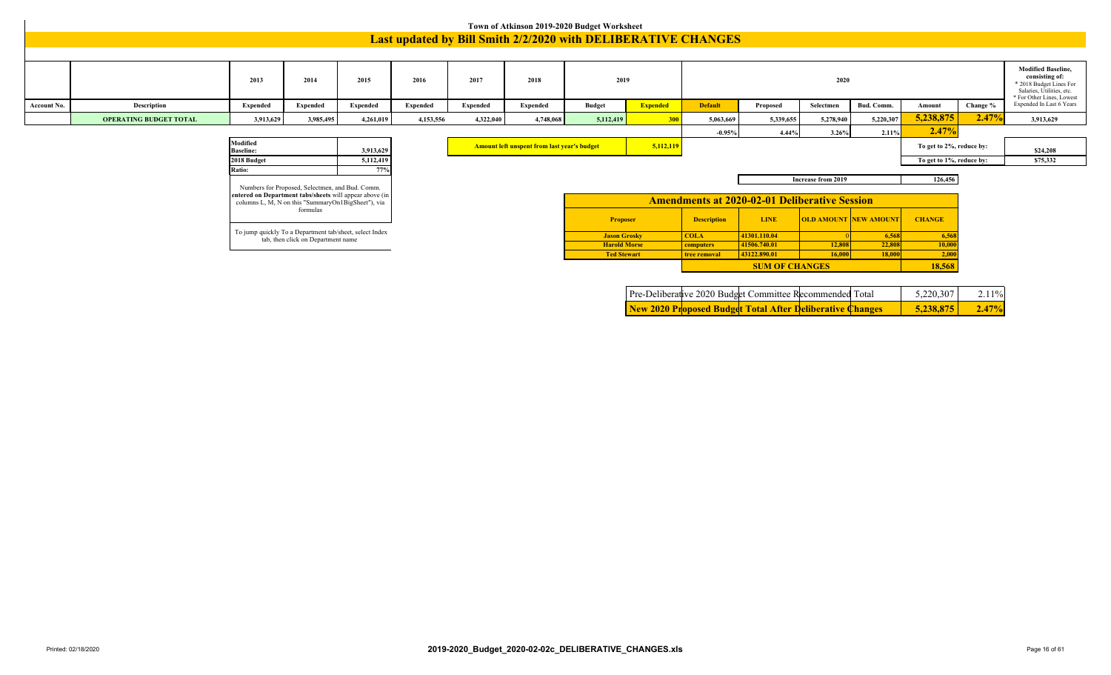|             | Town of Atkinson 2019-2020 Budget Worksheet<br><b>Last updated by Bill Smith 2/2/2020 with DELIBERATIVE CHANGES</b> |                                                         |                                                                                               |           |           |           |                                                    |                                           |                 |                           |                                                      |                    |                              |                          |          |                                                                                                                                  |
|-------------|---------------------------------------------------------------------------------------------------------------------|---------------------------------------------------------|-----------------------------------------------------------------------------------------------|-----------|-----------|-----------|----------------------------------------------------|-------------------------------------------|-----------------|---------------------------|------------------------------------------------------|--------------------|------------------------------|--------------------------|----------|----------------------------------------------------------------------------------------------------------------------------------|
|             |                                                                                                                     |                                                         |                                                                                               |           |           |           |                                                    |                                           |                 |                           |                                                      |                    |                              |                          |          |                                                                                                                                  |
|             |                                                                                                                     | 2013                                                    | 2014                                                                                          | 2015      | 2016      | 2017      | 2018                                               | 2019                                      |                 |                           |                                                      | 2020               |                              |                          |          | <b>Modified Baseline,</b><br>consisting of:<br>* 2018 Budget Lines For<br>Salaries, Utilities, etc.<br>* For Other Lines, Lowest |
| Account No. | <b>Description</b>                                                                                                  | Expended                                                | Expended                                                                                      | Expended  | Expended  | Expended  | Expended                                           | <b>Budget</b>                             | <b>Expended</b> | <b>Default</b>            | Proposed                                             | Selectmen          | Bud. Comm.                   | Amount                   | Change % | Expended In Last 6 Years                                                                                                         |
|             | <b>OPERATING BUDGET TOTAL</b>                                                                                       | 3,913,629                                               | 3,985,495                                                                                     | 4,261,019 | 4,153,556 | 4,322,040 | 4,748,068                                          | 5,112,419                                 | 300             | 5,063,669                 | 5,339,655                                            | 5,278,940          | 5,220,307                    | 5,238,875                | 2.47%    | 3,913,629                                                                                                                        |
|             |                                                                                                                     |                                                         |                                                                                               |           |           |           |                                                    |                                           |                 | $-0.95%$                  | 4.44%                                                | 3.26%              | 2.11%                        | 2.47%                    |          |                                                                                                                                  |
|             |                                                                                                                     | Modified<br><b>Baseline:</b>                            |                                                                                               | 3,913,629 |           |           | <b>Amount left unspent from last year's budget</b> |                                           | 5,112,119       |                           |                                                      |                    |                              | To get to 2%, reduce by: |          | \$24,208                                                                                                                         |
|             |                                                                                                                     | 2018 Budget                                             |                                                                                               | 5,112,419 |           |           |                                                    |                                           |                 |                           |                                                      |                    |                              | To get to 1%, reduce by: |          | \$75,332                                                                                                                         |
|             |                                                                                                                     | Ratio:                                                  | Numbers for Proposed, Selectmen, and Bud. Comm.                                               | 77%       |           |           |                                                    |                                           |                 |                           |                                                      | Increase from 2019 |                              | 126,456                  |          |                                                                                                                                  |
|             |                                                                                                                     | entered on Department tabs/sheets will appear above (in | columns L, M, N on this "SummaryOn1BigSheet"), via                                            |           |           |           |                                                    |                                           |                 |                           | <b>Amendments at 2020-02-01 Deliberative Session</b> |                    |                              |                          |          |                                                                                                                                  |
|             |                                                                                                                     |                                                         | formulas                                                                                      |           |           |           |                                                    | <b>Proposer</b>                           |                 | <b>Description</b>        | <b>LINE</b>                                          |                    | <b>OLD AMOUNT NEW AMOUNT</b> | <b>CHANGE</b>            |          |                                                                                                                                  |
|             |                                                                                                                     |                                                         | To jump quickly To a Department tab/sheet, select Index<br>tab, then click on Department name |           |           |           |                                                    | <b>Jason Grosky</b>                       |                 | <b>COLA</b>               | 41301.110.04                                         |                    | 6,568                        | 6,56                     |          |                                                                                                                                  |
|             |                                                                                                                     |                                                         |                                                                                               |           |           |           |                                                    | <b>Harold Morse</b><br><b>Ted Stewart</b> |                 | computers<br>tree removal | 41506.740.01<br>43122.890.01                         | 12,808<br>16,000   | 22,808<br>18,000             | 10,00<br>2,00            |          |                                                                                                                                  |
|             |                                                                                                                     |                                                         |                                                                                               |           |           |           |                                                    |                                           |                 |                           | <b>SUM OF CHANGES</b>                                |                    |                              | 18,568                   |          |                                                                                                                                  |

|  | New 2020 Proposed Budget Total After Deliberative Changes |  | 5,238,875 | $2.47\%$ |
|--|-----------------------------------------------------------|--|-----------|----------|
|  | Pre-Deliberative 2020 Budget Committee Recommended Total  |  | 5.220.307 | $2.11\%$ |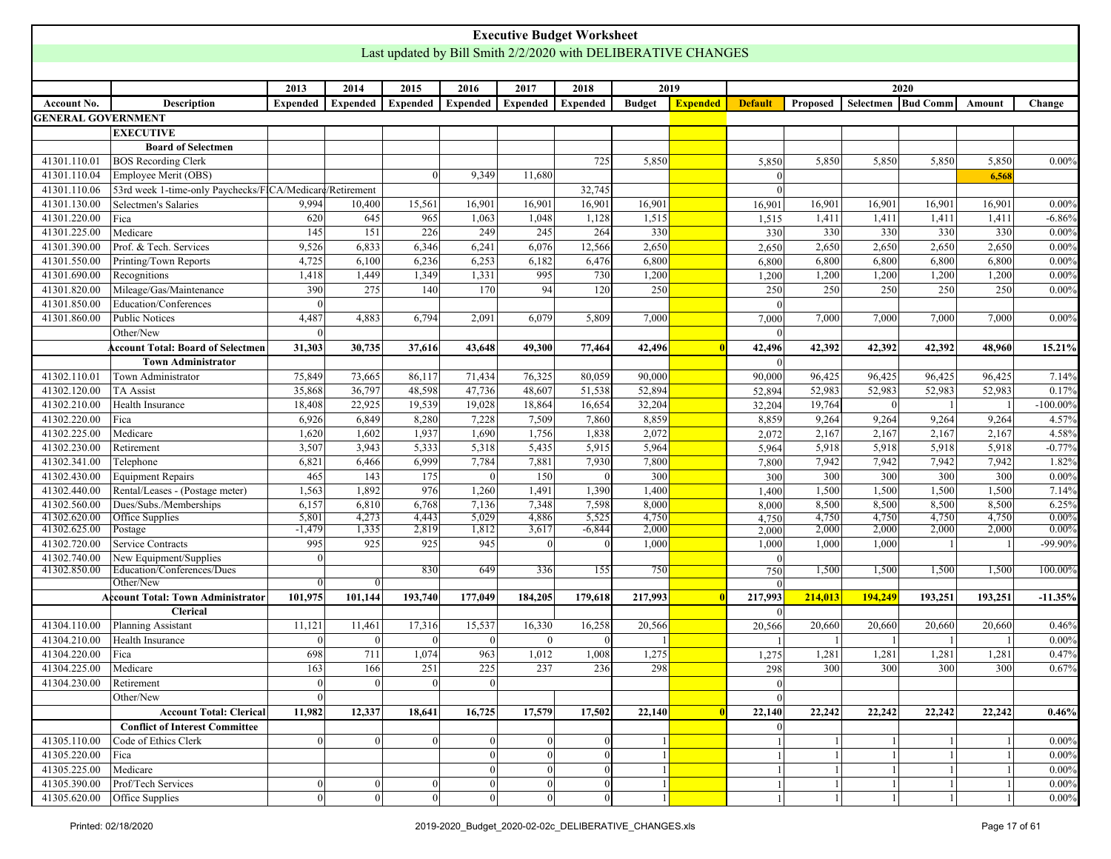<span id="page-16-0"></span>

|                           |                                                          |                 |              |                 |          | <b>Executive Budget Worksheet</b>                             |          |               |                 |                |          |                    |         |         |             |
|---------------------------|----------------------------------------------------------|-----------------|--------------|-----------------|----------|---------------------------------------------------------------|----------|---------------|-----------------|----------------|----------|--------------------|---------|---------|-------------|
|                           |                                                          |                 |              |                 |          | Last updated by Bill Smith 2/2/2020 with DELIBERATIVE CHANGES |          |               |                 |                |          |                    |         |         |             |
|                           |                                                          |                 |              |                 |          |                                                               |          |               |                 |                |          |                    |         |         |             |
|                           |                                                          | 2013            | 2014         | 2015            | 2016     | 2017                                                          | 2018     | 2019          |                 |                |          |                    | 2020    |         |             |
| Account No.               | <b>Description</b>                                       | <b>Expended</b> | Expended     | <b>Expended</b> | Expended | Expended                                                      | Expended | <b>Budget</b> | <b>Expended</b> | <b>Default</b> | Proposed | Selectmen Bud Comm |         | Amount  | Change      |
| <b>GENERAL GOVERNMENT</b> |                                                          |                 |              |                 |          |                                                               |          |               |                 |                |          |                    |         |         |             |
|                           | <b>EXECUTIVE</b>                                         |                 |              |                 |          |                                                               |          |               |                 |                |          |                    |         |         |             |
|                           | <b>Board of Selectmen</b>                                |                 |              |                 |          |                                                               |          |               |                 |                |          |                    |         |         |             |
| 41301.110.01              | <b>BOS Recording Clerk</b>                               |                 |              |                 |          |                                                               | 725      | 5,850         |                 | 5,850          | 5,850    | 5,850              | 5,850   | 5,850   | $0.00\%$    |
| 41301.110.04              | Employee Merit (OBS)                                     |                 |              | $\Omega$        | 9,349    | 11,680                                                        |          |               |                 | $\Omega$       |          |                    |         | 6,568   |             |
| 41301.110.06              | 53rd week 1-time-only Paychecks/FICA/Medicare/Retirement |                 |              |                 |          |                                                               | 32,745   |               |                 | $\Omega$       |          |                    |         |         |             |
| 41301.130.00              | Selectmen's Salaries                                     | 9,994           | 10,400       | 15,561          | 16,901   | 16,901                                                        | 16,901   | 16,901        |                 | 16,901         | 16,901   | 16,901             | 16,901  | 16,901  | 0.00%       |
| 41301.220.00              | Fica                                                     | 620             | 645          | 965             | 1,063    | 1,048                                                         | 1,128    | 1,515         |                 | 1,515          | 1,411    | 1,411              | 1,411   | 1,411   | $-6.86%$    |
| 41301.225.00              | Medicare                                                 | 145             | 151          | 226             | 249      | 245                                                           | 264      | 330           |                 | 330            | 330      | 330                | 330     | 330     | 0.00%       |
| 41301.390.00              | Prof. & Tech. Services                                   | 9,526           | 6,833        | 6,346           | 6,241    | 6,076                                                         | 12,566   | 2,650         |                 | 2,650          | 2,650    | 2,650              | 2,650   | 2,650   | 0.00%       |
| 41301.550.00              | Printing/Town Reports                                    | 4,725           | 6,100        | 6,236           | 6,253    | 6,182                                                         | 6,476    | 6,800         |                 | 6,800          | 6,800    | 6,800              | 6,800   | 6,800   | 0.00%       |
| 41301.690.00              | Recognitions                                             | 1,418           | 1,449        | 1,349           | 1,331    | 995                                                           | 730      | 1,200         |                 | 1,200          | 1,200    | 1,200              | 1,200   | 1,200   | 0.00%       |
| 41301.820.00              | Mileage/Gas/Maintenance                                  | 390             | 275          | 140             | 170      | 94                                                            | 120      | 250           |                 | 250            | 250      | 250                | 250     | 250     | 0.00%       |
| 41301.850.00              | Education/Conferences                                    | $\Omega$        |              |                 |          |                                                               |          |               |                 | $\Omega$       |          |                    |         |         |             |
| 41301.860.00              | <b>Public Notices</b>                                    | 4,487           | 4,883        | 6,794           | 2,091    | 6,079                                                         | 5,809    | 7,000         |                 | 7,000          | 7,000    | 7,000              | 7,000   | 7,000   | 0.00%       |
|                           | Other/New                                                | $\Omega$        |              |                 |          |                                                               |          |               |                 | $\Omega$       |          |                    |         |         |             |
|                           | <b>Account Total: Board of Selectmen</b>                 | 31,303          | 30,735       | 37,616          | 43,648   | 49,300                                                        | 77,464   | 42,496        |                 | 42,496         | 42,392   | 42,392             | 42,392  | 48,960  | 15.21%      |
|                           | <b>Town Administrator</b>                                |                 |              |                 |          |                                                               |          |               |                 | $\Omega$       |          |                    |         |         |             |
| 41302.110.01              | Town Administrator                                       | 75,849          | 73,665       | 86,117          | 71,434   | 76,325                                                        | 80,059   | 90,000        |                 | 90,000         | 96,425   | 96,425             | 96,425  | 96,425  | 7.14%       |
| 41302.120.00              | <b>TA Assist</b>                                         | 35,868          | 36,797       | 48,598          | 47,736   | 48,607                                                        | 51,538   | 52,894        |                 | 52,894         | 52,983   | 52,983             | 52,983  | 52,983  | 0.17%       |
| 41302.210.00              | Health Insurance                                         | 18,408          | 22,925       | 19,539          | 19,028   | 18,864                                                        | 16,654   | 32,204        |                 | 32,204         | 19,764   | $\Omega$           |         |         | $-100.00\%$ |
| 41302.220.00              | Fica                                                     | 6,926           | 6,849        | 8,280           | 7,228    | 7,509                                                         | 7,860    | 8,859         |                 | 8,859          | 9,264    | 9,264              | 9,264   | 9,264   | 4.57%       |
| 41302.225.00              | Medicare                                                 | 1,620           | 1,602        | 1,937           | 1,690    | 1,756                                                         | 1,838    | 2,072         |                 | 2,072          | 2,167    | 2,167              | 2,167   | 2,167   | 4.58%       |
| 41302.230.00              | Retirement                                               | 3,507           | 3,943        | 5,333           | 5,318    | 5,435                                                         | 5,915    | 5,964         |                 | 5,964          | 5,918    | 5,918              | 5,918   | 5,918   | $-0.77%$    |
| 41302.341.00              | Telephone                                                | 6,821           | 6,466        | 6,999           | 7,784    | 7,881                                                         | 7,930    | 7,800         |                 | 7,800          | 7,942    | 7,942              | 7,942   | 7,942   | 1.82%       |
| 41302.430.00              | Equipment Repairs                                        | 465             | 143          | 175             | $\Omega$ | 150                                                           |          | 300           |                 | 300            | 300      | 300                | 300     | 300     | 0.00%       |
| 41302.440.00              | Rental/Leases - (Postage meter)                          | 1,563           | 1,892        | 976             | 1,260    | 1,491                                                         | 1,390    | 1,400         |                 | 1,400          | 1,500    | 1,500              | 1,500   | 1,500   | 7.14%       |
| 41302.560.00              | Dues/Subs./Memberships                                   | 6,157           | 6,810        | 6,768           | 7,136    | 7,348                                                         | 7,598    | 8,000         |                 | 8,000          | 8,500    | 8,500              | 8,500   | 8,500   | 6.25%       |
| 41302.620.00              | Office Supplies                                          | 5,801           | 4,273        | 4,443           | 5,029    | 4,886                                                         | 5,525    | 4,750         |                 | 4,750          | 4,750    | 4,750              | 4,750   | 4,750   | 0.00%       |
| 41302.625.00              | Postage                                                  | $-1,479$        | 1,335        | 2,819           | 1,812    | 3,617                                                         | $-6,844$ | 2,000         |                 | 2,000          | 2,000    | 2,000              | 2,000   | 2,000   | 0.00%       |
| 41302.720.00              | <b>Service Contracts</b>                                 | 995             | 925          | 925             | 945      | $\Omega$                                                      |          | 1,000         |                 | 1,000          | 1,000    | 1,000              |         |         | -99.90%     |
| 41302.740.00              | New Equipment/Supplies                                   | $\theta$        |              |                 |          |                                                               |          |               |                 | $\Omega$       |          |                    |         |         |             |
| 41302.850.00              | Education/Conferences/Dues<br>Other/New                  |                 |              | 830             | 649      | 336                                                           | 155      | 750           |                 | 750            | 1,500    | 1,500              | 1,500   | 1,500   | 100.00%     |
|                           | Account Total: Town Administrator                        | 101,975         | 101,144      | 193,740         | 177,049  | 184,205                                                       | 179,618  | 217,993       |                 | 217,993        | 214,013  | 194,249            | 193,251 | 193,251 | $-11.35%$   |
|                           | <b>Clerical</b>                                          |                 |              |                 |          |                                                               |          |               |                 | $\Omega$       |          |                    |         |         |             |
| 41304.110.00              | Planning Assistant                                       | 11,121          | 11,461       | 17,316          | 15,537   | 16,330                                                        | 16,258   | 20,566        |                 | 20,566         | 20,660   | 20,660             | 20,660  | 20,660  | 0.46%       |
| 41304.210.00              | Health Insurance                                         | $\Omega$        | $\theta$     | $\Omega$        | $\Omega$ | $\mathbf{0}$                                                  | $\Omega$ |               |                 |                |          |                    |         |         | 0.00%       |
| 41304.220.00 Fica         |                                                          | 698             | 711          | 1,074           | 963      | 1,012                                                         | 1,008    | 1,275         |                 | 1,275          | 1,281    | 1,281              | 1,281   | 1,281   | 0.47%       |
| 41304.225.00              | Medicare                                                 | 163             | 166          | 251             | 225      | 237                                                           | 236      | 298           |                 | 298            | 300      | 300                | 300     | 300     | 0.67%       |
| 41304.230.00              | Retirement                                               | $\mathbf{0}$    | $\theta$     | $\Omega$        | $\Omega$ |                                                               |          |               |                 | $\theta$       |          |                    |         |         |             |
|                           | Other/New                                                |                 |              |                 |          |                                                               |          |               |                 | $\overline{0}$ |          |                    |         |         |             |
|                           | <b>Account Total: Clerical</b>                           | 11,982          | 12,337       | 18,641          | 16,725   | 17,579                                                        | 17,502   | 22,140        |                 | 22,140         | 22,242   | 22,242             | 22,242  | 22,242  | 0.46%       |
|                           | <b>Conflict of Interest Committee</b>                    |                 |              |                 |          |                                                               |          |               |                 | $\Omega$       |          |                    |         |         |             |
| 41305.110.00              | Code of Ethics Clerk                                     | $\overline{0}$  | $\mathbf{0}$ | $\vert$ 0       |          |                                                               |          |               |                 |                |          |                    |         |         | $0.00\%$    |
| 41305.220.00              | Fica                                                     |                 |              |                 |          |                                                               |          |               |                 |                |          |                    |         |         | $0.00\%$    |
| 41305.225.00              | Medicare                                                 |                 |              |                 |          | $\Omega$                                                      |          |               |                 |                |          |                    |         |         | $0.00\%$    |
| 41305.390.00              | Prof/Tech Services                                       | $\mathbf{0}$    | $\Omega$     | $\Omega$        |          | $\Omega$                                                      | $\theta$ |               |                 |                |          |                    |         |         | $0.00\%$    |
| 41305.620.00              | <b>Office Supplies</b>                                   |                 | $\Omega$     |                 |          |                                                               |          |               |                 |                |          |                    |         |         | $0.00\%$    |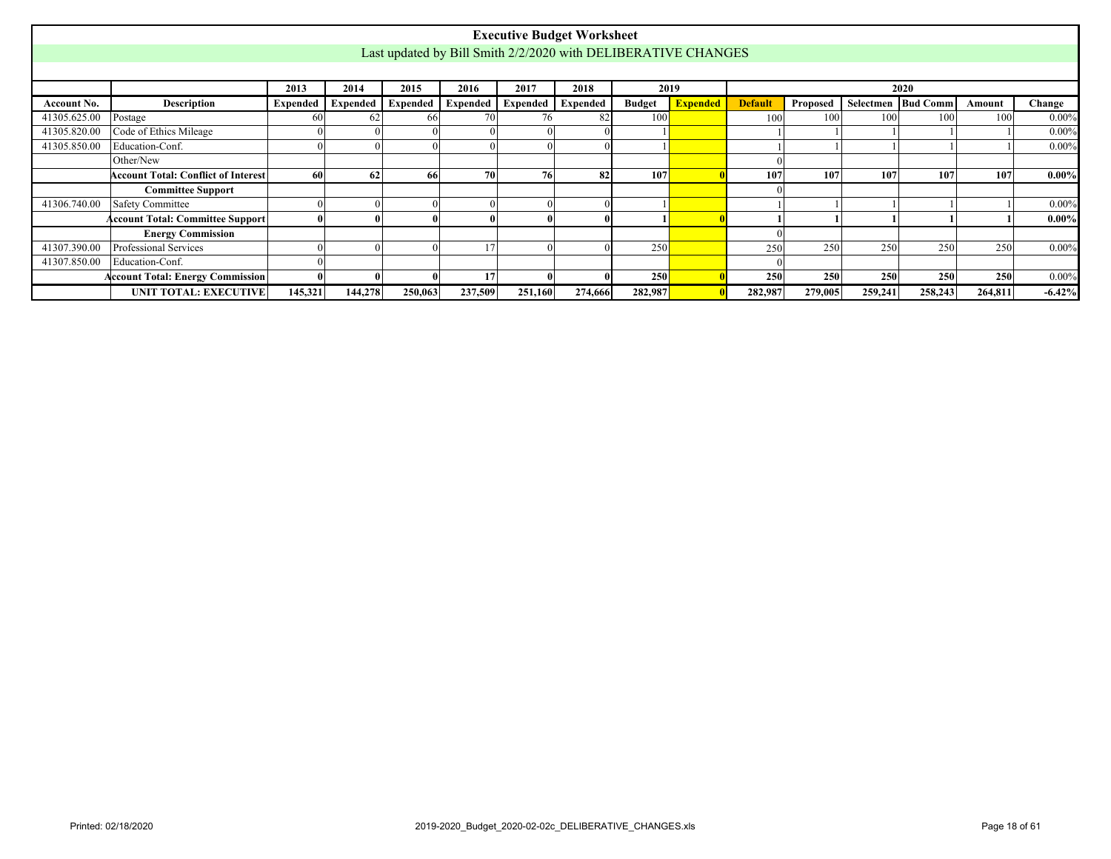|              |                                            |                 |          |          |         |                                | <b>Executive Budget Worksheet</b>                             |               |                 |                |          |         |                      |         |          |
|--------------|--------------------------------------------|-----------------|----------|----------|---------|--------------------------------|---------------------------------------------------------------|---------------|-----------------|----------------|----------|---------|----------------------|---------|----------|
|              |                                            |                 |          |          |         |                                | Last updated by Bill Smith 2/2/2020 with DELIBERATIVE CHANGES |               |                 |                |          |         |                      |         |          |
|              |                                            |                 |          |          |         |                                |                                                               |               |                 |                |          |         |                      |         |          |
|              |                                            | 2013            | 2014     | 2015     | 2016    | 2017                           | 2018                                                          |               | 2019            |                |          |         | 2020                 |         |          |
| Account No.  | Description                                | <b>Expended</b> | Expended | Expended |         | Expended   Expended   Expended |                                                               | <b>Budget</b> | <b>Expended</b> | <b>Default</b> | Proposed |         | Selectmen   Bud Comm | Amount  | Change   |
| 41305.625.00 | Postage                                    | 60              | 62       | 66       |         | 76                             |                                                               | 100           |                 | 100            | 100      | 100     | 100                  | 100     | $0.00\%$ |
| 41305.820.00 | Code of Ethics Mileage                     |                 |          |          |         |                                |                                                               |               |                 |                |          |         |                      |         | $0.00\%$ |
| 41305.850.00 | Education-Conf.                            |                 |          |          |         |                                |                                                               |               |                 |                |          |         |                      |         | $0.00\%$ |
|              | Other/New                                  |                 |          |          |         |                                |                                                               |               |                 |                |          |         |                      |         |          |
|              | <b>Account Total: Conflict of Interest</b> | 60              | 62       | 66       | 70      | 76                             | 82                                                            | 107           |                 | 10             | 107      | 107     | 107                  | 107     | $0.00\%$ |
|              | <b>Committee Support</b>                   |                 |          |          |         |                                |                                                               |               |                 |                |          |         |                      |         |          |
| 41306.740.00 | <b>Safety Committee</b>                    |                 |          |          |         |                                |                                                               |               |                 |                |          |         |                      |         | $0.00\%$ |
|              | Account Total: Committee Support           |                 |          |          |         |                                |                                                               |               |                 |                |          |         |                      |         | $0.00\%$ |
|              | <b>Energy Commission</b>                   |                 |          |          |         |                                |                                                               |               |                 |                |          |         |                      |         |          |
| 41307.390.00 | Professional Services                      |                 |          |          |         |                                |                                                               | 250           |                 | 250            | 250      | 250     | 250                  | 250     | $0.00\%$ |
| 41307.850.00 | Education-Conf.                            |                 |          |          |         |                                |                                                               |               |                 |                |          |         |                      |         |          |
|              | <b>Account Total: Energy Commission</b>    |                 |          |          | 17      |                                |                                                               | 250           |                 | 250            | 250      | 250     | 250                  | 250     | $0.00\%$ |
|              | <b>UNIT TOTAL: EXECUTIVE</b>               | 145,321         | 144,278  | 250,063  | 237,509 | 251,160                        | 274,666                                                       | 282,987       |                 | 282,987        | 279,005  | 259,241 | 258,243              | 264,811 | $-6.42%$ |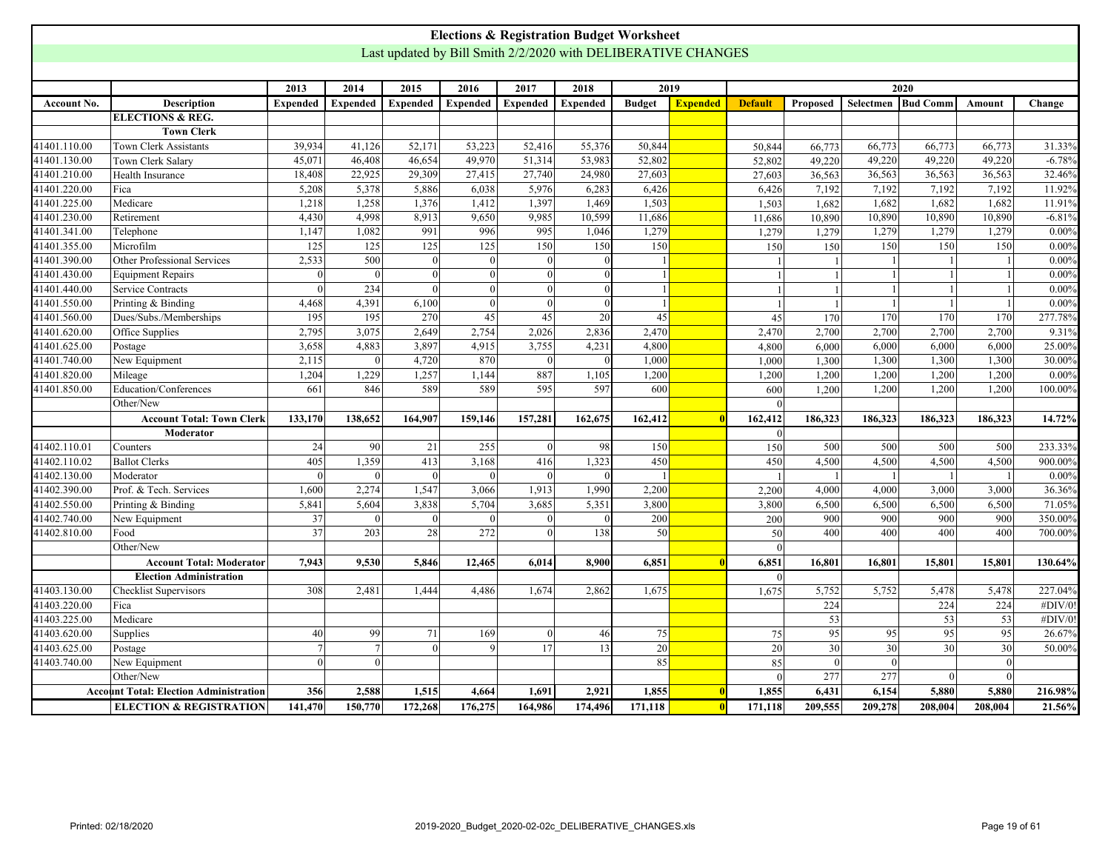<span id="page-18-0"></span>

|              |                                               |                 |                 |                 |                 |                | <b>Elections &amp; Registration Budget Worksheet</b>          |               |                         |                |                 |                 |                    |          |          |
|--------------|-----------------------------------------------|-----------------|-----------------|-----------------|-----------------|----------------|---------------------------------------------------------------|---------------|-------------------------|----------------|-----------------|-----------------|--------------------|----------|----------|
|              |                                               |                 |                 |                 |                 |                | Last updated by Bill Smith 2/2/2020 with DELIBERATIVE CHANGES |               |                         |                |                 |                 |                    |          |          |
|              |                                               |                 |                 |                 |                 |                |                                                               |               |                         |                |                 |                 |                    |          |          |
|              |                                               | 2013            | 2014            | 2015            | 2016            | 2017           | 2018                                                          | 2019          |                         |                |                 |                 | 2020               |          |          |
| Account No.  | <b>Description</b>                            | <b>Expended</b> | <b>Expended</b> | <b>Expended</b> | <b>Expended</b> | Expended       | <b>Expended</b>                                               | <b>Budget</b> | <b>Expended</b>         | <b>Default</b> | Proposed        |                 | Selectmen Bud Comm | Amount   | Change   |
|              | <b>ELECTIONS &amp; REG.</b>                   |                 |                 |                 |                 |                |                                                               |               |                         |                |                 |                 |                    |          |          |
|              | <b>Town Clerk</b>                             |                 |                 |                 |                 |                |                                                               |               |                         |                |                 |                 |                    |          |          |
| 41401.110.00 | Town Clerk Assistants                         | 39,934          | 41,126          | 52,171          | 53,223          | 52,416         | 55,376                                                        | 50,844        |                         | 50,844         | 66,773          | 66,773          | 66,773             | 66,773   | 31.33%   |
| 41401.130.00 | Town Clerk Salary                             | 45,071          | 46,408          | 46,654          | 49,970          | 51,314         | 53,983                                                        | 52,802        |                         | 52,802         | 49,220          | 49,220          | 49,220             | 49,220   | $-6.78%$ |
| 41401.210.00 | Health Insurance                              | 18,408          | 22,925          | 29,309          | 27,415          | 27,740         | 24,980                                                        | 27,603        |                         | 27,603         | 36,563          | 36,563          | 36,563             | 36,563   | 32.46%   |
| 41401.220.00 | Fica                                          | 5,208           | 5,378           | 5,886           | 6,038           | 5,976          | 6,283                                                         | 6,426         |                         | 6,426          | 7,192           | 7,192           | 7,192              | 7,192    | 11.92%   |
| 41401.225.00 | Medicare                                      | 1,218           | 1,258           | 1,376           | 1,412           | 1,397          | 1,469                                                         | 1,503         |                         | 1,503          | 1,682           | 1,682           | 1,682              | 1,682    | 11.91%   |
| 41401.230.00 | Retirement                                    | 4,430           | 4,998           | 8,913           | 9,650           | 9,985          | 10,599                                                        | 11,686        |                         | 11,686         | 10,890          | 10,890          | 10,890             | 10,890   | $-6.81%$ |
| 41401.341.00 | Telephone                                     | 1.147           | 1.082           | 991             | 996             | 995            | 1,046                                                         | 1,279         |                         | 1,279          | 1,279           | 1,279           | 1.279              | 1.279    | $0.00\%$ |
| 41401.355.00 | Microfilm                                     | 125             | 125             | 125             | 125             | 150            | 150                                                           | 150           |                         | 150            | 150             | 150             | 150                | 150      | 0.00%    |
| 41401.390.00 | Other Professional Services                   | 2,533           | 500             | $\Omega$        |                 | $\Omega$       |                                                               |               |                         |                |                 |                 |                    |          | $0.00\%$ |
| 41401.430.00 | <b>Equipment Repairs</b>                      |                 | $\Omega$        | $\Omega$        |                 | $\theta$       |                                                               |               |                         |                |                 |                 |                    |          | $0.00\%$ |
| 41401.440.00 | Service Contracts                             |                 | 234             |                 |                 | $\Omega$       |                                                               |               |                         |                |                 |                 |                    |          | $0.00\%$ |
| 41401.550.00 | Printing & Binding                            | 4,468           | 4,391           | 6,100           |                 | $\Omega$       |                                                               |               |                         |                |                 |                 |                    |          | 0.00%    |
| 41401.560.00 | Dues/Subs./Memberships                        | 195             | 195             | 270             | 45              | 45             | $\overline{20}$                                               | 45            |                         | 45             | 170             | 170             | 170                | 170      | 277.78%  |
| 41401.620.00 | Office Supplies                               | 2,795           | 3,075           | 2,649           | 2,754           | 2,026          | 2,836                                                         | 2,470         |                         | 2,470          | 2,700           | 2,700           | 2,700              | 2,700    | 9.31%    |
| 41401.625.00 | Postage                                       | 3,658           | 4,883           | 3,897           | 4,915           | 3,755          | 4,231                                                         | 4,800         |                         | 4,800          | 6,000           | 6,000           | 6,000              | 6,000    | 25.00%   |
| 41401.740.00 | New Equipment                                 | 2,115           | $\Omega$        | 4,720           | 870             | $\Omega$       |                                                               | 1,000         |                         | 1,000          | 1,300           | 1,300           | 1,300              | 1,300    | 30.00%   |
| 41401.820.00 | Mileage                                       | 1,204           | 1,229           | 1,257           | 1,144           | 887            | 1,105                                                         | 1,200         |                         | 1,200          | 1,200           | 1,200           | 1,200              | 1,200    | $0.00\%$ |
| 41401.850.00 | Education/Conferences                         | 661             | 846             | 589             | 589             | 595            | 597                                                           | 600           |                         | 600            | 1.200           | 1.200           | 1.200              | 1.200    | 100.00%  |
|              | Other/New                                     |                 |                 |                 |                 |                |                                                               |               |                         | $\Omega$       |                 |                 |                    |          |          |
|              | <b>Account Total: Town Clerk</b>              | 133,170         | 138,652         | 164,907         | 159,146         | 157,281        | 162,675                                                       | 162,412       |                         | 162,412        | 186,323         | 186,323         | 186,323            | 186,323  | 14.72%   |
|              | Moderator                                     |                 |                 |                 |                 |                |                                                               |               |                         | $\Omega$       |                 |                 |                    |          |          |
| 41402.110.01 | Counters                                      | 24              | 90              | 21              | 255             | $\overline{0}$ | 98                                                            | 150           |                         | 150            | 500             | 500             | 500                | 500      | 233.33%  |
| 41402.110.02 | <b>Ballot Clerks</b>                          | 405             | 1,359           | 413             | 3,168           | 416            | 1,323                                                         | 450           |                         | 450            | 4,500           | 4,500           | 4,500              | 4,500    | 900.00%  |
| 41402.130.00 | Moderator                                     | $\theta$        | $\theta$        | $\Omega$        | $\Omega$        | $\Omega$       |                                                               |               |                         |                |                 |                 |                    |          | $0.00\%$ |
| 41402.390.00 | Prof. & Tech. Services                        | 1,600           | 2,274           | 1,547           | 3,066           | 1,913          | 1,990                                                         | 2,200         |                         | 2,200          | 4,000           | 4,000           | 3,000              | 3,000    | 36.36%   |
| 41402.550.00 | Printing & Binding                            | 5,841           | 5,604           | 3,838           | 5,704           | 3,685          | 5,351                                                         | 3,800         |                         | 3,800          | 6,500           | 6,500           | 6,500              | 6,500    | 71.05%   |
| 41402.740.00 | New Equipment                                 | 37              | $\theta$        | $\Omega$        |                 | $\theta$       |                                                               | 200           |                         | 200            | 900             | 900             | 900                | 900      | 350.00%  |
| 41402.810.00 | Food                                          | $\overline{37}$ | 203             | $\overline{28}$ | 272             | $\Omega$       | 138                                                           | 50            |                         | 50             | 400             | 400             | 400                | 400      | 700.00%  |
|              | Other/New                                     |                 |                 |                 |                 |                |                                                               |               |                         | $\Omega$       |                 |                 |                    |          |          |
|              | <b>Account Total: Moderator</b>               | 7,943           | 9,530           | 5,846           | 12,465          | 6,014          | 8,900                                                         | 6,851         |                         | 6,851          | 16,801          | 16,801          | 15,801             | 15,801   | 130.64%  |
|              | <b>Election Administration</b>                |                 |                 |                 |                 |                |                                                               |               |                         | $\Omega$       |                 |                 |                    |          |          |
| 41403.130.00 | Checklist Supervisors                         | 308             | 2,481           | 1,444           | 4,486           | 1,674          | 2,862                                                         | 1,675         |                         | 1,675          | 5,752           | 5,752           | 5,478              | 5,478    | 227.04%  |
| 41403.220.00 | Fica                                          |                 |                 |                 |                 |                |                                                               |               |                         |                | 224             |                 | 224                | 224      | #DIV/0!  |
| 41403.225.00 | Medicare                                      |                 |                 |                 |                 |                |                                                               |               |                         |                | 53              |                 | 53                 | 53       | #DIV/0!  |
| 41403.620.00 | Supplies                                      | 40              | 99              | 71              | 169             | $\Omega$       | 46                                                            | $75\,$        |                         | 75             | 95              | 95              | 95                 | 95       | 26.67%   |
| 41403.625.00 | Postage                                       |                 | 7               | $\vert$ 0       | $\Omega$        | 17             | 13                                                            | 20            |                         | 20             | 30              | $\overline{30}$ | $\overline{30}$    | 30       | 50.00%   |
| 41403.740.00 | New Equipment                                 | $\theta$        | $\Omega$        |                 |                 |                |                                                               | 85            |                         | 85             | $\vert 0 \vert$ | $\theta$        |                    | $\theta$ |          |
|              | Other/New                                     |                 |                 |                 |                 |                |                                                               |               |                         |                | 277             | 277             | $\Omega$           |          |          |
|              | <b>Account Total: Election Administration</b> | 356             | 2,588           | 1,515           | 4,664           | 1,691          | 2,921                                                         | 1,855         |                         | 1,855          | 6,431           | 6,154           | 5,880              | 5,880    | 216.98%  |
|              | <b>ELECTION &amp; REGISTRATION</b>            | 141,470         | 150,770         | 172,268         | 176,275         | 164,986        | 174,496                                                       | 171,118       | $\overline{\mathbf{0}}$ | 171,118        | 209,555         | 209,278         | 208,004            | 208,004  | 21.56%   |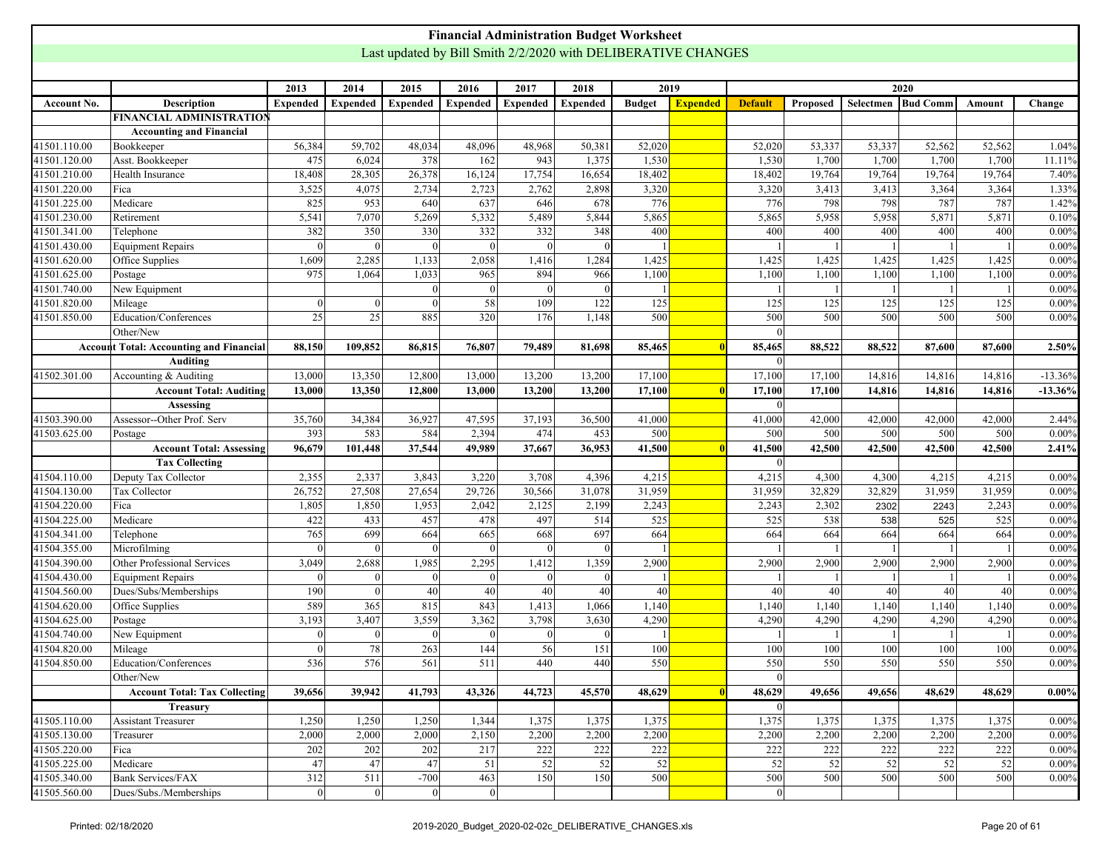<span id="page-19-0"></span>

|              |                                                |                 |                 |                 |                 | <b>Financial Administration Budget Worksheet</b>              |                 |                |                 |                 |          |           |                 |        |           |
|--------------|------------------------------------------------|-----------------|-----------------|-----------------|-----------------|---------------------------------------------------------------|-----------------|----------------|-----------------|-----------------|----------|-----------|-----------------|--------|-----------|
|              |                                                |                 |                 |                 |                 | Last updated by Bill Smith 2/2/2020 with DELIBERATIVE CHANGES |                 |                |                 |                 |          |           |                 |        |           |
|              |                                                |                 |                 |                 |                 |                                                               |                 |                |                 |                 |          |           |                 |        |           |
|              |                                                | 2013            | 2014            | 2015            | 2016            | 2017                                                          | 2018            |                | 2019            |                 |          |           | 2020            |        |           |
| Account No.  | <b>Description</b>                             | <b>Expended</b> | <b>Expended</b> | <b>Expended</b> | <b>Expended</b> | <b>Expended</b>                                               | <b>Expended</b> | <b>Budget</b>  | <b>Expended</b> | <b>Default</b>  | Proposed | Selectmen | <b>Bud Comm</b> | Amount | Change    |
|              | <b>FINANCIAL ADMINISTRATION</b>                |                 |                 |                 |                 |                                                               |                 |                |                 |                 |          |           |                 |        |           |
|              | <b>Accounting and Financial</b>                |                 |                 |                 |                 |                                                               |                 |                |                 |                 |          |           |                 |        |           |
| 41501.110.00 | Bookkeeper                                     | 56,384          | 59,702          | 48,034          | 48,096          | 48,968                                                        | 50,381          | 52,020         |                 | 52,020          | 53,337   | 53,337    | 52,562          | 52,562 | 1.04%     |
| 41501.120.00 | Asst. Bookkeeper                               | 475             | 6,024           | 378             | 162             | 943                                                           | 1,375           | 1,530          |                 | 1,530           | 1,700    | 1,700     | 1,700           | 1,700  | 11.11%    |
| 41501.210.00 | Health Insurance                               | 18,408          | 28,305          | 26,378          | 16,124          | 17,754                                                        | 16,654          | 18,402         |                 | 18,402          | 19,764   | 19,764    | 19,764          | 19,764 | 7.40%     |
| 41501.220.00 | Fica                                           | 3,525           | 4,075           | 2,734           | 2,723           | 2,762                                                         | 2,898           | 3,320          |                 | 3,320           | 3,413    | 3,413     | 3,364           | 3,364  | 1.33%     |
| 41501.225.00 | Medicare                                       | 825             | 953             | 640             | 637             | 646                                                           | 678             | 776            |                 | 776             | 798      | 798       | 787             | 787    | 1.42%     |
| 41501.230.00 | Retirement                                     | 5,541           | 7,070           | 5,269           | 5,332           | 5,489                                                         | 5,844           | 5,865          |                 | 5,865           | 5,958    | 5,958     | 5,871           | 5,871  | 0.10%     |
| 41501.341.00 | Telephone                                      | 382             | 350             | 330             | 332             | 332                                                           | 348             | 400            |                 | 400             | 400      | 400       | 400             | 400    | $0.00\%$  |
| 41501.430.00 | <b>Equipment Repairs</b>                       | $\Omega$        | -C              | $\Omega$        |                 | $\Omega$                                                      |                 | $\overline{1}$ |                 |                 |          |           |                 |        | $0.00\%$  |
| 41501.620.00 | Office Supplies                                | 1,609           | 2,285           | 1,133           | 2,058           | 1,416                                                         | 1,284           | 1,425          |                 | 1,425           | 1,425    | 1,425     | 1,425           | 1,425  | $0.00\%$  |
| 41501.625.00 | Postage                                        | 975             | 1,064           | 1,033           | 965             | 894                                                           | 966             | 1,100          |                 | 1,100           | 1,100    | 1,100     | 1,100           | 1,100  | $0.00\%$  |
| 41501.740.00 | New Equipment                                  |                 |                 | $\Omega$        |                 | $\Omega$                                                      | $\Omega$        |                |                 |                 |          |           |                 |        | 0.00%     |
| 41501.820.00 | Mileage                                        | $\overline{0}$  | $\theta$        | $\Omega$        | 58              | 109                                                           | 122             | 125            |                 | 125             | 125      | 125       | 125             | 125    | $0.00\%$  |
| 41501.850.00 | Education/Conferences                          | 25              | 25              | 885             | 320             | 176                                                           | 1,148           | 500            |                 | 500             | 500      | 500       | 500             | 500    | $0.00\%$  |
|              | Other/New                                      |                 |                 |                 |                 |                                                               |                 |                |                 |                 |          |           |                 |        |           |
|              |                                                |                 |                 |                 |                 |                                                               |                 |                |                 |                 |          |           |                 |        |           |
|              | <b>Account Total: Accounting and Financial</b> | 88,150          | 109,852         | 86,815          | 76,807          | 79,489                                                        | 81,698          | 85,465         |                 | 85,465          | 88,522   | 88,522    | 87,600          | 87,600 | 2.50%     |
|              | <b>Auditing</b>                                |                 |                 |                 |                 |                                                               |                 |                |                 | $\Omega$        |          |           |                 |        |           |
| 41502.301.00 | Accounting & Auditing                          | 13,000          | 13,350          | 12,800          | 13,000          | 13,200                                                        | 13,200          | 17,100         |                 | 17,100          | 17,100   | 14,816    | 14,816          | 14,816 | $-13.36%$ |
|              | <b>Account Total: Auditing</b>                 | 13,000          | 13,350          | 12,800          | 13,000          | 13,200                                                        | 13,200          | 17,100         |                 | 17,100          | 17,100   | 14,816    | 14,816          | 14,816 | $-13.36%$ |
|              | Assessing                                      |                 |                 |                 |                 |                                                               |                 |                |                 | $\Omega$        |          |           |                 |        |           |
| 41503.390.00 | Assessor--Other Prof. Serv                     | 35,760          | 34,384          | 36,927          | 47,595          | 37,193                                                        | 36,500          | 41,000         |                 | 41,000          | 42,000   | 42,000    | 42,000          | 42,000 | 2.44%     |
| 41503.625.00 | Postage                                        | 393             | 583             | 584             | 2,394           | 474                                                           | 453             | 500            |                 | 500             | 500      | 500       | 500             | 500    | 0.00%     |
|              | <b>Account Total: Assessing</b>                | 96,679          | 101,448         | 37,544          | 49,989          | 37,667                                                        | 36,953          | 41,500         |                 | 41,500          | 42,500   | 42,500    | 42,500          | 42,500 | 2.41%     |
|              | <b>Tax Collecting</b>                          |                 |                 |                 |                 |                                                               |                 |                |                 | $\Omega$        |          |           |                 |        |           |
| 41504.110.00 | Deputy Tax Collector                           | 2,355           | 2,337           | 3,843           | 3,220           | 3,708                                                         | 4,396           | 4,215          |                 | 4,215           | 4,300    | 4,300     | 4,215           | 4,215  | $0.00\%$  |
| 41504.130.00 | Tax Collector                                  | 26,752          | 27,508          | 27,654          | 29,726          | 30,566                                                        | 31,078          | 31,959         |                 | 31,959          | 32,829   | 32,829    | 31,959          | 31,959 | $0.00\%$  |
| 41504.220.00 | Fica                                           | 1,805           | 1,850           | 1,953           | 2,042           | 2,125                                                         | 2,199           | 2,243          |                 | 2,243           | 2,302    | 2302      | 2243            | 2,243  | $0.00\%$  |
| 41504.225.00 | Medicare                                       | 422             | 433             | 457             | 478             | 497                                                           | 514             | 525            |                 | 525             | 538      | 538       | 525             | 525    | $0.00\%$  |
| 41504.341.00 | Telephone                                      | 765             | 699             | 664             | 665             | 668                                                           | 697             | 664            |                 | 664             | 664      | 664       | 664             | 664    | $0.00\%$  |
| 41504.355.00 | Microfilming                                   | $\Omega$        | $\Omega$        | $\Omega$        | ∩               | $\Omega$                                                      |                 | $\mathbf{1}$   |                 |                 |          |           |                 |        | $0.00\%$  |
| 41504.390.00 | Other Professional Services                    | 3,049           | 2,688           | 1,985           | 2,295           | 1,412                                                         | 1,359           | 2,900          |                 | 2,900           | 2,900    | 2,900     | 2,900           | 2,900  | $0.00\%$  |
| 41504.430.00 | <b>Equipment Repairs</b>                       | $\theta$        | $\Omega$        | $\Omega$        | $\Omega$        | $\Omega$                                                      | $\Omega$        | $\overline{1}$ |                 |                 |          |           | - 1             |        | $0.00\%$  |
| 41504.560.00 | Dues/Subs/Memberships                          | 190             | $\Omega$        | 40              | 40              | 40                                                            | 40              | 40             |                 | 40              | 40       | 40        | 40              | 40     | $0.00\%$  |
| 41504.620.00 | Office Supplies                                | 589             | 365             | 815             | 843             | 1,413                                                         | 1,066           | 1,140          |                 | 1,140           | 1,140    | 1,140     | 1,140           | 1,140  | $0.00\%$  |
| 41504.625.00 | Postage                                        | 3,193           | 3,407           | 3,559           | 3,362           | 3,798                                                         | 3,630           | 4,290          |                 | 4,290           | 4,290    | 4,290     | 4,290           | 4,290  | $0.00\%$  |
| 41504.740.00 | New Equipment                                  | $\mathbf{0}$    | -0              | $\Omega$        |                 | $\Omega$                                                      |                 |                |                 |                 |          |           |                 |        | $0.00\%$  |
| 41504.820.00 | Mileage                                        | 0               | 78              | 263             | 144             | 56                                                            | 151             | 100            |                 | 100             | 100      | 100       | 100             | 100    | $0.00\%$  |
| 41504.850.00 | Education/Conferences                          | 536             | 576             | 561             | 511             | 440                                                           | 440             | 550            |                 | 550             | 550      | 550       | 550             | 550    | $0.00\%$  |
|              | Other/New                                      |                 |                 |                 |                 |                                                               |                 |                |                 | $\theta$        |          |           |                 |        |           |
|              | <b>Account Total: Tax Collecting</b>           | 39,656          | 39,942          | 41,793          | 43,326          | 44,723                                                        | 45,570          | 48,629         |                 | 48,629          | 49,656   | 49,656    | 48,629          | 48,629 | $0.00\%$  |
|              | <b>Treasury</b>                                |                 |                 |                 |                 |                                                               |                 |                |                 | $\vert 0 \vert$ |          |           |                 |        |           |
| 41505.110.00 | <b>Assistant Treasurer</b>                     | 1,250           | 1,250           | 1,250           | 1,344           | 1,375                                                         | 1,375           | 1,375          |                 | 1,375           | 1,375    | 1,375     | 1,375           | 1,375  | $0.00\%$  |
| 41505.130.00 | Treasurer                                      | 2,000           | 2,000           | 2,000           | 2,150           | 2,200                                                         | 2,200           | 2,200          |                 | 2,200           | 2,200    | 2,200     | 2,200           | 2,200  | $0.00\%$  |
| 41505.220.00 | Fica                                           | 202             | 202             | 202             | 217             | $\overline{222}$                                              | 222             | 222            |                 | 222             | 222      | 222       | 222             | 222    | $0.00\%$  |
| 41505.225.00 | Medicare                                       | 47              | 47              | 47              | 51              | 52                                                            | 52              | 52             |                 | 52              | 52       | 52        | 52              | 52     | $0.00\%$  |
| 41505.340.00 | <b>Bank Services/FAX</b>                       | 312             | 511             | $-700$          | 463             | 150                                                           | 150             | 500            |                 | 500             | 500      | 500       | 500             | 500    | $0.00\%$  |
| 41505.560.00 | Dues/Subs./Memberships                         | 0               | $\vert 0 \vert$ | 0               | 0               |                                                               |                 |                |                 | 0               |          |           |                 |        |           |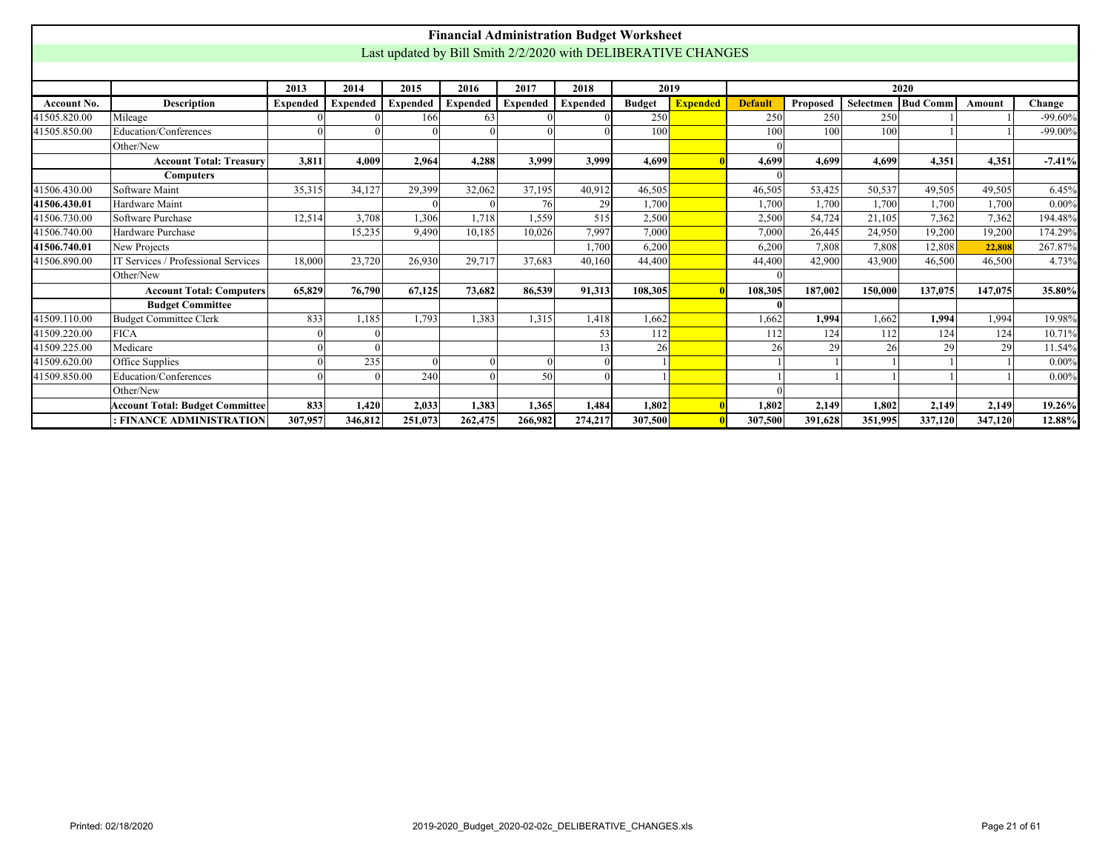|              |                                        |                 |                 |                                                               |          |                 | <b>Financial Administration Budget Worksheet</b> |               |                 |                |          |           |                 |         |            |
|--------------|----------------------------------------|-----------------|-----------------|---------------------------------------------------------------|----------|-----------------|--------------------------------------------------|---------------|-----------------|----------------|----------|-----------|-----------------|---------|------------|
|              |                                        |                 |                 | Last updated by Bill Smith 2/2/2020 with DELIBERATIVE CHANGES |          |                 |                                                  |               |                 |                |          |           |                 |         |            |
|              |                                        |                 |                 |                                                               |          |                 |                                                  |               |                 |                |          |           |                 |         |            |
|              |                                        | 2013            | 2014            | 2015                                                          | 2016     | 2017            | 2018                                             | 2019          |                 |                |          |           | 2020            |         |            |
| Account No.  | <b>Description</b>                     | <b>Expended</b> | <b>Expended</b> | <b>Expended</b>                                               | Expended | <b>Expended</b> | <b>Expended</b>                                  | <b>Budget</b> | <b>Expended</b> | <b>Default</b> | Proposed | Selectmen | <b>Bud Comm</b> | Amount  | Change     |
| 41505.820.00 | Mileage                                |                 |                 | 166                                                           | 63       |                 |                                                  | 250           |                 | 250            | 250      | 250       |                 |         | $-99.60%$  |
| 41505.850.00 | Education/Conferences                  |                 |                 |                                                               |          |                 |                                                  | 100           |                 | 100            | 100      | 100       |                 |         | $-99.00\%$ |
|              | Other/New                              |                 |                 |                                                               |          |                 |                                                  |               |                 |                |          |           |                 |         |            |
|              | <b>Account Total: Treasury</b>         | 3,811           | 4,009           | 2,964                                                         | 4,288    | 3,999           | 3,999                                            | 4,699         |                 | 4.699          | 4.699    | 4.699     | 4,351           | 4.351   | $-7.41%$   |
|              | <b>Computers</b>                       |                 |                 |                                                               |          |                 |                                                  |               |                 |                |          |           |                 |         |            |
| 41506.430.00 | Software Maint                         | 35,315          | 34.127          | 29,399                                                        | 32,062   | 37,195          | 40.912                                           | 46,505        |                 | 46.505         | 53,425   | 50,537    | 49.505          | 49,505  | 6.45%      |
| 41506.430.01 | Hardware Maint                         |                 |                 |                                                               |          | 76              | 29                                               | 1,700         |                 | 1,700          | 1,700    | 1,700     | 1,700           | 1,700   | $0.00\%$   |
| 41506.730.00 | Software Purchase                      | 12,514          | 3,708           | 1,306                                                         | 1,718    | 1,559           | 515                                              | 2,500         |                 | 2,500          | 54,724   | 21,105    | 7,362           | 7,362   | 194.48%    |
| 41506.740.00 | Hardware Purchase                      |                 | 15,235          | 9.490                                                         | 10,185   | 10,026          | 7.997                                            | 7.000         |                 | 7.000          | 26.445   | 24,950    | 19,200          | 19,200  | 174.29%    |
| 41506.740.01 | <b>New Projects</b>                    |                 |                 |                                                               |          |                 | 1,700                                            | 6.200         |                 | 6.200          | 7.808    | 7.808     | 12.808          | 22,808  | 267.87%    |
| 41506.890.00 | IT Services / Professional Services    | 18,000          | 23,720          | 26,930                                                        | 29,717   | 37,683          | 40,160                                           | 44,400        |                 | 44,400         | 42,900   | 43.900    | 46,500          | 46,500  | 4.73%      |
|              | Other/New                              |                 |                 |                                                               |          |                 |                                                  |               |                 |                |          |           |                 |         |            |
|              | <b>Account Total: Computers</b>        | 65,829          | 76.790          | 67,125                                                        | 73,682   | 86,539          | 91,313                                           | 108.305       |                 | 108,305        | 187,002  | 150,000   | 137,075         | 147,075 | 35.80%     |
|              | <b>Budget Committee</b>                |                 |                 |                                                               |          |                 |                                                  |               |                 |                |          |           |                 |         |            |
| 41509.110.00 | Budget Committee Clerk                 | 833             | 1,185           | 1,793                                                         | 1,383    | 1,315           | 1,418                                            | 1,662         |                 | 1,662          | 1,994    | 1,662     | 1,994           | 1,994   | 19.98%     |
| 41509.220.00 | FICA                                   |                 |                 |                                                               |          |                 | 53                                               | 112           |                 | 112            | 124      | 112       | 124             | 124     | 10.71%     |
| 41509.225.00 | Medicare                               |                 |                 |                                                               |          |                 | 13                                               | 26            |                 | 26             | 29       | 26        | 29              | 29      | 11.54%     |
| 41509.620.00 | Office Supplies                        |                 | 235             |                                                               |          | $\Omega$        |                                                  |               |                 |                |          |           |                 |         | $0.00\%$   |
| 41509.850.00 | Education/Conferences                  |                 |                 | 240                                                           |          | 50              |                                                  |               |                 |                |          |           |                 |         | $0.00\%$   |
|              | Other/New                              |                 |                 |                                                               |          |                 |                                                  |               |                 |                |          |           |                 |         |            |
|              | <b>Account Total: Budget Committee</b> | 833             | 1,420           | 2,033                                                         | 1,383    | 1,365           | 1,484                                            | 1,802         |                 | 1.802          | 2,149    | 1,802     | 2,149           | 2,149   | 19.26%     |
|              | : FINANCE ADMINISTRATION               | 307,957         | 346,812         | 251,073                                                       | 262,475  | 266,982         | 274,217                                          | 307,500       |                 | 307,500        | 391,628  | 351,995   | 337,120         | 347,120 | 12.88%     |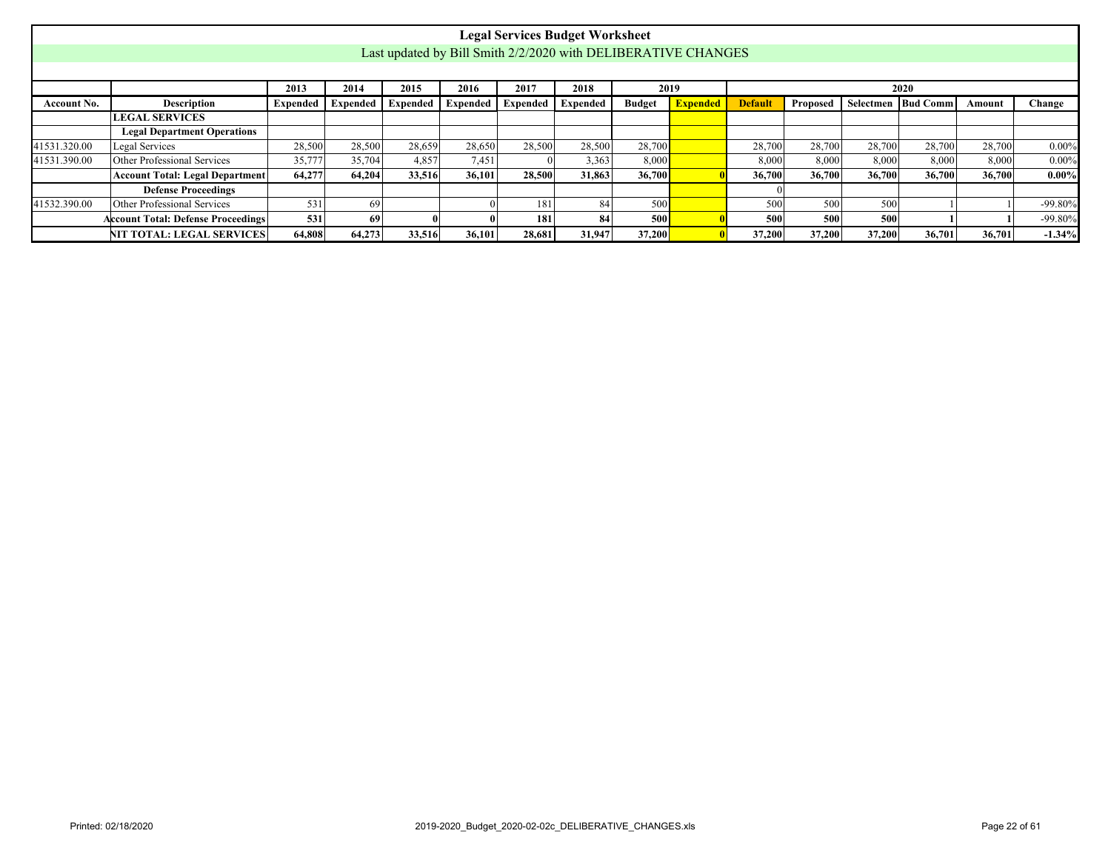<span id="page-21-0"></span>

|              |                                           |                   |        |          |          |          | <b>Legal Services Budget Worksheet</b>                        |               |                 |                |          |        |                      |        |            |
|--------------|-------------------------------------------|-------------------|--------|----------|----------|----------|---------------------------------------------------------------|---------------|-----------------|----------------|----------|--------|----------------------|--------|------------|
|              |                                           |                   |        |          |          |          | Last updated by Bill Smith 2/2/2020 with DELIBERATIVE CHANGES |               |                 |                |          |        |                      |        |            |
|              |                                           |                   |        |          |          |          |                                                               |               |                 |                |          |        |                      |        |            |
|              |                                           | 2013              | 2014   | 2015     | 2016     | 2017     | 2018                                                          |               | 2019            |                |          |        | 2020                 |        |            |
| Account No.  | <b>Description</b>                        | Expended Expended |        | Expended | Expended | Expended | Expended                                                      | <b>Budget</b> | <b>Expended</b> | <b>Default</b> | Proposed |        | Selectmen   Bud Comm | Amount | Change     |
|              | <b>LEGAL SERVICES</b>                     |                   |        |          |          |          |                                                               |               |                 |                |          |        |                      |        |            |
|              | <b>Legal Department Operations</b>        |                   |        |          |          |          |                                                               |               |                 |                |          |        |                      |        |            |
| 41531.320.00 | Legal Services                            | 28,500            | 28,500 | 28,659   | 28,650   | 28,500   | 28,500                                                        | 28,700        |                 | 28,700         | 28,700   | 28,700 | 28,700               | 28,700 | $0.00\%$   |
| 41531.390.00 | Other Professional Services               | 35,777            | 35,704 | 4.857    | 7.451    |          | 3,363                                                         | 8,000         |                 | 8.000          | 8.000    | 8.000  | 8.000                | 8,000  | $0.00\%$   |
|              | <b>Account Total: Legal Department</b>    | 64,277            | 64.204 | 33,516   | 36,101   | 28,500   | 31,863                                                        | 36,700        |                 | 36,700         | 36,700   | 36,700 | 36,700               | 36,700 | $0.00\%$   |
|              | <b>Defense Proceedings</b>                |                   |        |          |          |          |                                                               |               |                 |                |          |        |                      |        |            |
| 41532.390.00 | Other Professional Services               | 531               | 69     |          |          | 181      | 84                                                            | 500           |                 | 500            | 500      | 500    |                      |        | $-99.80\%$ |
|              | <b>Account Total: Defense Proceedings</b> | 531               | 69     |          |          | 181      | 84                                                            | 500l          |                 | 500            | 500      | 500    |                      |        | $-99.80\%$ |
|              | NIT TOTAL: LEGAL SERVICES                 | 64,808            | 64,273 | 33,516   | 36,101   | 28,681   | 31,947                                                        | 37,200        |                 | 37,200         | 37,200   | 37,200 | 36,701               | 36,701 | $-1.34%$   |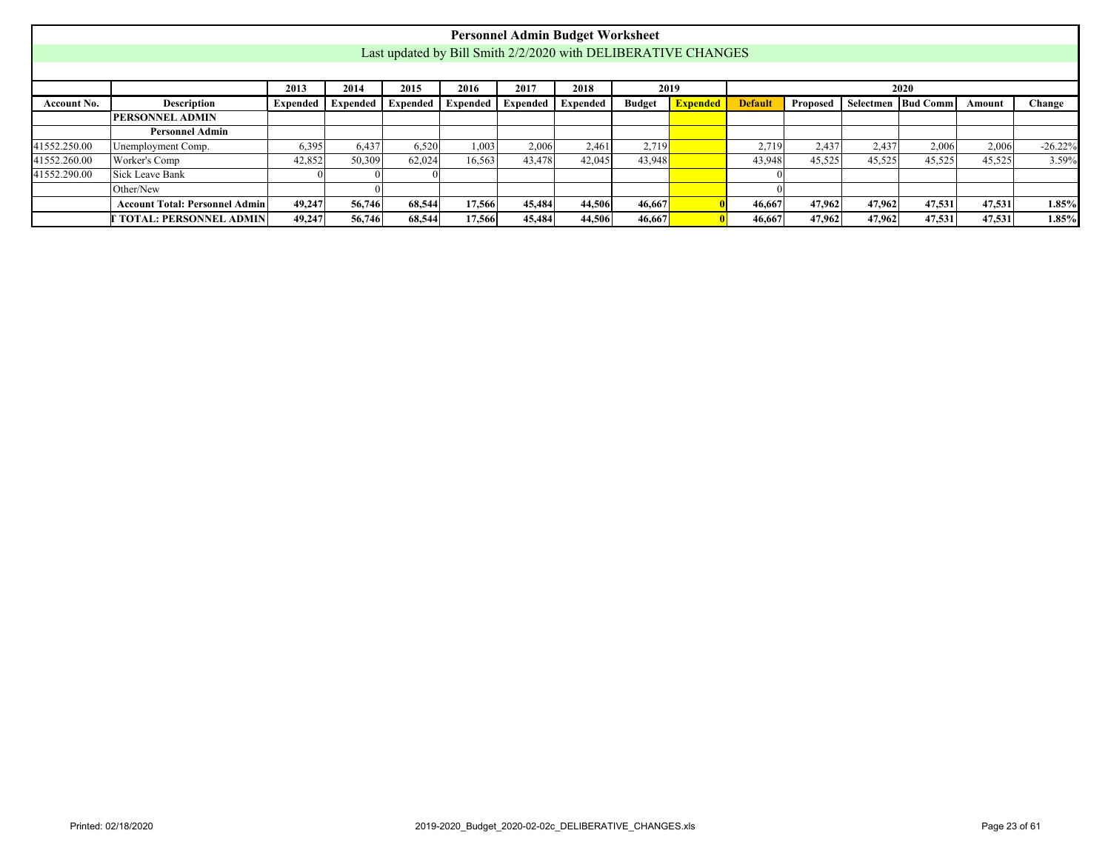<span id="page-22-0"></span>

|              |                                                                                                                                                                                                       |        |        |        |        |        | <b>Personnel Admin Budget Worksheet</b>                       |        |      |        |        |        |        |        |           |
|--------------|-------------------------------------------------------------------------------------------------------------------------------------------------------------------------------------------------------|--------|--------|--------|--------|--------|---------------------------------------------------------------|--------|------|--------|--------|--------|--------|--------|-----------|
|              |                                                                                                                                                                                                       |        |        |        |        |        | Last updated by Bill Smith 2/2/2020 with DELIBERATIVE CHANGES |        |      |        |        |        |        |        |           |
|              |                                                                                                                                                                                                       |        |        |        |        |        |                                                               |        |      |        |        |        |        |        |           |
|              |                                                                                                                                                                                                       | 2013   | 2014   | 2015   | 2016   | 2017   | 2018                                                          |        | 2019 |        |        |        | 2020   |        |           |
| Account No.  | <b>Expended</b><br>Description<br>Expended   Expended  <br>Expended<br><b>Default</b><br>Selectmen   Bud Comm  <br>Expended   Expended  <br>Expended<br><b>Budget</b><br>Proposed<br>Change<br>Amount |        |        |        |        |        |                                                               |        |      |        |        |        |        |        |           |
|              | <b>PERSONNEL ADMIN</b>                                                                                                                                                                                |        |        |        |        |        |                                                               |        |      |        |        |        |        |        |           |
|              | <b>Personnel Admin</b>                                                                                                                                                                                |        |        |        |        |        |                                                               |        |      |        |        |        |        |        |           |
| 41552.250.00 | Unemployment Comp.                                                                                                                                                                                    | 6,395  | 6,437  | 6,520  | 1,003  | 2,006  | 2,461                                                         | 2,719  |      | 2,719  | 2.43'  | 2,437  | 2,006  | 2,006  | $-26.22%$ |
| 41552.260.00 | Worker's Comp                                                                                                                                                                                         | 42,852 | 50,309 | 62,024 | 16,563 | 43,478 | 42,045                                                        | 43,948 |      | 43,948 | 45,525 | 45,525 | 45,525 | 45,525 | 3.59%     |
| 41552.290.00 | Sick Leave Bank                                                                                                                                                                                       |        |        |        |        |        |                                                               |        |      |        |        |        |        |        |           |
|              | Other/New                                                                                                                                                                                             |        |        |        |        |        |                                                               |        |      |        |        |        |        |        |           |
|              | <b>Account Total: Personnel Admin</b>                                                                                                                                                                 | 49,247 | 56,746 | 68,544 | 17,566 | 45,484 | 44,506                                                        | 46,667 |      | 46.667 | 47,962 | 47,962 | 47.531 | 47,531 | 1.85%     |
|              | TOTAL: PERSONNEL ADMIN                                                                                                                                                                                | 49,247 | 56,746 | 68,544 | 17,566 | 45,484 | 44,506                                                        | 46,667 |      | 46.667 | 47.962 | 47,962 | 47.531 | 47,531 | 1.85%     |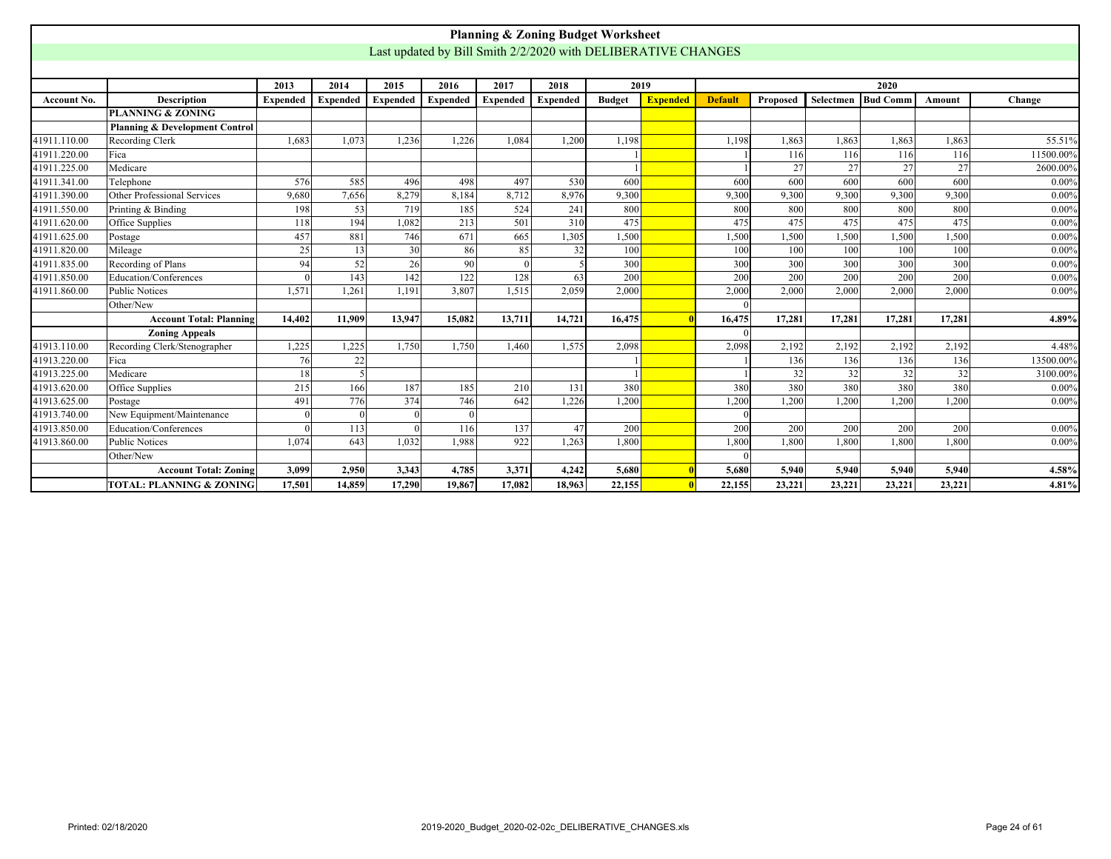<span id="page-23-0"></span>

|              |                                           |                 |                 |                 |                                                               | <b>Planning &amp; Zoning Budget Worksheet</b> |                 |               |                 |                |          |           |                 |        |           |
|--------------|-------------------------------------------|-----------------|-----------------|-----------------|---------------------------------------------------------------|-----------------------------------------------|-----------------|---------------|-----------------|----------------|----------|-----------|-----------------|--------|-----------|
|              |                                           |                 |                 |                 | Last updated by Bill Smith 2/2/2020 with DELIBERATIVE CHANGES |                                               |                 |               |                 |                |          |           |                 |        |           |
|              |                                           |                 |                 |                 |                                                               |                                               |                 |               |                 |                |          |           |                 |        |           |
|              |                                           | 2013            | 2014            | 2015            | 2016                                                          | 2017                                          | 2018            | 2019          |                 |                |          |           | 2020            |        |           |
| Account No.  | <b>Description</b>                        | <b>Expended</b> | <b>Expended</b> | <b>Expended</b> | <b>Expended</b>                                               | Expended                                      | <b>Expended</b> | <b>Budget</b> | <b>Expended</b> | <b>Default</b> | Proposed | Selectmen | <b>Bud Comm</b> | Amount | Change    |
|              | <b>PLANNING &amp; ZONING</b>              |                 |                 |                 |                                                               |                                               |                 |               |                 |                |          |           |                 |        |           |
|              | <b>Planning &amp; Development Control</b> |                 |                 |                 |                                                               |                                               |                 |               |                 |                |          |           |                 |        |           |
| 41911.110.00 | Recording Clerk                           | 1,683           | 1.073           | 1,236           | 1,226                                                         | 1,084                                         | 1,200           | 1,198         |                 | 1,198          | 1,863    | 1,863     | 1,863           | 1,863  | 55.51%    |
| 41911.220.00 | Fica                                      |                 |                 |                 |                                                               |                                               |                 |               |                 |                | 116      | 116       | 116             | 116    | 11500.00% |
| 41911.225.00 | Medicare                                  |                 |                 |                 |                                                               |                                               |                 |               |                 |                | 27       | 27        | 27              | 27     | 2600.00%  |
| 41911.341.00 | Telephone                                 | 576             | 585             | 496             | 498                                                           | 497                                           | 530             | 600           |                 | 600            | 600      | 600       | 600             | 600    | 0.00%     |
| 41911.390.00 | Other Professional Services               | 9,680           | 7,656           | 8.279           | 8.184                                                         | 8.712                                         | 8.976           | 9,300         |                 | 9,300          | 9.300    | 9,300     | 9,300           | 9,300  | 0.00%     |
| 41911.550.00 | Printing & Binding                        | 198             | 53              | 719             | 185                                                           | 524                                           | 241             | 800           |                 | 800            | 800      | 800       | 800             | 800    | 0.00%     |
| 41911.620.00 | Office Supplies                           | 118             | 194             | 1,082           | 475                                                           | 475                                           | 475             | 475           | 475             | 475            | 0.00%    |           |                 |        |           |
| 41911.625.00 | Postage                                   | 457             | 881             | 746             | 1,500                                                         | 1,500                                         | 1,500           | 1,500         | 1,500           | 1,500          | 0.00%    |           |                 |        |           |
| 41911.820.00 | Mileage                                   | 25              | 13              | 30 <sup>1</sup> | 100                                                           | 100                                           | 100             | 100           | 100             | 100            | 0.00%    |           |                 |        |           |
| 41911.835.00 | Recording of Plans                        | 94              | 52              | 26              | 90                                                            |                                               |                 | 300           |                 | 300            | 300      | 300       | 300             | 300    | 0.00%     |
| 41911.850.00 | Education/Conferences                     |                 | 143             | 142             | 122                                                           | 128                                           | 63              | 200           |                 | 200            | 200      | 200       | 200             | 200    | 0.00%     |
| 41911.860.00 | Public Notices                            | 1.571           | 1,261           | 1.191           | 3.807                                                         | 1.515                                         | 2,059           | 2,000         |                 | 2,000          | 2.000    | 2.000     | 2.000           | 2.000  | 0.00%     |
|              | Other/New                                 |                 |                 |                 |                                                               |                                               |                 |               |                 |                |          |           |                 |        |           |
|              | <b>Account Total: Planning</b>            | 14,402          | 11.909          | 13,947          | 15.082                                                        | 13,711                                        | 14,721          | 16,475        |                 | 16,475         | 17.281   | 17.281    | 17,281          | 17.281 | 4.89%     |
|              | <b>Zoning Appeals</b>                     |                 |                 |                 |                                                               |                                               |                 |               |                 |                |          |           |                 |        |           |
| 41913.110.00 | Recording Clerk/Stenographer              | 1,225           | 1,225           | 1,750           | 1,750                                                         | 1,460                                         | 1,575           | 2,098         |                 | 2,098          | 2,192    | 2,192     | 2,192           | 2,192  | 4.48%     |
| 41913.220.00 | Fica                                      | 76              | 22              |                 |                                                               |                                               |                 |               |                 |                | 136      | 136       | 136             | 136    | 13500.00% |
| 41913.225.00 | Medicare                                  | 18              | $\overline{5}$  |                 |                                                               |                                               |                 |               |                 |                | 32       | 32        | 32              | 32     | 3100.00%  |
| 41913.620.00 | Office Supplies                           | 215             | 166             | 187             | 185                                                           | 210                                           | 131             | 380           |                 | 380            | 380      | 380       | 380             | 380    | 0.00%     |
| 41913.625.00 | Postage                                   | 491             | 776             | 374             | 746                                                           | 642                                           | 1,226           | 1,200         |                 | 1,200          | 1,200    | 1,200     | 1,200           | 1,200  | 0.00%     |
| 41913.740.00 | New Equipment/Maintenance                 |                 | $\Omega$        | $\Omega$        | $\Omega$                                                      |                                               |                 |               |                 |                |          |           |                 |        |           |
| 41913.850.00 | Education/Conferences                     |                 | 113             |                 | 116                                                           | 137                                           | 47              | 200           |                 | 200            | 200      | 200       | 200             | 200    | 0.00%     |
| 41913.860.00 | Public Notices                            | 1.074           | 643             | 1.032           | 1.988                                                         | 922                                           | 1,263           | 1,800         |                 | 1,800          | 1,800    | 1,800     | 1,800           | 1,800  | 0.00%     |
|              | Other/New                                 |                 |                 |                 |                                                               |                                               |                 |               |                 |                |          |           |                 |        |           |
|              | <b>Account Total: Zoning</b>              | 3,099           | 2,950           | 3,343           | 4,785                                                         | 3,371                                         | 4,242           | 5,680         |                 | 5,680          | 5,940    | 5,940     | 5,940           | 5,940  | 4.58%     |
|              | <b>TOTAL: PLANNING &amp; ZONING</b>       | 17.501          | 14.859          | 17.290          | 19,867                                                        | 17.082                                        | 18.963          | 22,155        |                 | 22,155         | 23,221   | 23,221    | 23,221          | 23,221 | 4.81%     |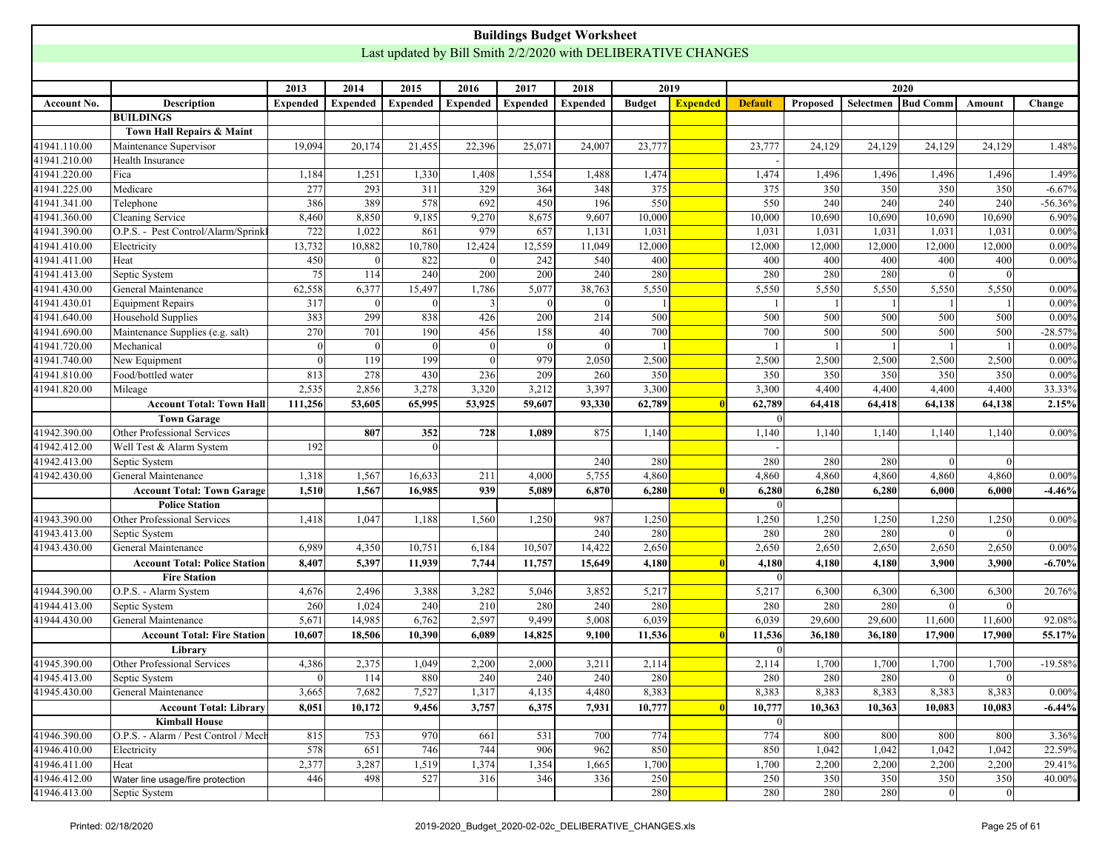<span id="page-24-0"></span>

|              |                                      |          |                 |                 |                 | <b>Buildings Budget Worksheet</b>                             |                 |               |                 |                |              |                    |                |          |           |
|--------------|--------------------------------------|----------|-----------------|-----------------|-----------------|---------------------------------------------------------------|-----------------|---------------|-----------------|----------------|--------------|--------------------|----------------|----------|-----------|
|              |                                      |          |                 |                 |                 | Last updated by Bill Smith 2/2/2020 with DELIBERATIVE CHANGES |                 |               |                 |                |              |                    |                |          |           |
|              |                                      |          |                 |                 |                 |                                                               |                 |               |                 |                |              |                    |                |          |           |
|              |                                      | 2013     | 2014            | 2015            | 2016            | 2017                                                          | 2018            |               | 2019            |                |              |                    | 2020           |          |           |
| Account No.  | <b>Description</b>                   | Expended | <b>Expended</b> | <b>Expended</b> | <b>Expended</b> | <b>Expended</b>                                               | <b>Expended</b> | <b>Budget</b> | <b>Expended</b> | <b>Default</b> | Proposed     | Selectmen Bud Comm |                | Amount   | Change    |
|              | <b>BUILDINGS</b>                     |          |                 |                 |                 |                                                               |                 |               |                 |                |              |                    |                |          |           |
|              | Town Hall Repairs & Maint            |          |                 |                 |                 |                                                               |                 |               |                 |                |              |                    |                |          |           |
| 41941.110.00 | Maintenance Supervisor               | 19,094   | 20,174          | 21,455          | 22,396          | 25,07                                                         | 24,007          | 23,777        |                 | 23,777         | 24,129       | 24,129             | 24,129         | 24,129   | 1.48%     |
| 41941.210.00 | Health Insurance                     |          |                 |                 |                 |                                                               |                 |               |                 |                |              |                    |                |          |           |
| 41941.220.00 | Fica                                 | 1,184    | 1,251           | 1,330           | 1,408           | 1,554                                                         | 1,488           | 1,474         |                 | 1,474          | 1,496        | 1,496              | 1,496          | 1,496    | 1.49%     |
| 41941.225.00 | Medicare                             | 277      | 293             | 311             | 329             | 364                                                           | 348             | 375           |                 | 375            | 350          | 350                | 350            | 350      | $-6.67%$  |
| 41941.341.00 | Telephone                            | 386      | 389             | 578             | 692             | 450                                                           | 196             | 550           |                 | 550            | 240          | 240                | 240            | 240      | $-56.36%$ |
| 41941.360.00 | Cleaning Service                     | 8,460    | 8,850           | 9,185           | 9,270           | 8,675                                                         | 9,607           | 10,000        |                 | 10,000         | 10,690       | 10,690             | 10,690         | 10,690   | 6.90%     |
| 41941.390.00 | O.P.S. - Pest Control/Alarm/Sprink   | 722      | 1,022           | 861             | 979             | 657                                                           | 1,131           | 1,031         |                 | 1,031          | 1,031        | 1,031              | 1,031          | 1,031    | $0.00\%$  |
| 41941.410.00 | Electricity                          | 13,732   | 10,882          | 10,780          | 12,424          | 12,559                                                        | 11,049          | 12,000        |                 | 12,000         | 12,000       | 12,000             | 12,000         | 12,000   | 0.00%     |
| 41941.411.00 | Heat                                 | 450      | $\Omega$        | 822             |                 | 242                                                           | 540             | 400           |                 | 400            | 400          | 400                | 400            | 400      | 0.00%     |
| 41941.413.00 | Septic System                        | 75       | 114             | 240             | 200             | 200                                                           | 240             | 280           |                 | 280            | 280          | 280                | $\Omega$       | $\Omega$ |           |
| 41941.430.00 | General Maintenance                  | 62,558   | 6,377           | 15,497          | 1,786           | 5,077                                                         | 38,763          | 5,550         |                 | 5,550          | 5,550        | 5,550              | 5,550          | 5,550    | 0.00%     |
| 41941.430.01 | <b>Equipment Repairs</b>             | 317      | 0               | $\vert$ 0       | $\mathbf{3}$    | $\Omega$                                                      |                 |               |                 | $\overline{1}$ | $\mathbf{1}$ |                    |                |          | $0.00\%$  |
| 41941.640.00 | Household Supplies                   | 383      | 299             | 838             | 426             | 200                                                           | 214             | 500           |                 | 500            | 500          | 500                | 500            | 500      | 0.00%     |
| 41941.690.00 | Maintenance Supplies (e.g. salt)     | 270      | 701             | 190             | 456             | 158                                                           | 40              | 700           |                 | 700            | 500          | 500                | 500            | 500      | $-28.57%$ |
| 41941.720.00 | Mechanical                           | $\theta$ | $\overline{0}$  | $\theta$        | $\Omega$        | $\Omega$                                                      | $\Omega$        |               |                 | -1             | -1           |                    |                |          | 0.00%     |
| 41941.740.00 | New Equipment                        | $\Omega$ | 119             | 199             | $\Omega$        | 979                                                           | 2,050           | 2,500         |                 | 2,500          | 2,500        | 2,500              | 2,500          | 2,500    | $0.00\%$  |
| 41941.810.00 | Food/bottled water                   | 813      | 278             | 430             | 236             | 209                                                           | 260             | 350           |                 | 350            | 350          | 350                | 350            | 350      | $0.00\%$  |
| 41941.820.00 | Mileage                              | 2,535    | 2,856           | 3,278           | 3,320           | 3,212                                                         | 3,397           | 3,300         |                 | 3,300          | 4,400        | 4,400              | 4,400          | 4,400    | 33.33%    |
|              | <b>Account Total: Town Hall</b>      | 111,256  | 53,605          | 65,995          | 53,925          | 59,607                                                        | 93,330          | 62,789        |                 | 62,789         | 64,418       | 64,418             | 64,138         | 64,138   | 2.15%     |
|              | <b>Town Garage</b>                   |          |                 |                 |                 |                                                               |                 |               |                 | $\Omega$       |              |                    |                |          |           |
| 41942.390.00 | Other Professional Services          |          | 807             | 352             | 728             | 1,089                                                         | 875             | 1,140         |                 | 1,140          | 1,140        | 1,140              | 1,140          | 1,140    | $0.00\%$  |
| 41942.412.00 | Well Test & Alarm System             | 192      |                 | $\vert$ 0       |                 |                                                               |                 |               |                 |                |              |                    |                |          |           |
| 41942.413.00 | Septic System                        |          |                 |                 |                 |                                                               | 240             | 280           |                 | 280            | 280          | 280                |                | $\Omega$ |           |
| 41942.430.00 | General Maintenance                  | 1,318    | 1,567           | 16,633          | 211             | 4,000                                                         | 5,755           | 4,860         |                 | 4,860          | 4,860        | 4,860              | 4,860          | 4,860    | $0.00\%$  |
|              | <b>Account Total: Town Garage</b>    | 1,510    | 1,567           | 16,985          | 939             | 5,089                                                         | 6,870           | 6,280         |                 | 6,280          | 6,280        | 6,280              | 6,000          | 6,000    | $-4.46%$  |
|              | <b>Police Station</b>                |          |                 |                 |                 |                                                               |                 |               |                 | 0              |              |                    |                |          |           |
| 41943.390.00 | Other Professional Services          | 1,418    | 1,047           | 1,188           | 1,560           | 1,250                                                         | 987             | 1,250         |                 | 1,250          | 1,250        | 1,250              | 1,250          | 1,250    | 0.00%     |
| 41943.413.00 | Septic System                        |          |                 |                 |                 |                                                               | 240             | 280           |                 | 280            | 280          | 280                |                | $\Omega$ |           |
| 41943.430.00 | General Maintenance                  | 6,989    | 4,350           | 10,751          | 6,184           | 10,507                                                        | 14,422          | 2,650         |                 | 2,650          | 2,650        | 2,650              | 2,650          | 2,650    | $0.00\%$  |
|              | <b>Account Total: Police Station</b> | 8,407    | 5,397           | 11,939          | 7,744           | 11,757                                                        | 15,649          | 4,180         |                 | 4,180          | 4,180        | 4,180              | 3,900          | 3,900    | $-6.70%$  |
|              | <b>Fire Station</b>                  |          |                 |                 |                 |                                                               |                 |               |                 | $\overline{0}$ |              |                    |                |          |           |
| 41944.390.00 | O.P.S. - Alarm System                | 4,676    | 2,496           | 3,388           | 3,282           | 5,046                                                         | 3,852           | 5,217         |                 | 5,217          | 6,300        | 6,300              | 6,300          | 6,300    | 20.76%    |
| 41944.413.00 | Septic System                        | 260      | 1,024           | 240             | 210             | 280                                                           | 240             | 280           |                 | 280            | 280          | 280                |                | $\Omega$ |           |
| 41944.430.00 | General Maintenance                  | 5,671    | 14,985          | 6,762           | 2,597           | 9,499                                                         | 5,008           | 6,039         |                 | 6,039          | 29,600       | 29,600             | 11,600         | 11,600   | 92.08%    |
|              | <b>Account Total: Fire Station</b>   | 10,607   | 18,506          | 10,390          | 6,089           | 14,825                                                        | 9,100           | 11,536        |                 | 11,536         | 36,180       | 36,180             | 17,900         | 17,900   | 55.17%    |
|              | Library                              |          |                 |                 |                 |                                                               |                 |               |                 | $\overline{0}$ |              |                    |                |          |           |
| 41945.390.00 | Other Professional Services          | 4,386    | 2,375           | 1,049           | 2,200           | 2,000                                                         | 3,211           | 2,114         |                 | 2,114          | 1,700        | 1,700              | 1,700          | 1,700    | $-19.58%$ |
| 41945.413.00 | Septic System                        | $\Omega$ | 114             | 880             | 240             | 240                                                           | 240             | 280           |                 | 280            | 280          | 280                | $\Omega$       | 0        |           |
| 41945.430.00 | General Maintenance                  | 3,665    | 7,682           | 7,527           | 1,317           | 4,135                                                         | 4,480           | 8,383         |                 | 8,383          | 8,383        | 8,383              | 8,383          | 8,383    | $0.00\%$  |
|              | <b>Account Total: Library</b>        | 8,051    | 10,172          | 9,456           | 3,757           | 6,375                                                         | 7,931           | 10,777        |                 | 10,777         | 10,363       | 10,363             | 10,083         | 10,083   | $-6.44%$  |
|              | <b>Kimball House</b>                 |          |                 |                 |                 |                                                               |                 |               |                 | 0              |              |                    |                |          |           |
| 41946.390.00 | O.P.S. - Alarm / Pest Control / Mech | 815      | 753             | 970             | 661             | 531                                                           | 700             | 774           |                 | 774            | 800          | 800                | 800            | 800      | 3.36%     |
| 41946.410.00 | Electricity                          | 578      | 651             | 746             | 744             | 906                                                           | 962             | 850           |                 | 850            | 1,042        | 1,042              | 1,042          | 1,042    | 22.59%    |
| 41946.411.00 | Heat                                 | 2,377    | 3,287           | 1,519           | 1,374           | 1,354                                                         | 1,665           | 1,700         |                 | 1,700          | 2,200        | 2,200              | 2,200          | 2,200    | 29.41%    |
| 41946.412.00 | Water line usage/fire protection     | 446      | 498             | 527             | 316             | 346                                                           | 336             | 250           |                 | 250            | 350          | 350                | 350            | 350      | 40.00%    |
| 41946.413.00 | Septic System                        |          |                 |                 |                 |                                                               |                 | 280           |                 | 280            | 280          | 280                | $\overline{0}$ | 0        |           |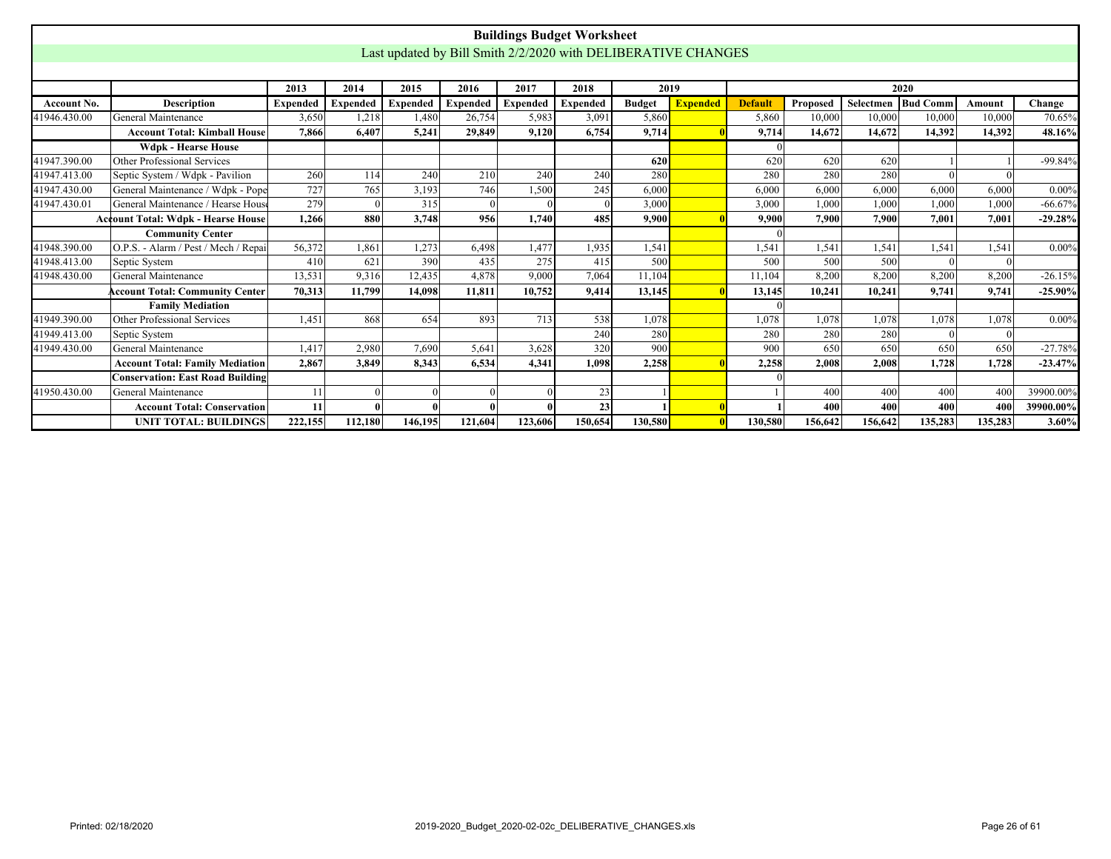|                                                                                                                                                                                               |                                           |                 |                 |                 |                 |                 | <b>Buildings Budget Worksheet</b>                             |               |                 |                |          |           |          |         |            |
|-----------------------------------------------------------------------------------------------------------------------------------------------------------------------------------------------|-------------------------------------------|-----------------|-----------------|-----------------|-----------------|-----------------|---------------------------------------------------------------|---------------|-----------------|----------------|----------|-----------|----------|---------|------------|
|                                                                                                                                                                                               |                                           |                 |                 |                 |                 |                 | Last updated by Bill Smith 2/2/2020 with DELIBERATIVE CHANGES |               |                 |                |          |           |          |         |            |
|                                                                                                                                                                                               |                                           |                 |                 |                 |                 |                 |                                                               |               |                 |                |          |           |          |         |            |
|                                                                                                                                                                                               |                                           | 2013            | 2014            | 2015            | 2016            | 2017            | 2018                                                          | 2019          |                 |                |          |           | 2020     |         |            |
| Account No.                                                                                                                                                                                   | <b>Description</b>                        | <b>Expended</b> | <b>Expended</b> | <b>Expended</b> | <b>Expended</b> | <b>Expended</b> | <b>Expended</b>                                               | <b>Budget</b> | <b>Expended</b> | <b>Default</b> | Proposed | Selectmen | Bud Comm | Amount  | Change     |
| 41946.430.00                                                                                                                                                                                  | General Maintenance                       | 3,650           | 1,218           | 1,480           | 26,754          | 5,983           | 3,091                                                         | 5,860         |                 | 5.860          | 10,000   | 10.000    | 10.000   | 10,000  | 70.65%     |
|                                                                                                                                                                                               | <b>Account Total: Kimball House</b>       | 7.866           | 6.407           | 5.241           | 29,849          | 9,120           | 6,754                                                         | 9,714         |                 | 9,714          | 14.672   | 14,672    | 14,392   | 14,392  | 48.16%     |
|                                                                                                                                                                                               | <b>Wdpk - Hearse House</b>                |                 |                 |                 |                 |                 |                                                               |               |                 |                |          |           |          |         |            |
| 41947.390.00                                                                                                                                                                                  | Other Professional Services               |                 |                 |                 |                 |                 |                                                               | 620           |                 | 620            | 620      | 620       |          |         | $-99.84%$  |
| 41947.413.00                                                                                                                                                                                  | Septic System / Wdpk - Pavilion           | 260             | 114             | 240             | 210             | 240             | 240                                                           | 280           |                 | 280            | 280      | 280       |          |         |            |
| 41947.430.00                                                                                                                                                                                  | General Maintenance / Wdpk - Pope         | 727             | 765             | 3,193           | 746             | 1,500           | 245                                                           | 6,000         |                 | 6.000          | 6,000    | 6.000     | 6,000    | 6,000   | 0.00%      |
| General Maintenance / Hearse House<br>279<br>315<br>41947.430.01<br>3,000<br>1,000<br>1,000<br>1,000<br>3,000<br>1,000<br>$\epsilon$<br>880<br>485<br>1,266<br>3.748<br>956<br>1,740<br>9,900 |                                           |                 |                 |                 |                 |                 |                                                               |               |                 |                |          |           |          |         | $-66.67%$  |
|                                                                                                                                                                                               | <b>Account Total: Wdpk - Hearse House</b> |                 | 9.900           | 7.900           | 7.900           | 7.001           | 7.001                                                         | $-29.28%$     |                 |                |          |           |          |         |            |
|                                                                                                                                                                                               | <b>Community Center</b>                   |                 |                 |                 |                 |                 |                                                               |               |                 |                |          |           |          |         |            |
| 41948.390.00                                                                                                                                                                                  | O.P.S. - Alarm / Pest / Mech / Repai      | 56,372          | 1.861           | 1,273           | 6.498           | 1,477           | 1,935                                                         | 1,541         |                 | 1,541          | 1,541    | 1,541     | 1,541    | 1.541   | $0.00\%$   |
| 41948.413.00                                                                                                                                                                                  | Septic System                             | 410             | 621             | 390             | 435             | 275             | 415                                                           | 500           |                 | 500            | 500      | 500       |          |         |            |
| 41948.430.00                                                                                                                                                                                  | General Maintenance                       | 13.531          | 9.316           | 12.435          | 4.878           | 9,000           | 7.064                                                         | 11.104        |                 | 11.104         | 8.200    | 8.200     | 8.200    | 8.200   | $-26.15%$  |
|                                                                                                                                                                                               | <b>Account Total: Community Center</b>    | 70,313          | 11,799          | 14,098          | 11.811          | 10,752          | 9,414                                                         | 13,145        |                 | 13,145         | 10,241   | 10.241    | 9.741    | 9.741   | $-25.90\%$ |
|                                                                                                                                                                                               | <b>Family Mediation</b>                   |                 |                 |                 |                 |                 |                                                               |               |                 |                |          |           |          |         |            |
| 41949.390.00                                                                                                                                                                                  | Other Professional Services               | 1.451           | 868             | 654             | 893             | 713             | 538                                                           | 1,078         |                 | 1,078          | 1,078    | 1,078     | 1.078    | 1,078   | $0.00\%$   |
| 41949.413.00                                                                                                                                                                                  | Septic System                             |                 |                 |                 |                 |                 | 240                                                           | 280           |                 | 280            | 280      | 280       |          |         |            |
| 41949.430.00                                                                                                                                                                                  | General Maintenance                       | 1,417           | 2,980           | 7,690           | 5,641           | 3,628           | 320                                                           | 900           |                 | 900            | 650      | 650       | 650      | 650     | $-27.78%$  |
|                                                                                                                                                                                               | <b>Account Total: Family Mediation</b>    | 2.867           | 3.849           | 8.343           | 6.534           | 4.341           | 1.098                                                         | 2.258         |                 | 2.258          | 2.008    | 2.008     | 1.728    | 1.728   | $-23.47%$  |
|                                                                                                                                                                                               | <b>Conservation: East Road Building</b>   |                 |                 |                 |                 |                 |                                                               |               |                 |                |          |           |          |         |            |
| 41950.430.00                                                                                                                                                                                  | General Maintenance                       | 11              | $\Omega$        |                 |                 |                 | 23                                                            |               |                 |                | 400      | 400       | 400      | 400     | 39900.00%  |
|                                                                                                                                                                                               | <b>Account Total: Conservation</b>        | 11              | O               |                 |                 |                 | 23                                                            |               |                 |                | 400      | 400       | 400      | 400     | 39900.00%  |
|                                                                                                                                                                                               | <b>UNIT TOTAL: BUILDINGS</b>              | 222,155         | 112,180         | 146,195         | 121,604         | 123,606         | 150,654                                                       | 130,580       |                 | 130,580        | 156,642  | 156,642   | 135,283  | 135,283 | 3.60%      |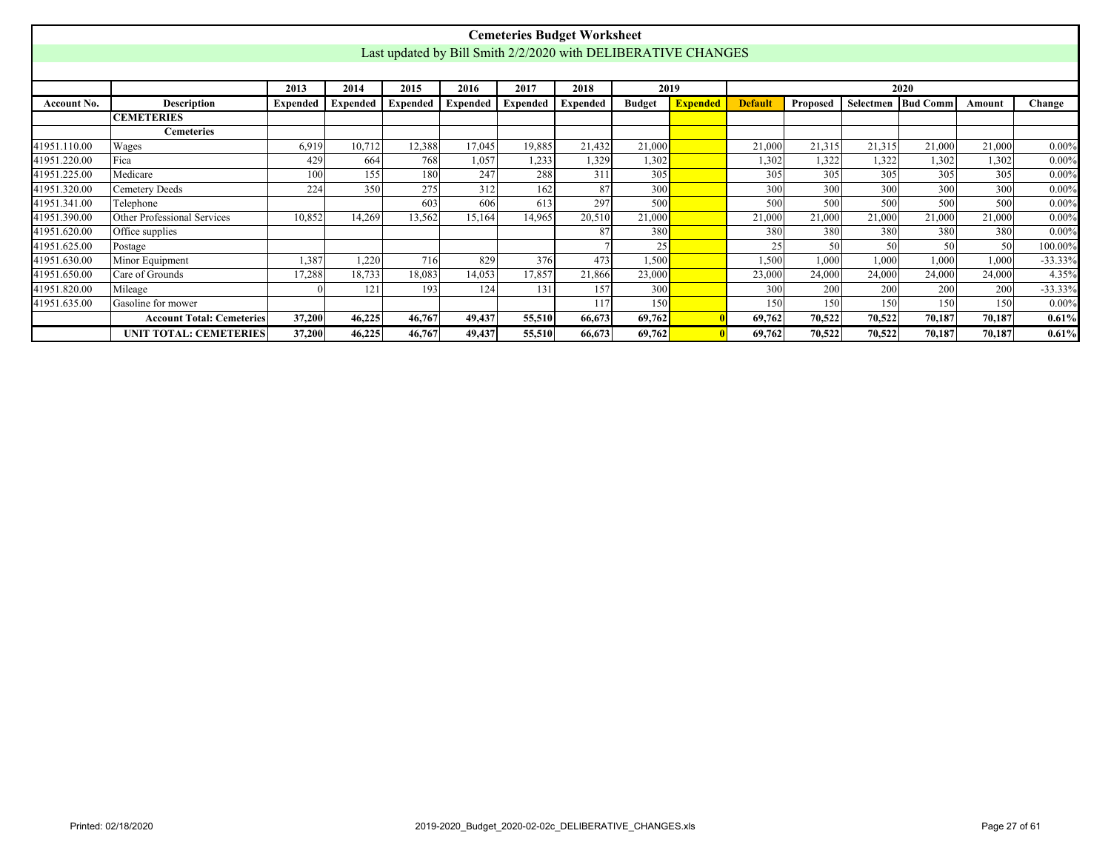<span id="page-26-0"></span>

|              |                                                                                              |          |                 |          |                 |                 | <b>Cemeteries Budget Worksheet</b>                            |               |                 |                |          |        |                             |        |           |
|--------------|----------------------------------------------------------------------------------------------|----------|-----------------|----------|-----------------|-----------------|---------------------------------------------------------------|---------------|-----------------|----------------|----------|--------|-----------------------------|--------|-----------|
|              |                                                                                              |          |                 |          |                 |                 | Last updated by Bill Smith 2/2/2020 with DELIBERATIVE CHANGES |               |                 |                |          |        |                             |        |           |
|              |                                                                                              |          |                 |          |                 |                 |                                                               |               |                 |                |          |        |                             |        |           |
|              |                                                                                              | 2013     | 2014            | 2015     | 2016            | 2017            | 2018                                                          | 2019          |                 |                |          |        | 2020                        |        |           |
| Account No.  | <b>Description</b>                                                                           | Expended | <b>Expended</b> | Expended | <b>Expended</b> | <b>Expended</b> | <b>Expended</b>                                               | <b>Budget</b> | <b>Expended</b> | <b>Default</b> | Proposed |        | <b>Selectmen   Bud Comm</b> | Amount | Change    |
|              | <b>CEMETERIES</b>                                                                            |          |                 |          |                 |                 |                                                               |               |                 |                |          |        |                             |        |           |
|              | <b>Cemeteries</b>                                                                            |          |                 |          |                 |                 |                                                               |               |                 |                |          |        |                             |        |           |
| 41951.110.00 | Wages                                                                                        | 6,919    | 10,712          | 12,388   | 17,045          | 19,885          | 21,432                                                        | 21,000        |                 | 21,000         | 21,315   | 21,315 | 21,000                      | 21,000 | $0.00\%$  |
| 41951.220.00 | Fica                                                                                         | 429      | 664             | 768      | 1,057           | 1,233           | 1,329                                                         | 1,302         |                 | 1,302          | 1,322    | 1,322  | 1,302                       | 1,302  | $0.00\%$  |
| 41951.225.00 | 155<br>305<br>305<br>180<br>247<br>311<br>305<br>305<br>305<br>305<br>Medicare<br>100<br>288 |          |                 |          |                 |                 |                                                               |               |                 |                |          |        |                             |        | $0.00\%$  |
| 41951.320.00 | Cemetery Deeds                                                                               | 224      | 350             | 275      | 312             | 162             | 87                                                            | 300           |                 | 300            | 300      | 300    | 300                         | 300    | $0.00\%$  |
| 41951.341.00 | Telephone                                                                                    |          |                 | 603      | 606             | 613             | 297                                                           | 500           |                 | 500            | 500      | 500    | 500                         | 500    | $0.00\%$  |
| 41951.390.00 | Other Professional Services                                                                  | 10.852   | 14.269          | 13,562   | 15,164          | 14,965          | 20,510                                                        | 21,000        |                 | 21,000         | 21,000   | 21,000 | 21,000                      | 21,000 | $0.00\%$  |
| 41951.620.00 | Office supplies                                                                              |          |                 |          |                 |                 | 87                                                            | 380           |                 | 380            | 380      | 380    | 380                         | 380    | $0.00\%$  |
| 41951.625.00 | Postage                                                                                      |          |                 |          |                 |                 |                                                               | 25            |                 | 25             | 50       | 50     | 50                          | 50     | 100.00%   |
| 41951.630.00 | Minor Equipment                                                                              | 1,387    | 1,220           | 716      | 829             | 376             | 473                                                           | 1,500         |                 | 1,500          | 1.000    | 1,000  | 1,000                       | 1,000  | $-33.33%$ |
| 41951.650.00 | Care of Grounds                                                                              | 17,288   | 18,733          | 18,083   | 14,053          | 17,857          | 21,866                                                        | 23,000        |                 | 23,000         | 24,000   | 24,000 | 24,000                      | 24,000 | 4.35%     |
| 41951.820.00 | Mileage                                                                                      |          | 121             | 193      | 124             | 131             | 157                                                           | 300           |                 | 300            | 200      | 200    | 200                         | 200    | $-33.33%$ |
| 41951.635.00 | Gasoline for mower                                                                           |          |                 |          |                 |                 | 117                                                           | 150           |                 | 150            | 150      | 150    | 150                         | 150    | $0.00\%$  |
|              | <b>Account Total: Cemeteries</b>                                                             | 37,200   | 46,225          | 46,767   | 49,437          | 55,510          | 66,673                                                        | 69,762        |                 | 69,762         | 70,522   | 70,522 | 70,187                      | 70,187 | 0.61%     |
|              | <b>UNIT TOTAL: CEMETERIES</b>                                                                | 37,200   | 46,225          | 46,767   | 49,437          | 55,510          | 66,673                                                        | 69,762        |                 | 69,762         | 70,522   | 70,522 | 70.187                      | 70,187 | 0.61%     |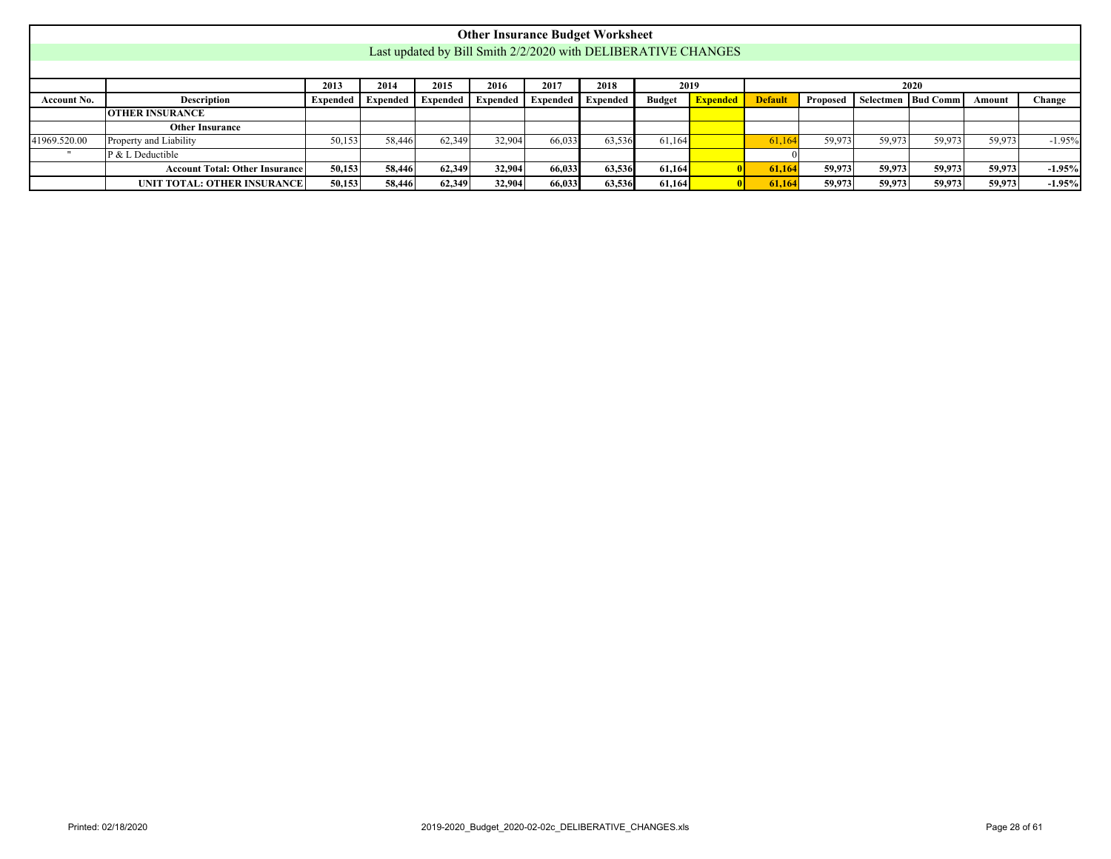<span id="page-27-0"></span>

|                    |                                                                                                                                                                                                         |        |        |        | <b>Other Insurance Budget Worksheet</b> |        |        |        |                                                               |        |        |        |        |        |          |
|--------------------|---------------------------------------------------------------------------------------------------------------------------------------------------------------------------------------------------------|--------|--------|--------|-----------------------------------------|--------|--------|--------|---------------------------------------------------------------|--------|--------|--------|--------|--------|----------|
|                    |                                                                                                                                                                                                         |        |        |        |                                         |        |        |        | Last updated by Bill Smith 2/2/2020 with DELIBERATIVE CHANGES |        |        |        |        |        |          |
|                    |                                                                                                                                                                                                         |        |        |        |                                         |        |        |        |                                                               |        |        |        |        |        |          |
|                    | 2014<br>2015<br>2016<br>2017<br>2013<br>2018<br>2019<br>2020                                                                                                                                            |        |        |        |                                         |        |        |        |                                                               |        |        |        |        |        |          |
| <b>Account No.</b> | <b>Description</b><br><b>Expended</b><br><b>Default</b><br>Proposed<br>Selectmen   Bud Comm<br>Expended<br>Change<br>Expended  <br>Expended<br><b>Budget</b><br>Expended Expended<br>Expended<br>Amount |        |        |        |                                         |        |        |        |                                                               |        |        |        |        |        |          |
|                    | <b>OTHER INSURANCE</b>                                                                                                                                                                                  |        |        |        |                                         |        |        |        |                                                               |        |        |        |        |        |          |
|                    | <b>Other Insurance</b>                                                                                                                                                                                  |        |        |        |                                         |        |        |        |                                                               |        |        |        |        |        |          |
| 41969.520.00       | Property and Liability                                                                                                                                                                                  | 50,153 | 58,446 | 62,349 | 32,904                                  | 66,033 | 63,536 | 61.164 |                                                               | 61.164 | 59.973 | 59.973 | 59.973 | 59,973 | $-1.95%$ |
|                    | P & L Deductible                                                                                                                                                                                        |        |        |        |                                         |        |        |        |                                                               |        |        |        |        |        |          |
|                    | <b>Account Total: Other Insurance</b>                                                                                                                                                                   | 50,153 | 58,446 | 62,349 | 32,904                                  | 66,033 | 63,536 | 61,164 |                                                               | 61.164 | 59.973 | 59,973 | 59,973 | 59.973 | $-1.95%$ |
|                    | UNIT TOTAL: OTHER INSURANCE                                                                                                                                                                             | 50,153 | 58,446 | 62,349 | 32,904                                  | 66,033 | 63,536 | 61,164 |                                                               | 61.164 | 59,973 | 59,973 | 59.973 | 59,973 | $-1.95%$ |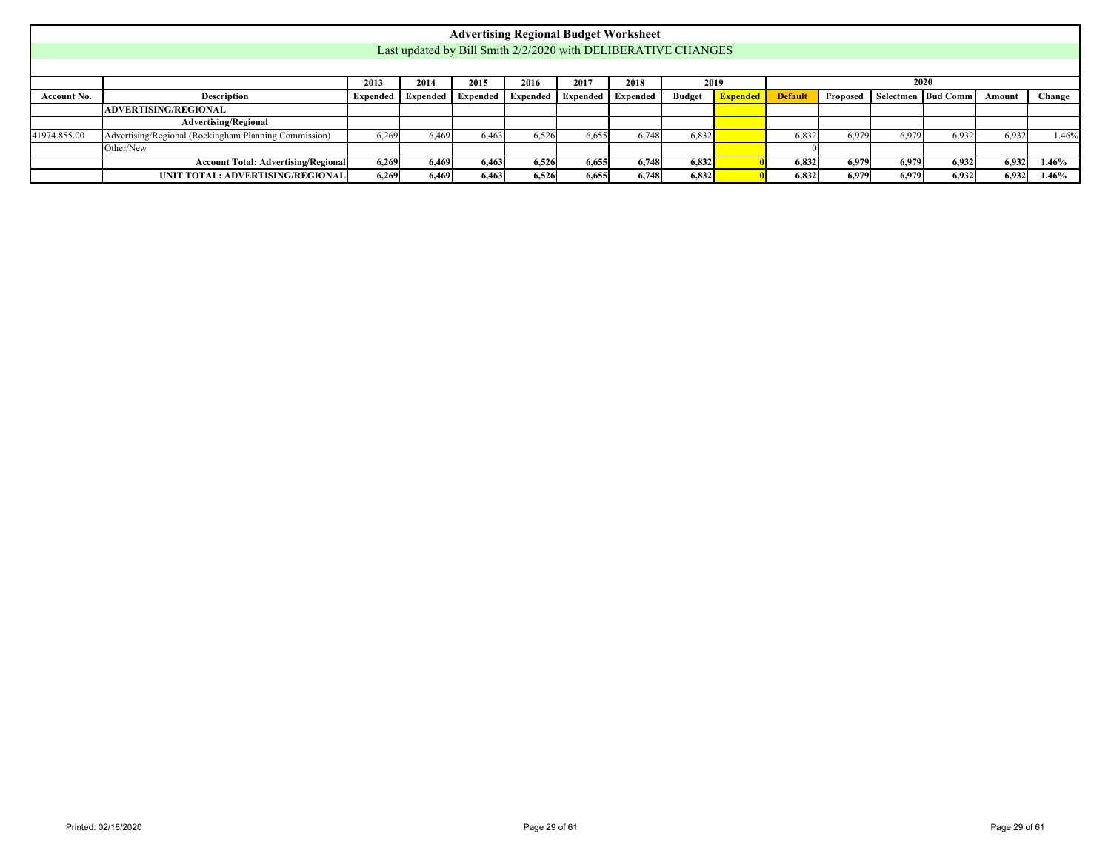<span id="page-28-0"></span>

|              |                                                                                                                                                                                                                |       |       |       | <b>Advertising Regional Budget Worksheet</b>                  |       |       |       |  |       |       |       |       |       |       |
|--------------|----------------------------------------------------------------------------------------------------------------------------------------------------------------------------------------------------------------|-------|-------|-------|---------------------------------------------------------------|-------|-------|-------|--|-------|-------|-------|-------|-------|-------|
|              |                                                                                                                                                                                                                |       |       |       | Last updated by Bill Smith 2/2/2020 with DELIBERATIVE CHANGES |       |       |       |  |       |       |       |       |       |       |
|              |                                                                                                                                                                                                                |       |       |       |                                                               |       |       |       |  |       |       |       |       |       |       |
|              | 2020<br>2013<br>2014<br>2015<br>2016<br>2017<br>2018<br>2019                                                                                                                                                   |       |       |       |                                                               |       |       |       |  |       |       |       |       |       |       |
| Account No.  | Selectmen   Bud Comm<br><b>Expended</b><br><b>Default</b><br>Proposed<br>Change<br><b>Description</b><br>Expended Expended<br>Expended<br><b>Budget</b><br>Expended<br><b>Expended</b><br>Expended  <br>Amount |       |       |       |                                                               |       |       |       |  |       |       |       |       |       |       |
|              | ADVERTISING/REGIONAL                                                                                                                                                                                           |       |       |       |                                                               |       |       |       |  |       |       |       |       |       |       |
|              | <b>Advertising/Regional</b>                                                                                                                                                                                    |       |       |       |                                                               |       |       |       |  |       |       |       |       |       |       |
| 41974.855.00 | Advertising/Regional (Rockingham Planning Commission)                                                                                                                                                          | 6.269 | 6.469 | 6.463 | 6,526                                                         | 6,655 | 6,748 | 6,832 |  | 6.832 | 6.979 | 6,979 | 6.932 | 6,932 | 1.46% |
|              | Other/New                                                                                                                                                                                                      |       |       |       |                                                               |       |       |       |  |       |       |       |       |       |       |
|              | <b>Account Total: Advertising/Regional</b>                                                                                                                                                                     | 6.269 | 6.469 | 6,463 | 6,526                                                         | 6,655 | 6.748 | 6,832 |  | 6.832 | 6.979 | 6.979 | 6,932 | 6,932 | 1.46% |
|              | UNIT TOTAL: ADVERTISING/REGIONAL                                                                                                                                                                               | 6.269 | 6,469 | 6,463 | 6,526                                                         | 6,655 | 6,748 | 6,832 |  | 6,832 | 6.979 | 6.979 | 6,932 | 6,932 | 1.46% |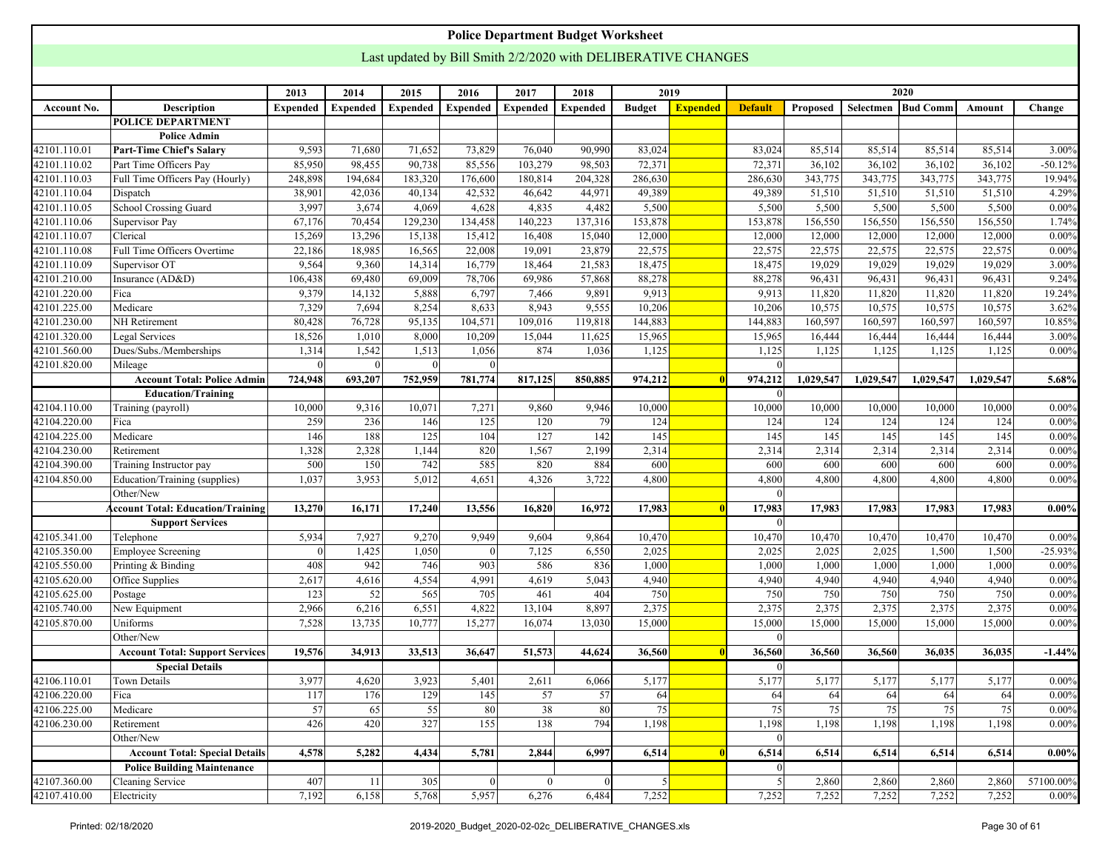<span id="page-29-0"></span>

|                              |                                          |                 |                 |                 |                 | <b>Police Department Budget Worksheet</b>                     |                 |                |                 |                |                 |            |                      |            |                   |
|------------------------------|------------------------------------------|-----------------|-----------------|-----------------|-----------------|---------------------------------------------------------------|-----------------|----------------|-----------------|----------------|-----------------|------------|----------------------|------------|-------------------|
|                              |                                          |                 |                 |                 |                 | Last updated by Bill Smith 2/2/2020 with DELIBERATIVE CHANGES |                 |                |                 |                |                 |            |                      |            |                   |
|                              |                                          |                 |                 |                 |                 |                                                               |                 |                |                 |                |                 |            |                      |            |                   |
|                              |                                          | 2013            | 2014            | 2015            | 2016            | 2017                                                          | 2018            |                | 2019            |                |                 |            | 2020                 |            |                   |
| Account No.                  | Description                              | <b>Expended</b> | <b>Expended</b> | <b>Expended</b> | <b>Expended</b> | Expended                                                      | <b>Expended</b> | <b>Budget</b>  | <b>Expended</b> | <b>Default</b> | <b>Proposed</b> |            | Selectmen   Bud Comm | Amount     | Change            |
|                              | <b>POLICE DEPARTMENT</b>                 |                 |                 |                 |                 |                                                               |                 |                |                 |                |                 |            |                      |            |                   |
|                              | <b>Police Admin</b>                      |                 |                 |                 |                 |                                                               |                 |                |                 |                |                 |            |                      |            |                   |
| 42101.110.01                 | <b>Part-Time Chief's Salary</b>          | 9,593           | 71,680          | 71,652          | 73,829          | 76,040                                                        | 90,990          | 83,024         |                 | 83,024         | 85,514          | 85,514     | 85,514               | 85,514     | 3.00%             |
| 42101.110.02                 | Part Time Officers Pay                   | 85,950          | 98,455          | 90,738          | 85,556          | 103,279                                                       | 98,503          | 72,371         |                 | 72,371         | 36,102          | 36,102     | 36,102               | 36,102     | $-50.12%$         |
| 42101.110.03                 | Full Time Officers Pay (Hourly)          | 248,898         | 194,684         | 183,320         | 176,600         | 180,814                                                       | 204,328         | 286,630        |                 | 286,630        | 343,775         | 343,775    | 343,775              | 343,775    | 19.94%            |
| 42101.110.04                 | Dispatch                                 | 38,901          | 42,036          | 40,134          | 42,532          | 46,642                                                        | 44,971          | 49,389         |                 | 49,389         | 51,510          | 51,510     | 51,510               | 51,510     | 4.29%             |
| 42101.110.05                 | School Crossing Guard                    | 3,997           | 3,674           | 4,069           | 4,628           | 4,835                                                         | 4,482           | 5,500          |                 | 5,500          | 5,500           | 5,500      | 5,500                | 5,500      | 0.00%             |
| 42101.110.06                 | Supervisor Pay                           | 67,176          | 70,454          | 129,230         | 134,458         | 140,223                                                       | 137,316         | 153,878        |                 | 153,878        | 156,550         | 156,550    | 156,550              | 156,550    | 1.74%             |
| 42101.110.07                 | Clerical                                 | 15,269          | 13,296          | 15,138          | 15,412          | 16,408                                                        | 15,040          | 12,000         |                 | 12,000         | 12,000          | 12,000     | 12,000               | 12,000     | 0.00%             |
| 42101.110.08                 | Full Time Officers Overtime              | 22,186          | 18,985          | 16,565          | 22,008          | 19,091                                                        | 23,879          | 22,575         |                 | 22,575         | 22,575          | 22,575     | 22,575               | 22,575     | 0.00%             |
| 42101.110.09                 | Supervisor OT                            | 9,564           | 9,360           | 14,314          | 16,779          | 18,464                                                        | 21,583          | 18,475         |                 | 18,475         | 19,029          | 19,029     | 19,029               | 19,029     | 3.00%             |
| 42101.210.00                 | Insurance (AD&D)                         | 106,438         | 69,480          | 69,009          | 78,706          | 69,986                                                        | 57,868          | 88,278         |                 | 88,278         | 96,431          | 96,431     | 96,431               | 96,431     | 9.24%             |
| 42101.220.00                 | Fica                                     | 9,379           | 14,132          | 5,888           | 6,797           | 7,466                                                         | 9,891           | 9,913          |                 | 9,913          | 11,820          | 11,820     | 11,820               | 11,820     | 19.24%            |
| 42101.225.00                 | Medicare                                 | 7,329           | 7,694           | 8,254           | 8,633           | 8,943                                                         | 9,555           | 10,206         |                 | 10,206         | 10,575          | 10,575     | 10,575               | 10,575     | 3.62%             |
| 42101.230.00                 | NH Retirement                            | 80,428          | 76,728          | 95,135          | 104,571         | 109,016                                                       | 119,818         | 144,883        |                 | 144,883        | 160,597         | 160,597    | 160,597              | 160,597    | 10.85%            |
| 42101.320.00                 | Legal Services                           | 18,526          | 1,010           | 8,000           | 10,209          | 15,044                                                        | 11,625          | 15,965         |                 | 15,965         | 16,444          | 16,444     | 16,444               | 16,444     | 3.00%             |
| 42101.560.00                 | Dues/Subs./Memberships                   | 1,314           | 1,542           | 1,513           | 1,056           | 874                                                           | 1,036           | 1,125          |                 | 1,125          | 1,125           | 1,125      | 1,125                | 1,125      | 0.00%             |
| 42101.820.00                 | Mileage                                  |                 |                 |                 |                 |                                                               |                 |                |                 |                |                 |            |                      |            |                   |
|                              | <b>Account Total: Police Admin</b>       | 724,948         | 693,207         | 752,959         | 781,774         | 817,125                                                       | 850,885         | 974,212        |                 | 974,212        | 1,029,547       | 1,029,547  | 1,029,547            | 1,029,547  | 5.68%             |
|                              | <b>Education/Training</b>                |                 |                 |                 |                 |                                                               |                 |                |                 |                |                 |            |                      |            |                   |
| 42104.110.00                 | Training (payroll)                       | 10,000          | 9,316           | 10,071          | 7,271           | 9,860                                                         | 9,946           | 10,000         |                 | 10,000         | 10,000          | 10,000     | 10,000               | 10,000     | $0.00\%$          |
| 42104.220.00<br>42104.225.00 | Fica<br>Medicare                         | 259<br>146      | 236<br>188      | 146<br>125      | 125<br>104      | 120<br>127                                                    | 79<br>142       | 124<br>145     |                 | 124<br>145     | 124<br>145      | 124<br>145 | 124<br>145           | 124<br>145 | 0.00%<br>$0.00\%$ |
| 42104.230.00                 | Retirement                               | 1,328           | 2,328           | 1,144           | 820             | 1,567                                                         | 2,199           | 2,314          |                 | 2,314          | 2,314           | 2,314      | 2,314                | 2,314      | 0.00%             |
| 42104.390.00                 | Training Instructor pay                  | 500             | 150             | 742             | 585             | 820                                                           | 884             | 600            |                 | 600            | 600             | 600        | 600                  | 600        | 0.00%             |
| 42104.850.00                 | Education/Training (supplies)            | 1,037           | 3,953           | 5,012           | 4,651           | 4,326                                                         | 3,722           | 4,800          |                 | 4,800          | 4,800           | 4,800      | 4,800                | 4,800      | 0.00%             |
|                              | Other/New                                |                 |                 |                 |                 |                                                               |                 |                |                 |                |                 |            |                      |            |                   |
|                              | <b>Account Total: Education/Training</b> | 13,270          | 16,171          | 17,240          | 13,556          | 16,820                                                        | 16,972          | 17,983         |                 | 17,983         | 17,983          | 17,983     | 17,983               | 17,983     | $0.00\%$          |
|                              | <b>Support Services</b>                  |                 |                 |                 |                 |                                                               |                 |                |                 | $\Omega$       |                 |            |                      |            |                   |
| 42105.341.00                 | Telephone                                | 5,934           | 7,927           | 9,270           | 9,949           | 9,604                                                         | 9,864           | 10,470         |                 | 10,470         | 10,470          | 10,470     | 10,470               | 10,470     | 0.00%             |
| 42105.350.00                 | <b>Employee Screening</b>                | $\Omega$        | 1,425           | 1,050           | $\Omega$        | 7,125                                                         | 6,550           | 2,025          |                 | 2,025          | 2,025           | 2,025      | 1,500                | 1,500      | $-25.93%$         |
| 42105.550.00                 | Printing & Binding                       | 408             | 942             | 746             | 903             | 586                                                           | 836             | 1,000          |                 | 1,000          | 1,000           | 1,000      | 1,000                | 1,000      | 0.00%             |
| 42105.620.00                 | Office Supplies                          | 2,617           | 4,616           | 4,554           | 4,991           | 4,619                                                         | 5,043           | 4,940          |                 | 4,940          | 4,940           | 4,940      | 4,940                | 4,940      | 0.00%             |
| 42105.625.00                 | Postage                                  | 123             | 52              | 565             | 705             | 461                                                           | 404             | 750            |                 | 750            | 750             | 750        | 750                  | 750        | $0.00\%$          |
| 42105.740.00                 | New Equipment                            | 2,966           | 6,216           | 6,551           | 4,822           | 13,104                                                        | 8,897           | 2,375          |                 | 2,375          | 2,375           | 2,375      | 2,375                | 2,375      | 0.00%             |
| 42105.870.00                 | Uniforms                                 | 7,528           | 13,735          | 10,777          | 15,277          | 16,074                                                        | 13,030          | 15,000         |                 | 15,000         | 15,000          | 15,000     | 15,000               | 15,000     | $0.00\%$          |
|                              | Other/New                                |                 |                 |                 |                 |                                                               |                 |                |                 | $\Omega$       |                 |            |                      |            |                   |
|                              | <b>Account Total: Support Services</b>   | 19,576          | 34,913          | 33,513          | 36,647          | 51,573                                                        | 44,624          | 36,560         |                 | 36,560         | 36,560          | 36,560     | 36,035               | 36,035     | $-1.44%$          |
|                              | <b>Special Details</b>                   |                 |                 |                 |                 |                                                               |                 |                |                 | $\overline{0}$ |                 |            |                      |            |                   |
| 42106.110.01                 | <b>Town Details</b>                      | 3,977           | 4,620           | 3,923           | 5,401           | 2,611                                                         | 6,066           | 5,177          |                 | 5,177          | 5,177           | 5,177      | 5,177                | 5,177      | $0.00\%$          |
| 42106.220.00                 | Fica                                     | 117             | 176             | 129             | 145             | 57                                                            | 57              | 64             |                 | 64             | 64              | 64         | 64                   | 64         | $0.00\%$          |
| 42106.225.00                 | Medicare                                 | 57              | 65              | 55              | 80              | 38                                                            | 80              | 75             |                 | 75             | 75              | 75         | 75                   | 75         | 0.00%             |
| 42106.230.00                 | Retirement                               | 426             | 420             | 327             | 155             | 138                                                           | 794             | 1,198          |                 | 1,198          | 1,198           | 1,198      | 1,198                | 1,198      | $0.00\%$          |
|                              | Other/New                                |                 |                 |                 |                 |                                                               |                 |                |                 | $\Omega$       |                 |            |                      |            |                   |
|                              | <b>Account Total: Special Details</b>    | 4,578           | 5,282           | 4,434           | 5,781           | 2,844                                                         | 6,997           | 6,514          |                 | 6,514          | 6,514           | 6,514      | 6,514                | 6,514      | $0.00\%$          |
|                              | <b>Police Building Maintenance</b>       |                 |                 |                 |                 |                                                               |                 |                |                 | $\Omega$       |                 |            |                      |            |                   |
| 42107.360.00                 | Cleaning Service                         | 407             | 11              | 305             |                 | $\mathbf{0}$                                                  | $\theta$        | $\mathfrak{S}$ |                 | 5              | 2,860           | 2,860      | 2,860                | 2,860      | 57100.00%         |
| 42107.410.00                 | Electricity                              | 7,192           | 6,158           | 5,768           | 5,957           | 6,276                                                         | 6,484           | 7,252          |                 | 7,252          | 7,252           | 7,252      | 7,252                | 7,252      | $0.00\%$          |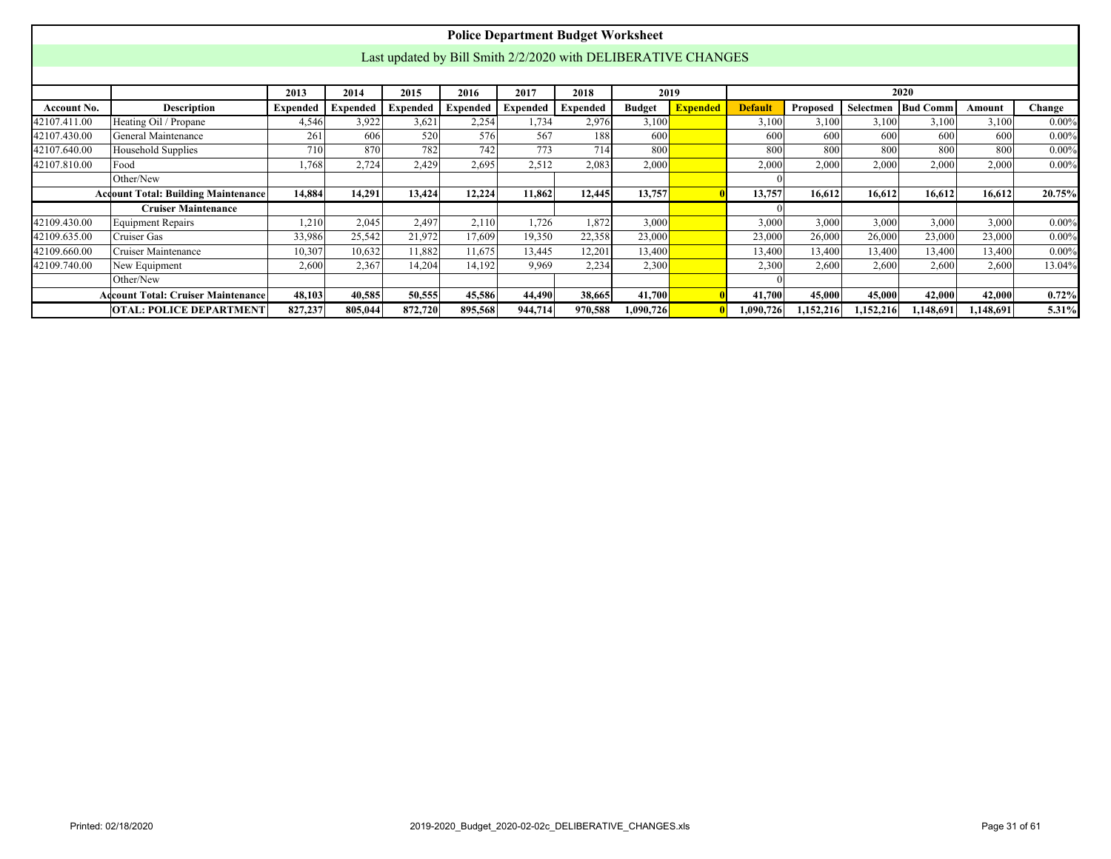|                                                                                                                        |                                            |          |          |                 |                 |          | <b>Police Department Budget Worksheet</b>                     |               |                 |                |           |           |                      |           |          |
|------------------------------------------------------------------------------------------------------------------------|--------------------------------------------|----------|----------|-----------------|-----------------|----------|---------------------------------------------------------------|---------------|-----------------|----------------|-----------|-----------|----------------------|-----------|----------|
|                                                                                                                        |                                            |          |          |                 |                 |          |                                                               |               |                 |                |           |           |                      |           |          |
|                                                                                                                        |                                            |          |          |                 |                 |          | Last updated by Bill Smith 2/2/2020 with DELIBERATIVE CHANGES |               |                 |                |           |           |                      |           |          |
|                                                                                                                        |                                            |          |          |                 |                 |          |                                                               |               |                 |                |           |           |                      |           |          |
|                                                                                                                        |                                            | 2013     | 2014     | 2015            | 2016            | 2017     | 2018                                                          |               | 2019            |                |           |           | 2020                 |           |          |
| <b>Account No.</b>                                                                                                     | <b>Description</b>                         | Expended | Expended | <b>Expended</b> | <b>Expended</b> | Expended | Expended                                                      | <b>Budget</b> | <b>Expended</b> | <b>Default</b> | Proposed  |           | Selectmen   Bud Comm | Amount    | Change   |
| 42107.411.00                                                                                                           | Heating Oil / Propane                      | 4,546    | 3,922    | 3,621           | 2,254           | 1,734    | 2,976                                                         | 3,100         |                 | 3,100          | 3,100     | 3,100     | 3,100                | 3,100     | $0.00\%$ |
| 42107.430.00                                                                                                           | General Maintenance                        | 261      | 606      | 520             | 576             | 567      | 188                                                           | 600           |                 | 600            | 600       | 600       | 600                  | 600       | $0.00\%$ |
| 710<br>870<br>782<br>742<br>773<br>714<br>800<br>800<br>800<br>800<br>800<br>800<br>42107.640.00<br>Household Supplies |                                            |          |          |                 |                 |          |                                                               |               |                 |                |           |           |                      | $0.00\%$  |          |
| 42107.810.00                                                                                                           | Food                                       | 1,768    | 2,724    | 2,429           | 2,695           | 2,512    | 2,083                                                         | 2,000         |                 | 2,000          | 2,000     | 2,000     | 2,000                | 2,000     | $0.00\%$ |
|                                                                                                                        | Other/New                                  |          |          |                 |                 |          |                                                               |               |                 |                |           |           |                      |           |          |
|                                                                                                                        | <b>Account Total: Building Maintenance</b> | 14.884   | 14,291   | 13,424          | 12,224          | 11,862   | 12,445                                                        | 13,757        |                 | 13,757         | 16.612    | 16,612    | 16.612               | 16,612    | 20.75%   |
|                                                                                                                        | <b>Cruiser Maintenance</b>                 |          |          |                 |                 |          |                                                               |               |                 |                |           |           |                      |           |          |
| 42109.430.00                                                                                                           | Equipment Repairs                          | 1,210    | 2,045    | 2,497           | 2,110           | 1,726    | 1,872                                                         | 3,000         |                 | 3,000          | 3,000     | 3,000     | 3,000                | 3,000     | $0.00\%$ |
| 42109.635.00                                                                                                           | Cruiser Gas                                | 33,986   | 25,542   | 21,972          | 17,609          | 19,350   | 22,358                                                        | 23,000        |                 | 23,000         | 26,000    | 26,000    | 23,000               | 23,000    | $0.00\%$ |
| 42109.660.00                                                                                                           | Cruiser Maintenance                        | 10,307   | 10,632   | 11,882          | 11,675          | 13,445   | 12,201                                                        | 13,400        |                 | 13,400         | 13,400    | 13,400    | 13,400               | 13,400    | $0.00\%$ |
| 42109.740.00                                                                                                           | New Equipment                              | 2,600    | 2,367    | 14,204          | 14,192          | 9,969    | 2,234                                                         | 2,300         |                 | 2,300          | 2,600     | 2,600     | 2,600                | 2,600     | 13.04%   |
|                                                                                                                        | Other/New                                  |          |          |                 |                 |          |                                                               |               |                 |                |           |           |                      |           |          |
|                                                                                                                        | <b>Adcount Total: Cruiser Maintenance</b>  | 48,103   | 40,585   | 50,555          | 45,586          | 44,490   | 38,665                                                        | 41,700        |                 | 41,700         | 45,000    | 45,000    | 42,000               | 42,000    | $0.72\%$ |
|                                                                                                                        | OTAL: POLICE DEPARTMENT                    | 827,237  | 805,044  | 872,720         | 895,568         | 944,714  | 970,588                                                       | 1,090,726     |                 | 1,090,726      | 1,152,216 | 1,152,216 | 1,148,691            | 1,148,691 | 5.31%    |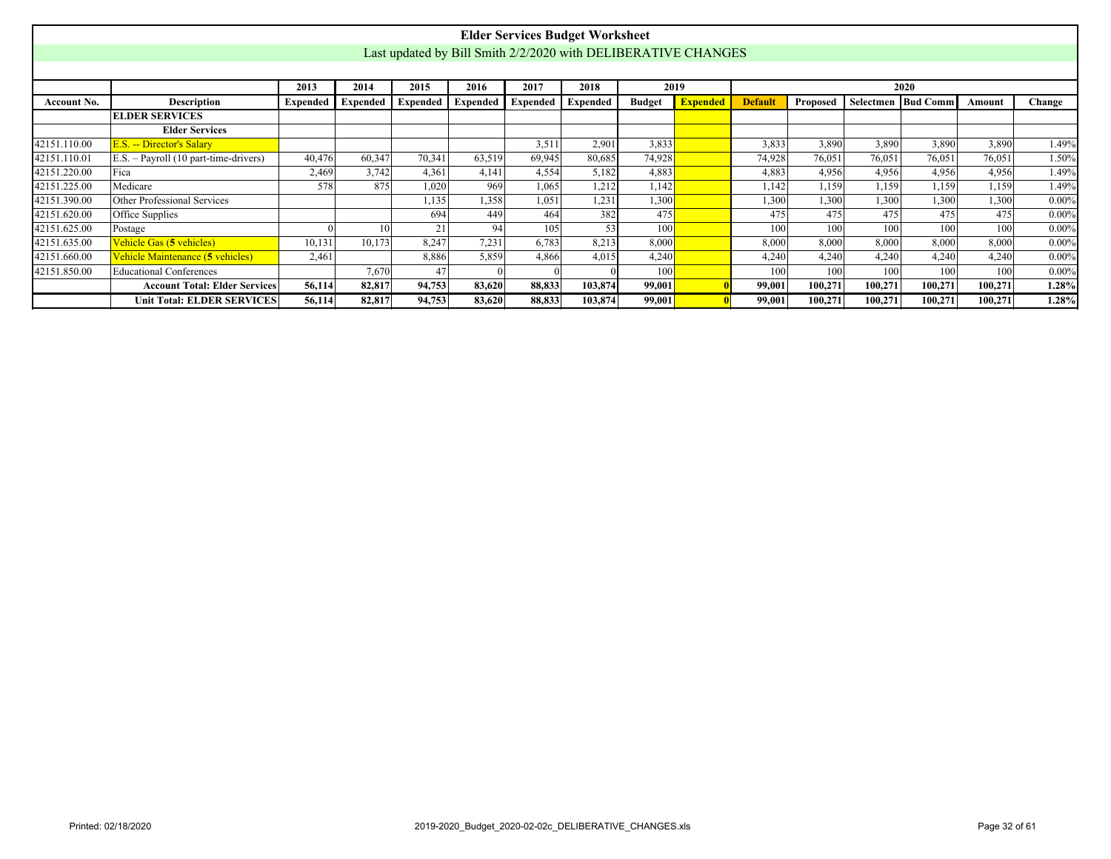<span id="page-31-0"></span>

|                    |                                        |                 |                 |          |                 |                 | <b>Elder Services Budget Worksheet</b>                        |               |                 |                |          |         |                      |         |          |
|--------------------|----------------------------------------|-----------------|-----------------|----------|-----------------|-----------------|---------------------------------------------------------------|---------------|-----------------|----------------|----------|---------|----------------------|---------|----------|
|                    |                                        |                 |                 |          |                 |                 | Last updated by Bill Smith 2/2/2020 with DELIBERATIVE CHANGES |               |                 |                |          |         |                      |         |          |
|                    |                                        |                 |                 |          |                 |                 |                                                               |               |                 |                |          |         |                      |         |          |
|                    |                                        | 2013            | 2014            | 2015     | 2016            | 2017            | 2018                                                          | 2019          |                 |                |          |         | 2020                 |         |          |
| <b>Account No.</b> | Description                            | <b>Expended</b> | <b>Expended</b> | Expended | <b>Expended</b> | <b>Expended</b> | <b>Expended</b>                                               | <b>Budget</b> | <b>Expended</b> | <b>Default</b> | Proposed |         | Selectmen   Bud Comm | Amount  | Change   |
|                    | <b>ELDER SERVICES</b>                  |                 |                 |          |                 |                 |                                                               |               |                 |                |          |         |                      |         |          |
|                    | <b>Elder Services</b>                  |                 |                 |          |                 |                 |                                                               |               |                 |                |          |         |                      |         |          |
| 42151.110.00       | E.S. -- Director's Salary              |                 |                 |          |                 | 3,511           | 2,901                                                         | 3,833         |                 | 3,833          | 3,890    | 3,890   | 3,890                | 3,890   | 1.49%    |
| 42151.110.01       | $E.S. - Payroll (10 part-time-driven)$ | 40,476          | 60,347          | 70,341   | 63,519          | 69,945          | 80,685                                                        | 74,928        |                 | 74,928         | 76,051   | 76,051  | 76,051               | 76,051  | 1.50%    |
| 42151.220.00       | Fica                                   | 2,469           | 3,742           | 4.361    | 4,141           | 4,554           | 5,182                                                         | 4,883         |                 | 4,883          | 4,956    | 4,956   | 4,956                | 4,956   | 1.49%    |
| 42151.225.00       | Medicare                               | 578             | 875             | 1,020    | 969             | 1.065           | 1.212                                                         | 1,142         |                 | 1.142          | 1.159    | 1,159   | 1,159                | 1,159   | 1.49%    |
| 42151.390.00       | Other Professional Services            |                 |                 | 1,135    | .358            | 1.051           | 1,231                                                         | 1,300         |                 | ,300           | 1,300    | 1,300   | 1,300                | 1,300   | $0.00\%$ |
| 42151.620.00       | Office Supplies                        |                 |                 | 694      | 449             | 464             | 382                                                           | 475           |                 | 475            | 475      | 475     | 475                  | 475     | $0.00\%$ |
| 42151.625.00       | Postage                                |                 | 10 <sup>1</sup> | 21       | 94              | 105             | 531                                                           | 100           |                 | 100            | 100      | 100     | 100                  | 100     | $0.00\%$ |
| 42151.635.00       | Vehicle Gas (5 vehicles)               | 10,131          | 10,173          | 8.247    | 7,231           | 6,783           | 8,213                                                         | 8,000         |                 | 8,000          | 8,000    | 8,000   | 8,000                | 8,000   | $0.00\%$ |
| 42151.660.00       | Vehicle Maintenance (5 vehicles)       | 2,461           |                 | 8,886    | 5,859           | 4,866           | 4,015                                                         | 4,240         |                 | 4,240          | 4,240    | 4,240   | 4,240                | 4,240   | $0.00\%$ |
| 42151.850.00       | <b>Educational Conferences</b>         |                 | 7,670           | 47       |                 |                 |                                                               | 100           |                 | 100            | 100      | 100     | 100                  | 100     | $0.00\%$ |
|                    | <b>Account Total: Elder Services</b>   | 56,114          | 82,817          | 94,753   | 83,620          | 88,833          | 103,874                                                       | 99,001        |                 | 99,001         | 100,271  | 100,271 | 100,271              | 100,271 | 1.28%    |
|                    | <b>Unit Total: ELDER SERVICES</b>      | 56,114          | 82,817          | 94,753   | 83,620          | 88,833          | 103,874                                                       | 99,001        |                 | 99,001         | 100,271  | 100,271 | 100,271              | 100.271 | 1.28%    |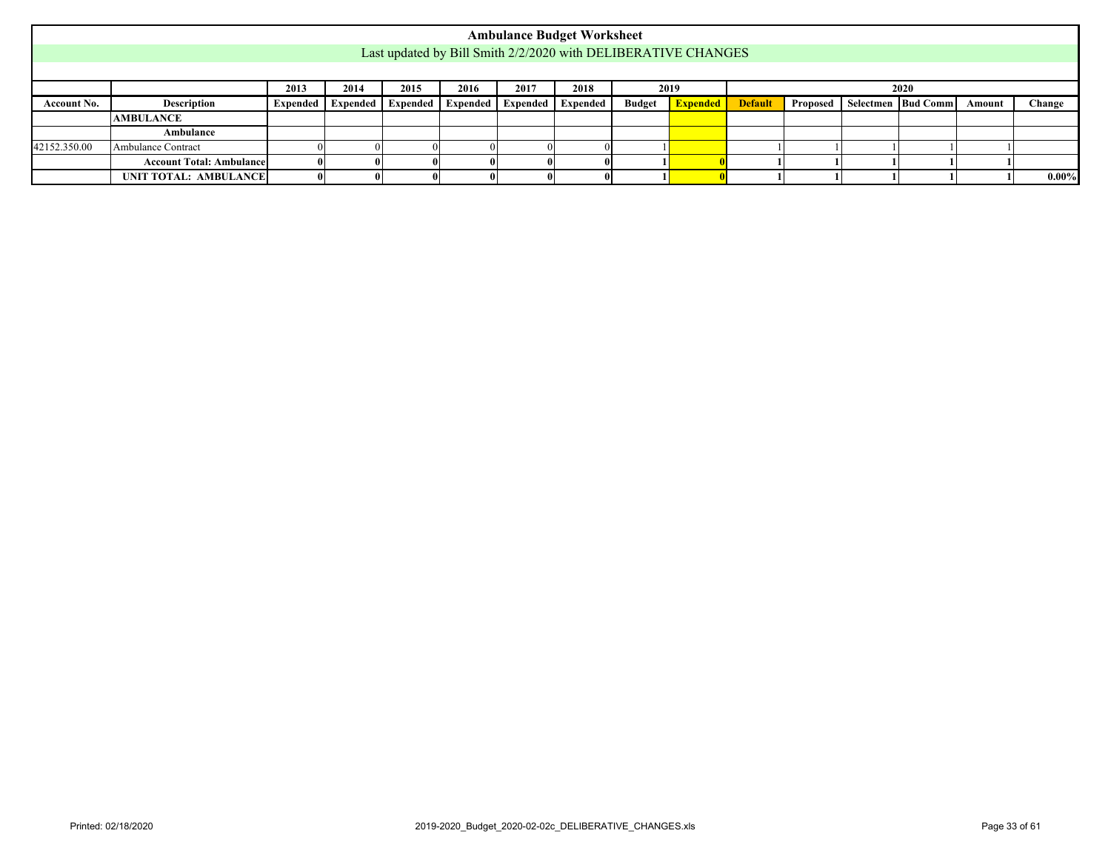<span id="page-32-0"></span>

|              |                                                                                                                                                                                                    |  |  |  |  |  | <b>Ambulance Budget Worksheet</b> |  |                                                               |  |  |  |  |  |          |
|--------------|----------------------------------------------------------------------------------------------------------------------------------------------------------------------------------------------------|--|--|--|--|--|-----------------------------------|--|---------------------------------------------------------------|--|--|--|--|--|----------|
|              |                                                                                                                                                                                                    |  |  |  |  |  |                                   |  | Last updated by Bill Smith 2/2/2020 with DELIBERATIVE CHANGES |  |  |  |  |  |          |
|              |                                                                                                                                                                                                    |  |  |  |  |  |                                   |  |                                                               |  |  |  |  |  |          |
|              | 2014<br>2015<br>2013<br>2016<br>2017<br>2018<br>2019<br>2020                                                                                                                                       |  |  |  |  |  |                                   |  |                                                               |  |  |  |  |  |          |
| Account No.  | <b>Expended</b><br>  Expended   Expended   Expended   Expended  <br>Description<br><b>Budget</b><br>Proposed   Selectmen   Bud Comm<br>Change<br><b>Default</b><br>Expended   Expended  <br>Amount |  |  |  |  |  |                                   |  |                                                               |  |  |  |  |  |          |
|              | <b>AMBULANCE</b>                                                                                                                                                                                   |  |  |  |  |  |                                   |  |                                                               |  |  |  |  |  |          |
|              | Ambulance                                                                                                                                                                                          |  |  |  |  |  |                                   |  |                                                               |  |  |  |  |  |          |
| 42152.350.00 | Ambulance Contract                                                                                                                                                                                 |  |  |  |  |  |                                   |  |                                                               |  |  |  |  |  |          |
|              | <b>Account Total: Ambulance</b>                                                                                                                                                                    |  |  |  |  |  |                                   |  |                                                               |  |  |  |  |  |          |
|              | UNIT TOTAL: AMBULANCE                                                                                                                                                                              |  |  |  |  |  |                                   |  |                                                               |  |  |  |  |  | $0.00\%$ |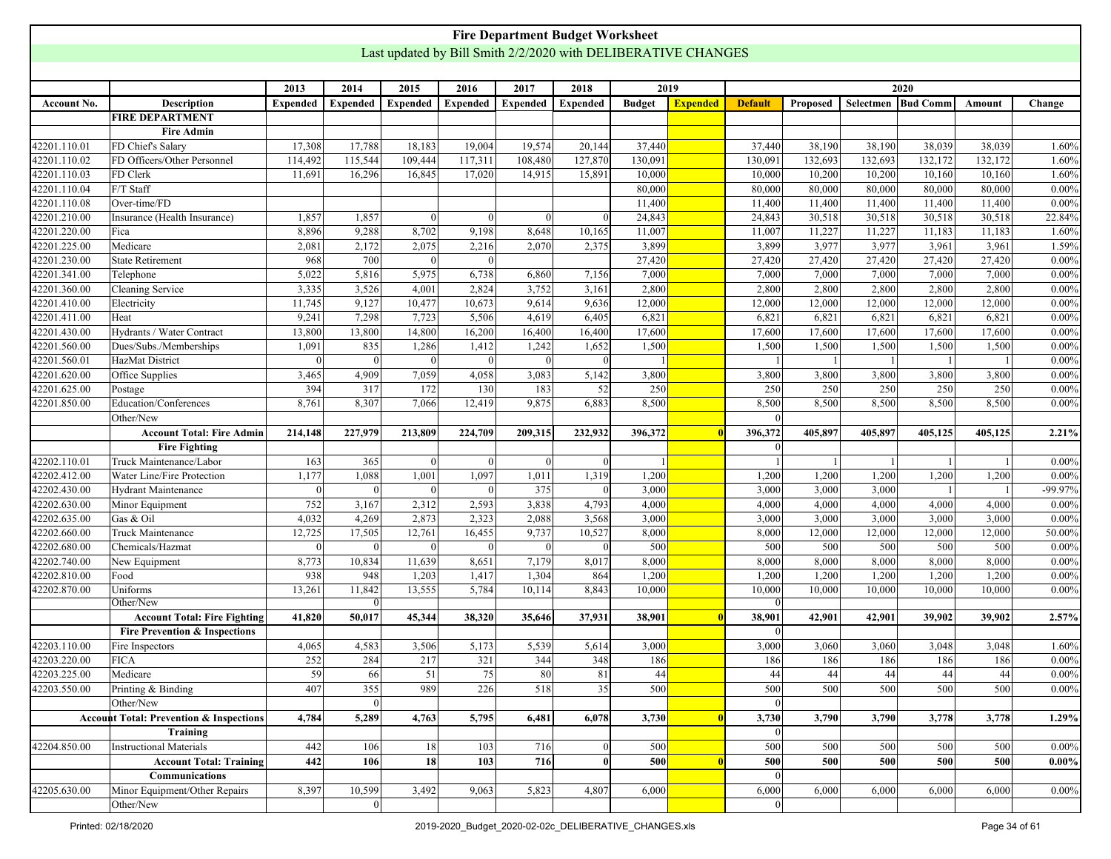<span id="page-33-0"></span>

|              |                                                    |                 |                 |                 |                 | <b>Fire Department Budget Worksheet</b>                       |                 |               |                 |                |          |           |                 |                  |          |
|--------------|----------------------------------------------------|-----------------|-----------------|-----------------|-----------------|---------------------------------------------------------------|-----------------|---------------|-----------------|----------------|----------|-----------|-----------------|------------------|----------|
|              |                                                    |                 |                 |                 |                 | Last updated by Bill Smith 2/2/2020 with DELIBERATIVE CHANGES |                 |               |                 |                |          |           |                 |                  |          |
|              |                                                    |                 |                 |                 |                 |                                                               |                 |               |                 |                |          |           |                 |                  |          |
|              |                                                    | 2013            | 2014            | 2015            | 2016            | 2017                                                          | 2018            |               | 2019            |                |          |           | 2020            |                  |          |
| Account No.  | <b>Description</b>                                 | <b>Expended</b> | <b>Expended</b> | <b>Expended</b> | <b>Expended</b> | <b>Expended</b>                                               | <b>Expended</b> | <b>Budget</b> | <b>Expended</b> | <b>Default</b> | Proposed | Selectmen | <b>Bud Comm</b> | Amount           | Change   |
|              | <b>FIRE DEPARTMENT</b>                             |                 |                 |                 |                 |                                                               |                 |               |                 |                |          |           |                 |                  |          |
|              | <b>Fire Admin</b>                                  |                 |                 |                 |                 |                                                               |                 |               |                 |                |          |           |                 |                  |          |
| 42201.110.01 | FD Chief's Salary                                  | 17,308          | 17,788          | 18,183          | 19,004          | 19,574                                                        | 20,144          | 37,440        |                 | 37,440         | 38,190   | 38,190    | 38,039          | 38,039           | 1.60%    |
| 42201.110.02 | FD Officers/Other Personnel                        | 114,492         | 115,544         | 109,444         | 117,311         | 108,480                                                       | 127,870         | 130,091       |                 | 130,091        | 132,693  | 132,693   | 132,172         | 132,172          | 1.60%    |
| 42201.110.03 | FD Clerk                                           | 11,691          | 16,296          | 16,845          | 17,020          | 14,915                                                        | 15,891          | 10,000        |                 | 10,000         | 10,200   | 10,200    | 10,160          | 10,160           | 1.60%    |
| 42201.110.04 | F/T Staff                                          |                 |                 |                 |                 |                                                               |                 | 80,000        |                 | 80,000         | 80,000   | 80,000    | 80,000          | 80,000           | $0.00\%$ |
| 42201.110.08 | Over-time/FD                                       |                 |                 |                 |                 |                                                               |                 | 11,400        |                 | 11,400         | 11,400   | 11,400    | 11,400          | 11,400           | $0.00\%$ |
| 42201.210.00 | Insurance (Health Insurance)                       | 1,857           | 1,857           |                 |                 | $\Omega$                                                      |                 | 24,843        |                 | 24,843         | 30,518   | 30,518    | 30,518          | 30,518           | 22.84%   |
| 42201.220.00 | Fica                                               | 8,896           | 9,288           | 8,702           | 9,198           | 8,648                                                         | 10,165          | 11,007        |                 | 11,007         | 11,227   | 11,227    | 11,183          | 11,183           | 1.60%    |
| 42201.225.00 | Medicare                                           | 2,081           | 2,172           | 2,075           | 2,216           | 2,070                                                         | 2,375           | 3,899         |                 | 3,899          | 3,977    | 3,977     | 3,961           | 3,961            | 1.59%    |
| 42201.230.00 | <b>State Retirement</b>                            | 968             | 700             |                 |                 |                                                               |                 | 27,420        |                 | 27,420         | 27,420   | 27,420    | 27,420          | 27,420           | $0.00\%$ |
| 42201.341.00 | Telephone                                          | 5,022           | 5,816           | 5,975           | 6,738           | 6,860                                                         | 7,156           | 7,000         |                 | 7,000          | 7,000    | 7,000     | 7,000           | 7,000            | $0.00\%$ |
| 42201.360.00 | Cleaning Service                                   | 3,335           | 3,526           | 4,001           | 2,824           | 3,752                                                         | 3,161           | 2,800         |                 | 2,800          | 2,800    | 2,800     | 2,800           | 2,800            | $0.00\%$ |
|              |                                                    |                 |                 |                 |                 |                                                               |                 |               |                 |                |          |           |                 |                  |          |
| 42201.410.00 | Electricity                                        | 11,745<br>9,241 | 9,127           | 10,477          | 10,673          | 9,614                                                         | 9,636           | 12,000        |                 | 12,000         | 12,000   | 12,000    | 12,000          | 12,000           | $0.00\%$ |
| 42201.411.00 | Heat                                               |                 | 7,298           | 7,723           | 5,506           | 4,619                                                         | 6,405           | 6,821         |                 | 6,821          | 6,821    | 6,821     | 6,821           | 6,821            | $0.00\%$ |
| 42201.430.00 | Hydrants / Water Contract                          | 13,800          | 13,800          | 14,800          | 16,200          | 16,400                                                        | 16,400          | 17,600        |                 | 17,600         | 17,600   | 17,600    | 17,600          | 17,600           | $0.00\%$ |
| 42201.560.00 | Dues/Subs./Memberships                             | 1,091           | 835             | 1,286           | 1,412           | 1,242                                                         | 1,652           | 1,500         |                 | 1,500          | 1,500    | 1,500     | 1,500           | 1,500            | $0.00\%$ |
| 42201.560.01 | HazMat District                                    |                 | $\Omega$        |                 |                 | $\Omega$                                                      |                 |               |                 |                |          |           |                 |                  | $0.00\%$ |
| 42201.620.00 | Office Supplies                                    | 3,465           | 4,909           | 7,059           | 4,058           | 3,083                                                         | 5,142           | 3,800         |                 | 3,800          | 3,800    | 3,800     | 3,800           | 3,800            | $0.00\%$ |
| 42201.625.00 | Postage                                            | 394             | 317             | 172             | 130             | 183                                                           | 52              | 250           |                 | 250            | 250      | 250       | 250             | 250              | $0.00\%$ |
| 42201.850.00 | Education/Conferences                              | 8,761           | 8,307           | 7,066           | 12,419          | 9,875                                                         | 6,883           | 8,500         |                 | 8,500          | 8,500    | 8,500     | 8,500           | 8,500            | $0.00\%$ |
|              | Other/New                                          |                 |                 |                 |                 |                                                               |                 |               |                 | $\vert$ 0      |          |           |                 |                  |          |
|              | <b>Account Total: Fire Admin</b>                   | 214,148         | 227,979         | 213,809         | 224,709         | 209,315                                                       | 232,932         | 396,372       |                 | 396,372        | 405,897  | 405,897   | 405,125         | 405,125          | 2.21%    |
|              | <b>Fire Fighting</b>                               |                 |                 |                 |                 |                                                               |                 |               |                 | $\overline{0}$ |          |           |                 |                  |          |
| 42202.110.01 | Truck Maintenance/Labor                            | 163             | 365             |                 | $\Omega$        | $\Omega$                                                      |                 |               |                 |                |          |           |                 |                  | $0.00\%$ |
| 42202.412.00 | Water Line/Fire Protection                         | 1,177           | 1,088           | 1,001           | 1,097           | 1,011                                                         | 1,319           | 1,200         |                 | 1,200          | 1,200    | 1,200     | 1,200           | 1,200            | 0.00%    |
| 42202.430.00 | <b>Hydrant Maintenance</b>                         | $\Omega$        | $\vert$ 0       | $\Omega$        | $\Omega$        | 375                                                           | $\Omega$        | 3,000         |                 | 3,000          | 3,000    | 3,000     |                 |                  | -99.97%  |
| 42202.630.00 | Minor Equipment                                    | 752             | 3,167           | 2,312           | 2,593           | 3,838                                                         | 4,793           | 4,000         |                 | 4,000          | 4,000    | 4,000     | 4,000           | 4,000            | $0.00\%$ |
| 42202.635.00 | Gas & Oil                                          | 4,032           | 4,269           | 2,873           | 2,323           | 2,088                                                         | 3,568           | 3,000         |                 | 3,000          | 3,000    | 3,000     | 3,000           | 3,000            | $0.00\%$ |
| 42202.660.00 | Truck Maintenance                                  | 12,725          | 17,505          | 12,761          | 16,455          | 9,737                                                         | 10,527          | 8,000         |                 | 8,000          | 12,000   | 12,000    | 12,000          | 12,000           | 50.00%   |
| 42202.680.00 | Chemicals/Hazmat                                   |                 |                 |                 |                 | $\Omega$                                                      |                 | 500           |                 | 500            | 500      | 500       | 500             | $\overline{500}$ | $0.00\%$ |
| 42202.740.00 | New Equipment                                      | 8,773           | 10,834          | 11,639          | 8,651           | 7,179                                                         | 8,017           | 8,000         |                 | 8,000          | 8,000    | 8,000     | 8,000           | 8,000            | $0.00\%$ |
| 42202.810.00 | Food                                               | 938             | 948             | 1,203           | 1,417           | 1,304                                                         | 864             | 1,200         |                 | 1,200          | 1,200    | 1,200     | 1,200           | 1,200            | $0.00\%$ |
| 42202.870.00 | Uniforms                                           | 13,261          | 11,842          | 13,555          | 5,784           | 10,114                                                        | 8,843           | 10,000        |                 | 10,000         | 10,000   | 10,000    | 10,000          | 10,000           | $0.00\%$ |
|              | Other/New                                          |                 |                 |                 |                 |                                                               |                 |               |                 | 0              |          |           |                 |                  |          |
|              | <b>Account Total: Fire Fighting</b>                | 41,820          | 50,017          | 45,344          | 38,320          | 35,646                                                        | 37,931          | 38,901        |                 | 38,901         | 42,901   | 42,901    | 39,902          | 39,902           | 2.57%    |
|              | <b>Fire Prevention &amp; Inspections</b>           |                 |                 |                 |                 |                                                               |                 |               |                 | 0              |          |           |                 |                  |          |
| 42203.110.00 | Fire Inspectors                                    | 4,065           | 4,583           | 3,506           | 5,173           | 5,539                                                         | 5,614           | 3,000         |                 | 3,000          | 3,060    | 3,060     | 3,048           | 3,048            | 1.60%    |
| 42203.220.00 | <b>FICA</b>                                        | 252             | 284             | 217             | 321             | 344                                                           | 348             | 186           |                 | 186            | 186      | 186       | 186             | 186              | $0.00\%$ |
| 42203.225.00 | Medicare                                           | 59              | 66              | $\overline{51}$ | $\overline{75}$ | 80                                                            | 81              | 44            |                 | 44             | 44       | 44        | 44              | 44               | $0.00\%$ |
| 42203.550.00 | Printing & Binding                                 | 407             | 355             | 989             | 226             | 518                                                           | 35              | 500           |                 | 500            | 500      | 500       | 500             | 500              | $0.00\%$ |
|              | Other/New                                          |                 | 0               |                 |                 |                                                               |                 |               |                 | 0              |          |           |                 |                  |          |
|              | <b>Account Total: Prevention &amp; Inspections</b> |                 |                 |                 |                 |                                                               |                 |               |                 |                |          |           |                 |                  |          |
|              |                                                    | 4,784           | 5,289           | 4,763           | 5,795           | 6,481                                                         | 6,078           | 3,730         |                 | 3,730          | 3,790    | 3,790     | 3,778           | 3,778            | 1.29%    |
|              | Training                                           |                 |                 |                 |                 |                                                               |                 |               |                 | 0              |          |           |                 |                  |          |
| 42204.850.00 | Instructional Materials                            | 442             | 106             | 18              | 103             | 716                                                           | $\theta$        | 500           |                 | 500            | 500      | 500       | 500             | 500              | $0.00\%$ |
|              | <b>Account Total: Training</b>                     | 442             | 106             | 18              | 103             | 716                                                           | $\mathbf{0}$    | 500           |                 | 500            | 500      | 500       | 500             | 500              | $0.00\%$ |
|              | <b>Communications</b>                              |                 |                 |                 |                 |                                                               |                 |               |                 | 0              |          |           |                 |                  |          |
| 42205.630.00 | Minor Equipment/Other Repairs                      | 8,397           | 10,599          | 3,492           | 9,063           | 5,823                                                         | 4,807           | 6,000         |                 | 6,000          | 6,000    | 6,000     | 6,000           | 6,000            | $0.00\%$ |
|              | Other/New                                          |                 | $\Omega$        |                 |                 |                                                               |                 |               |                 | $\vert$ 0      |          |           |                 |                  |          |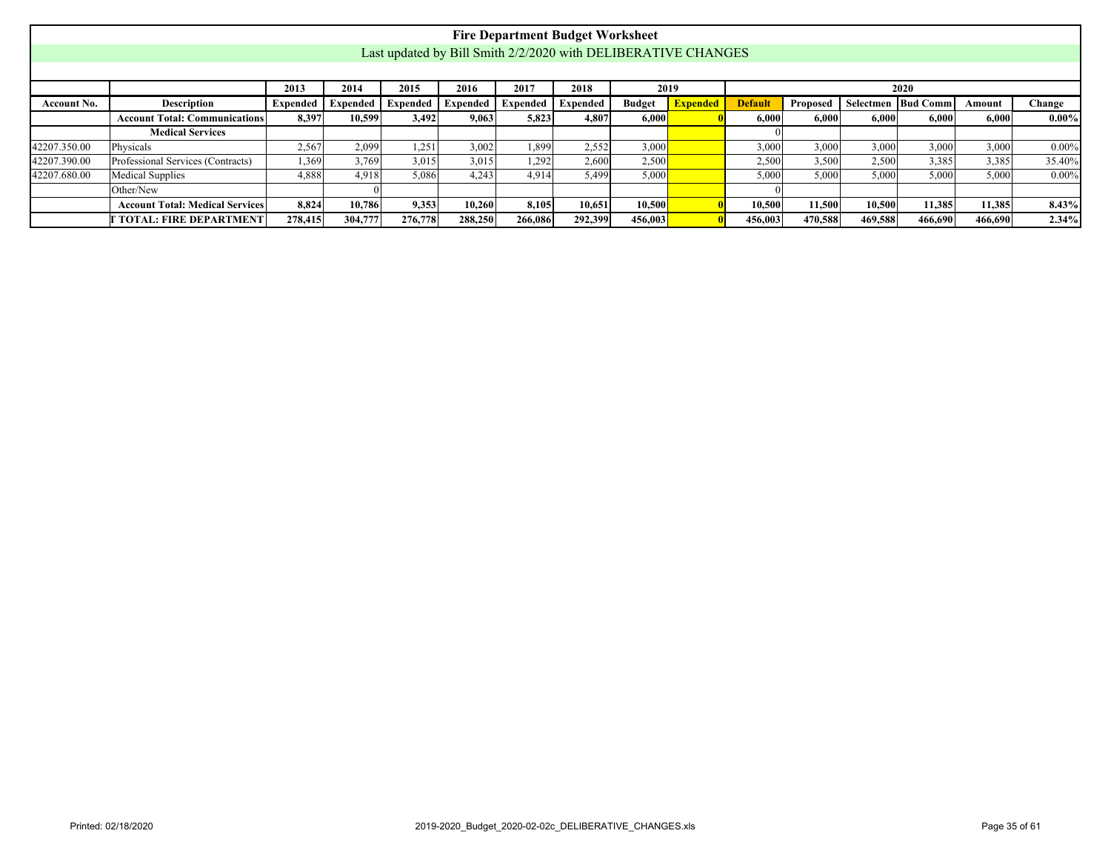|              |                                                                                                                                                                                                                               |         |         |         |         |         | <b>Fire Department Budget Worksheet</b> |         |                                                               |         |         |         |         |         |          |
|--------------|-------------------------------------------------------------------------------------------------------------------------------------------------------------------------------------------------------------------------------|---------|---------|---------|---------|---------|-----------------------------------------|---------|---------------------------------------------------------------|---------|---------|---------|---------|---------|----------|
|              |                                                                                                                                                                                                                               |         |         |         |         |         |                                         |         | Last updated by Bill Smith 2/2/2020 with DELIBERATIVE CHANGES |         |         |         |         |         |          |
|              |                                                                                                                                                                                                                               |         |         |         |         |         |                                         |         |                                                               |         |         |         |         |         |          |
|              | 2017<br>2015<br>2018<br>2019<br>2013<br>2016<br>2014<br>2020                                                                                                                                                                  |         |         |         |         |         |                                         |         |                                                               |         |         |         |         |         |          |
| Account No.  | <b>Expended</b><br>Description<br><b>Expended</b><br><b>Expended</b> Expended<br><b>Budget</b><br><b>Default</b><br><b>Bud Comm</b><br>Expended<br>Proposed<br>Selectmen<br>Expended  <br><b>Expended</b><br>Change<br>Amount |         |         |         |         |         |                                         |         |                                                               |         |         |         |         |         |          |
|              | $0.00\%$<br><b>Account Total: Communications</b><br>8,397<br>10,599<br>3.492<br>9,063<br>5,823<br>4,807<br>6,000<br>6.000<br>6.000<br>6,000<br>6.000<br>6,000                                                                 |         |         |         |         |         |                                         |         |                                                               |         |         |         |         |         |          |
|              | <b>Medical Services</b>                                                                                                                                                                                                       |         |         |         |         |         |                                         |         |                                                               |         |         |         |         |         |          |
| 42207.350.00 | Physicals                                                                                                                                                                                                                     | 2,567   | 2,099   | 1,251   | 3,002   | 1,899   | 2,552                                   | 3,000   |                                                               | 3,000   | 3,000   | 3,000   | 3.000   | 3,000   | $0.00\%$ |
| 42207.390.00 | Professional Services (Contracts)                                                                                                                                                                                             | 1,369   | 3,769   | 3,015   | 3,015   | 1,292   | 2.600                                   | 2,500   |                                                               | 2,500   | 3,500   | 2,500   | 3,385   | 3,385   | 35.40%   |
| 42207.680.00 | <b>Medical Supplies</b>                                                                                                                                                                                                       | 4,888   | 4.918   | 5,086   | 4,243   | 4,914   | 5,499                                   | 5,000   |                                                               | 5,000   | 5,000   | 5,000   | 5.000   | 5,000   | $0.00\%$ |
|              | Other/New                                                                                                                                                                                                                     |         |         |         |         |         |                                         |         |                                                               |         |         |         |         |         |          |
|              | <b>Account Total: Medical Services</b>                                                                                                                                                                                        | 8.824   | 10.786  | 9.353   | 10.260  | 8,105   | 10.651                                  | 10.500  |                                                               | 10.500  | 11.500  | 10.500  | 11.385  | 11.385  | 8.43%    |
|              | [ TOTAL: FIRE DEPARTMENT]                                                                                                                                                                                                     | 278,415 | 304,777 | 276,778 | 288,250 | 266,086 | 292,399                                 | 456,003 |                                                               | 456,003 | 470,588 | 469,588 | 466,690 | 466,690 | 2.34%    |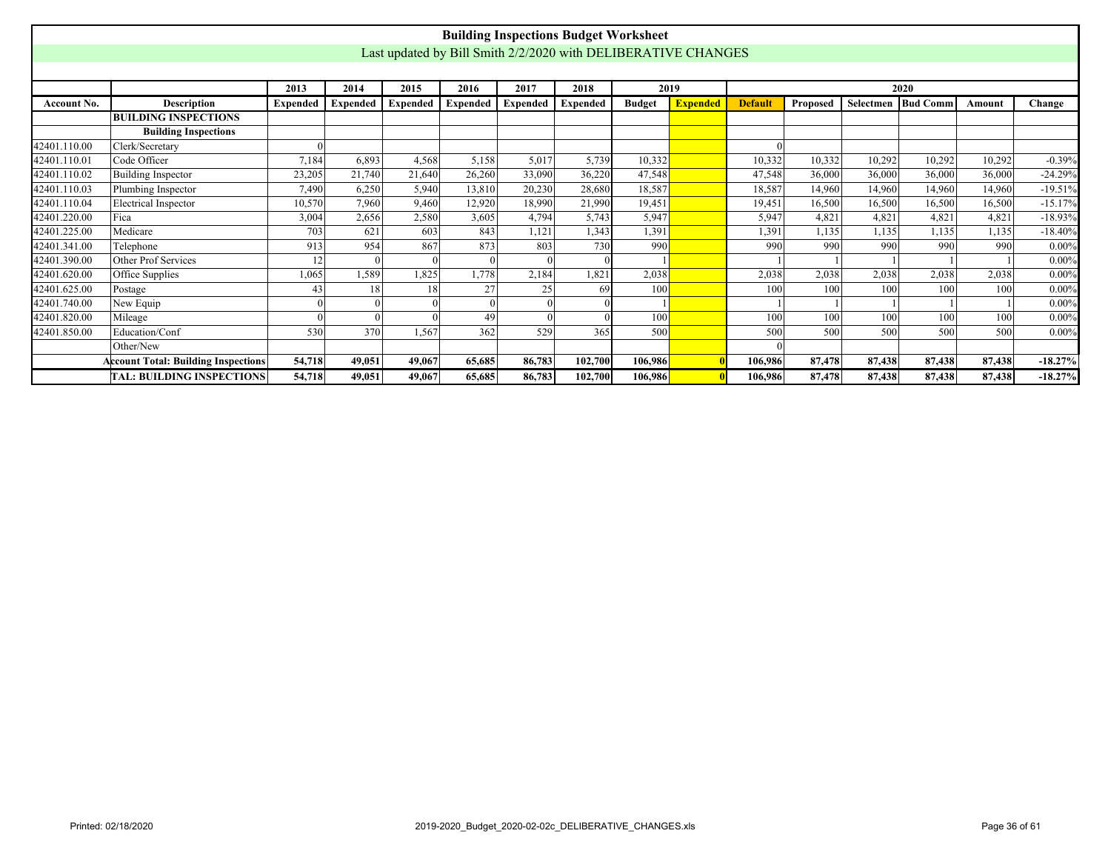<span id="page-35-0"></span>

|                    |                                                                                                                                                      |                 |          |                 |                 |          | <b>Building Inspections Budget Worksheet</b>                  |               |                 |                |                 |        |                      |        |           |
|--------------------|------------------------------------------------------------------------------------------------------------------------------------------------------|-----------------|----------|-----------------|-----------------|----------|---------------------------------------------------------------|---------------|-----------------|----------------|-----------------|--------|----------------------|--------|-----------|
|                    |                                                                                                                                                      |                 |          |                 |                 |          | Last updated by Bill Smith 2/2/2020 with DELIBERATIVE CHANGES |               |                 |                |                 |        |                      |        |           |
|                    |                                                                                                                                                      |                 |          |                 |                 |          |                                                               |               |                 |                |                 |        |                      |        |           |
|                    |                                                                                                                                                      | 2013            | 2014     | 2015            | 2016            | 2017     | 2018                                                          | 2019          |                 |                |                 |        | 2020                 |        |           |
| <b>Account No.</b> | <b>Description</b>                                                                                                                                   | <b>Expended</b> | Expended | <b>Expended</b> | <b>Expended</b> | Expended | <b>Expended</b>                                               | <b>Budget</b> | <b>Expended</b> | <b>Default</b> | <b>Proposed</b> |        | Selectmen   Bud Comm | Amount | Change    |
|                    | <b>BUILDING INSPECTIONS</b>                                                                                                                          |                 |          |                 |                 |          |                                                               |               |                 |                |                 |        |                      |        |           |
|                    | <b>Building Inspections</b>                                                                                                                          |                 |          |                 |                 |          |                                                               |               |                 |                |                 |        |                      |        |           |
| 42401.110.00       | Clerk/Secretary                                                                                                                                      |                 |          |                 |                 |          |                                                               |               |                 |                |                 |        |                      |        |           |
| 42401.110.01       | Code Officer                                                                                                                                         | 7,184           | 6,893    | 4,568           | 5,158           | 5,017    | 5,739                                                         | 10,332        |                 | 10,332         | 10,332          | 10,292 | 10,292               | 10,292 | $-0.39%$  |
| 42401.110.02       | 23,205<br>21,740<br>21,640<br>26,260<br>33,090<br>36,220<br>47,548<br><b>Building Inspector</b><br>47.548<br>36,000<br>36,000<br>36,000<br>36,000    |                 |          |                 |                 |          |                                                               |               |                 |                |                 |        |                      |        | $-24.29%$ |
| 42401.110.03       | Plumbing Inspector<br>18,587<br>14,960<br>$-19.51%$<br>7,490<br>6,250<br>5.940<br>13,810<br>20,230<br>28,680<br>18,587<br>14,960<br>14,960<br>14,960 |                 |          |                 |                 |          |                                                               |               |                 |                |                 |        |                      |        |           |
| 42401.110.04       | <b>Electrical Inspector</b>                                                                                                                          | 10,570          | 7.960    | 9.460           | 12.920          | 18.990   | 21.990                                                        | 19,451        |                 | 19.451         | 16.500          | 16,500 | 16,500               | 16,500 | $-15.17%$ |
| 42401.220.00       | Fica                                                                                                                                                 | 3,004           | 2,656    | 2,580           | 3,605           | 4,794    | 5,743                                                         | 5,947         |                 | 5,947          | 4,821           | 4,821  | 4,821                | 4,821  | $-18.93%$ |
| 42401.225.00       | Medicare                                                                                                                                             | 703             | 621      | 603             | 843             | 1,121    | 1.343                                                         | 1,391         |                 | 1.391          | 1.135           | 1.135  | 1,135                | 1,135  | $-18.40%$ |
| 42401.341.00       | Telephone                                                                                                                                            | 913             | 954      | 867             | 873             | 803      | 730                                                           | 990           |                 | 990            | 990             | 990    | 990                  | 990    | $0.00\%$  |
| 42401.390.00       | Other Prof Services                                                                                                                                  | 12              |          |                 |                 |          |                                                               |               |                 |                |                 |        |                      |        | $0.00\%$  |
| 42401.620.00       | Office Supplies                                                                                                                                      | 1,065           | 1,589    | 1,825           | 1,778           | 2,184    | 1,821                                                         | 2,038         |                 | 2,038          | 2,038           | 2,038  | 2,038                | 2,038  | $0.00\%$  |
| 42401.625.00       | Postage                                                                                                                                              | 43              | 18       | 18              | 27              | 25       | 69                                                            | 100           |                 | 100            | 100             | 100    | 100                  | 100    | $0.00\%$  |
| 42401.740.00       | New Equip                                                                                                                                            |                 |          |                 |                 |          |                                                               |               |                 |                |                 |        |                      |        | $0.00\%$  |
| 42401.820.00       | Mileage                                                                                                                                              | $\Omega$        |          |                 | 49              |          |                                                               | 100           |                 | 100            | 100             | 100    | 100                  | 100    | $0.00\%$  |
| 42401.850.00       | Education/Conf                                                                                                                                       | 530             | 370      | 1,567           | 362             | 529      | 365                                                           | 500           |                 | 500            | 500             | 500    | 500                  | 500    | $0.00\%$  |
|                    | Other/New                                                                                                                                            |                 |          |                 |                 |          |                                                               |               |                 |                |                 |        |                      |        |           |
|                    | <b>Account Total: Building Inspections</b>                                                                                                           | 54,718          | 49.051   | 49,067          | 65,685          | 86,783   | 102,700                                                       | 106.986       |                 | 106.986        | 87,478          | 87,438 | 87,438               | 87,438 | $-18.27%$ |
|                    | TAL: BUILDING INSPECTIONS                                                                                                                            | 54,718          | 49,051   | 49,067          | 65,685          | 86,783   | 102,700                                                       | 106,986       |                 | 106.986        | 87,478          | 87,438 | 87,438               | 87,438 | $-18.27%$ |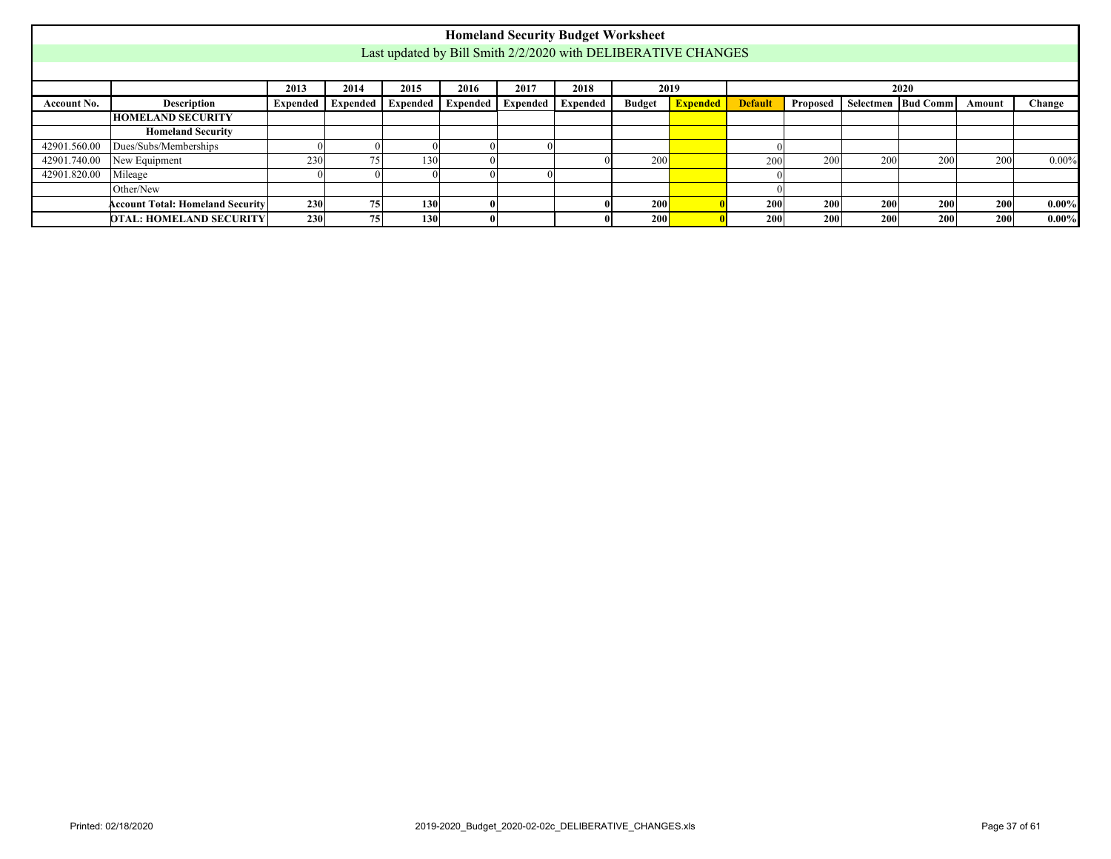<span id="page-36-0"></span>

|              |                                                                                                                                                                                           |            |    |                  |  |  | <b>Homeland Security Budget Worksheet</b>                     |     |  |            |     |                  |     |     |          |
|--------------|-------------------------------------------------------------------------------------------------------------------------------------------------------------------------------------------|------------|----|------------------|--|--|---------------------------------------------------------------|-----|--|------------|-----|------------------|-----|-----|----------|
|              |                                                                                                                                                                                           |            |    |                  |  |  | Last updated by Bill Smith 2/2/2020 with DELIBERATIVE CHANGES |     |  |            |     |                  |     |     |          |
|              |                                                                                                                                                                                           |            |    |                  |  |  |                                                               |     |  |            |     |                  |     |     |          |
|              | 2014<br>2015<br>2017<br>2018<br>2019<br>2013<br>2016<br>2020                                                                                                                              |            |    |                  |  |  |                                                               |     |  |            |     |                  |     |     |          |
| Account No.  | <b>Budget</b> Expended<br>Expended<br><b>Expended</b> Expended Expended<br>Expended   Expended  <br><b>Default</b><br>Selectmen   Bud Comm<br>Description<br>Proposed<br>Change<br>Amount |            |    |                  |  |  |                                                               |     |  |            |     |                  |     |     |          |
|              | <b>HOMELAND SECURITY</b>                                                                                                                                                                  |            |    |                  |  |  |                                                               |     |  |            |     |                  |     |     |          |
|              | <b>Homeland Security</b>                                                                                                                                                                  |            |    |                  |  |  |                                                               |     |  |            |     |                  |     |     |          |
| 42901.560.00 | Dues/Subs/Memberships                                                                                                                                                                     |            |    |                  |  |  |                                                               |     |  |            |     |                  |     |     |          |
| 42901.740.00 | New Equipment                                                                                                                                                                             | 230        | 75 | 130              |  |  |                                                               | 200 |  | 200        | 200 | 200              | 200 | 200 | $0.00\%$ |
| 42901.820.00 | Mileage                                                                                                                                                                                   |            |    |                  |  |  |                                                               |     |  |            |     |                  |     |     |          |
|              | Other/New                                                                                                                                                                                 |            |    |                  |  |  |                                                               |     |  |            |     |                  |     |     |          |
|              | <b>Account Total: Homeland Security</b>                                                                                                                                                   | <b>230</b> | 75 | 130 <sup>1</sup> |  |  |                                                               | 200 |  | <b>200</b> | 200 | 200 <sup>1</sup> | 200 | 200 | $0.00\%$ |
|              | <b>DTAL: HOMELAND SECURITY</b>                                                                                                                                                            | 230        | 75 | 130              |  |  |                                                               | 200 |  | 200        | 200 | 200              | 200 | 200 | $0.00\%$ |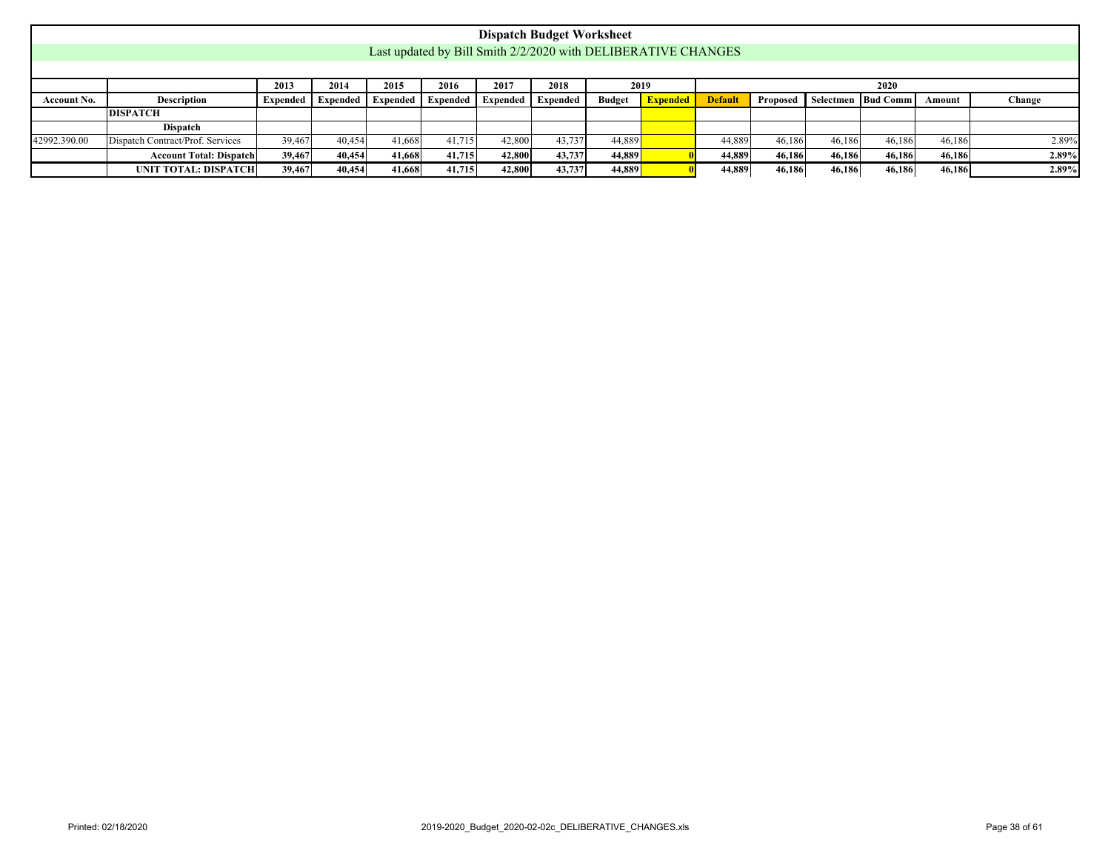<span id="page-37-0"></span>

|              |                                                                                                                                                                                                                       |        |        |        |        |        | <b>Dispatch Budget Worksheet</b> |        |                                                               |        |        |        |        |        |       |
|--------------|-----------------------------------------------------------------------------------------------------------------------------------------------------------------------------------------------------------------------|--------|--------|--------|--------|--------|----------------------------------|--------|---------------------------------------------------------------|--------|--------|--------|--------|--------|-------|
|              |                                                                                                                                                                                                                       |        |        |        |        |        |                                  |        | Last updated by Bill Smith 2/2/2020 with DELIBERATIVE CHANGES |        |        |        |        |        |       |
|              |                                                                                                                                                                                                                       |        |        |        |        |        |                                  |        |                                                               |        |        |        |        |        |       |
|              | 2018<br>2015<br>2016<br>2017<br>2013<br>2014<br>2019<br>2020                                                                                                                                                          |        |        |        |        |        |                                  |        |                                                               |        |        |        |        |        |       |
| Account No.  | <b>Description</b><br><b>Default</b><br><b>Budget</b><br>Expended<br>Selectmen   Bud Comm  <br>Change<br>Expended Expended<br><b>Expended</b><br>Proposed<br><b>Expended</b><br>Expended<br><b>Expended</b><br>Amount |        |        |        |        |        |                                  |        |                                                               |        |        |        |        |        |       |
|              | <b>DISPATCH</b>                                                                                                                                                                                                       |        |        |        |        |        |                                  |        |                                                               |        |        |        |        |        |       |
|              | <b>Dispatch</b>                                                                                                                                                                                                       |        |        |        |        |        |                                  |        |                                                               |        |        |        |        |        |       |
| 42992.390.00 | Dispatch Contract/Prof. Services                                                                                                                                                                                      | 39,467 | 40.454 | 41,668 | 41,715 | 42,800 | 43,737                           | 44,889 |                                                               | 44,889 | 46.186 | 46.186 | 46.186 | 46.186 | 2.89% |
|              | <b>Account Total: Dispatch</b>                                                                                                                                                                                        | 39,467 | 40,454 | 41.668 | 41,715 | 42,800 | 43,737                           | 44,889 |                                                               | 44,889 | 46,186 | 46.186 | 46,186 | 46,186 | 2.89% |
|              | UNIT TOTAL: DISPATCH                                                                                                                                                                                                  | 39,467 | 40,454 | 41,668 | 41,715 | 42,800 | 43,737                           | 44,889 |                                                               | 44,889 | 46,186 | 46,186 | 46,186 | 46,186 | 2.89% |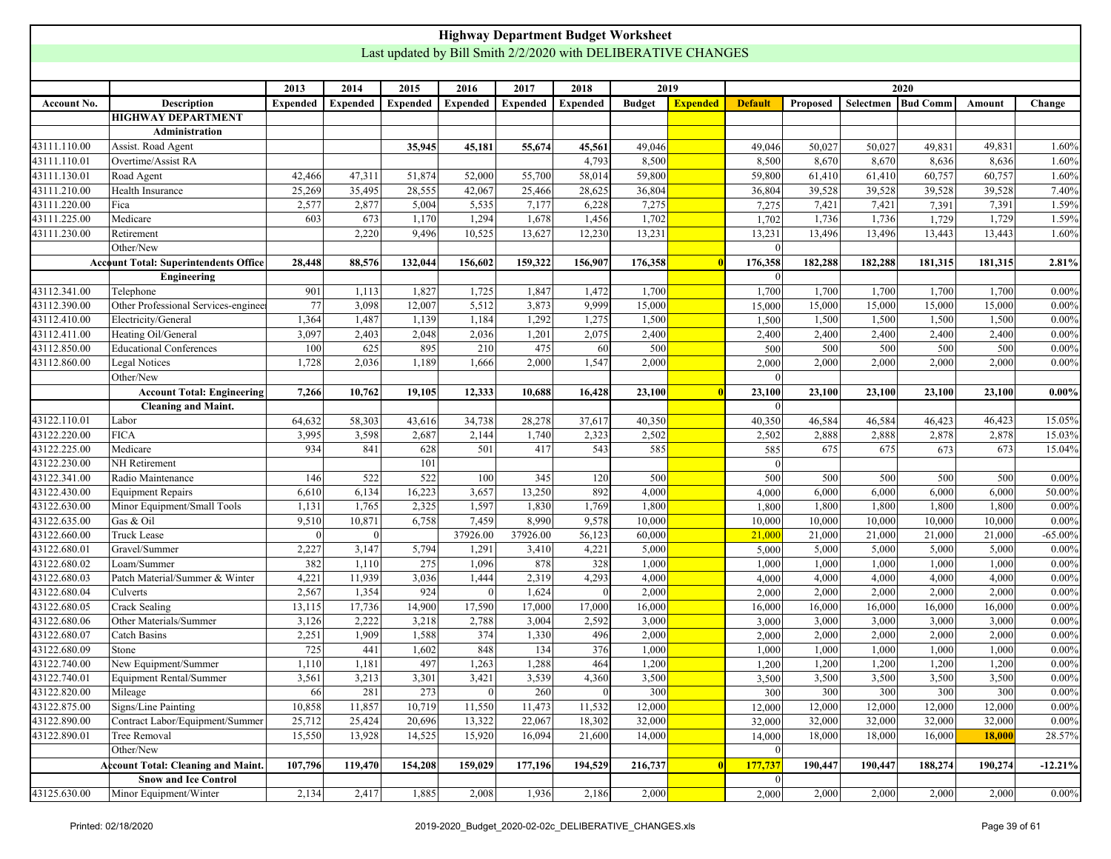<span id="page-38-0"></span>

|              |                                              |                 |                  |                 |                 |                 | <b>Highway Department Budget Worksheet</b> |               |                                                               |                |          |           |                 |         |            |
|--------------|----------------------------------------------|-----------------|------------------|-----------------|-----------------|-----------------|--------------------------------------------|---------------|---------------------------------------------------------------|----------------|----------|-----------|-----------------|---------|------------|
|              |                                              |                 |                  |                 |                 |                 |                                            |               | Last updated by Bill Smith 2/2/2020 with DELIBERATIVE CHANGES |                |          |           |                 |         |            |
|              |                                              |                 |                  |                 |                 |                 |                                            |               |                                                               |                |          |           |                 |         |            |
|              |                                              | 2013            | 2014             | 2015            | 2016            | 2017            | 2018                                       |               | 2019                                                          |                |          |           | 2020            |         |            |
| Account No.  | <b>Description</b>                           | <b>Expended</b> | <b>Expended</b>  | <b>Expended</b> | <b>Expended</b> | <b>Expended</b> | <b>Expended</b>                            | <b>Budget</b> | <b>Expended</b>                                               | <b>Default</b> | Proposed | Selectmen | <b>Bud Comm</b> | Amount  | Change     |
|              | <b>HIGHWAY DEPARTMENT</b>                    |                 |                  |                 |                 |                 |                                            |               |                                                               |                |          |           |                 |         |            |
|              | Administration                               |                 |                  |                 |                 |                 |                                            |               |                                                               |                |          |           |                 |         |            |
| 43111.110.00 | Assist. Road Agent                           |                 |                  | 35,945          | 45,181          | 55,674          | 45,561                                     | 49,046        |                                                               | 49,046         | 50,027   | 50,027    | 49,831          | 49,831  | 1.60%      |
| 43111.110.01 | Overtime/Assist RA                           |                 |                  |                 |                 |                 | 4,793                                      | 8,500         |                                                               | 8,500          | 8,670    | 8,670     | 8,636           | 8,636   | 1.60%      |
| 43111.130.01 | Road Agent                                   | 42,466          | 47,311           | 51,874          | 52,000          | 55,700          | 58,014                                     | 59,800        |                                                               | 59,800         | 61,410   | 61,410    | 60,757          | 60,757  | 1.60%      |
| 43111.210.00 | Health Insurance                             | 25,269          | 35,495           | 28,555          | 42,067          | 25,466          | 28,625                                     | 36,804        |                                                               | 36,804         | 39,528   | 39,528    | 39,528          | 39,528  | 7.40%      |
| 43111.220.00 | Fica                                         | 2,577           | 2,877            | 5,004           | 5,535           | 7,177           | 6,228                                      | 7,275         |                                                               | 7,275          | 7,421    | 7,421     | 7,391           | 7,391   | 1.59%      |
| 43111.225.00 | Medicare                                     | 603             | 673              | 1,170           | 1,294           | 1,678           | 1,456                                      | 1,702         |                                                               | 1,702          | 1,736    | 1,736     | 1,729           | 1,729   | 1.59%      |
| 43111.230.00 | Retirement                                   |                 | 2,220            | 9,496           | 10,525          | 13,627          | 12,230                                     | 13,231        |                                                               | 13,231         | 13,496   | 13,496    | 13,443          | 13,443  | 1.60%      |
|              | Other/New                                    |                 |                  |                 |                 |                 |                                            |               |                                                               | $\Omega$       |          |           |                 |         |            |
|              | <b>Account Total: Superintendents Office</b> | 28,448          | 88,576           | 132,044         | 156,602         | 159,322         | 156,907                                    | 176,358       |                                                               | 176,358        | 182,288  | 182,288   | 181,315         | 181,315 | 2.81%      |
|              | Engineering                                  |                 |                  |                 |                 |                 |                                            |               |                                                               | $\vert$ 0      |          |           |                 |         |            |
| 43112.341.00 | Telephone                                    | 901             | 1,113            | 1,827           | 1,725           | 1,847           | 1,472                                      | 1,700         |                                                               | 1,700          | 1,700    | 1,700     | 1,700           | 1,700   | $0.00\%$   |
| 43112.390.00 | Other Professional Services-engineer         | 77              | 3,098            | 12,007          | 5,512           | 3,873           | 9,999                                      | 15,000        |                                                               | 15,000         | 15,000   | 15,000    | 15,000          | 15,000  | $0.00\%$   |
| 43112.410.00 | Electricity/General                          | 1,364           | 1,487            | 1,139           | 1,184           | 1,292           | 1,275                                      | 1,500         |                                                               | 1,500          | 1,500    | 1,500     | 1,500           | 1,500   | $0.00\%$   |
| 43112.411.00 | Heating Oil/General                          | 3,097           | 2,403            | 2,048           | 2,036           | 1,201           | 2,075                                      | 2,400         |                                                               | 2,400          | 2,400    | 2,400     | 2,400           | 2,400   | $0.00\%$   |
| 43112.850.00 | <b>Educational Conferences</b>               | 100             | 625              | 895             | 210             | 475             | 60                                         | 500           |                                                               | 500            | 500      | 500       | 500             | 500     | $0.00\%$   |
| 43112.860.00 | Legal Notices                                | 1,728           | 2,036            | 1,189           | 1,666           | 2,000           | 1,547                                      | 2,000         |                                                               | 2,000          | 2,000    | 2,000     | 2,000           | 2,000   | $0.00\%$   |
|              | Other/New                                    |                 |                  |                 |                 |                 |                                            |               |                                                               |                |          |           |                 |         |            |
|              | <b>Account Total: Engineering</b>            | 7,266           | 10,762           | 19,105          | 12,333          | 10,688          | 16,428                                     | 23,100        |                                                               | 23,100         | 23,100   | 23,100    | 23,100          | 23,100  | $0.00\%$   |
|              | <b>Cleaning and Maint.</b>                   |                 |                  |                 |                 |                 |                                            |               |                                                               | $\vert$ 0      |          |           |                 |         |            |
| 43122.110.01 | Labor                                        | 64,632          | 58,303           | 43,616          | 34,738          | 28,278          | 37,617                                     | 40,350        |                                                               | 40,350         | 46,584   | 46,584    | 46,423          | 46,423  | 15.05%     |
| 43122.220.00 | <b>FICA</b>                                  | 3,995           | 3,598            | 2,687           | 2,144           | 1,740           | 2,323                                      | 2,502         |                                                               | 2,502          | 2,888    | 2,888     | 2,878           | 2,878   | 15.03%     |
| 43122.225.00 | Medicare                                     | 934             | 841              | 628             | 501             | 417             | 543                                        | 585           |                                                               | 585            | 675      | 675       | 673             | 673     | 15.04%     |
| 43122.230.00 | NH Retirement                                |                 |                  | 101             |                 |                 |                                            |               |                                                               | $\vert$ 0      |          |           |                 |         |            |
| 43122.341.00 | Radio Maintenance                            | 146             | $\overline{522}$ | 522             | 100             | 345             | 120                                        | 500           |                                                               | 500            | 500      | 500       | 500             | 500     | 0.00%      |
| 43122.430.00 | <b>Equipment Repairs</b>                     | 6,610           | 6,134            | 16,223          | 3,657           | 13,250          | 892                                        | 4,000         |                                                               | 4,000          | 6,000    | 6,000     | 6,000           | 6,000   | 50.00%     |
| 43122.630.00 | Minor Equipment/Small Tools                  | 1,131           | 1,765            | 2,325           | 1,597           | 1,830           | 1,769                                      | 1,800         |                                                               | 1,800          | 1,800    | 1,800     | 1,800           | 1,800   | $0.00\%$   |
| 43122.635.00 | Gas & Oil                                    | 9,510           | 10,871           | 6,758           | 7,459           | 8,990           | 9,578                                      | 10,000        |                                                               | 10,000         | 10,000   | 10,000    | 10,000          | 10,000  | $0.00\%$   |
| 43122.660.00 | <b>Truck Lease</b>                           | $\theta$        | $\Omega$         |                 | 37926.00        | 37926.00        | 56,123                                     | 60,000        |                                                               | 21,000         | 21,000   | 21,000    | 21,000          | 21,000  | $-65.00\%$ |
| 43122.680.01 | Gravel/Summer                                | 2,227           | 3,147            | 5,794           | 1,291           | 3,410           | 4,221                                      | 5,000         |                                                               | 5,000          | 5,000    | 5,000     | 5,000           | 5,000   | 0.00%      |
| 43122.680.02 | Loam/Summer                                  | 382             | 1,110            | 275             | 1,096           | 878             | 328                                        | 1,000         |                                                               | 1,000          | 1,000    | 1,000     | 1,000           | 1,000   | $0.00\%$   |
| 43122.680.03 | Patch Material/Summer & Winter               | 4,221           | 11,939           | 3,036           | 1,444           | 2,319           | 4,293                                      | 4,000         |                                                               | 4,000          | 4,000    | 4,000     | 4,000           | 4,000   | $0.00\%$   |
| 43122.680.04 | Culverts                                     | 2,567           | 1,354            | 924             |                 | 1,624           |                                            | 2,000         |                                                               | 2,000          | 2,000    | 2,000     | 2,000           | 2,000   | $0.00\%$   |
| 43122.680.05 | Crack Sealing                                | 13,115          | 17,736           | 14,900          | 17,590          | 17,000          | 17,000                                     | 16,000        |                                                               | 16,000         | 16,000   | 16,000    | 16,000          | 16,000  | $0.00\%$   |
| 43122.680.06 | Other Materials/Summer                       | 3,126           | 2,222            | 3,218           | 2,788           | 3,004           | 2,592                                      | 3,000         |                                                               | 3,000          | 3,000    | 3,000     | 3,000           | 3,000   | $0.00\%$   |
| 43122.680.07 | <b>Catch Basins</b>                          | 2,251           | 1,909            | 1,588           | 374             | 1,330           | 496                                        | 2,000         |                                                               | 2,000          | 2,000    | 2,000     | 2,000           | 2,000   | $0.00\%$   |
| 43122.680.09 | Stone                                        | 725             | 441              | 1,602           | 848             | 134             | 376                                        | 1,000         |                                                               | 1,000          | 1,000    | 1,000     | 1,000           | 1,000   | $0.00\%$   |
| 43122.740.00 | New Equipment/Summer                         | 1,110           | 1,181            | 497             | 1,263           | 1,288           | 464                                        | 1,200         |                                                               | 1,200          | 1,200    | 1,200     | 1,200           | 1,200   | $0.00\%$   |
| 43122.740.01 | Equipment Rental/Summer                      | 3,561           | 3,213            | 3,301           | 3,421           | 3,539           | 4,360                                      | 3,500         |                                                               | 3,500          | 3,500    | 3,500     | 3,500           | 3,500   | $0.00\%$   |
| 43122.820.00 | Mileage                                      | 66              | 281              | 273             |                 | 260             |                                            | 300           |                                                               | 300            | 300      | 300       | 300             | 300     | $0.00\%$   |
| 43122.875.00 | Signs/Line Painting                          | 10,858          | 11,857           | 10,719          | 11,550          | 11,473          | 11,532                                     | 12,000        |                                                               | 12,000         | 12,000   | 12,000    | 12,000          | 12,000  | $0.00\%$   |
| 43122.890.00 | Contract Labor/Equipment/Summer              | 25,712          | 25,424           | 20,696          | 13,322          | 22,067          | 18,302                                     | 32,000        |                                                               | 32,000         | 32,000   | 32,000    | 32,000          | 32,000  | $0.00\%$   |
| 43122.890.01 | Tree Removal                                 | 15,550          | 13,928           | 14,525          | 15,920          | 16,094          | 21,600                                     | 14,000        |                                                               | 14,000         | 18,000   | 18,000    | 16,000          | 18,000  | 28.57%     |
|              | Other/New                                    |                 |                  |                 |                 |                 |                                            |               |                                                               | $\vert$ 0      |          |           |                 |         |            |
|              | <b>Account Total: Cleaning and Maint.</b>    | 107,796         | 119,470          | 154,208         | 159,029         | 177,196         | 194,529                                    | 216,737       |                                                               | 177,737        | 190,447  | 190,447   | 188,274         | 190,274 | $-12.21%$  |
|              | <b>Snow and Ice Control</b>                  |                 |                  |                 |                 |                 |                                            |               |                                                               | 0              |          |           |                 |         |            |
| 43125.630.00 | Minor Equipment/Winter                       | 2,134           | 2,417            | 1,885           | 2,008           | 1,936           | 2,186                                      | 2,000         |                                                               | 2,000          | 2,000    | 2,000     | 2,000           | 2,000   | $0.00\%$   |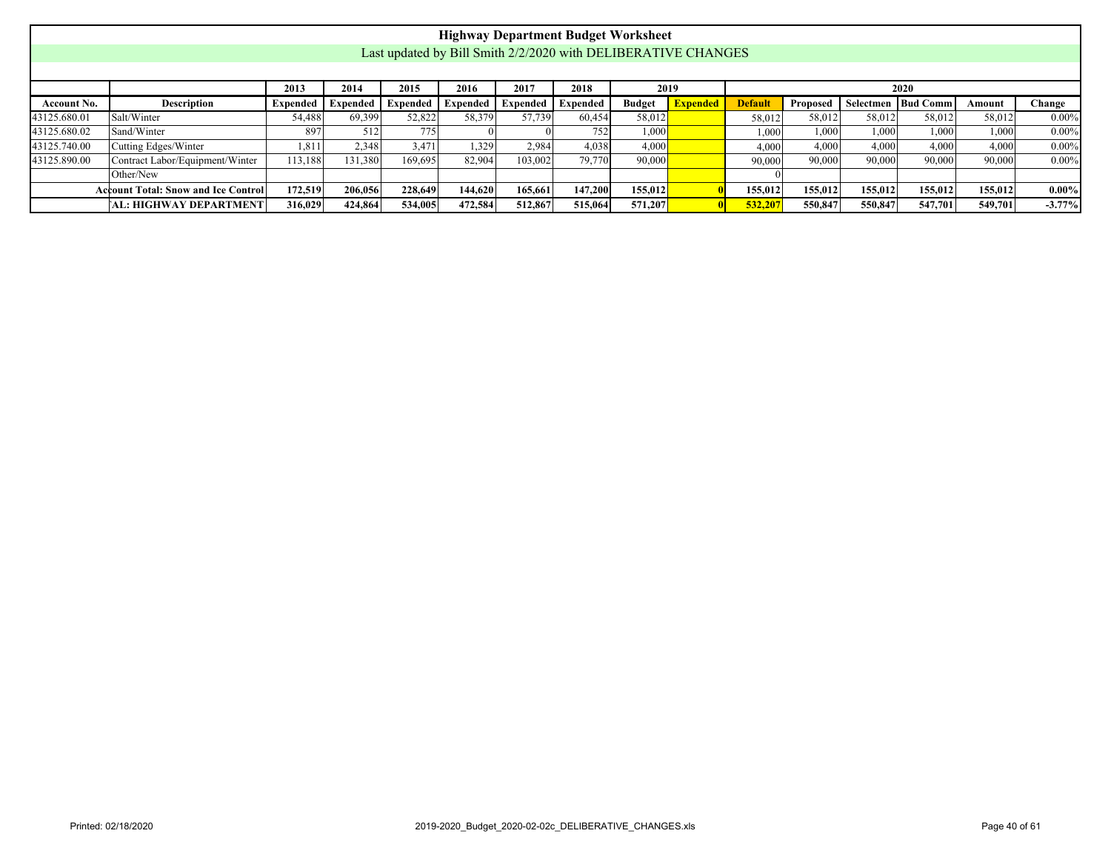|              |                                                                                                                                                                                                                      |         |         |         |         |         | <b>Highway Department Budget Worksheet</b>                    |         |  |         |         |         |         |                      |          |
|--------------|----------------------------------------------------------------------------------------------------------------------------------------------------------------------------------------------------------------------|---------|---------|---------|---------|---------|---------------------------------------------------------------|---------|--|---------|---------|---------|---------|----------------------|----------|
|              |                                                                                                                                                                                                                      |         |         |         |         |         | Last updated by Bill Smith 2/2/2020 with DELIBERATIVE CHANGES |         |  |         |         |         |         |                      |          |
|              |                                                                                                                                                                                                                      |         |         |         |         |         |                                                               |         |  |         |         |         |         |                      |          |
|              | 2014<br>2015<br>2017<br>2018<br>2016<br>2013<br>2019<br>2020                                                                                                                                                         |         |         |         |         |         |                                                               |         |  |         |         |         |         |                      |          |
| Account No.  | <b>Expended</b><br>Bud Comm<br><b>Description</b><br><b>Expended</b><br><b>Default</b><br>Expended<br>Expended<br><b>Budget</b><br>Proposed<br>Selectmen<br>Change<br>Expended 1<br>Expended<br>Expended  <br>Amount |         |         |         |         |         |                                                               |         |  |         |         |         |         |                      |          |
| 43125.680.01 | 58,379<br>57,739<br>52,822<br>58,012<br>69,399<br>$0.00\%$<br>Salt/Winter<br>54,488<br>60,454<br>58,012<br>58,012<br>58,012<br>58,012<br>58,012                                                                      |         |         |         |         |         |                                                               |         |  |         |         |         |         |                      |          |
| 43125.680.02 | Sand/Winter                                                                                                                                                                                                          | 897     | 512     | 775     |         |         | 752                                                           | 1,000   |  | 1,000   | 1,000   | 1,000   | 1.000   | $1,000$ <sup>!</sup> | $0.00\%$ |
| 43125.740.00 | Cutting Edges/Winter                                                                                                                                                                                                 | 1,811   | 2,348   | 3,471   | 1,329   | 2,984   | 4,038                                                         | 4,000   |  | 4.000   | 4.000   | 4.000   | 4.000   | 4.000                | $0.00\%$ |
| 43125.890.00 | Contract Labor/Equipment/Winter                                                                                                                                                                                      | 113,188 | 131,380 | 169,695 | 82,904  | 103,002 | 79,770                                                        | 90,000  |  | 90,000  | 90,000  | 90,000  | 90,000  | 90,000               | $0.00\%$ |
|              | Other/New                                                                                                                                                                                                            |         |         |         |         |         |                                                               |         |  |         |         |         |         |                      |          |
|              | <b>Account Total: Snow and Ice Control</b>                                                                                                                                                                           | 172,519 | 206,056 | 228,649 | 144,620 | 165,661 | 147,200                                                       | 155,012 |  | 155,012 | 155,012 | 155,012 | 155,012 | 155,012              | $0.00\%$ |
|              | <b>AL: HIGHWAY DEPARTMENT</b>                                                                                                                                                                                        | 316,029 | 424,864 | 534,005 | 472,584 | 512,867 | 515,064                                                       | 571,207 |  | 532,207 | 550,847 | 550,847 | 547.701 | 549,701              | $-3.77%$ |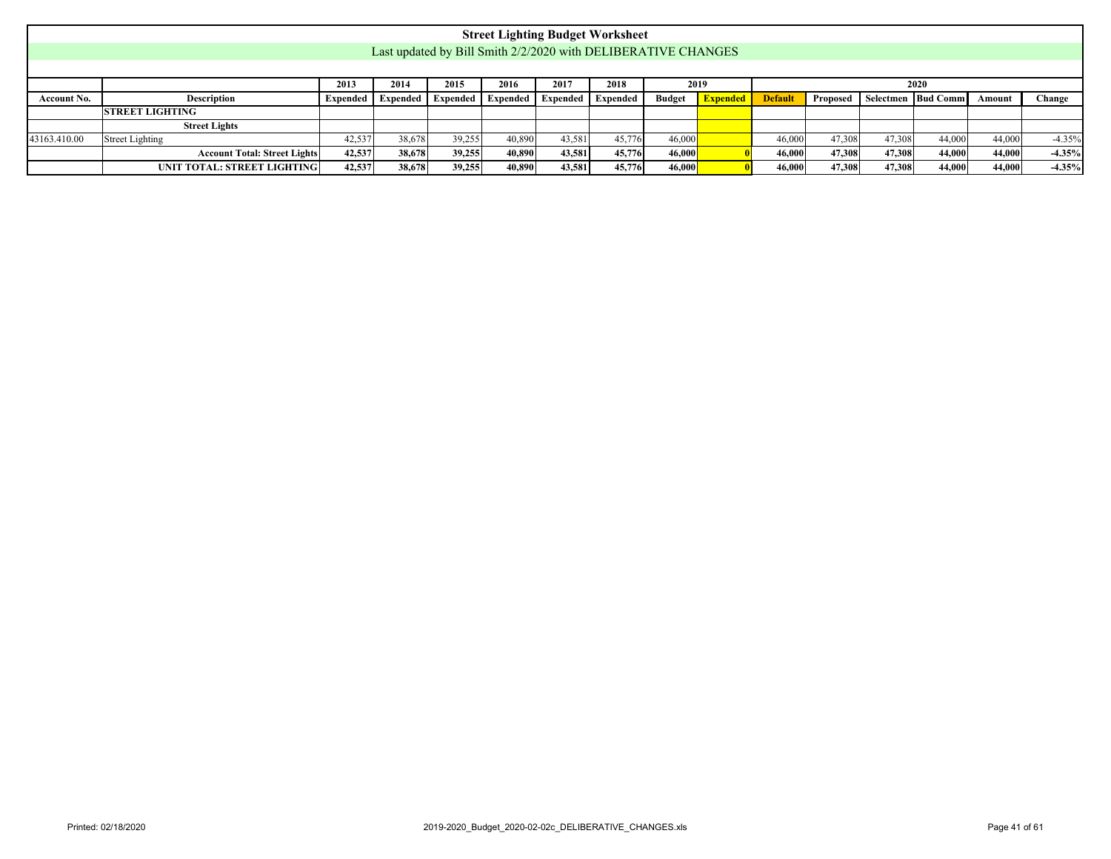<span id="page-40-0"></span>

|              |                                                                                                                                                                                                                    |        |        |        |        |        | <b>Street Lighting Budget Worksheet</b>                       |        |  |        |        |        |        |        |          |
|--------------|--------------------------------------------------------------------------------------------------------------------------------------------------------------------------------------------------------------------|--------|--------|--------|--------|--------|---------------------------------------------------------------|--------|--|--------|--------|--------|--------|--------|----------|
|              |                                                                                                                                                                                                                    |        |        |        |        |        | Last updated by Bill Smith 2/2/2020 with DELIBERATIVE CHANGES |        |  |        |        |        |        |        |          |
|              |                                                                                                                                                                                                                    |        |        |        |        |        |                                                               |        |  |        |        |        |        |        |          |
|              | 2018<br>2013<br>2014<br>2015<br>2016<br>2017<br>2019<br>2020                                                                                                                                                       |        |        |        |        |        |                                                               |        |  |        |        |        |        |        |          |
| Account No.  | Change<br>Selectmen   Bud Comm<br><b>Description</b><br><b>Default</b><br>Expended Expended<br><b>Budget</b><br><b>Expended</b><br><b>Expended</b><br><b>Expended</b><br>Expended Expended<br>Proposed  <br>Amount |        |        |        |        |        |                                                               |        |  |        |        |        |        |        |          |
|              | <b>STREET LIGHTING</b>                                                                                                                                                                                             |        |        |        |        |        |                                                               |        |  |        |        |        |        |        |          |
|              | <b>Street Lights</b>                                                                                                                                                                                               |        |        |        |        |        |                                                               |        |  |        |        |        |        |        |          |
| 43163.410.00 | Street Lighting                                                                                                                                                                                                    | 42,537 | 38.678 | 39,255 | 40.890 | 43,581 | 45,776                                                        | 46,000 |  | 46,000 | 47,308 | 47,308 | 44,000 | 44,000 | $-4.35%$ |
|              | <b>Account Total: Street Lights</b>                                                                                                                                                                                | 42,537 | 38,678 | 39,255 | 40,890 | 43,581 | 45,776                                                        | 46,000 |  | 46,000 | 47.308 | 47.308 | 44,000 | 44,000 | $-4.35%$ |
|              | UNIT TOTAL: STREET LIGHTING                                                                                                                                                                                        | 42,537 | 38,678 | 39,255 | 40,890 | 43,581 | 45,776                                                        | 46,000 |  | 46,000 | 47,308 | 47.308 | 44,000 | 44,000 | $-4.35%$ |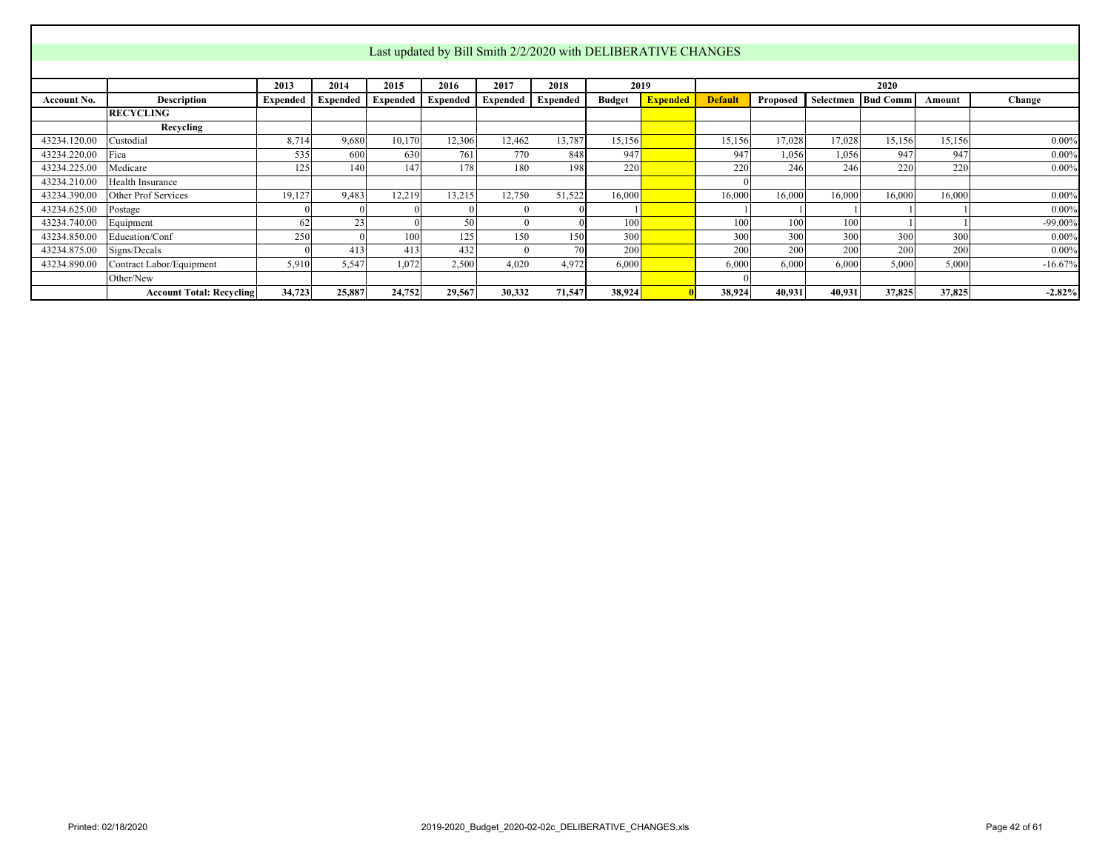<span id="page-41-0"></span>

|              |                                 |          |                 |                 |          |          |          |               | Last updated by Bill Smith 2/2/2020 with DELIBERATIVE CHANGES |                |          |           |                 |        |            |
|--------------|---------------------------------|----------|-----------------|-----------------|----------|----------|----------|---------------|---------------------------------------------------------------|----------------|----------|-----------|-----------------|--------|------------|
|              |                                 |          |                 |                 |          |          |          |               |                                                               |                |          |           |                 |        |            |
|              |                                 | 2013     | 2014            | 2015            | 2016     | 2017     | 2018     | 2019          |                                                               |                |          |           | 2020            |        |            |
| Account No.  | <b>Description</b>              | Expended | <b>Expended</b> | <b>Expended</b> | Expended | Expended | Expended | <b>Budget</b> | <b>Expended</b>                                               | <b>Default</b> | Proposed | Selectmen | <b>Bud Comm</b> | Amount | Change     |
|              | <b>RECYCLING</b>                |          |                 |                 |          |          |          |               |                                                               |                |          |           |                 |        |            |
|              | Recycling                       |          |                 |                 |          |          |          |               |                                                               |                |          |           |                 |        |            |
| 43234.120.00 | Custodial                       | 8,714    | 9.680           | 10,170          | 12,306   | 12,462   | 13,787   | 15,156        |                                                               | 15,156         | 17,028   | 17,028    | 15,156          | 15,156 | $0.00\%$   |
| 43234.220.00 | Fica                            | 535      | 600             | 630             | 761      | 770      | 848      | 947           |                                                               | 947            | 1,056    | 1,056     | 947             | 947    | $0.00\%$   |
| 43234.225.00 | Medicare                        | 125      | 1401            | 147             | 178      | 180      | 198      | 220           |                                                               | 220            | 246      | 246       | 220             | 220    | $0.00\%$   |
| 43234.210.00 | Health Insurance                |          |                 |                 |          |          |          |               |                                                               |                |          |           |                 |        |            |
| 43234.390.00 | Other Prof Services             | 19,127   | 9,483           | 12,219          | 13,215   | 12,750   | 51,522   | 16,000        |                                                               | 16,000         | 16,000   | 16,000    | 16,000          | 16,000 | $0.00\%$   |
| 43234.625.00 | Postage                         |          |                 |                 |          | $\theta$ |          |               |                                                               |                |          |           |                 |        | $0.00\%$   |
| 43234.740.00 | Equipment                       | 62       | 23              |                 | 50       | $\theta$ |          | 100           |                                                               | 100            | 100      | 100       |                 |        | $-99.00\%$ |
| 43234.850.00 | Education/Conf                  | 250      |                 | 100             | 125      | 150      | 150      | 300           |                                                               | 300            | 300      | 300       | 300             | 300    | $0.00\%$   |
| 43234.875.00 | Signs/Decals                    |          | 413             | 413             | 432      | $\Omega$ |          | 200           |                                                               | 200            | 200      | 200       | 200             | 200    | $0.00\%$   |
| 43234.890.00 | Contract Labor/Equipment        | 5,910    | 5,547           | 1.072           | 2,500    | 4,020    | 4,972    | 6,000         |                                                               | 6,000          | 6,000    | 6,000     | 5,000           | 5,000  | $-16.67%$  |
|              | Other/New                       |          |                 |                 |          |          |          |               |                                                               |                |          |           |                 |        |            |
|              | <b>Account Total: Recycling</b> | 34,723   | 25,887          | 24,752          | 29,567   | 30,332   | 71,547   | 38,924        |                                                               | 38,924         | 40,931   | 40,931    | 37,825          | 37,825 | $-2.82%$   |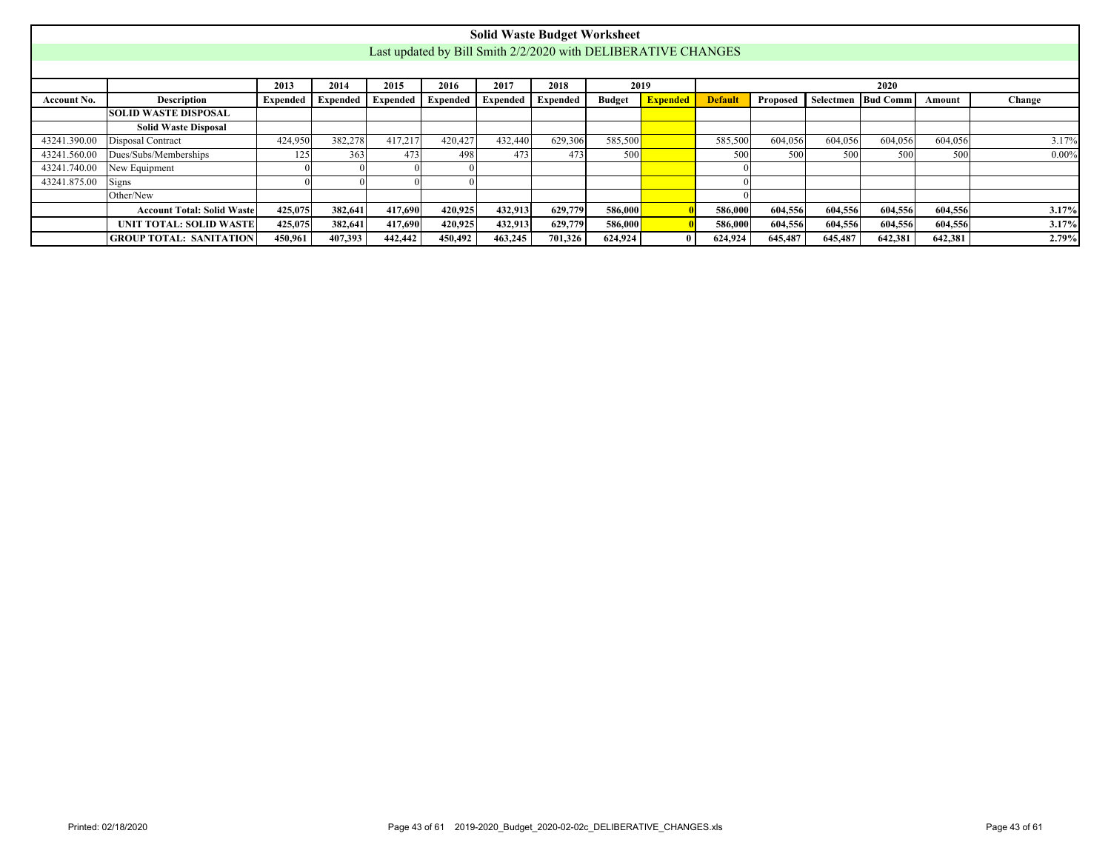<span id="page-42-0"></span>

|              |                                   |                 |                 |          |                 |          | <b>Solid Waste Budget Worksheet</b> |               |                                                               |                |          |         |                    |         |          |
|--------------|-----------------------------------|-----------------|-----------------|----------|-----------------|----------|-------------------------------------|---------------|---------------------------------------------------------------|----------------|----------|---------|--------------------|---------|----------|
|              |                                   |                 |                 |          |                 |          |                                     |               | Last updated by Bill Smith 2/2/2020 with DELIBERATIVE CHANGES |                |          |         |                    |         |          |
|              |                                   |                 |                 |          |                 |          |                                     |               |                                                               |                |          |         |                    |         |          |
|              |                                   | 2013            | 2014            | 2015     | 2016            | 2017     | 2018                                |               | 2019                                                          |                |          |         | 2020               |         |          |
| Account No.  | <b>Description</b>                | <b>Expended</b> | <b>Expended</b> | Expended | <b>Expended</b> | Expended | Expended                            | <b>Budget</b> | <b>Expended</b>                                               | <b>Default</b> | Proposed |         | Selectmen Bud Comm | Amount  | Change   |
|              | <b>SOLID WASTE DISPOSAL</b>       |                 |                 |          |                 |          |                                     |               |                                                               |                |          |         |                    |         |          |
|              | <b>Solid Waste Disposal</b>       |                 |                 |          |                 |          |                                     |               |                                                               |                |          |         |                    |         |          |
| 43241.390.00 | Disposal Contract                 | 424,950         | 382,278         | 417,217  | 420,427         | 432,440  | 629,306                             | 585,500       |                                                               | 585,500        | 604,056  | 604,056 | 604,056            | 604,056 | 3.17%    |
| 43241.560.00 | Dues/Subs/Memberships             | 125             | 363             | 473      | 498             | 473      | 473                                 | 500           |                                                               | 500            | 500      | 500     | 500                | 500     | $0.00\%$ |
| 43241.740.00 | New Equipment                     |                 |                 |          |                 |          |                                     |               |                                                               |                |          |         |                    |         |          |
| 43241.875.00 | Signs                             |                 |                 |          |                 |          |                                     |               |                                                               |                |          |         |                    |         |          |
|              | Other/New                         |                 |                 |          |                 |          |                                     |               |                                                               |                |          |         |                    |         |          |
|              | <b>Account Total: Solid Waste</b> | 425,075         | 382,641         | 417,690  | 420,925         | 432,913  | 629,779                             | 586,000       |                                                               | 586,000        | 604,556  | 604,556 | 604,556            | 604,556 | 3.17%    |
|              | UNIT TOTAL: SOLID WASTE           | 425,075         | 382,641         | 417,690  | 420,925         | 432,913  | 629,779                             | 586,000       |                                                               | 586,000        | 604,556  | 604,556 | 604,556            | 604,556 | 3.17%    |
|              | <b>GROUP TOTAL: SANITATION</b>    | 450,961         | 407,393         | 442,442  | 450.492         | 463,245  | 701,326                             | 624.924       |                                                               | 624,924        | 645,487  | 645,487 | 642,381            | 642,381 | 2.79%    |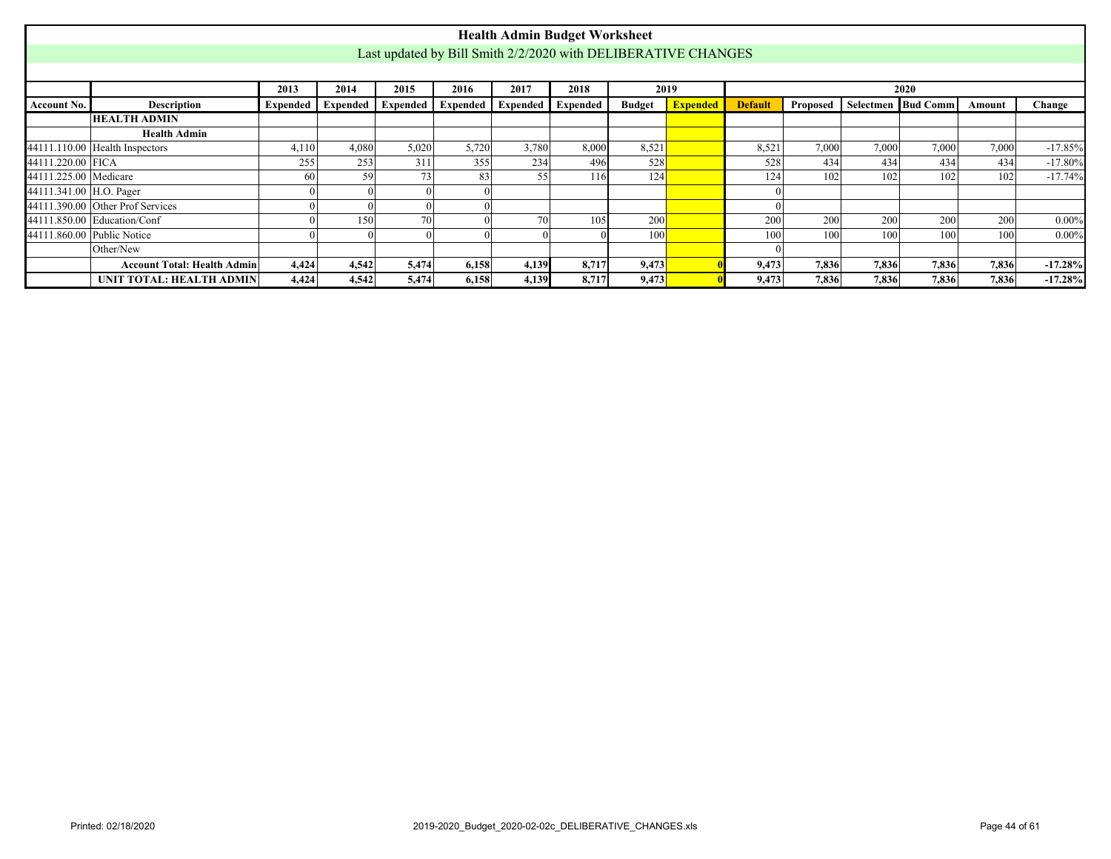<span id="page-43-0"></span>

|                         |                                    |                 |       |                                           |       |       | <b>Health Admin Budget Worksheet</b>                          |               |                 |                |          |       |                      |        |           |
|-------------------------|------------------------------------|-----------------|-------|-------------------------------------------|-------|-------|---------------------------------------------------------------|---------------|-----------------|----------------|----------|-------|----------------------|--------|-----------|
|                         |                                    |                 |       |                                           |       |       | Last updated by Bill Smith 2/2/2020 with DELIBERATIVE CHANGES |               |                 |                |          |       |                      |        |           |
|                         |                                    |                 |       |                                           |       |       |                                                               |               |                 |                |          |       |                      |        |           |
|                         |                                    | 2013            | 2014  | 2015                                      | 2016  | 2017  | 2018                                                          |               | 2019            |                |          |       | 2020                 |        |           |
| Account No.             | <b>Description</b>                 | <b>Expended</b> |       | Expended   Expended   Expended   Expended |       |       | Expended                                                      | <b>Budget</b> | <b>Expended</b> | <b>Default</b> | Proposed |       | Selectmen   Bud Comm | Amount | Change    |
|                         | <b>HEALTH ADMIN</b>                |                 |       |                                           |       |       |                                                               |               |                 |                |          |       |                      |        |           |
|                         | <b>Health Admin</b>                |                 |       |                                           |       |       |                                                               |               |                 |                |          |       |                      |        |           |
|                         | $44111.110.00$ Health Inspectors   | 4,110           | 4,080 | 5,020                                     | 5,720 | 3,780 | 8,000                                                         | 8,521         |                 | 8,521          | 7,000    | 7,000 | 7,000                | 7,000  | $-17.85%$ |
| 44111.220.00 FICA       |                                    | 255             | 253   | 311                                       | 355   | 234   | 496                                                           | 528           |                 | 528            | 434      | 434   | 434                  | 434    | $-17.80%$ |
| 44111.225.00 Medicare   |                                    | 60 <sup>1</sup> | 59    | 73                                        | 83    | 55    | 116                                                           | 124           |                 | 124            | 102      | 102   | 102                  | 102    | $-17.74%$ |
| 44111.341.00 H.O. Pager |                                    |                 |       |                                           |       |       |                                                               |               |                 |                |          |       |                      |        |           |
|                         | $44111.390.00$ Other Prof Services |                 |       |                                           |       |       |                                                               |               |                 |                |          |       |                      |        |           |
|                         | 44111.850.00 Education/Conf        |                 | 150   | 70                                        |       | 70    | 105                                                           | 200           |                 | 200            | 200      | 200   | 200                  | 200    | $0.00\%$  |
|                         | 44111.860.00 Public Notice         |                 |       |                                           |       |       |                                                               | 100           |                 | 100            | 100      | 100   | 100                  | 100    | $0.00\%$  |
|                         | Other/New                          |                 |       |                                           |       |       |                                                               |               |                 |                |          |       |                      |        |           |
|                         | <b>Account Total: Health Admin</b> | 4,424           | 4,542 | 5,474                                     | 6,158 | 4,139 | 8,717                                                         | 9,473         |                 | 9,473          | 7,836    | 7,836 | 7,836                | 7,836  | $-17.28%$ |
|                         | UNIT TOTAL: HEALTH ADMIN           | 4,424           | 4,542 | 5,474                                     | 6,158 | 4,139 | 8,717                                                         | 9,473         |                 | 9,473          | 7,836    | 7,836 | 7,836                | 7,836  | $-17.28%$ |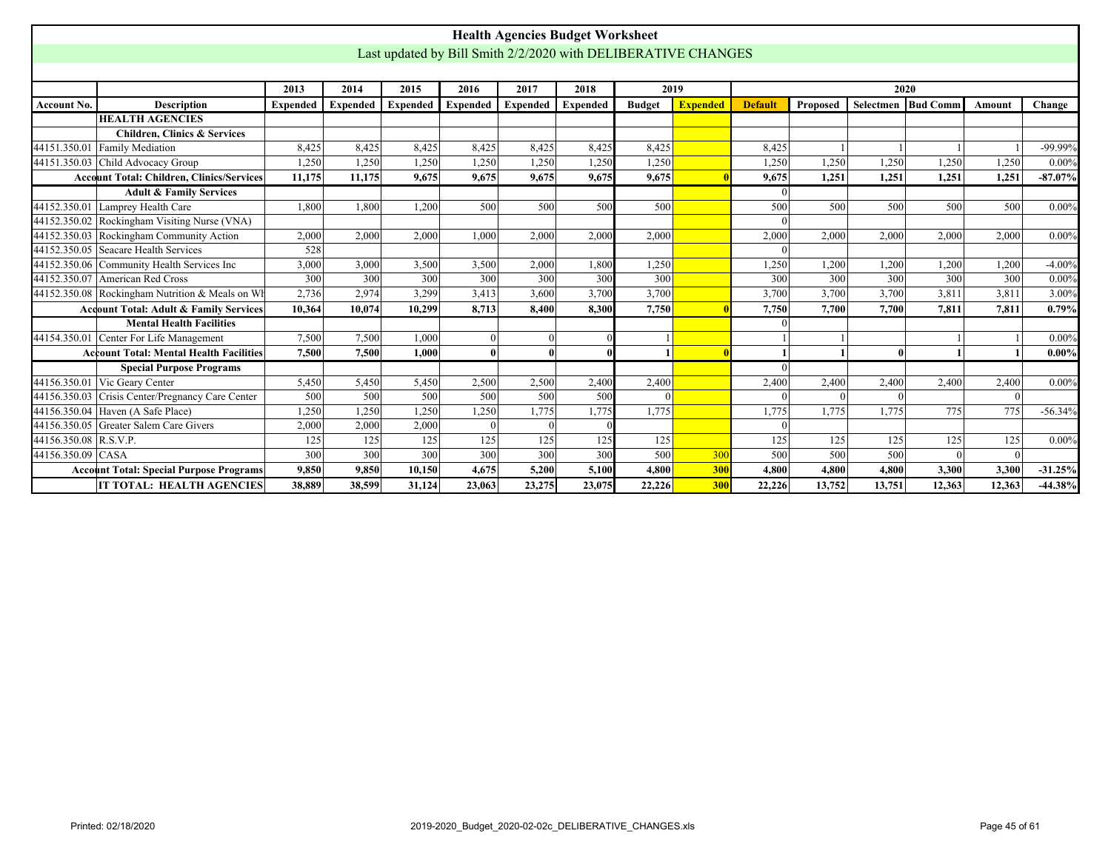<span id="page-44-0"></span>

|                       |                                                   |                 |                 |                                                               |                 | <b>Health Agencies Budget Worksheet</b> |                 |               |                 |                |          |              |                    |          |            |
|-----------------------|---------------------------------------------------|-----------------|-----------------|---------------------------------------------------------------|-----------------|-----------------------------------------|-----------------|---------------|-----------------|----------------|----------|--------------|--------------------|----------|------------|
|                       |                                                   |                 |                 | Last updated by Bill Smith 2/2/2020 with DELIBERATIVE CHANGES |                 |                                         |                 |               |                 |                |          |              |                    |          |            |
|                       |                                                   |                 |                 |                                                               |                 |                                         |                 |               |                 |                |          |              |                    |          |            |
|                       |                                                   | 2013            | 2014            | 2015                                                          | 2016            | 2017                                    | 2018            |               | 2019            |                |          | 2020         |                    |          |            |
| <b>Account No.</b>    | <b>Description</b>                                | <b>Expended</b> | <b>Expended</b> | <b>Expended</b>                                               | <b>Expended</b> | <b>Expended</b>                         | <b>Expended</b> | <b>Budget</b> | <b>Expended</b> | <b>Default</b> | Proposed |              | Selectmen Bud Comm | Amount   | Change     |
|                       | <b>HEALTH AGENCIES</b>                            |                 |                 |                                                               |                 |                                         |                 |               |                 |                |          |              |                    |          |            |
|                       | <b>Children, Clinics &amp; Services</b>           |                 |                 |                                                               |                 |                                         |                 |               |                 |                |          |              |                    |          |            |
|                       | 44151.350.01 Family Mediation                     | 8,425           | 8,425           | 8,425                                                         | 8,425           | 8,425                                   | 8,425           | 8,425         |                 | 8,425          |          |              |                    |          | -99.99%    |
|                       | 44151.350.03 Child Advocacy Group                 | 1,250           | 1,250           | 1,250                                                         | 1,250           | 1,250                                   | 1,250           | 1,250         |                 | 1,250          | 1,250    | 1,250        | 1,250              | 1,250    | $0.00\%$   |
|                       | <b>Account Total: Children, Clinics/Services</b>  | 11,175          | 11,175          | 9,675                                                         | 9,675           | 9,675                                   | 9.675           | 9,675         |                 | 9,675          | 1,251    | 1,251        | 1,251              | 1,251    | $-87.07\%$ |
|                       | <b>Adult &amp; Family Services</b>                |                 |                 |                                                               |                 |                                         |                 |               |                 | $\Omega$       |          |              |                    |          |            |
|                       | 44152.350.01 Lamprey Health Care                  | 1.800           | 1.800           | 1.200                                                         | 500             | 500                                     | 500             | 500           |                 | 500            | 500      | 500          | 500                | 500      | $0.00\%$   |
|                       | 44152.350.02 Rockingham Visiting Nurse (VNA)      |                 |                 |                                                               |                 |                                         |                 |               |                 |                |          |              |                    |          |            |
|                       | 44152.350.03 Rockingham Community Action          | 2,000           | 2.000           | 2.000                                                         | 1.000           | 2.000                                   | 2.000           | 2.000         |                 | 2,000          | 2.000    | 2.000        | 2.000              | 2.000    | $0.00\%$   |
|                       | 44152.350.05 Seacare Health Services              | 528             |                 |                                                               |                 |                                         |                 |               |                 |                |          |              |                    |          |            |
|                       | 44152.350.06 Community Health Services Inc        | 3,000           | 3,000           | 3,500                                                         | 3,500           | 2,000                                   | 1,800           | 1,250         |                 | 1,250          | 1,200    | 1,200        | 1,200              | 1,200    | $-4.00%$   |
| 44152.350.07          | American Red Cross                                | 300             | 300             | 300                                                           | 300             | 300                                     | 300             | 300           |                 | 300            | 300      | 300          | 300                | 300      | $0.00\%$   |
|                       | 44152.350.08 Rockingham Nutrition & Meals on Wh   | 2,736           | 2.974           | 3,299                                                         | 3,413           | 3,600                                   | 3,700           | 3,700         |                 | 3,700          | 3,700    | 3,700        | 3,811              | 3,811    | 3.00%      |
|                       | <b>Account Total: Adult &amp; Family Services</b> | 10,364          | 10.074          | 10,299                                                        | 8,713           | 8,400                                   | 8.300           | 7,750         |                 | 7,750          | 7.700    | 7,700        | 7,811              | 7.811    | 0.79%      |
|                       | <b>Mental Health Facilities</b>                   |                 |                 |                                                               |                 |                                         |                 |               |                 |                |          |              |                    |          |            |
|                       | 44154.350.01 Center For Life Management           | 7,500           | 7,500           | 1,000                                                         | $\Omega$        |                                         |                 |               |                 |                |          |              |                    |          | $0.00\%$   |
|                       | <b>Account Total: Mental Health Facilities</b>    | 7,500           | 7,500           | 1,000                                                         | $\mathbf{0}$    | $\Omega$                                |                 |               |                 |                |          | $\mathbf{0}$ |                    |          | $0.00\%$   |
|                       | <b>Special Purpose Programs</b>                   |                 |                 |                                                               |                 |                                         |                 |               |                 |                |          |              |                    |          |            |
|                       | 44156.350.01 Vic Geary Center                     | 5,450           | 5,450           | 5,450                                                         | 2,500           | 2,500                                   | 2,400           | 2,400         |                 | 2,400          | 2,400    | 2,400        | 2,400              | 2,400    | $0.00\%$   |
|                       | 44156.350.03 Crisis Center/Pregnancy Care Center  | 500             | 500             | 500                                                           | 500             | 500                                     | 500             | $\Omega$      |                 |                |          | $\Omega$     |                    | $\Omega$ |            |
|                       | 44156.350.04 Haven (A Safe Place)                 | 1,250           | 1,250           | 1,250                                                         | 1,250           | 1,775                                   | 1.775           | 1.775         |                 | 1,775          | 1.775    | 1,775        | 775                | 775      | $-56.34%$  |
|                       | 44156.350.05 Greater Salem Care Givers            | 2,000           | 2,000           | 2,000                                                         | $\Omega$        |                                         |                 |               |                 |                |          |              |                    |          |            |
| 44156.350.08 R.S.V.P. |                                                   | 125             | 125             | 125                                                           | 125             | 125                                     | 125             | 125           |                 | 125            | 125      | 125          | 125                | 125      | $0.00\%$   |
| 44156.350.09          | <b>CASA</b>                                       | 300             | 300             | 300                                                           | 300             | 300                                     | 300             | 500           | 300             | 500            | 500      | 500          | $\Omega$           | $\Omega$ |            |
|                       | <b>Account Total: Special Purpose Programs</b>    | 9,850           | 9,850           | 10,150                                                        | 4,675           | 5,200                                   | 5,100           | 4,800         | 300             | 4,800          | 4,800    | 4,800        | 3,300              | 3,300    | $-31.25%$  |
|                       | IT TOTAL: HEALTH AGENCIES                         | 38,889          | 38,599          | 31,124                                                        | 23,063          | 23,275                                  | 23,075          | 22,226        | 300             | 22,226         | 13,752   | 13,751       | 12,363             | 12,363   | $-44.38%$  |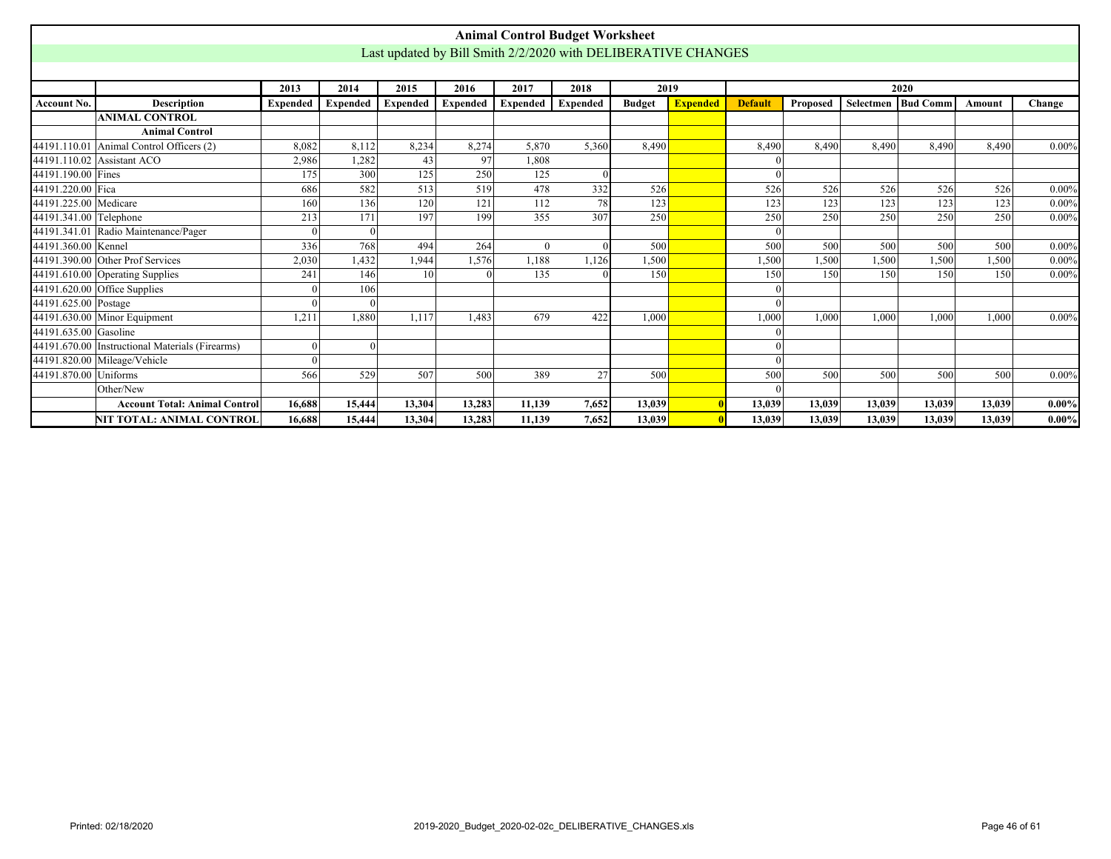<span id="page-45-0"></span>

|                        |                                                 |                 |                 |                 |                 |                 | <b>Animal Control Budget Worksheet</b>                        |               |                 |                |          |                  |                      |        |          |
|------------------------|-------------------------------------------------|-----------------|-----------------|-----------------|-----------------|-----------------|---------------------------------------------------------------|---------------|-----------------|----------------|----------|------------------|----------------------|--------|----------|
|                        |                                                 |                 |                 |                 |                 |                 | Last updated by Bill Smith 2/2/2020 with DELIBERATIVE CHANGES |               |                 |                |          |                  |                      |        |          |
|                        |                                                 |                 |                 |                 |                 |                 |                                                               |               |                 |                |          |                  |                      |        |          |
|                        |                                                 | 2013            | 2014            | 2015            | 2016            | 2017            | 2018                                                          |               | 2019            |                |          |                  | 2020                 |        |          |
| Account No.            | <b>Description</b>                              | <b>Expended</b> | <b>Expended</b> | <b>Expended</b> | <b>Expended</b> | <b>Expended</b> | <b>Expended</b>                                               | <b>Budget</b> | <b>Expended</b> | <b>Default</b> | Proposed |                  | Selectmen   Bud Comm | Amount | Change   |
|                        | <b>ANIMAL CONTROL</b>                           |                 |                 |                 |                 |                 |                                                               |               |                 |                |          |                  |                      |        |          |
|                        | <b>Animal Control</b>                           |                 |                 |                 |                 |                 |                                                               |               |                 |                |          |                  |                      |        |          |
| 44191.110.01           | Animal Control Officers (2)                     | 8,082           | 8,112           | 8,234           | 8,274           | 5,870           | 5,360                                                         | 8,490         |                 | 8,490          | 8.490    | 8.490            | 8.490                | 8.490  | $0.00\%$ |
|                        | 44191.110.02 Assistant ACO                      | 2,986           | 1,282           | 43              | 97              | 1.808           |                                                               |               |                 |                |          |                  |                      |        |          |
| 44191.190.00 Fines     |                                                 | 175             | 300             | 125             | 250             | 125             |                                                               |               |                 |                |          |                  |                      |        |          |
| 44191.220.00 Fica      |                                                 | 686             | 582             | 513             | 519             | 478             | 332                                                           | 526           |                 | 526            | 526      | $\overline{526}$ | 526                  | 526    | $0.00\%$ |
| 44191.225.00 Medicare  |                                                 | 160             | 136             | 120             | 121             | 112             | 78                                                            | 123           |                 | 123            | 123      | 123              | 123                  | 123    | $0.00\%$ |
| 44191.341.00 Telephone |                                                 | 213             | 171             | 197             | 199             | 355             | 307                                                           | 250           |                 | 250            | 250      | 250              | 250                  | 250    | $0.00\%$ |
|                        | 44191.341.01 Radio Maintenance/Pager            |                 | $\Omega$        |                 |                 |                 |                                                               |               |                 |                |          |                  |                      |        |          |
| 44191.360.00 Kennel    |                                                 | 336             | 768             | 494             | 264             | $\Omega$        |                                                               | 500           |                 | 500            | 500      | 500              | 500                  | 500    | $0.00\%$ |
|                        | 44191.390.00 Other Prof Services                | 2,030           | 1,432           | 1,944           | 1,576           | 1,188           | 1,126                                                         | 1,500         |                 | 1,500          | 1,500    | .500             | 1,500                | 1,500  | $0.00\%$ |
|                        | 44191.610.00 Operating Supplies                 | 241             | 146             | 10 <sup>1</sup> |                 | 135             |                                                               | 150           |                 | 150            | 150      | 150              | 150                  | 150    | $0.00\%$ |
|                        | $44191.620.00$ Office Supplies                  |                 | 106             |                 |                 |                 |                                                               |               |                 |                |          |                  |                      |        |          |
| 44191.625.00 Postage   |                                                 | $\Omega$        |                 |                 |                 |                 |                                                               |               |                 |                |          |                  |                      |        |          |
|                        | 44191.630.00 Minor Equipment                    | 1,211           | 1.880           | 1,117           | 1.483           | 679             | 422                                                           | 1,000         |                 | 1,000          | 1.000    | 1.000            | 1.000                | 1.000  | $0.00\%$ |
| 44191.635.00 Gasoline  |                                                 |                 |                 |                 |                 |                 |                                                               |               |                 |                |          |                  |                      |        |          |
|                        | 44191.670.00 Instructional Materials (Firearms) | $\Omega$        | $\Omega$        |                 |                 |                 |                                                               |               |                 |                |          |                  |                      |        |          |
|                        | 44191.820.00 Mileage/Vehicle                    | $\Omega$        |                 |                 |                 |                 |                                                               |               |                 |                |          |                  |                      |        |          |
| 44191.870.00           | <b>Uniforms</b>                                 | 566             | 529             | 507             | 500             | 389             | 27                                                            | 500           |                 | 500            | 500      | 500              | 500                  | 500    | $0.00\%$ |
|                        | Other/New                                       |                 |                 |                 |                 |                 |                                                               |               |                 |                |          |                  |                      |        |          |
|                        | <b>Account Total: Animal Control</b>            | 16.688          | 15,444          | 13.304          | 13,283          | 11.139          | 7,652                                                         | 13.039        |                 | 13.039         | 13.039   | 13.039           | 13.039               | 13.039 | $0.00\%$ |
|                        | NIT TOTAL: ANIMAL CONTROL                       | 16,688          | 15,444          | 13,304          | 13,283          | 11,139          | 7,652                                                         | 13,039        |                 | 13,039         | 13,039   | 13,039           | 13,039               | 13,039 | $0.00\%$ |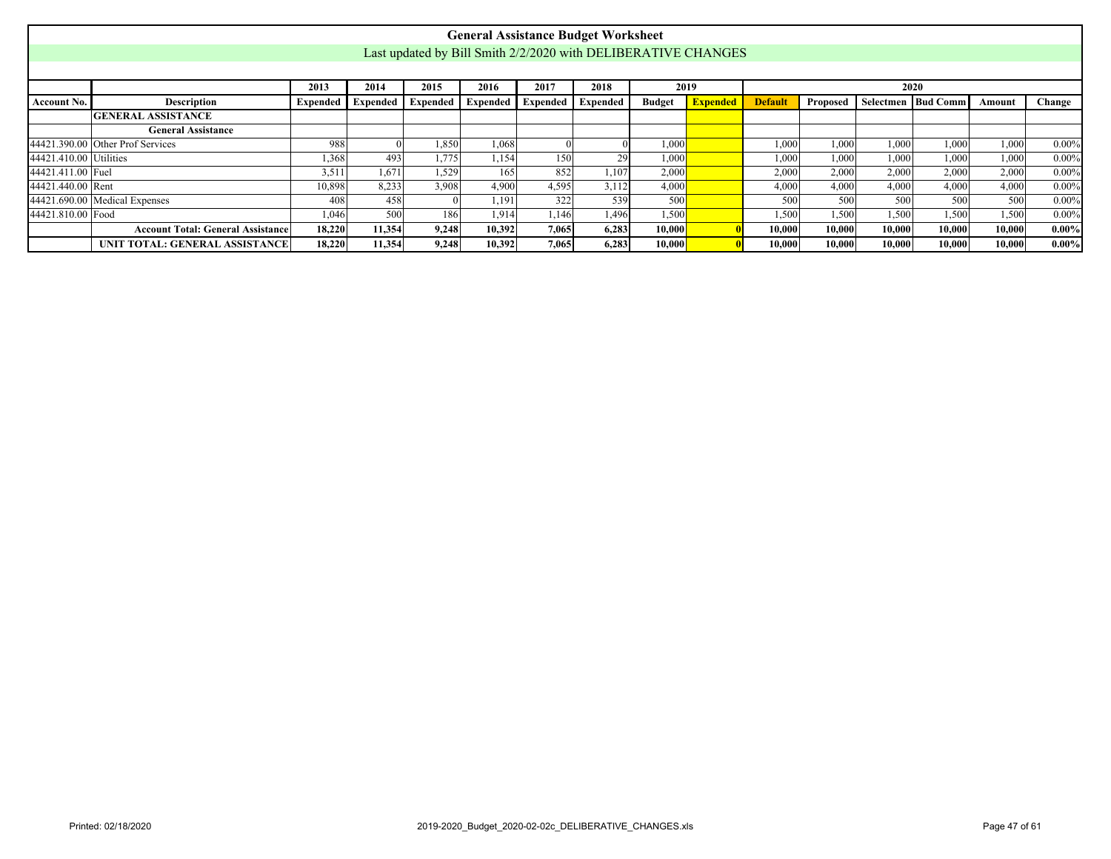<span id="page-46-0"></span>

|                   |                                                                                                                                                                                                            |        |        |       | <b>General Assistance Budget Worksheet</b>                    |       |       |        |  |        |        |        |        |        |          |
|-------------------|------------------------------------------------------------------------------------------------------------------------------------------------------------------------------------------------------------|--------|--------|-------|---------------------------------------------------------------|-------|-------|--------|--|--------|--------|--------|--------|--------|----------|
|                   |                                                                                                                                                                                                            |        |        |       | Last updated by Bill Smith 2/2/2020 with DELIBERATIVE CHANGES |       |       |        |  |        |        |        |        |        |          |
|                   |                                                                                                                                                                                                            |        |        |       |                                                               |       |       |        |  |        |        |        |        |        |          |
|                   | 2017<br>2013<br>2014<br>2015<br>2016<br>2018<br>2019<br>2020                                                                                                                                               |        |        |       |                                                               |       |       |        |  |        |        |        |        |        |          |
| Account No.       | Selectmen Bud Comm<br>Description<br>Expended   Expended   Expended   Expended<br><b>Expended</b><br><b>Expended</b><br><b>Default</b><br>Change<br><b>Expended</b><br><b>Budget</b><br>Proposed<br>Amount |        |        |       |                                                               |       |       |        |  |        |        |        |        |        |          |
|                   | <b>GENERAL ASSISTANCE</b>                                                                                                                                                                                  |        |        |       |                                                               |       |       |        |  |        |        |        |        |        |          |
|                   | <b>General Assistance</b>                                                                                                                                                                                  |        |        |       |                                                               |       |       |        |  |        |        |        |        |        |          |
|                   | $0.00\%$<br>44421.390.00 Other Prof Services<br>988<br>1,850<br>1,068<br>1,000<br>1.000<br>1.000<br>1.000<br>1.000<br>1,000                                                                                |        |        |       |                                                               |       |       |        |  |        |        |        |        |        |          |
|                   | 44421.410.00 Utilities<br>.368<br>493<br>1.775<br>150<br>29<br>1,000<br>1.000<br>1.000<br>$0.00\%$<br>1.154<br>1,000<br>1.000<br>1.000                                                                     |        |        |       |                                                               |       |       |        |  |        |        |        |        |        |          |
| 44421.411.00 Fuel |                                                                                                                                                                                                            | 3.511  | 1.671  | 1.529 | 165                                                           | 852   | 1.107 | 2.000  |  | 2.000  | 2.000  | 2.000  | 2,000  | 2.000  | $0.00\%$ |
| 44421.440.00 Rent |                                                                                                                                                                                                            | 10,898 | 8,233  | 3.908 | 4.900                                                         | 4,595 | 3,112 | 4,000  |  | 4,000  | 4,000  | 4.000  | 4.000  | 4,000  | $0.00\%$ |
|                   | $44421.690.00$ Medical Expenses                                                                                                                                                                            | 408    | 458    |       | 1.191                                                         | 322   | 539   | 500    |  | 500    | 500    | 500    | 500    | 500    | $0.00\%$ |
| 44421.810.00 Food |                                                                                                                                                                                                            | 1.046  | 500    | 186   | 1.914                                                         | 1.146 | 1,496 | 1,500  |  | 1,500  | 1,500  | 1.500  | 1.500  | 1.500  | $0.00\%$ |
|                   | <b>Account Total: General Assistance</b>                                                                                                                                                                   | 18,220 | 11,354 | 9.248 | 10,392                                                        | 7,065 | 6,283 | 10.000 |  | 10,000 | 10.000 | 10.000 | 10.000 | 10,000 | $0.00\%$ |
|                   | UNIT TOTAL: GENERAL ASSISTANCE                                                                                                                                                                             | 18,220 | 11,354 | 9,248 | 10,392                                                        | 7,065 | 6,283 | 10,000 |  | 10,000 | 10,000 | 10,000 | 10,000 | 10,000 | $0.00\%$ |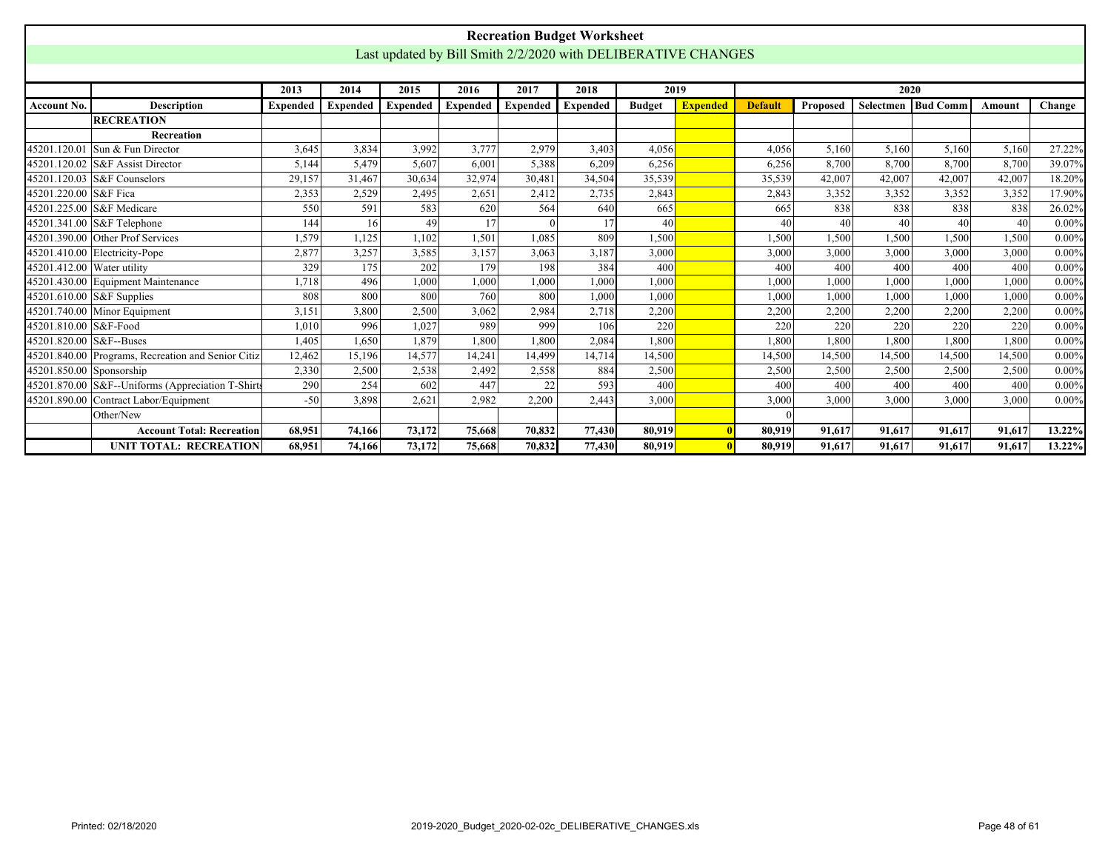<span id="page-47-0"></span>

|                                                                                                                                 |                                                                                                                                                                                                                                                  |        |        |                                                               |        |        | <b>Recreation Budget Worksheet</b> |        |  |        |        |        |        |        |          |
|---------------------------------------------------------------------------------------------------------------------------------|--------------------------------------------------------------------------------------------------------------------------------------------------------------------------------------------------------------------------------------------------|--------|--------|---------------------------------------------------------------|--------|--------|------------------------------------|--------|--|--------|--------|--------|--------|--------|----------|
|                                                                                                                                 |                                                                                                                                                                                                                                                  |        |        | Last updated by Bill Smith 2/2/2020 with DELIBERATIVE CHANGES |        |        |                                    |        |  |        |        |        |        |        |          |
|                                                                                                                                 | 2020<br>2019<br>2013<br>2014<br>2015<br>2016<br>2017<br>2018                                                                                                                                                                                     |        |        |                                                               |        |        |                                    |        |  |        |        |        |        |        |          |
|                                                                                                                                 | <b>Bud Comm</b><br><b>Expended</b><br><b>Expended</b><br><b>Expended</b><br><b>Expended</b><br><b>Budget</b><br><b>Expended</b><br><b>Default</b><br>Selectmen<br><b>Description</b><br><b>Expended</b><br>Proposed<br><b>Expended</b><br>Amount |        |        |                                                               |        |        |                                    |        |  |        |        |        |        |        |          |
| <b>Account No.</b>                                                                                                              |                                                                                                                                                                                                                                                  |        |        |                                                               |        |        |                                    |        |  |        |        |        |        |        | Change   |
|                                                                                                                                 | <b>RECREATION</b>                                                                                                                                                                                                                                |        |        |                                                               |        |        |                                    |        |  |        |        |        |        |        |          |
|                                                                                                                                 | Recreation                                                                                                                                                                                                                                       |        |        |                                                               |        |        |                                    |        |  |        |        |        |        |        |          |
|                                                                                                                                 | 45201.120.01 Sun & Fun Director                                                                                                                                                                                                                  | 3,645  | 3,834  | 3,992                                                         | 3,777  | 2,979  | 3,403                              | 4,056  |  | 4,056  | 5,160  | 5,160  | 5,160  | 5,160  | 27.22%   |
|                                                                                                                                 | 45201.120.02 S&F Assist Director                                                                                                                                                                                                                 | 5.144  | 5.479  | 5.607                                                         | 6,001  | 5,388  | 6,209                              | 6,256  |  | 6,256  | 8,700  | 8,700  | 8,700  | 8,700  | 39.07%   |
|                                                                                                                                 | 45201.120.03 S&F Counselors                                                                                                                                                                                                                      | 29,157 | 31,467 | 30,634                                                        | 32,974 | 30,481 | 34,504                             | 35,539 |  | 35,539 | 42,007 | 42,007 | 42,007 | 42,007 | 18.20%   |
| 45201.220.00 S&F Fica                                                                                                           |                                                                                                                                                                                                                                                  | 2,353  | 2.529  | 2.495                                                         | 2,651  | 2.412  | 2.735                              | 2,843  |  | 2,843  | 3,352  | 3,352  | 3,352  | 3,352  | 17.90%   |
| 45201.225.00 S&F Medicare<br>591<br>583<br>564<br>665<br>838<br>838<br>838<br>550<br>620<br>640<br>665<br>838<br>17<br>40<br>17 |                                                                                                                                                                                                                                                  |        |        |                                                               |        |        |                                    |        |  |        |        |        |        |        | 26.02%   |
|                                                                                                                                 | 45201.341.00 S&F Telephone<br>16<br>144<br>49<br>40<br>40<br>40<br>40<br>40<br>45201.390.00 Other Prof Services                                                                                                                                  |        |        |                                                               |        |        |                                    |        |  |        |        |        |        |        |          |
|                                                                                                                                 |                                                                                                                                                                                                                                                  | 1,579  | 1,125  | 1,102                                                         | 1,501  | 1,085  | 809                                | .500   |  | 1,500  | 1,500  | 1,500  | 1,500  | 1,500  | $0.00\%$ |
|                                                                                                                                 | 45201.410.00 Electricity-Pope                                                                                                                                                                                                                    | 2,877  | 3,257  | 3,585                                                         | 3,157  | 3,063  | 3,187                              | 3,000  |  | 3,000  | 3,000  | 3,000  | 3,000  | 3,000  | $0.00\%$ |
| 45201.412.00 Water utility                                                                                                      |                                                                                                                                                                                                                                                  | 329    | 175    | 202                                                           | 179    | 198    | 384                                | 400    |  | 400    | 400    | 400    | 400    | 400    | $0.00\%$ |
|                                                                                                                                 | 45201.430.00 Equipment Maintenance                                                                                                                                                                                                               | 1.718  | 496    | 1,000                                                         | 1,000  | 1,000  | 1.000                              | 1.000  |  | 1,000  | 1,000  | 1.000  | 1.000  | 1,000  | $0.00\%$ |
|                                                                                                                                 | 45201.610.00 S&F Supplies                                                                                                                                                                                                                        | 808    | 800    | 800                                                           | 760    | 800    | 1.000                              | 1.000  |  | 1,000  | 1,000  | 1,000  | 1,000  | 1,000  | $0.00\%$ |
|                                                                                                                                 | 45201.740.00 Minor Equipment                                                                                                                                                                                                                     | 3,151  | 3,800  | 2,500                                                         | 3,062  | 2,984  | 2,718                              | 2,200  |  | 2,200  | 2,200  | 2,200  | 2,200  | 2,200  | $0.00\%$ |
| 45201.810.00 S&F-Food                                                                                                           |                                                                                                                                                                                                                                                  | 1,010  | 996    | 1,027                                                         | 989    | 999    | 106                                | 220    |  | 220    | 220    | 220    | 220    | 220    | $0.00\%$ |
| 45201.820.00 S&F--Buses                                                                                                         |                                                                                                                                                                                                                                                  | 1,405  | 1,650  | 1.879                                                         | 1,800  | 1,800  | 2,084                              | 1.800  |  | 1,800  | 1,800  | 1,800  | 1.800  | 1,800  | $0.00\%$ |
|                                                                                                                                 | 45201.840.00 Programs, Recreation and Senior Citiz                                                                                                                                                                                               | 12,462 | 15,196 | 14,577                                                        | 14,241 | 14,499 | 14,714                             | 14,500 |  | 14,500 | 14,500 | 14,500 | 14,500 | 14,500 | $0.00\%$ |
| 45201.850.00 Sponsorship                                                                                                        |                                                                                                                                                                                                                                                  | 2,330  | 2,500  | 2,538                                                         | 2,492  | 2,558  | 884                                | 2,500  |  | 2,500  | 2,500  | 2,500  | 2,500  | 2,500  | $0.00\%$ |
|                                                                                                                                 | 45201.870.00 S&F--Uniforms (Appreciation T-Shirts                                                                                                                                                                                                | 290    | 254    | 602                                                           | 447    | 22     | 593                                | 400    |  | 400    | 400    | 400    | 400    | 400    | $0.00\%$ |
|                                                                                                                                 | 45201.890.00 Contract Labor/Equipment                                                                                                                                                                                                            | $-50$  | 3,898  | 2,621                                                         | 2,982  | 2,200  | 2,443                              | 3,000  |  | 3,000  | 3,000  | 3,000  | 3,000  | 3,000  | $0.00\%$ |
|                                                                                                                                 | Other/New                                                                                                                                                                                                                                        |        |        |                                                               |        |        |                                    |        |  |        |        |        |        |        |          |
|                                                                                                                                 | <b>Account Total: Recreation</b>                                                                                                                                                                                                                 | 68.951 | 74,166 | 73,172                                                        | 75,668 | 70,832 | 77,430                             | 80.919 |  | 80,919 | 91.617 | 91.617 | 91,617 | 91,617 | 13.22%   |
|                                                                                                                                 | <b>UNIT TOTAL: RECREATION</b>                                                                                                                                                                                                                    | 68,951 | 74,166 | 73,172                                                        | 75,668 | 70,832 | 77,430                             | 80,919 |  | 80.919 | 91,617 | 91,617 | 91,617 | 91.617 | 13.22%   |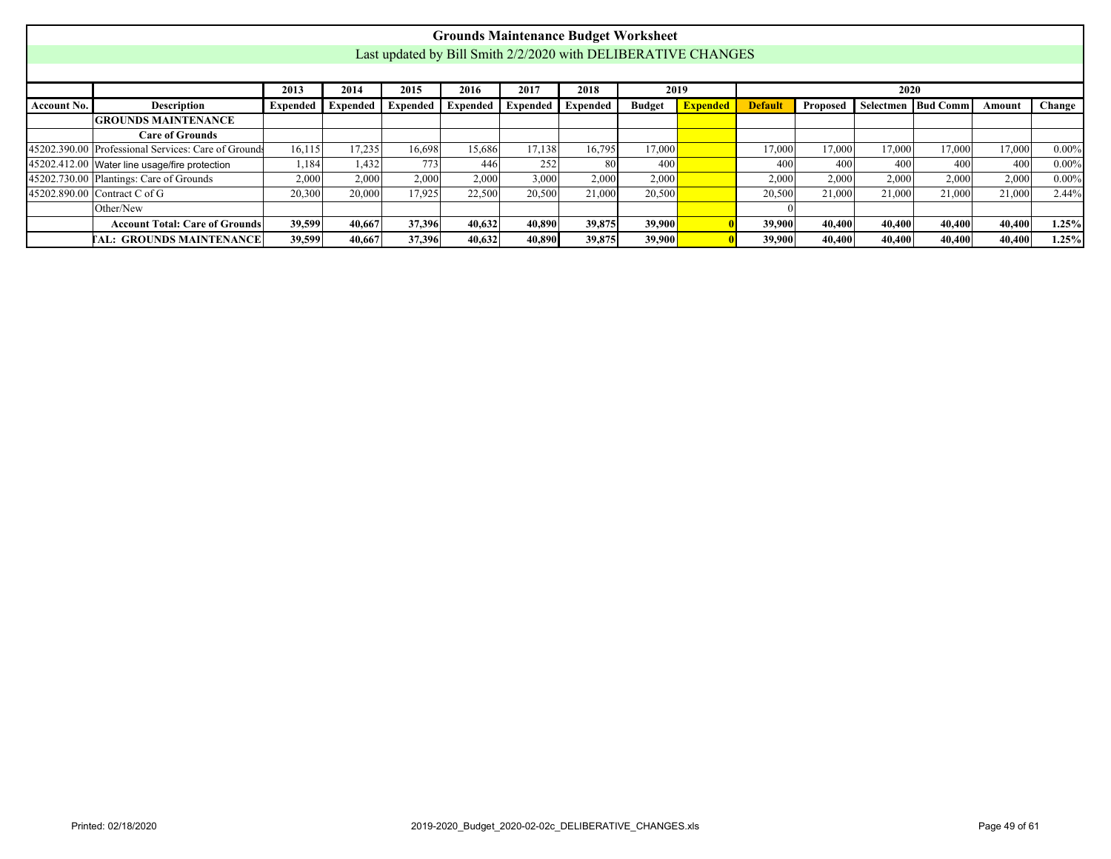<span id="page-48-0"></span>

|                    |                                                                                                                                                                                                                               |        |        |        |        |        | <b>Grounds Maintenance Budget Worksheet</b>                   |        |  |        |        |        |        |        |          |
|--------------------|-------------------------------------------------------------------------------------------------------------------------------------------------------------------------------------------------------------------------------|--------|--------|--------|--------|--------|---------------------------------------------------------------|--------|--|--------|--------|--------|--------|--------|----------|
|                    |                                                                                                                                                                                                                               |        |        |        |        |        | Last updated by Bill Smith 2/2/2020 with DELIBERATIVE CHANGES |        |  |        |        |        |        |        |          |
|                    |                                                                                                                                                                                                                               |        |        |        |        |        |                                                               |        |  |        |        |        |        |        |          |
|                    | 2020<br>2015<br>2017<br>2018<br>2016<br>2013<br>2014<br>2019                                                                                                                                                                  |        |        |        |        |        |                                                               |        |  |        |        |        |        |        |          |
| <b>Account No.</b> | <b>Description</b><br>Selectmen Bud Comm<br>Expended  <br>Expended<br><b>Expended</b><br>Proposed<br>Change<br>Expended<br><b>Expended</b><br><b>Budget</b><br><b>Default</b><br><b>Expended</b><br><b>Expended</b><br>Amount |        |        |        |        |        |                                                               |        |  |        |        |        |        |        |          |
|                    | <b>GROUNDS MAINTENANCE</b>                                                                                                                                                                                                    |        |        |        |        |        |                                                               |        |  |        |        |        |        |        |          |
|                    | <b>Care of Grounds</b>                                                                                                                                                                                                        |        |        |        |        |        |                                                               |        |  |        |        |        |        |        |          |
|                    | 45202.390.00 Professional Services: Care of Grounds<br>16,115<br>17,235<br>16.698<br>15,686<br>17.138<br>16.795<br>17,000<br>17,000<br>17,000<br>17,000<br>17,000<br>17,000<br>$0.00\%$                                       |        |        |        |        |        |                                                               |        |  |        |        |        |        |        |          |
|                    | 45202.412.00 Water line usage/fire protection                                                                                                                                                                                 | 1,184  | 1,432  | 773    | 446    | 252    | 80                                                            | 400    |  | 400    | 400    | 400    | 400    | 400    | $0.00\%$ |
|                    | 45202.730.00 Plantings: Care of Grounds                                                                                                                                                                                       | 2,000  | 2,000  | 2,000  | 2,000  | 3,000  | 2,000                                                         | 2,000  |  | 2,000  | 2,000  | 2,000  | 2,000  | 2,000  | $0.00\%$ |
|                    | 45202.890.00 Contract C of G                                                                                                                                                                                                  | 20,300 | 20,000 | 17.925 | 22,500 | 20,500 | 21,000                                                        | 20,500 |  | 20,500 | 21,000 | 21,000 | 21,000 | 21,000 | 2.44%    |
|                    | Other/New                                                                                                                                                                                                                     |        |        |        |        |        |                                                               |        |  |        |        |        |        |        |          |
|                    | <b>Account Total: Care of Grounds</b>                                                                                                                                                                                         | 39,599 | 40.667 | 37,396 | 40,632 | 40,890 | 39,875                                                        | 39,900 |  | 39,900 | 40,400 | 40,400 | 40.400 | 40,400 | 1.25%    |
|                    | <b>TAL: GROUNDS MAINTENANCE</b>                                                                                                                                                                                               | 39,599 | 40,667 | 37,396 | 40,632 | 40,890 | 39,875                                                        | 39,900 |  | 39,900 | 40,400 | 40,400 | 40,400 | 40,400 | 1.25%    |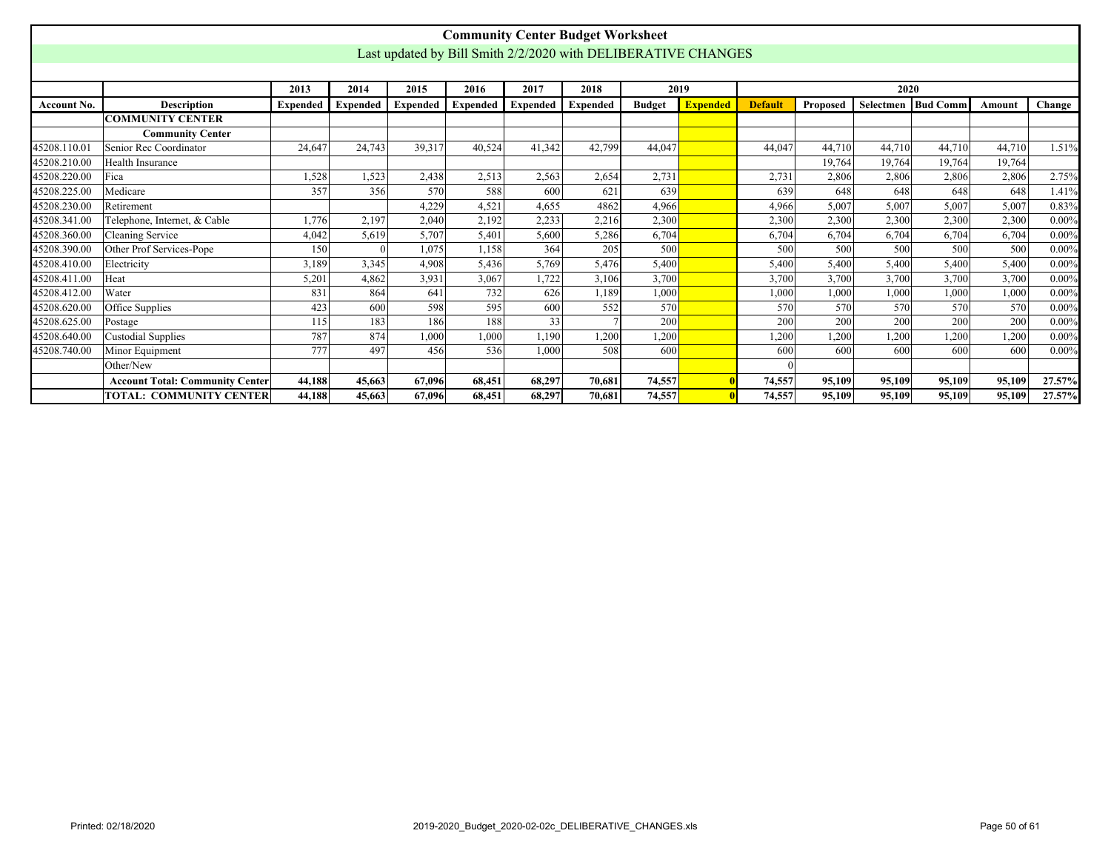<span id="page-49-0"></span>

|              |                                        |                 |                 |                 |                 |          | <b>Community Center Budget Worksheet</b>                      |               |                 |                |          |        |                            |        |          |
|--------------|----------------------------------------|-----------------|-----------------|-----------------|-----------------|----------|---------------------------------------------------------------|---------------|-----------------|----------------|----------|--------|----------------------------|--------|----------|
|              |                                        |                 |                 |                 |                 |          | Last updated by Bill Smith 2/2/2020 with DELIBERATIVE CHANGES |               |                 |                |          |        |                            |        |          |
|              |                                        |                 |                 |                 |                 |          |                                                               |               |                 |                |          |        |                            |        |          |
|              |                                        | 2013            | 2014            | 2015            | 2016            | 2017     | 2018                                                          |               | 2019            |                |          | 2020   |                            |        |          |
| Account No.  | <b>Description</b>                     | <b>Expended</b> | <b>Expended</b> | <b>Expended</b> | <b>Expended</b> | Expended | <b>Expended</b>                                               | <b>Budget</b> | <b>Expended</b> | <b>Default</b> | Proposed |        | <b>Selectmen IBud Comm</b> | Amount | Change   |
|              | <b>COMMUNITY CENTER</b>                |                 |                 |                 |                 |          |                                                               |               |                 |                |          |        |                            |        |          |
|              | <b>Community Center</b>                |                 |                 |                 |                 |          |                                                               |               |                 |                |          |        |                            |        |          |
| 45208.110.01 | Senior Rec Coordinator                 | 24,647          | 24,743          | 39,317          | 40,524          | 41.342   | 42,799                                                        | 44,047        |                 | 44,047         | 44,710   | 44,710 | 44,710                     | 44,710 | 1.51%    |
| 45208.210.00 | Health Insurance                       |                 |                 |                 |                 |          |                                                               |               |                 |                | 19.764   | 19.764 | 19.764                     | 19.764 |          |
| 45208.220.00 | Fica                                   | 1,528           | 1,523           | 2,438           | 2,513           | 2,563    | 2,654                                                         | 2,731         |                 | 2,731          | 2,806    | 2,806  | 2,806                      | 2,806  | 2.75%    |
| 45208.225.00 | Medicare                               | 357             | 356             | 570             | 588             | 600      | 621                                                           | 639           |                 | 639            | 648      | 648    | 648                        | 648    | 1.41%    |
| 45208.230.00 | Retirement                             |                 |                 | 4.229           | 4,521           | 4.655    | 4862                                                          | 4,966         |                 | 4.966          | 5.007    | 5.007  | 5.007                      | 5.007  | 0.83%    |
| 45208.341.00 | Telephone, Internet, & Cable           | 1.776           | 2,197           | 2.040           | 2,192           | 2,233    | 2,216                                                         | 2,300         |                 | 2,300          | 2,300    | 2,300  | 2,300                      | 2,300  | $0.00\%$ |
| 45208.360.00 | <b>Cleaning Service</b>                | 4,042           | 5,619           | 5.707           | 5.401           | 5.600    | 5,286                                                         | 6,704         |                 | 6,704          | 6,704    | 6,704  | 6.704                      | 6.704  | $0.00\%$ |
| 45208.390.00 | Other Prof Services-Pope               | 150             |                 | 1,075           | 1,158           | 364      | 205                                                           | 500           |                 | 500            | 500      | 500    | 500                        | 500    | $0.00\%$ |
| 45208.410.00 | Electricity                            | 3,189           | 3,345           | 4.908           | 5.436           | 5.769    | 5,476                                                         | 5,400         |                 | 5,400          | 5.400    | 5,400  | 5,400                      | 5,400  | $0.00\%$ |
| 45208.411.00 | Heat                                   | 5,201           | 4,862           | 3,931           | 3,067           | 1,722    | 3,106                                                         | 3,700         |                 | 3,700          | 3,700    | 3,700  | 3,700                      | 3,700  | $0.00\%$ |
| 45208.412.00 | Water                                  | 831             | 864             | 641             | 732             | 626      | 1,189                                                         | 1,000         |                 | 1,000          | 1,000    | 1,000  | 1,000                      | 1,000  | $0.00\%$ |
| 45208.620.00 | Office Supplies                        | 423             | 600             | 598             | 595             | 600      | 552                                                           | 570           |                 | 570            | 570      | 570    | 570                        | 570    | $0.00\%$ |
| 45208.625.00 | Postage                                | 115             | 183             | 186             | 188             | 33       |                                                               | 200           |                 | 200            | 200      | 200    | 200                        | 200    | $0.00\%$ |
| 45208.640.00 | <b>Custodial Supplies</b>              | 787             | 874             | 1,000           | 1.000           | 1.190    | 1,200                                                         | 1,200         |                 | 1,200          | 1,200    | 1,200  | 1,200                      | 1,200  | $0.00\%$ |
| 45208.740.00 | $\overline{\text{Minor}}$ Equipment    | 777             | 497             | 456             | 536             | 1,000    | 508                                                           | 600           |                 | 600            | 600      | 600    | 600                        | 600    | $0.00\%$ |
|              | Other/New                              |                 |                 |                 |                 |          |                                                               |               |                 |                |          |        |                            |        |          |
|              | <b>Account Total: Community Center</b> | 44,188          | 45,663          | 67.096          | 68.451          | 68,297   | 70.681                                                        | 74,557        |                 | 74,557         | 95.109   | 95.109 | 95.109                     | 95.109 | 27.57%   |
|              | TOTAL: COMMUNITY CENTER                | 44,188          | 45.663          | 67.096          | 68.451          | 68.297   | 70.681                                                        | 74,557        |                 | 74.557         | 95.109   | 95,109 | 95.109                     | 95,109 | 27.57%   |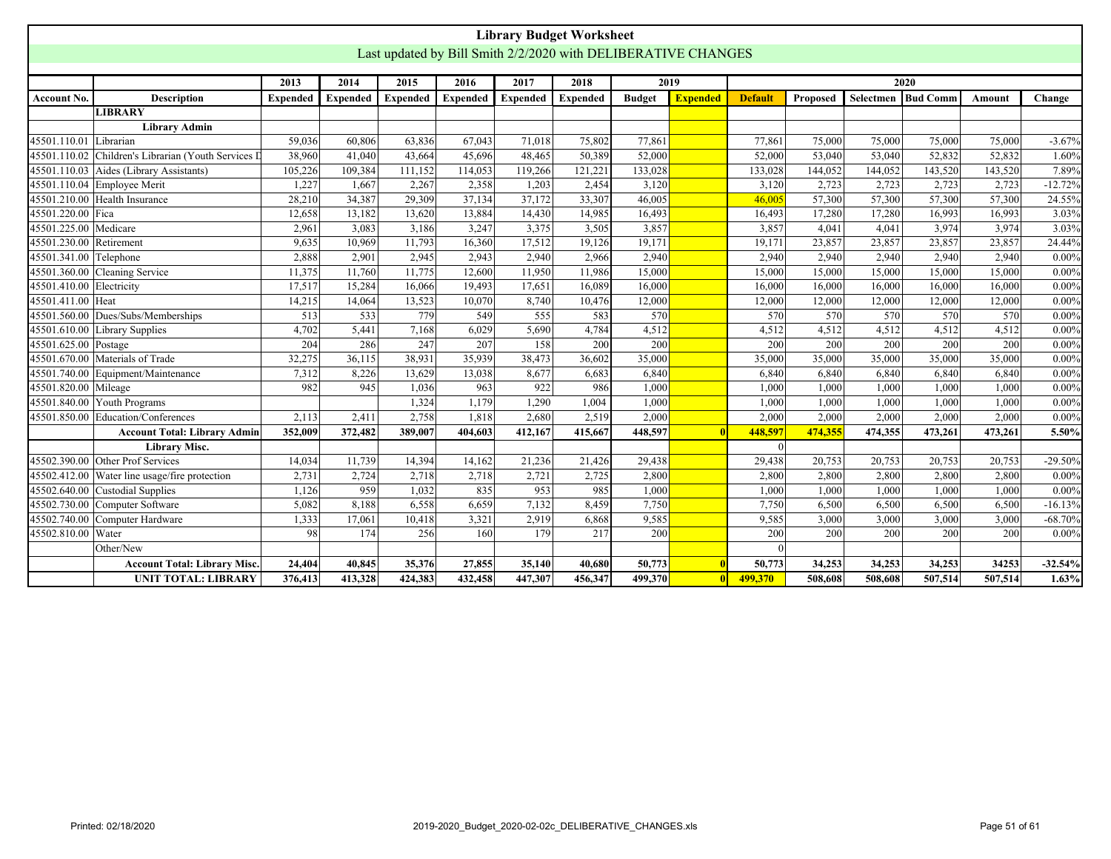<span id="page-50-0"></span>

|                      |                                                     |                 |                 |                 |                 |                 | <b>Library Budget Worksheet</b>                               |               |                 |                |          |           |                 |         |            |
|----------------------|-----------------------------------------------------|-----------------|-----------------|-----------------|-----------------|-----------------|---------------------------------------------------------------|---------------|-----------------|----------------|----------|-----------|-----------------|---------|------------|
|                      |                                                     |                 |                 |                 |                 |                 | Last updated by Bill Smith 2/2/2020 with DELIBERATIVE CHANGES |               |                 |                |          |           |                 |         |            |
|                      |                                                     |                 |                 |                 |                 |                 |                                                               |               |                 |                |          |           |                 |         |            |
|                      |                                                     | 2013            | 2014            | 2015            | 2016            | 2017            | 2018                                                          |               | 2019            |                |          |           | 2020            |         |            |
| <b>Account No.</b>   | <b>Description</b>                                  | <b>Expended</b> | <b>Expended</b> | <b>Expended</b> | <b>Expended</b> | <b>Expended</b> | <b>Expended</b>                                               | <b>Budget</b> | <b>Expended</b> | <b>Default</b> | Proposed | Selectmen | <b>Bud Comm</b> | Amount  | Change     |
|                      | <b>LIBRARY</b>                                      |                 |                 |                 |                 |                 |                                                               |               |                 |                |          |           |                 |         |            |
|                      | <b>Library Admin</b>                                |                 |                 |                 |                 |                 |                                                               |               |                 |                |          |           |                 |         |            |
| 45501.110.01         | Librarian                                           | 59,036          | 60,806          | 63,836          | 67,043          | 71,018          | 75,802                                                        | 77,861        |                 | 77,861         | 75,000   | 75,000    | 75,000          | 75,000  | $-3.67%$   |
|                      | 45501.110.02 Children's Librarian (Youth Services D | 38,960          | 41,040          | 43,664          | 45,696          | 48,465          | 50,389                                                        | 52,000        |                 | 52,000         | 53,040   | 53,040    | 52,832          | 52,832  | 1.60%      |
| 45501.110.03         | Aides (Library Assistants)                          | 105,226         | 109,384         | 111,152         | 114,053         | 119,266         | 121,221                                                       | 133,028       |                 | 133,028        | 144,052  | 144,052   | 143,520         | 143,520 | 7.89%      |
| 45501.110.04         | Employee Merit                                      | 1,227           | 1,667           | 2,267           | 2,358           | 1,203           | 2,454                                                         | 3,120         |                 | 3,120          | 2,723    | 2,723     | 2,723           | 2,723   | $-12.72%$  |
| 45501.210.00         | Health Insurance                                    | 28,210          | 34,387          | 29,309          | 37.134          | 37.172          | 33,307                                                        | 46,005        |                 | 46,005         | 57,300   | 57,300    | 57,300          | 57,300  | 24.55%     |
| 45501.220.00         | Fica                                                | 12,658          | 13,182          | 13,620          | 13.884          | 14,430          | 14,985                                                        | 16,493        |                 | 16,493         | 17,280   | 17,280    | 16,993          | 16,993  | 3.03%      |
| 45501.225.00         | Medicare                                            | 2,961           | 3.083           | 3.186           | 3.247           | 3,375           | 3,505                                                         | 3,857         |                 | 3,857          | 4,041    | 4.041     | 3.974           | 3,974   | 3.03%      |
| 45501.230.00         | Retirement                                          | 9,635           | 10,969          | 11,793          | 16,360          | 17,512          | 19,126                                                        | 19,171        |                 | 19,171         | 23,857   | 23,857    | 23,857          | 23,857  | 24.44%     |
| 45501.341.00         | Telephone                                           | 2,888           | 2,901           | 2,945           | 2,943           | 2,940           | 2,966                                                         | 2,940         |                 | 2,940          | 2,940    | 2,940     | 2,940           | 2,940   | $0.00\%$   |
| 45501.360.00         | Cleaning Service                                    | 11,375          | 11,760          | 11,775          | 12,600          | 11,950          | 11,986                                                        | 15,000        |                 | 15,000         | 15,000   | 15,000    | 15,000          | 15,000  | $0.00\%$   |
| 45501.410.00         | Electricity                                         | 17,517          | 15,284          | 16,066          | 19,493          | 17,651          | 16,089                                                        | 16,000        |                 | 16,000         | 16,000   | 16,000    | 16,000          | 16,000  | $0.00\%$   |
| 45501.411.00 Heat    |                                                     | 14,215          | 14,064          | 13,523          | 10,070          | 8,740           | 10,476                                                        | 12,000        |                 | 12,000         | 12,000   | 12,000    | 12,000          | 12,000  | $0.00\%$   |
|                      | 45501.560.00 Dues/Subs/Memberships                  | 513             | 533             | 779             | 549             | 555             | 583                                                           | 570           |                 | 570            | 570      | 570       | 570             | 570     | $0.00\%$   |
|                      | 45501.610.00 Library Supplies                       | 4,702           | 5,441           | 7,168           | 6,029           | 5,690           | 4,784                                                         | 4,512         |                 | 4,512          | 4,512    | 4,512     | 4,512           | 4,512   | $0.00\%$   |
| 45501.625.00 Postage |                                                     | 204             | 286             | 247             | 207             | 158             | 200                                                           | 200           |                 | 200            | 200      | 200       | 200             | 200     | $0.00\%$   |
|                      | 45501.670.00 Materials of Trade                     | 32,275          | 36,115          | 38.931          | 35,939          | 38,473          | 36,602                                                        | 35,000        |                 | 35,000         | 35,000   | 35,000    | 35,000          | 35,000  | $0.00\%$   |
| 45501.740.00         | Equipment/Maintenance                               | 7,312           | 8,226           | 13.629          | 13,038          | 8,677           | 6,683                                                         | 6,840         |                 | 6,840          | 6,840    | 6,840     | 6,840           | 6,840   | $0.00\%$   |
| 45501.820.00         | Mileage                                             | 982             | 945             | 1,036           | 963             | 922             | 986                                                           | 1,000         |                 | 1,000          | 1,000    | 1,000     | 1,000           | 1,000   | $0.00\%$   |
| 45501.840.00         | Youth Programs                                      |                 |                 | 1.324           | 1.179           | 1.290           | 1,004                                                         | 1,000         |                 | 1,000          | 1,000    | 1.000     | 1.000           | 1,000   | $0.00\%$   |
| 45501.850.00         | Education/Conferences                               | 2,113           | 2,411           | 2,758           | 1,818           | 2,680           | 2,519                                                         | 2,000         |                 | 2,000          | 2,000    | 2,000     | 2,000           | 2,000   | $0.00\%$   |
|                      | <b>Account Total: Library Admin</b>                 | 352,009         | 372,482         | 389,007         | 404,603         | 412,167         | 415,667                                                       | 448,597       |                 | 448,597        | 474,355  | 474,355   | 473,261         | 473,261 | 5.50%      |
|                      | <b>Library Misc.</b>                                |                 |                 |                 |                 |                 |                                                               |               |                 | $\Omega$       |          |           |                 |         |            |
|                      | 45502.390.00 Other Prof Services                    | 14,034          | 11,739          | 14,394          | 14,162          | 21,236          | 21,426                                                        | 29,438        |                 | 29,438         | 20,753   | 20,753    | 20,753          | 20,753  | $-29.50%$  |
| 45502.412.00         | Water line usage/fire protection                    | 2,731           | 2,724           | 2,718           | 2,718           | 2,721           | 2,725                                                         | 2,800         |                 | 2,800          | 2,800    | 2,800     | 2,800           | 2,800   | $0.00\%$   |
| 45502.640.00         | Custodial Supplies                                  | 1,126           | 959             | 1.032           | 835             | 953             | 985                                                           | 1,000         |                 | 1,000          | 1.000    | 1.000     | 1,000           | 1.000   | $0.00\%$   |
|                      | 45502.730.00 Computer Software                      | 5,082           | 8.188           | 6,558           | 6,659           | 7.132           | 8,459                                                         | 7,750         |                 | 7,750          | 6.500    | 6.500     | 6,500           | 6,500   | $-16.13%$  |
| 45502.740.00         | Computer Hardware                                   | 1,333           | 17,061          | 10,418          | 3.321           | 2,919           | 6,868                                                         | 9,585         |                 | 9,585          | 3,000    | 3,000     | 3,000           | 3,000   | $-68.70%$  |
| 45502.810.00         | Water                                               | 98              | 174             | 256             | 160             | 179             | 217                                                           | 200           |                 | 200            | 200      | 200       | 200             | 200     | $0.00\%$   |
|                      | Other/New                                           |                 |                 |                 |                 |                 |                                                               |               |                 |                |          |           |                 |         |            |
|                      | <b>Account Total: Library Misc</b>                  | 24,404          | 40,845          | 35,376          | 27,855          | 35,140          | 40,680                                                        | 50,773        |                 | 50,773         | 34,253   | 34,253    | 34,253          | 34253   | $-32.54\%$ |
|                      | <b>UNIT TOTAL: LIBRARY</b>                          | 376,413         | 413,328         | 424,383         | 432,458         | 447,307         | 456,347                                                       | 499,370       |                 | 499,370        | 508,608  | 508,608   | 507,514         | 507,514 | 1.63%      |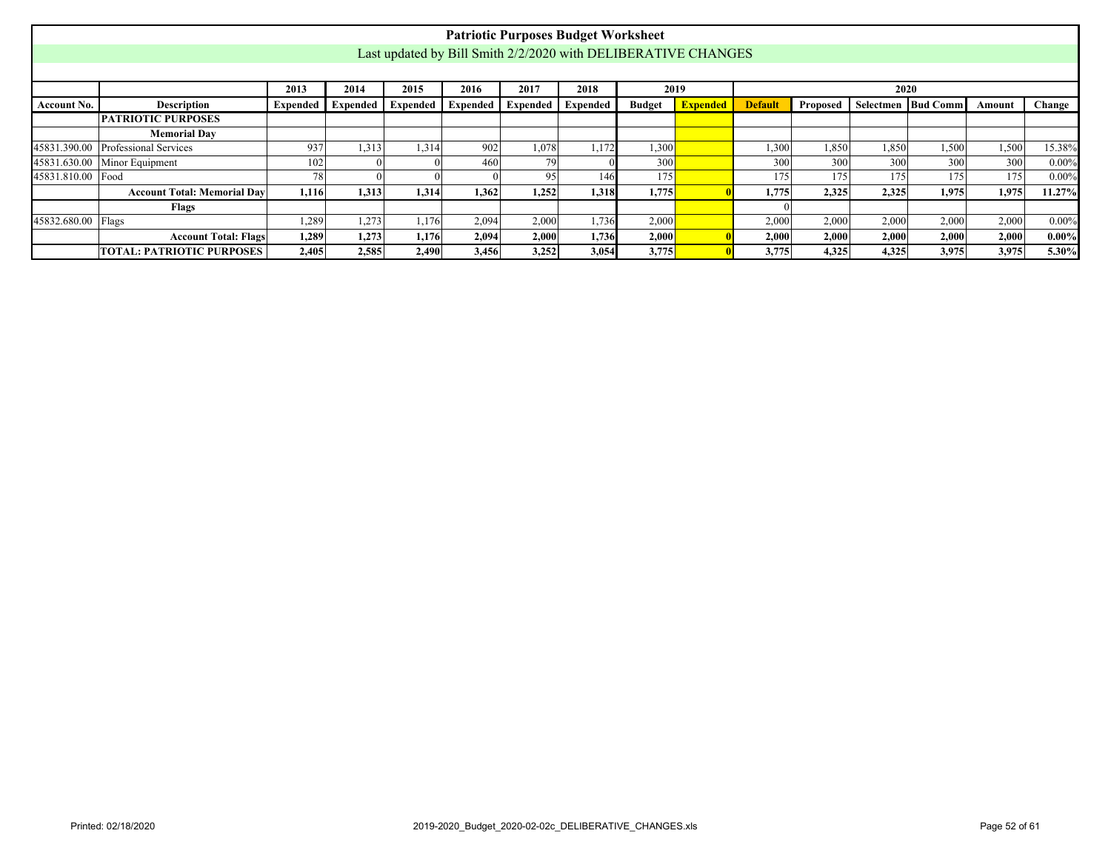<span id="page-51-0"></span>

|                   |                                                                                                                                                                                                                               |       |       |                                                               |       | <b>Patriotic Purposes Budget Worksheet</b> |       |       |  |       |       |       |       |       |          |
|-------------------|-------------------------------------------------------------------------------------------------------------------------------------------------------------------------------------------------------------------------------|-------|-------|---------------------------------------------------------------|-------|--------------------------------------------|-------|-------|--|-------|-------|-------|-------|-------|----------|
|                   |                                                                                                                                                                                                                               |       |       | Last updated by Bill Smith 2/2/2020 with DELIBERATIVE CHANGES |       |                                            |       |       |  |       |       |       |       |       |          |
|                   |                                                                                                                                                                                                                               |       |       |                                                               |       |                                            |       |       |  |       |       |       |       |       |          |
|                   | 2015<br>2017<br>2018<br>2019<br>2013<br>2014<br>2016<br>2020                                                                                                                                                                  |       |       |                                                               |       |                                            |       |       |  |       |       |       |       |       |          |
| Account No.       | <b>Description</b><br><b>Expended</b><br>Selectmen   Bud Comm<br><b>Expended</b><br>Expended<br>Expended<br><b>Default</b><br><b>Expended</b><br><b>Expended</b><br><b>Budget</b><br>Proposed<br>Change<br>Expended<br>Amount |       |       |                                                               |       |                                            |       |       |  |       |       |       |       |       |          |
|                   | <b>PATRIOTIC PURPOSES</b>                                                                                                                                                                                                     |       |       |                                                               |       |                                            |       |       |  |       |       |       |       |       |          |
|                   | <b>Memorial Day</b>                                                                                                                                                                                                           |       |       |                                                               |       |                                            |       |       |  |       |       |       |       |       |          |
| 45831.390.00      | Professional Services<br>937<br>1,313<br>902<br>1,078<br>1.172<br>1,300<br>1,300<br>1,850<br>1,850<br>1,500<br>1,500<br>15.38%<br>1,314                                                                                       |       |       |                                                               |       |                                            |       |       |  |       |       |       |       |       |          |
| 45831.630.00      | Minor Equipment                                                                                                                                                                                                               | 102   |       |                                                               | 460   | 791                                        |       | 300   |  | 300   | 300   | 300   | 300   | 300   | $0.00\%$ |
| 45831.810.00 Food |                                                                                                                                                                                                                               | 78    |       |                                                               |       | 95                                         | 146   | 175   |  | 175   | 175   | 175   | 175   | 175   | $0.00\%$ |
|                   | <b>Account Total: Memorial Day</b>                                                                                                                                                                                            | 1,116 | 1,313 | 1,314                                                         | 1,362 | 1,252                                      | 1,318 | 1,775 |  | 1,775 | 2,325 | 2,325 | 1,975 | 1,975 | 11.27%   |
|                   | Flags                                                                                                                                                                                                                         |       |       |                                                               |       |                                            |       |       |  |       |       |       |       |       |          |
| 45832.680.00      | Flags                                                                                                                                                                                                                         | 1,289 | 1,273 | 1,176                                                         | 2,094 | 2,000                                      | 1,736 | 2,000 |  | 2,000 | 2,000 | 2,000 | 2,000 | 2,000 | $0.00\%$ |
|                   | <b>Account Total: Flags</b>                                                                                                                                                                                                   | 1,289 | 1,273 | 1,176                                                         | 2,094 | 2,000                                      | 1,736 | 2,000 |  | 2,000 | 2,000 | 2,000 | 2,000 | 2,000 | $0.00\%$ |
|                   | <b>TOTAL: PATRIOTIC PURPOSES</b>                                                                                                                                                                                              | 2,405 | 2,585 | 2,490                                                         | 3,456 | 3,252                                      | 3,054 | 3,775 |  | 3,775 | 4,325 | 4,325 | 3,975 | 3,975 | 5.30%    |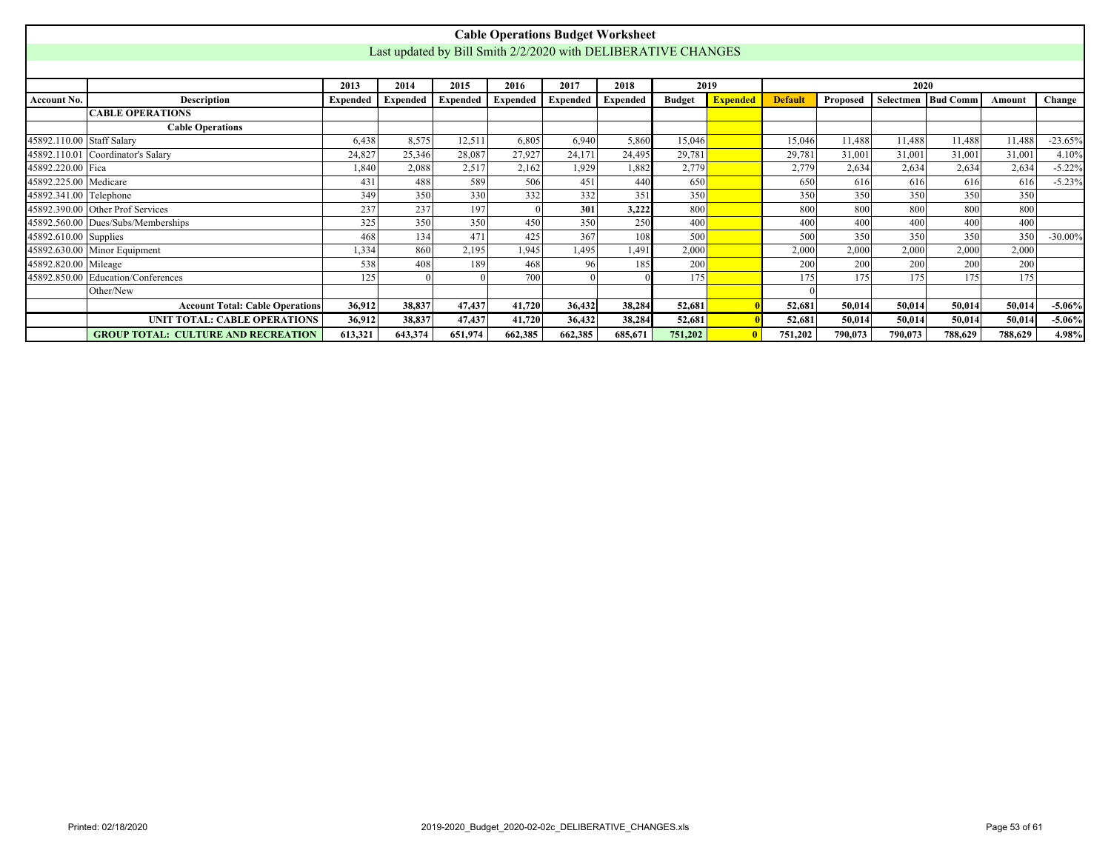<span id="page-52-0"></span>

|                           |                                                                                                                                                                                                                                                                                   |         |                                                               |         |         | <b>Cable Operations Budget Worksheet</b> |         |         |  |         |         |         |         |         |            |
|---------------------------|-----------------------------------------------------------------------------------------------------------------------------------------------------------------------------------------------------------------------------------------------------------------------------------|---------|---------------------------------------------------------------|---------|---------|------------------------------------------|---------|---------|--|---------|---------|---------|---------|---------|------------|
|                           |                                                                                                                                                                                                                                                                                   |         | Last updated by Bill Smith 2/2/2020 with DELIBERATIVE CHANGES |         |         |                                          |         |         |  |         |         |         |         |         |            |
|                           |                                                                                                                                                                                                                                                                                   |         |                                                               |         |         |                                          |         |         |  |         |         |         |         |         |            |
|                           | 2014<br>2015<br>2016<br>2017<br>2018<br>2019<br>2020<br>2013<br>Selectmen Bud Comm<br><b>Description</b><br>Expended<br>Expended<br><b>Budget</b><br><b>Expended</b><br><b>Default</b><br><b>Expended</b><br><b>Expended</b><br>Expended<br>Proposed<br><b>Expended</b><br>Amount |         |                                                               |         |         |                                          |         |         |  |         |         |         |         |         |            |
| <b>Account No.</b>        |                                                                                                                                                                                                                                                                                   |         |                                                               |         |         |                                          |         |         |  |         |         |         |         |         | Change     |
|                           | <b>CABLE OPERATIONS</b>                                                                                                                                                                                                                                                           |         |                                                               |         |         |                                          |         |         |  |         |         |         |         |         |            |
|                           | <b>Cable Operations</b>                                                                                                                                                                                                                                                           |         |                                                               |         |         |                                          |         |         |  |         |         |         |         |         |            |
| 45892.110.00 Staff Salary |                                                                                                                                                                                                                                                                                   | 6.438   | 8.575                                                         | 12,511  | 6.805   | 6,940                                    | 5,860   | 15,046  |  | 15,046  | 11,488  | 11,488  | 11,488  | 11,488  | $-23.65%$  |
|                           | 45892.110.01 Coordinator's Salary                                                                                                                                                                                                                                                 | 24,827  | 25,346                                                        | 28,087  | 27,927  | 24,171                                   | 24,495  | 29,781  |  | 29,781  | 31,001  | 31,001  | 31,001  | 31,001  | 4.10%      |
| 45892.220.00 Fica         |                                                                                                                                                                                                                                                                                   | 1,840   | 2,088                                                         | 2,517   | 2,162   | 1.929                                    | 1.882   | 2,779   |  | 2,779   | 2,634   | 2,634   | 2,634   | 2,634   | $-5.22%$   |
| 45892.225.00 Medicare     |                                                                                                                                                                                                                                                                                   | 431     | 488                                                           | 589     | 506     | 451                                      | 440     | 650     |  | 650     | 616     | 616     | 616     | 616     | $-5.23%$   |
| 45892.341.00 Telephone    |                                                                                                                                                                                                                                                                                   | 349     | 350                                                           | 330     | 332     | 332                                      | 351     | 350     |  | 350     | 350     | 350     | 350     | 350     |            |
|                           | 45892.390.00 Other Prof Services                                                                                                                                                                                                                                                  | 237     | 237                                                           | 197     |         | 301                                      | 3,222   | 800     |  | 800     | 800     | 800     | 800     | 800     |            |
|                           | 45892.560.00 Dues/Subs/Memberships                                                                                                                                                                                                                                                | 325     | 350                                                           | 350     | 450     | 350                                      | 250     | 400     |  | 400     | 400     | 400     | 400     | 400     |            |
| 45892.610.00 Supplies     |                                                                                                                                                                                                                                                                                   | 468     | 134                                                           | 471     | 425     | 367                                      | 108     | 500     |  | 500     | 350     | 350     | 350     | 350     | $-30.00\%$ |
|                           | 45892.630.00 Minor Equipment                                                                                                                                                                                                                                                      | 1,334   | 860                                                           | 2,195   | 1,945   | 1,495                                    | 1.491   | 2,000   |  | 2,000   | 2,000   | 2,000   | 2,000   | 2,000   |            |
| 45892.820.00 Mileage      |                                                                                                                                                                                                                                                                                   | 538     | 408                                                           | 189     | 468     | 96                                       | 185     | 200     |  | 200     | 200     | 200     | 200     | 200     |            |
|                           | 45892.850.00 Education/Conferences                                                                                                                                                                                                                                                | 125     |                                                               |         | 700     |                                          |         | 175     |  | 175     | 175     | 175     | 175     | 175     |            |
|                           | Other/New                                                                                                                                                                                                                                                                         |         |                                                               |         |         |                                          |         |         |  |         |         |         |         |         |            |
|                           | <b>Account Total: Cable Operations</b>                                                                                                                                                                                                                                            | 36,912  | 38,837                                                        | 47,437  | 41,720  | 36,432                                   | 38,284  | 52,681  |  | 52,681  | 50,014  | 50,014  | 50,014  | 50,014  | $-5.06\%$  |
|                           | UNIT TOTAL: CABLE OPERATIONS                                                                                                                                                                                                                                                      | 36,912  | 38,837                                                        | 47,437  | 41,720  | 36,432                                   | 38,284  | 52,681  |  | 52,681  | 50,014  | 50,014  | 50,014  | 50,014  | $-5.06\%$  |
|                           | <b>GROUP TOTAL: CULTURE AND RECREATION</b>                                                                                                                                                                                                                                        | 613,321 | 643,374                                                       | 651,974 | 662,385 | 662,385                                  | 685,671 | 751,202 |  | 751,202 | 790,073 | 790,073 | 788,629 | 788,629 | 4.98%      |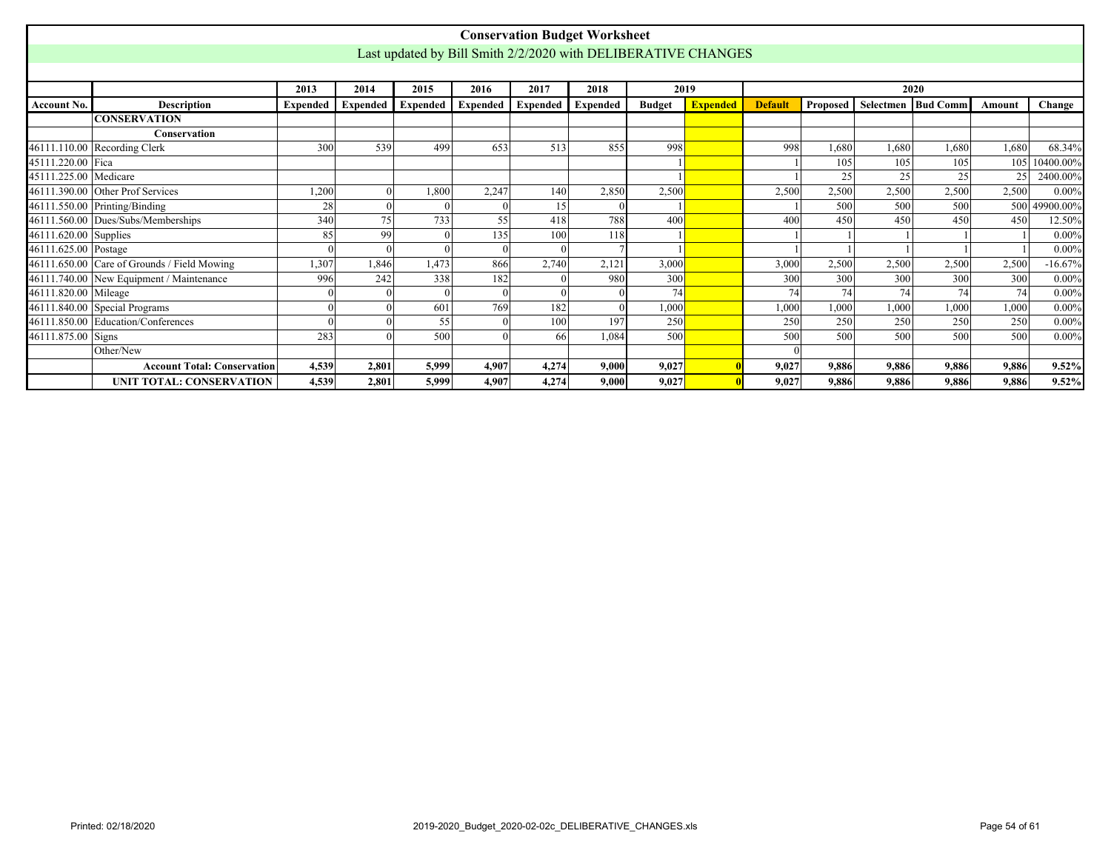<span id="page-53-0"></span>

|                       |                                             |       |                          |          |                 |          | <b>Conservation Budget Worksheet</b> |               |                                                               |                |          |       |                      |        |               |
|-----------------------|---------------------------------------------|-------|--------------------------|----------|-----------------|----------|--------------------------------------|---------------|---------------------------------------------------------------|----------------|----------|-------|----------------------|--------|---------------|
|                       |                                             |       |                          |          |                 |          |                                      |               | Last updated by Bill Smith 2/2/2020 with DELIBERATIVE CHANGES |                |          |       |                      |        |               |
|                       |                                             |       |                          |          |                 |          |                                      |               |                                                               |                |          |       |                      |        |               |
|                       |                                             | 2013  | 2014                     | 2015     | 2016            | 2017     | 2018                                 | 2019          |                                                               |                |          | 2020  |                      |        |               |
| <b>Account No.</b>    | <b>Description</b>                          |       | <b>Expended</b> Expended | Expended | <b>Expended</b> | Expended | <b>Expended</b>                      | <b>Budget</b> | <b>Expended</b>                                               | <b>Default</b> | Proposed |       | Selectmen   Bud Comm | Amount | Change        |
|                       | <b>CONSERVATION</b>                         |       |                          |          |                 |          |                                      |               |                                                               |                |          |       |                      |        |               |
|                       | <b>Conservation</b>                         |       |                          |          |                 |          |                                      |               |                                                               |                |          |       |                      |        |               |
|                       | 46111.110.00 Recording Clerk                | 300   | 539                      | 499      | 653             | 513      | 855                                  | 998           |                                                               | 998            | 1,680    | 1,680 | 1,680                | 1,680  | 68.34%        |
| 45111.220.00 Fica     |                                             |       |                          |          |                 |          |                                      |               |                                                               |                | 105      | 105   | 105                  | 105    | 10400.00%     |
| 45111.225.00 Medicare |                                             |       |                          |          |                 |          |                                      |               |                                                               |                | 25       | 25    | 25                   | 25     | 2400.00%      |
|                       | 46111.390.00 Other Prof Services            | 1,200 |                          | 1,800    | 2,247           | 140      | 2,850                                | 2,500         |                                                               | 2,500          | 2,500    | 2,500 | 2,500                | 2,500  | $0.00\%$      |
|                       | 46111.550.00 Printing/Binding               | 28    |                          |          |                 | 15       |                                      |               |                                                               |                | 500      | 500   | 500                  |        | 500 49900.00% |
|                       | 46111.560.00 Dues/Subs/Memberships          | 340   | 75                       | 733      | 55              | 418      | 788                                  | 400           |                                                               | 400            | 450      | 450   | 450                  | 450    | 12.50%        |
| 46111.620.00 Supplies |                                             | 85    | 99                       |          | 135             | 100      | 118                                  |               |                                                               |                |          |       |                      |        | $0.00\%$      |
| 46111.625.00 Postage  |                                             |       |                          |          |                 | $\Omega$ |                                      |               |                                                               |                |          |       |                      |        | $0.00\%$      |
|                       | 46111.650.00 Care of Grounds / Field Mowing | 1,307 | 1,846                    | 1,473    | 866             | 2,740    | 2,121                                | 3,000         |                                                               | 3,000          | 2,500    | 2,500 | 2,500                | 2,500  | $-16.67%$     |
|                       | 46111.740.00 New Equipment / Maintenance    | 996   | 242                      | 338      | 182             | $\Omega$ | 980                                  | 300           |                                                               | 300            | 300      | 300   | 300                  | 300    | $0.00\%$      |
| 46111.820.00 Mileage  |                                             |       |                          |          |                 |          |                                      | 74            |                                                               | 74             | 74       | 74    | 74                   | 74     | $0.00\%$      |
|                       | $46111.840.00$ Special Programs             |       |                          | 601      | 769             | 182      |                                      | 1,000         |                                                               | 1,000          | 1,000    | 1,000 | 1,000                | 1,000  | $0.00\%$      |
|                       | 46111.850.00 Education/Conferences          |       |                          | 55       |                 | 100      | 197                                  | 250           |                                                               | 250            | 250      | 250   | 250                  | 250    | $0.00\%$      |
| 46111.875.00 Signs    |                                             | 283   |                          | 500      |                 | 66       | 1,084                                | 500           |                                                               | 500            | 500      | 500   | 500                  | 500    | $0.00\%$      |
|                       | Other/New                                   |       |                          |          |                 |          |                                      |               |                                                               | $\Omega$       |          |       |                      |        |               |
|                       | <b>Account Total: Conservation</b>          | 4,539 | 2,801                    | 5.999    | 4.907           | 4,274    | 9.000                                | 9.027         |                                                               | 9,027          | 9,886    | 9,886 | 9,886                | 9,886  | 9.52%         |
|                       | <b>UNIT TOTAL: CONSERVATION</b>             | 4,539 | 2.801                    | 5.999    | 4.907           | 4.274    | 9.000                                | 9,027         |                                                               | 9.027          | 9,886    | 9,886 | 9,886                | 9,886  | 9.52%         |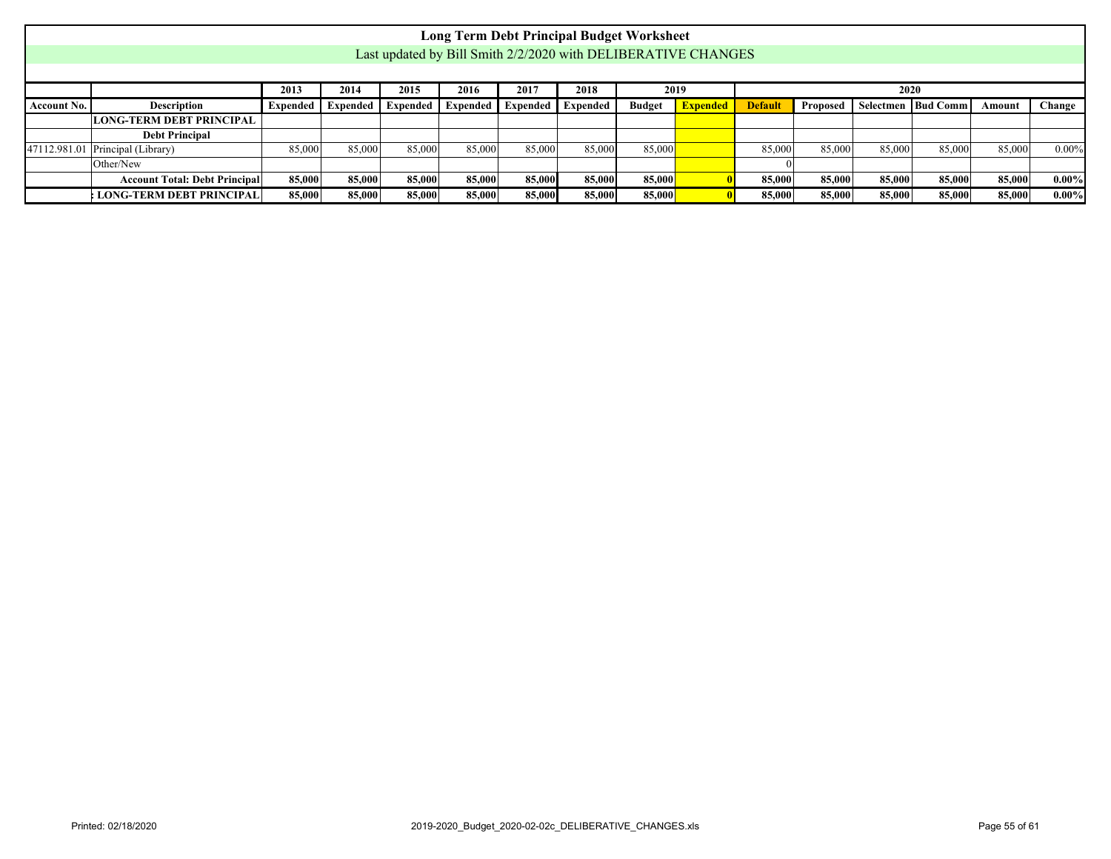<span id="page-54-0"></span>

|                    |                                                                                                                                                                                                               |        |        |        |        |        | <b>Long Term Debt Principal Budget Worksheet</b> |        |  |        |        |        |        |        |          |
|--------------------|---------------------------------------------------------------------------------------------------------------------------------------------------------------------------------------------------------------|--------|--------|--------|--------|--------|--------------------------------------------------|--------|--|--------|--------|--------|--------|--------|----------|
|                    | Last updated by Bill Smith 2/2/2020 with DELIBERATIVE CHANGES                                                                                                                                                 |        |        |        |        |        |                                                  |        |  |        |        |        |        |        |          |
|                    |                                                                                                                                                                                                               |        |        |        |        |        |                                                  |        |  |        |        |        |        |        |          |
|                    | 2017<br>2018<br>2020<br>2014<br>2015<br>2016<br>2013<br>2019                                                                                                                                                  |        |        |        |        |        |                                                  |        |  |        |        |        |        |        |          |
| <b>Account No.</b> | <b>Description</b><br>Selectmen   Bud Comm<br>Change<br>Proposed<br>Expended Expended<br><b>Expended</b><br><b>Budget</b><br><b>Default</b><br><b>Expended</b><br>Expended   Expended  <br>Expended<br>Amount |        |        |        |        |        |                                                  |        |  |        |        |        |        |        |          |
|                    | <b>LONG-TERM DEBT PRINCIPAL</b>                                                                                                                                                                               |        |        |        |        |        |                                                  |        |  |        |        |        |        |        |          |
|                    | <b>Debt Principal</b>                                                                                                                                                                                         |        |        |        |        |        |                                                  |        |  |        |        |        |        |        |          |
|                    | 47112.981.01 Principal (Library)                                                                                                                                                                              | 85,000 | 85,000 | 85,000 | 85,000 | 85,000 | 85,000                                           | 85,000 |  | 85,000 | 85,000 | 85,000 | 85,000 | 85,000 | $0.00\%$ |
|                    | Other/New                                                                                                                                                                                                     |        |        |        |        |        |                                                  |        |  |        |        |        |        |        |          |
|                    | <b>Account Total: Debt Principal</b>                                                                                                                                                                          | 85,000 | 85,000 | 85,000 | 85,000 | 85,000 | 85,000                                           | 85,000 |  | 85.000 | 85,000 | 85,000 | 85,000 | 85,000 | $0.00\%$ |
|                    | : LONG-TERM DEBT PRINCIPAL                                                                                                                                                                                    | 85,000 | 85,000 | 85,000 | 85,000 | 85,000 | 85,000                                           | 85,000 |  | 85,000 | 85,000 | 85,000 | 85,000 | 85,000 | $0.00\%$ |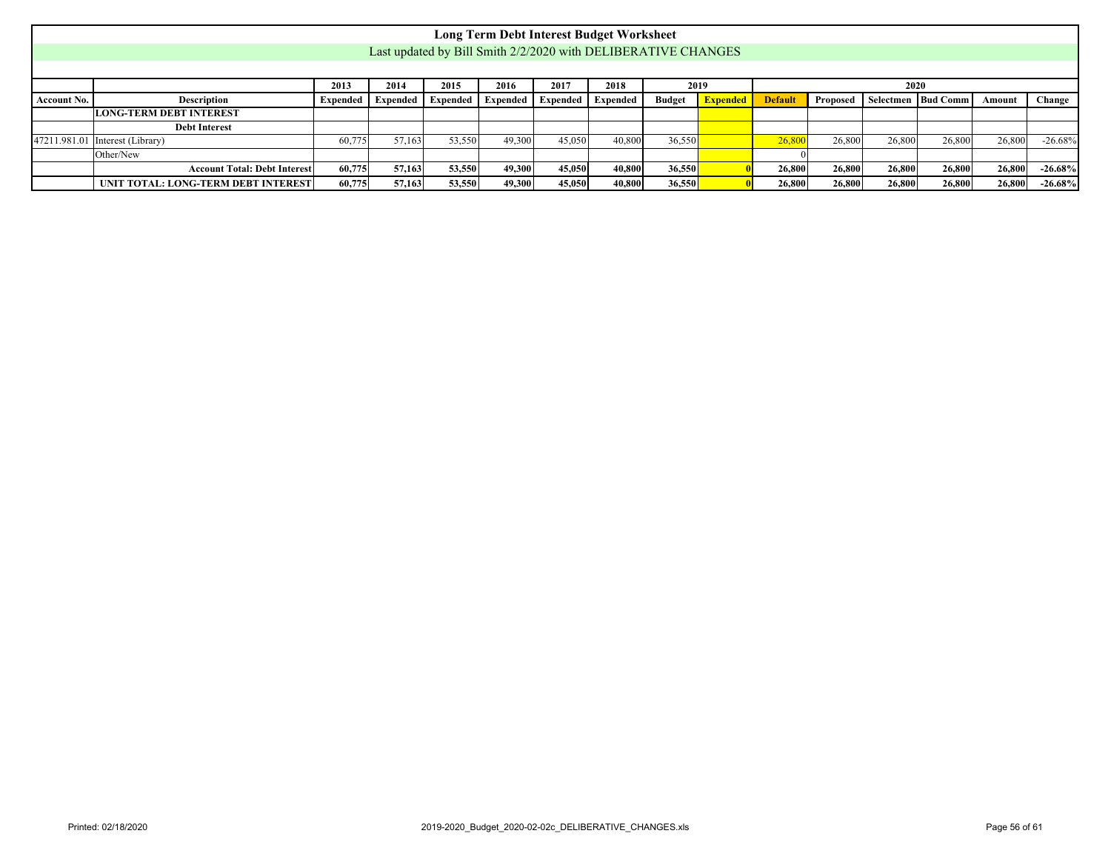<span id="page-55-0"></span>

|                    |                                                                                                                                                                                                                              |        |        |        |        |        | <b>Long Term Debt Interest Budget Worksheet</b>               |        |  |        |        |        |        |        |           |
|--------------------|------------------------------------------------------------------------------------------------------------------------------------------------------------------------------------------------------------------------------|--------|--------|--------|--------|--------|---------------------------------------------------------------|--------|--|--------|--------|--------|--------|--------|-----------|
|                    |                                                                                                                                                                                                                              |        |        |        |        |        | Last updated by Bill Smith 2/2/2020 with DELIBERATIVE CHANGES |        |  |        |        |        |        |        |           |
|                    |                                                                                                                                                                                                                              |        |        |        |        |        |                                                               |        |  |        |        |        |        |        |           |
|                    | 2018<br>2013<br>2014<br>2015<br>2017<br>2019<br>2016<br>2020                                                                                                                                                                 |        |        |        |        |        |                                                               |        |  |        |        |        |        |        |           |
| <b>Account No.</b> | <b>Description</b><br><b>Default</b><br>Selectmen   Bud Comm<br><b>Budget</b><br><b>Expended</b><br><b>Proposed</b><br>Change<br><b>Expended</b> Expended<br>Expended  <br><b>Expended</b><br>Expended<br>Expended<br>Amount |        |        |        |        |        |                                                               |        |  |        |        |        |        |        |           |
|                    | <b>LONG-TERM DEBT INTEREST</b>                                                                                                                                                                                               |        |        |        |        |        |                                                               |        |  |        |        |        |        |        |           |
|                    | <b>Debt Interest</b>                                                                                                                                                                                                         |        |        |        |        |        |                                                               |        |  |        |        |        |        |        |           |
| 47211.981.01       | Interest (Library)                                                                                                                                                                                                           | 60,775 | 57.163 | 53,550 | 49.300 | 45,050 | 40,800                                                        | 36,550 |  | 26,800 | 26,800 | 26,800 | 26,800 | 26,800 | $-26.68%$ |
|                    | Other/New                                                                                                                                                                                                                    |        |        |        |        |        |                                                               |        |  |        |        |        |        |        |           |
|                    | <b>Account Total: Debt Interest</b>                                                                                                                                                                                          | 60,775 | 57,163 | 53,550 | 49.300 | 45,050 | 40,800                                                        | 36,550 |  | 26,800 | 26,800 | 26,800 | 26,800 | 26,800 | $-26.68%$ |
|                    | UNIT TOTAL: LONG-TERM DEBT INTEREST                                                                                                                                                                                          | 60,775 | 57,163 | 53,550 | 49.300 | 45,050 | 40,800                                                        | 36,550 |  | 26,800 | 26,800 | 26,800 | 26,800 | 26,800 | $-26.68%$ |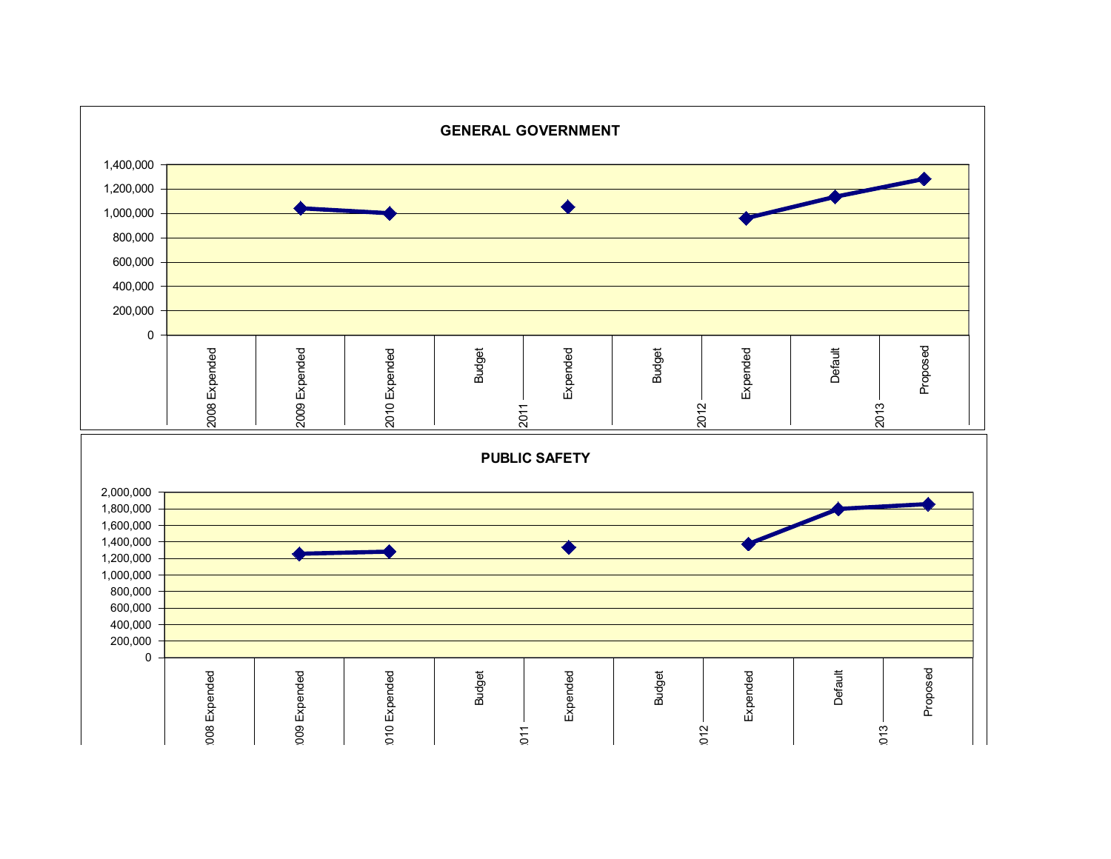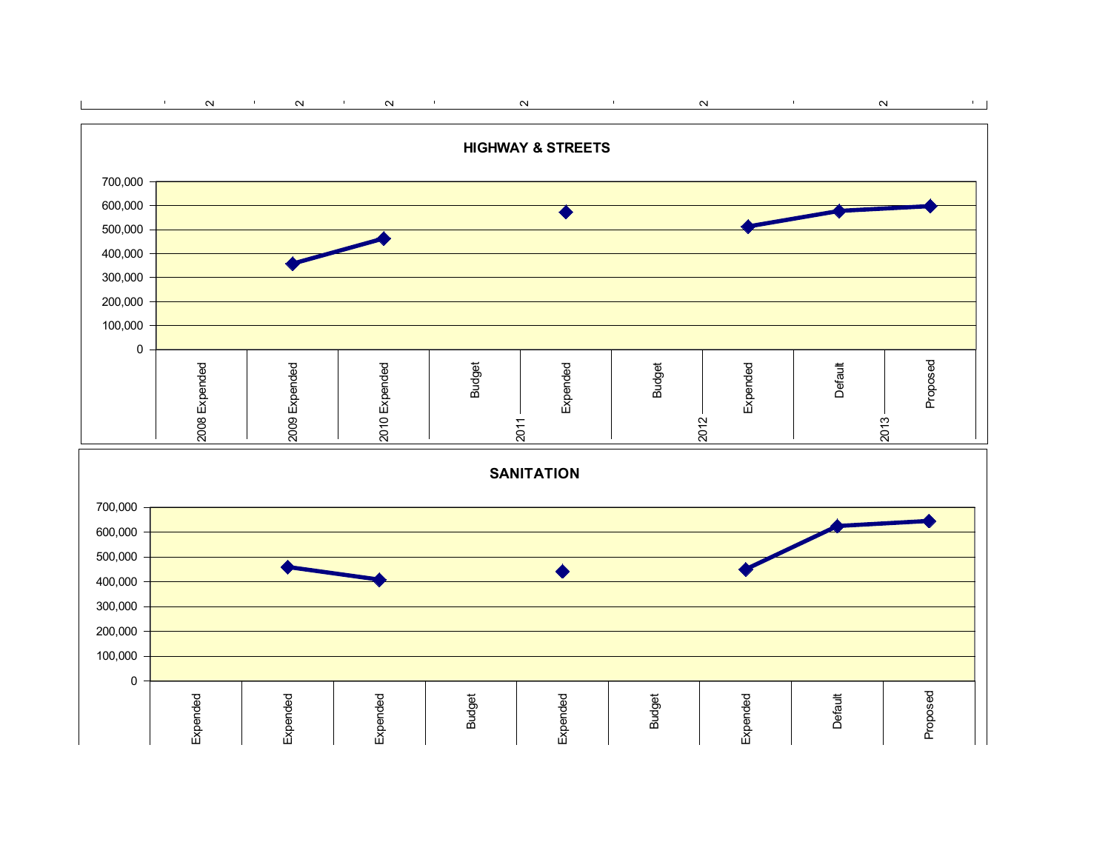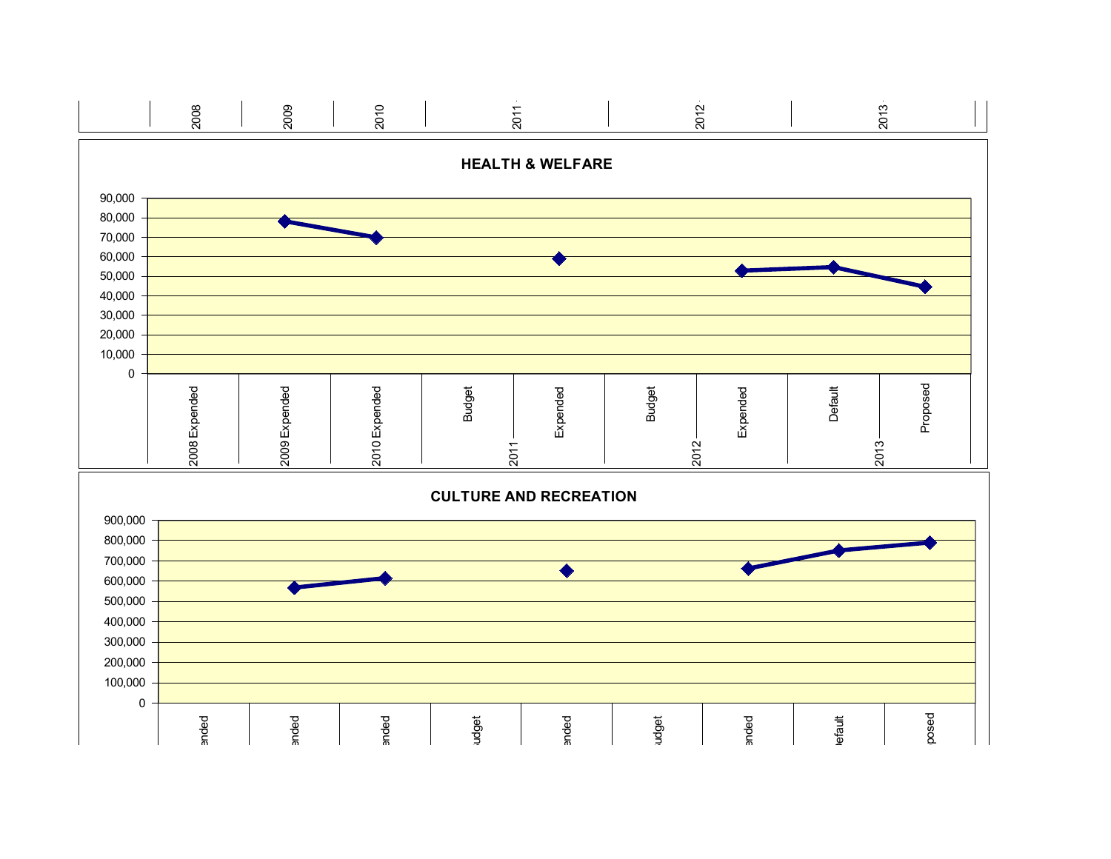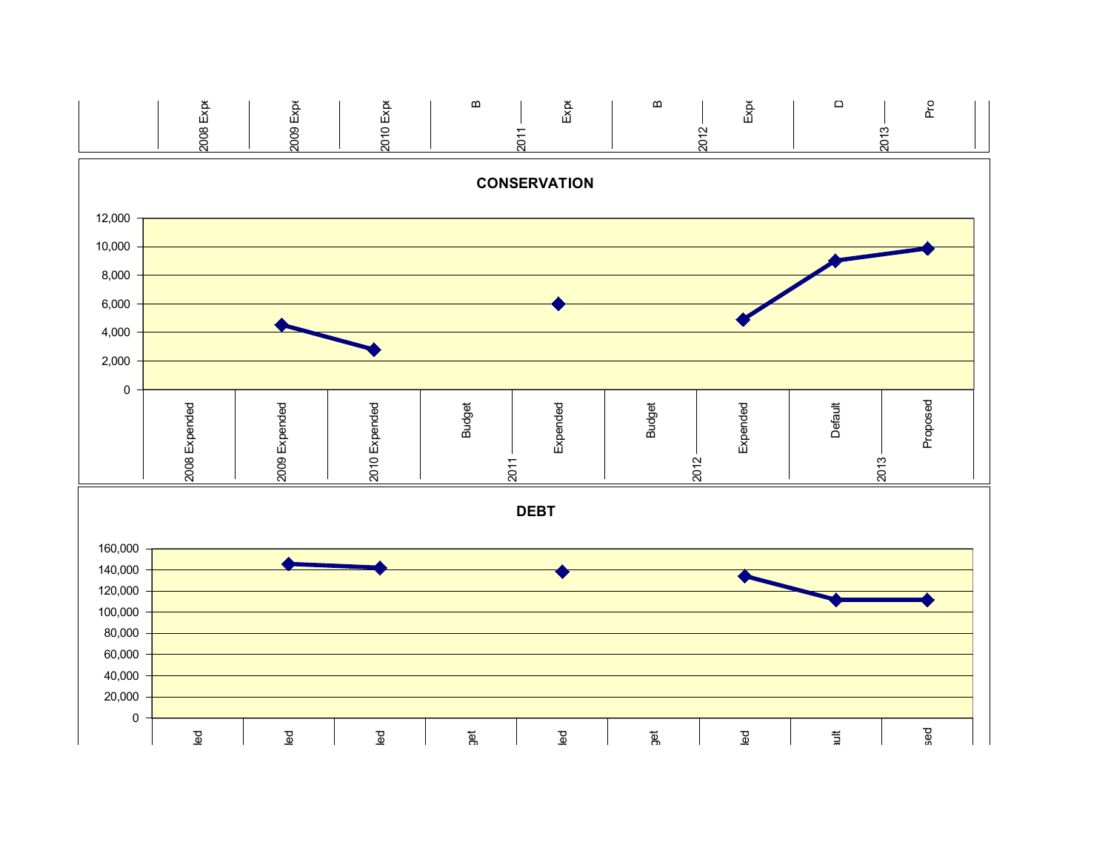